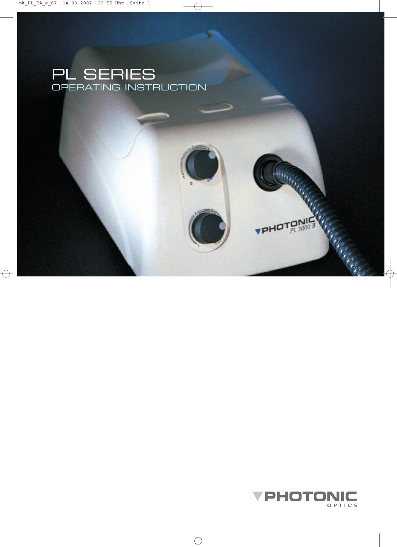



 $PHOT^{ONIC}_{PL}$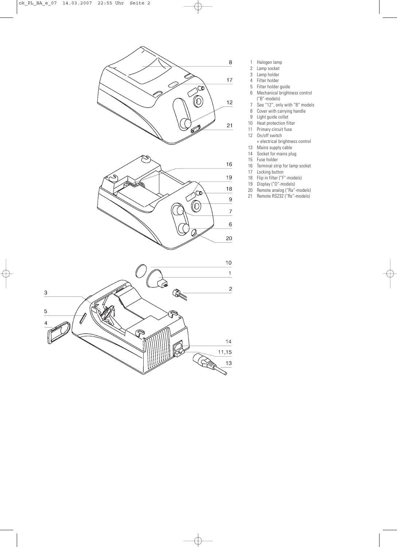

- 1 Halogen lamp<br>2 Lamp socket
	- Lamp socket
- 3 Lamp holder
- 4 Filter holder
- 5 Filter holder guide<br>6 Mechanical bright Mechanical brightness control
- ("B"-models)
- 7 See "12", only with "B" models
- 8 Cover with carrying handle
- 9 Light guide collet<br>10 Heat protection fi
- Heat protection filter
- 11 Primary circuit fuse
- 12 On/off switch
	- + electrical brightness control
- 13 Mains supply cable
- 14 Socket for mains plug
- 15 Fuse holder
- 16 Terminal strip for lamp socket
- 17 Locking button<br>18 Flip in filter ("F"

 $\gtrsim$ 

- Flip in filter ("F"-models)
- 19 Display ("D"-models)
- 20 Remote analog ("Ra"-models)
- 21 Remote RS232 ("Rs"-models)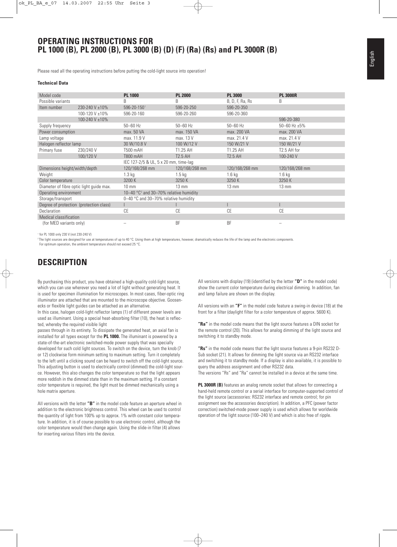### **OPERATING INSTRUCTIONS FOR PL 1000 (B), PL 2000 (B), PL 3000 (B) (D) (F) (Ra) (Rs) and PL 3000R (B)**

Please read all the operating instructions before putting the cold-light source into operation!

#### **Technical Data**

| Model code                               |                | <b>PL 1000</b>                                               | <b>PL 2000</b>    | <b>PL 3000</b>    | <b>PL 3000R</b>        |  |  |  |  |
|------------------------------------------|----------------|--------------------------------------------------------------|-------------------|-------------------|------------------------|--|--|--|--|
| Possible variants                        |                | B                                                            | B                 | B, D, F, Ra, Rs   | B                      |  |  |  |  |
| Item number                              | 230-240 V ±10% | 596-20-1501                                                  | 596-20-250        | 596-20-350        |                        |  |  |  |  |
|                                          | 100-120 V ±10% | 596-20-160                                                   | 596-20-260        | 596-20-360        |                        |  |  |  |  |
|                                          | 100-240 V ±10% |                                                              |                   |                   | 596-20-380             |  |  |  |  |
| Supply frequency                         |                | $50 - 60$ Hz                                                 | $50 - 60$ Hz      | $50 - 60$ Hz      | $50 - 60$ Hz $\pm 5\%$ |  |  |  |  |
| Power consumption                        |                | max. 50 VA                                                   | max. 150 VA       | max. 200 VA       | max. 200 VA            |  |  |  |  |
| Lamp voltage                             |                | max. 11.9 V                                                  | max. 13 V         | max. 21.4 V       | max. 21.4 V            |  |  |  |  |
| Halogen reflector lamp                   |                | 30 W/10.8 V                                                  | 100 W/12 V        | 150 W/21 V        | 150 W/21 V             |  |  |  |  |
| Primary fuse                             | 230/240 V      | T500 mAH                                                     | T1.25 AH          | T1.25 AH          | T2.5 AH for            |  |  |  |  |
|                                          | 100/120 V      | T800 mAH                                                     | <b>T2.5 AH</b>    | <b>T2.5 AH</b>    | 100-240 V              |  |  |  |  |
|                                          |                | IEC 127-2/5 & UL, 5 x 20 mm, time-lag                        |                   |                   |                        |  |  |  |  |
| Dimensions height/width/depth            |                | 120/168/268 mm                                               | 120/168/268 mm    | 120/168/268 mm    | 120/168/268 mm         |  |  |  |  |
| Weight                                   |                | 1.3 <sub>kq</sub>                                            | 1.5 <sub>kq</sub> | 1.6 <sub>kq</sub> | $1.6$ kg               |  |  |  |  |
| Color temperature                        |                | 3200 K                                                       | 3250 K            | 3250K             | 3250 K                 |  |  |  |  |
| Diameter of fibre optic light guide max. |                | $10 \text{ mm}$                                              | $13 \text{ mm}$   | $13 \text{ mm}$   | $13 \text{ mm}$        |  |  |  |  |
| Operating environment                    |                | 10-40 $^{\circ}$ C <sup>2</sup> and 30-70% relative humidity |                   |                   |                        |  |  |  |  |
| Storage/transport                        |                | 0-40 $\degree$ C and 30-70% relative humidity                |                   |                   |                        |  |  |  |  |
| Degree of protection (protection class)  |                |                                                              |                   |                   |                        |  |  |  |  |
| Declaration                              |                | CE                                                           | СE                | CE                | <b>CE</b>              |  |  |  |  |
| Medical classification                   |                |                                                              |                   |                   |                        |  |  |  |  |
| (for MED variants only)                  |                |                                                              | BF                | <b>BF</b>         |                        |  |  |  |  |

1 for PL 1000 only 230 V (not 230-240 V)

The light sources are designed for use at temperatures of up to 40 °C. Using them at high temperatures, however, dramatically reduces the life of the lamp and the electronic components.

For optimum operation, the ambient temperature should not exceed 25 °C.

## **DESCRIPTION**

By purchasing this product, you have obtained a high-quality cold-light source, which you can use wherever you need a lot of light without generating heat. It is used for specimen illumination for microscopes. In most cases, fiber-optic ring illuminator are attached that are mounted to the microscope objective. Goosenecks or flexible light guides can be attached as an alternative.

In this case, halogen cold-light reflector lamps (1) of different power levels are used as illuminant. Using a special heat-absorbing filter (10), the heat is reflected, whereby the required visible light

passes through in its entirety. To dissipate the generated heat, an axial fan is installed for all types except for the **PL 1000.** The illuminant is powered by a state-of-the-art electronic switched-mode power supply that was specially developed for such cold light sources. To switch on the device, turn the knob (7 or 12) clockwise form minimum setting to maximum setting. Turn it completely to the left until a clicking sound can be heard to switch off the cold-light source. This adjusting button is used to electrically control (dimmed) the cold-light source. However, this also changes the color temperature so that the light appears more reddish in the dimmed state than in the maximum setting. If a constant color temperature is required, the light must be dimmed mechanically using a hole matrix aperture.

All versions with the letter **"B"** in the model code feature an aperture wheel in addition to the electronic brightness control. This wheel can be used to control the quantity of light from 100% up to approx. 1% with constant color temperature. In addition, it is of course possible to use electronic control, although the color temperature would then change again. Using the slide-in filter (4) allows for inserting various filters into the device.

All versions with display (19) (identified by the letter **"D"** in the model code) show the current color temperature during electrical dimming. In addition, fan and lamp failure are shown on the display.

All versions with an **"F"** in the model code feature a swing-in device (18) at the front for a filter (daylight filter for a color temperature of approx. 5600 K).

**"Ra"** in the model code means that the light source features a DIN socket for the remote control (20). This allows for analog dimming of the light source and switching it to standby mode.

**"Rs"** in the model code means that the light source features a 9-pin RS232 D-Sub socket (21). It allows for dimming the light source via an RS232 interface and switching it to standby mode. If a display is also available, it is possible to query the address assignment and other RS232 data. The versions "Rs" and "Ra" cannot be installed in a device at the same time.

**PL 3000R (B)** features an analog remote socket that allows for connecting a hand-held remote control or a serial interface for computer-supported control of the light source (accessories: RS232 interface and remote control; for pin assignment see the accessories description). In addition, a PFC (power factor correction) switched-mode power supply is used which allows for worldwide operation of the light source (100–240 V) and which is also free of ripple.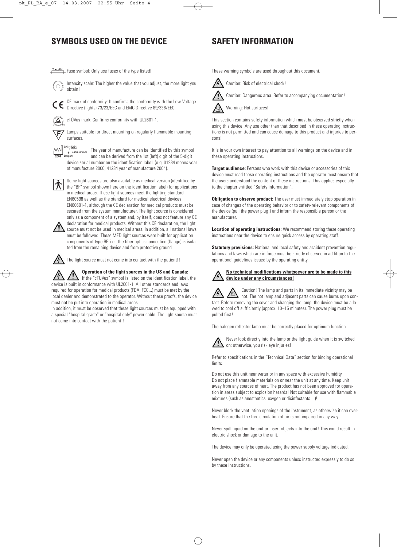## **SYMBOLS USED ON THE DEVICE SAFETY INFORMATION**

 $\overline{f}$  Fuse symbol: Only use fuses of the type listed!



Intensity scale: The higher the value that you adjust, the more light you obtain!

CE mark of conformity: It confirms the conformity with the Low-Voltage  $\epsilon$ 

cTÜVus mark: Confirms conformity with UL2601-1.

Lamps suitable for direct mounting on regularly flammable mounting surfaces.

Directive (lights) 73/23/EEC and EMC Directive 89/336/EEC.

 $\sqrt{\frac{m}{2}}$  zahlnummer The year of manufacture can be identified by this symbol Baujahr  $\mathbb{M}$ and can be derived from the 1st (left) digit of the 5-digit device serial number on the identification label. (e.g. 01234 means year of manufacture 2000, 41234 year of manufacture 2004).



Some light sources are also available as medical version (identified by the "BF" symbol shown here on the identification label) for applications in medical areas. These light sources meet the lighting standard EN60598 as well as the standard for medical electrical devices EN60601-1, although the CE declaration for medical products must be secured from the system manufacturer. The light source is considered only as a component of a system and, by itself, does not feature any CE declaration for medical products. Without this CE declaration, the light source must not be used in medical areas. In addition, all national laws

must be followed. These MED light sources were built for application components of type BF, i.e., the fiber-optics connection (flange) is isolated from the remaining device and from protective ground.



The light source must not come into contact with the patient!!

**Operation of the light sources in the US and Canada:** If the "cTUVus" symbol is listed on the identification label, the device is built in conformance with UL2601-1. All other standards and laws required for operation for medical products (FDA, FCC...) must be met by the local dealer and demonstrated to the operator. Without these proofs, the device

must not be put into operation in medical areas. In addition, it must be observed that these light sources must be equipped with a special "hospital grade" or "hospital only" power cable. The light source must not come into contact with the patient!!

These warning symbols are used throughout this document.

Caution: Risk of electrical shock!



Caution: Dangerous area. Refer to accompanying documentation!



This section contains safety information which must be observed strictly when using this device. Any use other than that described in these operating instructions is not permitted and can cause damage to this product and injuries to persons!

It is in your own interest to pay attention to all warnings on the device and in these operating instructions.

**Target audience:** Persons who work with this device or accessories of this device must read these operating instructions and the operator must ensure that the users understood the content of these instructions. This applies especially to the chapter entitled "Safety information".

**Obligation to observe product:** The user must immediately stop operation in case of changes of the operating behavior or to safety-relevant components of the device (pull the power plug!) and inform the responsible person or the manufacturer.

**Location of operating instructions:** We recommend storing these operating instructions near the device to ensure quick access by operating staff.

**Statutory provisions:** National and local safety and accident prevention regulations and laws which are in force must be strictly observed in addition to the operational guidelines issued by the operating entity.

**No technical modifications whatsoever are to be made to this device under any circumstances!**

Caution! The lamp and parts in its immediate vicinity may be hot. The hot lamp and adjacent parts can cause burns upon contact. Before removing the cover and changing the lamp, the device must be allowed to cool off sufficiently (approx. 10–15 minutes). The power plug must be pulled first!

The halogen reflector lamp must be correctly placed for optimum function.



Never look directly into the lamp or the light guide when it is switched on; otherwise, you risk eye injuries!

Refer to specifications in the "Technical Data" section for binding operational limits.

Do not use this unit near water or in any space with excessive humidity. Do not place flammable materials on or near the unit at any time. Keep unit away from any sources of heat. The product has not been approved for operation in areas subject to explosion hazards! Not suitable for use with flammable mixtures (such as anesthetics, oxygen or disinfectants....)!

Never block the ventilation openings of the instrument, as otherwise it can overheat. Ensure that the free circulation of air is not impaired in any way.

Never spill liquid on the unit or insert objects into the unit! This could result in electric shock or damage to the unit.

The device may only be operated using the power supply voltage indicated.

Never open the device or any components unless instructed expressly to do so by these instructions.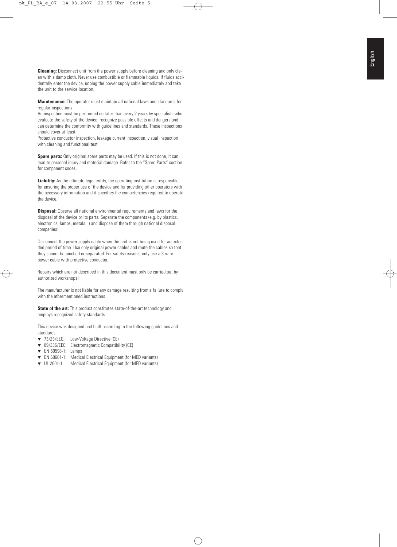**Cleaning:** Disconnect unit from the power supply before cleaning and only clean with a damp cloth. Never use combustible or flammable liquids. If fluids accidentally enter the device, unplug the power supply cable immediately and take the unit to the service location.

**Maintenance:** The operator must maintain all national laws and standards for regular inspections.

An inspection must be performed no later than every 2 years by specialists who evaluate the safety of the device, recognize possible effects and dangers and can determine the conformity with guidelines and standards. These inspections should cover at least:

Protective conductor inspection, leakage current inspection, visual inspection with cleaning and functional test

**Spare parts:** Only original spare parts may be used. If this is not done, it can lead to personal injury and material damage. Refer to the "Spare Parts" section for component codes.

**Liability:** As the ultimate legal entity, the operating institution is responsible for ensuring the proper use of the device and for providing other operators with the necessary information and it specifies the competencies required to operate the device.

**Disposal:** Observe all national environmental requirements and laws for the disposal of the device or its parts. Separate the components (e.g. by plastics, electronics, lamps, metals...) and dispose of them through national disposal companies!

Disconnect the power supply cable when the unit is not being used for an extended period of time. Use only original power cables and route the cables so that they cannot be pinched or separated. For safety reasons, only use a 3-wire power cable with protective conductor.

Repairs which are not described in this document must only be carried out by authorized workshops!

The manufacturer is not liable for any damage resulting from a failure to comply with the aforementioned instructions!

**State of the art:** This product constitutes state-of-the-art technology and employs recognized safety standards.

This device was designed and built according to the following guidelines and standards.

- ▼ 73/23/EEC: Low-Voltage Directive (CE)
- ▼ 89/336/EEC: Electromagnetic Compatibility (CE)
- ▼ EN 60598-1: Lamps
- ▼ EN 60601-1: Medical Electrical Equipment (for MED variants)
- ▼ UL 2601-1: Medical Electrical Equipment (for MED variants)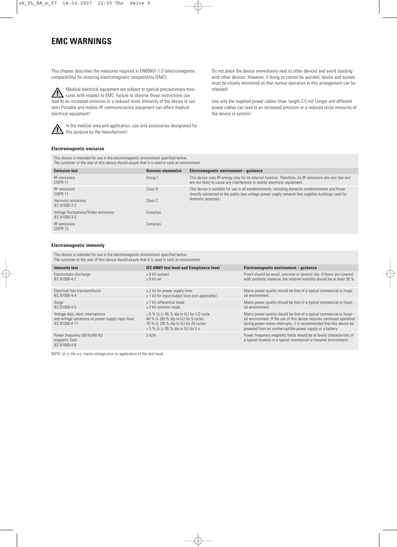## **EMC WARNINGS**

This chapter describes the measures required in EN60601-1-2 (electromagnetic compatibility) for ensuring electromagnetic compatibility (EMC).

Medical electrical equipment are subject to special precautionary measures with respect to EMC. Failure to observe these instructions can lead to an increased emission or a reduced noise immunity of the device or system! Portable and mobile HF communications equipment can affect medical electrical equipment!

In the medical area and application, use only accessories designated for this purpose by the manufacturer!

Do not place the device immediately next to other devices and avoid stacking with other devices. However, if doing so cannot be avoided, device and system must be closely monitored so that normal operation in this arrangement can be checked!

Use only the supplied power cables (max. length 2.5 m)! Longer and different power cables can lead to an increased emission or a reduced noise immunity of the device or system!

#### **Electromagnetic emission**

This device is intended for use in the electromagnetic environment specified below. The customer or the user of this device should assure that it is used in such an environment.

| <b>Emission test</b>                                    | Overens-stemmelse | Electromagnetic environment – quidance                                                                                                                                                                   |
|---------------------------------------------------------|-------------------|----------------------------------------------------------------------------------------------------------------------------------------------------------------------------------------------------------|
| RF-emissions<br>CISPR <sub>11</sub>                     | Group 1           | This device uses RF energy only for its internal function. Therefore, its RF emissions are very low and<br>are not likely to cause any interference in nearby electronic equipment.                      |
| RF-emissions<br>CISPR <sub>11</sub>                     | Class B           | This device is suitable for use in all establishments, including domestic establishments and those<br>directly connected to the public low-voltage power supply network that supplies buildings used for |
| Harmonic emissions<br>IEC 61000-3-2                     | Class C           | domestic purposes.                                                                                                                                                                                       |
| Voltage fluctuations/flicker emissions<br>IFC 61000-3-3 | Complies          |                                                                                                                                                                                                          |
| RF-emissions<br>CISPR 15                                | Complies          |                                                                                                                                                                                                          |

#### **Electromagnetic immunity**

This device is intended for use in the electromagnetic environment specified below. The customer or the user of this device should assure that it is used in such an environment.

| <b>Immunity test</b>                                                                                      | IEC 60601 test level and Compliance level                                                                                                                                                                                                      | Electromagnetic environment - quidance                                                                                                                                                                                                                                                |
|-----------------------------------------------------------------------------------------------------------|------------------------------------------------------------------------------------------------------------------------------------------------------------------------------------------------------------------------------------------------|---------------------------------------------------------------------------------------------------------------------------------------------------------------------------------------------------------------------------------------------------------------------------------------|
| Electrostatic discharge<br>IFC 61000-4-2                                                                  | + 6 kV contact<br>$+8$ kV air                                                                                                                                                                                                                  | Floors should be wood, concrete or ceramic tile. If floors are covered<br>with synthetic material, the relative humidity should be at least 30 %.                                                                                                                                     |
| Electrical fast transient/burst<br>IFC 61000-4-4                                                          | $\pm$ 2 kV for power supply lines<br>$\pm$ 1 kV for input/output lines (not applicable)                                                                                                                                                        | Mains power quality should be that of a typical commercial or hospi-<br>tal environment.                                                                                                                                                                                              |
| Surge<br>IFC 61000-4-5                                                                                    | $\pm$ 1 kV differential mode<br>$+2$ kV common mode                                                                                                                                                                                            | Mains power quality should be that of a typical commercial or hospi-<br>tal environment.                                                                                                                                                                                              |
| Voltage dips, short interruptions<br>and voltage variations on power supply input lines<br>IFC 61000-4-11 | $< 5 \% U_{\rm T}$ (> 95 % dip in U <sub>r</sub> ) for 1/2 cycle<br>40 % $U_T$ (60 % dip in $U_T$ ) for 5 cycles<br>70 % $U_T$ (30 % dip in $U_T$ ) for 25 cycles<br>$< 5 \% U_{\tau}$ (> 95 % dip in U <sub><math>\tau</math></sub> ) for 5 s | Mains power quality should be that of a typical commercial or hospi-<br>tal environment. If the use of this device requires continued operation<br>during power mains interrupts, it is recommended that this device be<br>powered from an uninterruptible power supply or a battery. |
| Power frequency (50 Hz/60 Hz)<br>magnetic field<br>IEC 61000-4-8                                          | 3 A/m                                                                                                                                                                                                                                          | Power frequency magnetic fields should be at levels characteristic of<br>a typical location in a typical commercial or hospital environment.                                                                                                                                          |

NOTE:  $U_T$  is the a.c. mains voltage prior to application of the test level.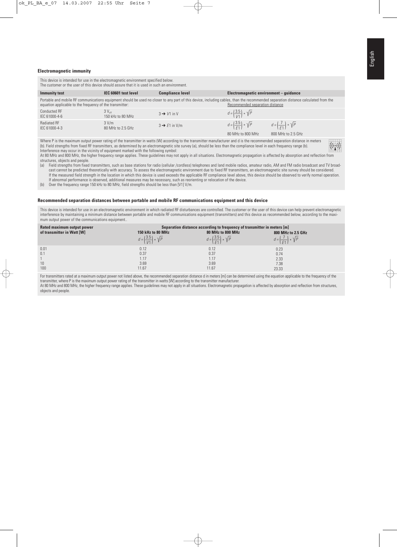#### **Electromagnetic immunity**

| The customer or the user of this device should assure that it is used in such an environment.                                                                                                                                                                                                                                                                                                                                                                                                             |                                        |                                 |                                               |                                            |  |  |  |  |  |
|-----------------------------------------------------------------------------------------------------------------------------------------------------------------------------------------------------------------------------------------------------------------------------------------------------------------------------------------------------------------------------------------------------------------------------------------------------------------------------------------------------------|----------------------------------------|---------------------------------|-----------------------------------------------|--------------------------------------------|--|--|--|--|--|
| <b>Immunity test</b>                                                                                                                                                                                                                                                                                                                                                                                                                                                                                      | IEC 60601 test level                   | <b>Compliance level</b>         | Electromagnetic environment - guidance        |                                            |  |  |  |  |  |
| Portable and mobile RF communications equipment should be used no closer to any part of this device, including cables, than the recommended separation distance calculated from the<br>equation applicable to the frequency of the transmitter:                                                                                                                                                                                                                                                           |                                        | Recommended separation distance |                                               |                                            |  |  |  |  |  |
| <b>Conducted RF</b><br>IEC 61000-4-6                                                                                                                                                                                                                                                                                                                                                                                                                                                                      | $3V_{\text{eff}}$<br>150 kHz to 80 MHz | $3 \rightarrow V1$ in V         | $d = \left(\frac{3.5}{1/1}\right) * \sqrt{P}$ |                                            |  |  |  |  |  |
| Radiated RF<br>IEC 61000-4-3                                                                                                                                                                                                                                                                                                                                                                                                                                                                              | 3 V/m<br>80 MHz to 2.5 GHz             | $3 \rightarrow E1$ in V/m       | $d = \left(\frac{3.5}{5.1}\right) * \sqrt{P}$ | $d = \left(\frac{7}{61}\right) * \sqrt{P}$ |  |  |  |  |  |
|                                                                                                                                                                                                                                                                                                                                                                                                                                                                                                           |                                        |                                 | 80 MHz to 800 MHz                             | 800 MHz to 2.5 GHz                         |  |  |  |  |  |
| Where P is the maximum output power rating of the transmitter in watts (W) according to the transmitter manufacturer and d is the recommended separation distance in meters<br>$((\cdot,))$<br>(b). Field strengths from fixed RF transmitters, as determined by an electromagnetic site survey (a), should be less than the compliance level in each frequency range (b).<br>that all access to see the secondary to the contact of a contact see and contact industrial of all contacts or construction |                                        |                                 |                                               |                                            |  |  |  |  |  |

This device is intended for use in the electromagnetic environment specified below.

Interference may occur in the vicinity of equipment marked with the following symbol: At 80 MHz and 800 MHz, the higher frequency range applies. These guidelines may not apply in all situations. Electromagnetic propagation is affected by absorption and reflection from structures, objects and people.

(a) Field strengths from fixed transmitters, such as base stations for radio (cellular /cordless) telephones and land mobile radios, amateur radio, AM and FM radio broadcast and TV broadcast cannot be predicted theoretically with accuracy. To assess the electromagnetic environment due to fixed RF transmitters, an electromagnetic site survey should be considered. If the measured field strength in the location in which this device is used exceeds the applicable RF compliance level above, this device should be observed to verify normal operation. If abnormal performance is observed, additional measures may be necessary, such as reorienting or relocation of the device.

(b) Over the frequency range 150 kHz to 80 MHz, field strengths should be less than [V1] V/m.

#### **Recommended separation distances between portable and mobile RF communications equipment and this device**

This device is intended for use in an electromagnetic environment in which radiated RF disturbances are controlled. The customer or the user of this device can help prevent electromagnetic interference by maintaining a minimum distance between portable and mobile RF communications equipment (transmitters) and this device as recommended below, according to the maximum output power of the communications equipment..

| Rated maximum output power | Separation distance according to frequency of transmitter in meters [m] |                                              |                                            |  |  |  |  |  |
|----------------------------|-------------------------------------------------------------------------|----------------------------------------------|--------------------------------------------|--|--|--|--|--|
| of transmitter in Watt [W] | 150 kHz to 80 MHz                                                       | 80 MHz to 800 MHz                            | 800 MHz to 2.5 GHz                         |  |  |  |  |  |
|                            | $d = \left(\frac{3.5}{1/1}\right) * \sqrt{P}$                           | $d = \left(\frac{3.5}{51}\right) * \sqrt{P}$ | $d = \left(\frac{7}{51}\right) * \sqrt{P}$ |  |  |  |  |  |
| 0.01                       | 0.12                                                                    | 0.12                                         | 0.23                                       |  |  |  |  |  |
| 0.1                        | 0.37                                                                    | 0.37                                         | 0.74                                       |  |  |  |  |  |
|                            |                                                                         | 1.17                                         | 2.33                                       |  |  |  |  |  |
| 10                         | 3.69                                                                    | 3.69                                         | 7.38                                       |  |  |  |  |  |
| 100                        | 11.67                                                                   | 11.67                                        | 23.33                                      |  |  |  |  |  |

For transmitters rated at a maximum output power not listed above, the recommended separation distance d in meters [m] can be determined using the equation applicable to the frequency of the transmitter, where P is the maximum output power rating of the transmitter in watts [W] according to the transmitter manufacturer.

At 80 MHz and 800 MHz, the higher frequency range applies. These guidelines may not apply in all situations. Electromagnetic propagation is affected by absorption and reflection from structures, objects and people.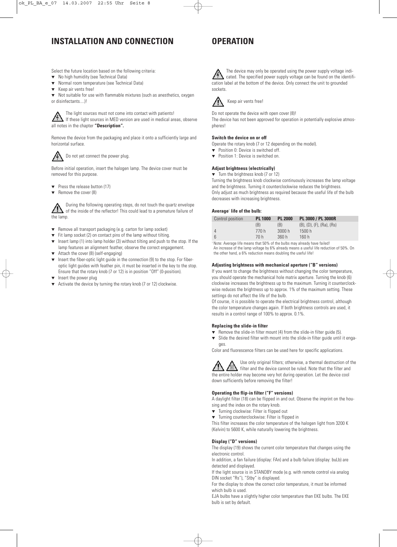## **INSTALLATION AND CONNECTION**

Select the future location based on the following criteria:

- ▼ No high humidity (see Technical Data)
- Normal room temperature (see Technical Data)
- Keep air vents free!

▼ Not suitable for use with flammable mixtures (such as anesthetics, oxygen or disinfectants....)!

The light sources must not come into contact with patients! If these light sources in MED version are used in medical areas, observe all notes in the chapter **"Description".**

Remove the device from the packaging and place it onto a sufficiently large and horizontal surface.



Do not yet connect the power plug.

Before initial operation, insert the halogen lamp. The device cover must be removed for this purpose.

- ▼ Press the release button (17)
- Remove the cover (8)

During the following operating steps, do not touch the quartz envelope of the inside of the reflector! This could lead to a premature failure of the lamp.

- Remove all transport packaging (e.g. carton for lamp socket)
- $\bullet$  Fit lamp socket (2) on contact pins of the lamp without tilting.
- $\bullet$  Insert lamp (1) into lamp holder (3) without tilting and push to the stop. If the lamp features an alignment feather, observe the correct engagement.
- ▼ Attach the cover (8) (self-engaging)
- Insert the fiber-optic light guide in the connection (9) to the stop. For fiberoptic light guides with feather pin, it must be inserted in the key to the stop. Ensure that the rotary knob (7 or 12) is in position "Off" (0-position).
- ▼ Insert the power plug
- ▼ Activate the device by turning the rotary knob (7 or 12) clockwise.

## **OPERATION**

The device may only be operated using the power supply voltage indicated. The specified power supply voltage can be found on the identification label at the bottom of the device. Only connect the unit to grounded sockets.



Keep air vents free!

Do not operate the device with open cover (8)! The device has not been approved for operation in potentially explosive atmospheres!

#### **Switch the device on or off**

Operate the rotary knob (7 or 12 depending on the model).

- ▼ Position 0: Device is switched off.
- ▼ Position 1: Device is switched on.

#### **Adjust brightness (electrically)**

▼ Turn the brightness knob (7 or 12) Turning the brightness knob clockwise continuously increases the lamp voltage and the brightness. Turning it counterclockwise reduces the brightness. Only adjust as much brightness as required because the useful life of the bulb decreases with increasing brightness.

#### **Average**<sup>1</sup> **life of the bulb:**

| Control position | <b>PL 1000</b> | <b>PL 2000</b> | PL 3000 / PL 3000R                      |
|------------------|----------------|----------------|-----------------------------------------|
|                  | (B)            | (B)            | $(B)$ , $(D)$ , $(F)$ , $(Ra)$ , $(Rs)$ |
| Δ                | 770 h          | 3000h          | 1500 h                                  |
| 6                | 70 h           | 360h           | 160h                                    |

<sup>1</sup> Note: Average life means that 50% of the bulbs may already have failed! An increase of the lamp voltage by 6% already means a useful life reduction of 50%. On the other hand, a 6% reduction means doubling the useful life!

#### **Adjusting brightness with mechanical aperture ("B" versions)**

If you want to change the brightness without changing the color temperature, you should operate the mechanical hole matrix aperture. Turning the knob (6) clockwise increases the brightness up to the maximum. Turning it counterclockwise reduces the brightness up to approx. 1% of the maximum setting. These settings do not affect the life of the bulb.

Of course, it is possible to operate the electrical brightness control, although the color temperature changes again. If both brightness controls are used, it results in a control range of 100% to approx. 0.1%.

#### **Replacing the slide-in filter**

- ▼ Remove the slide-in filter mount (4) from the slide-in filter guide (5).
- ▼ Slide the desired filter with mount into the slide-in filter guide until it engages.

Color and fluorescence filters can be used here for specific applications.

Use only original filters; otherwise, a thermal destruction of the filter and the device cannot be ruled. Note that the filter and the entire holder may become very hot during operation. Let the device cool down sufficiently before removing the filter!

#### **Operating the flip-in filter ("F" versions)**

A daylight filter (18) can be flipped in and out. Observe the imprint on the housing and the index on the rotary knob.

- ▼ Turning clockwise: Filter is flipped out
- ▼ Turning counterclockwise: Filter is flipped in

This filter increases the color temperature of the halogen light from 3200 K (Kelvin) to 5600 K, while naturally lowering the brightness.

#### **Display ("D" versions)**

The display (19) shows the current color temperature that changes using the electronic control.

In addition, a fan failure (display: FAn) and a bulb failure (display: buLb) are detected and displayed.

If the light source is in STANDBY mode (e.g. with remote control via analog DIN socket "Rs"), "Stby" is displayed.

For the display to show the correct color temperature, it must be informed which bulb is used.

EJA bulbs have a slightly higher color temperature than EKE bulbs. The EKE bulb is set by default.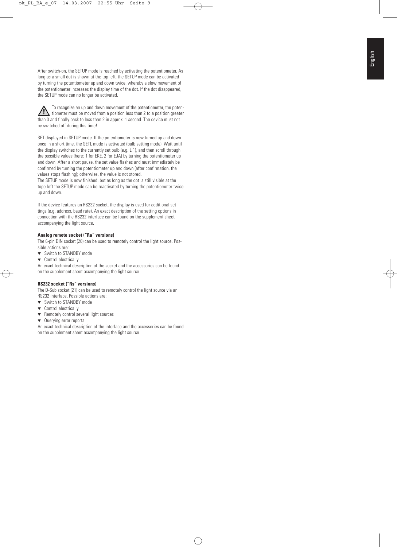After switch-on, the SETUP mode is reached by activating the potentiometer. As long as a small dot is shown at the top left, the SETUP mode can be activated by turning the potentiometer up and down twice, whereby a slow movement of the potentiometer increases the display time of the dot. If the dot disappeared, the SETUP mode can no longer be activated.

To recognize an up and down movement of the potentiometer, the poten- $\sqrt{v}$ tiometer must be moved from a position less than 2 to a position greater than 3 and finally back to less than 2 in approx. 1 second. The device must not be switched off during this time!

SET displayed in SETUP mode. If the potentiometer is now turned up and down once in a short time, the SETL mode is activated (bulb setting mode). Wait until the display switches to the currently set bulb (e.g. L 1), and then scroll through the possible values (here: 1 for EKE, 2 for EJA) by turning the potentiometer up and down. After a short pause, the set value flashes and must immediately be confirmed by turning the potentiometer up and down (after confirmation, the values stops flashing); otherwise, the value is not stored.

The SETUP mode is now finished, but as long as the dot is still visible at the tope left the SETUP mode can be reactivated by turning the potentiometer twice up and down.

If the device features an RS232 socket, the display is used for additional settings (e.g. address, baud rate). An exact description of the setting options in connection with the RS232 interface can be found on the supplement sheet accompanying the light source.

#### **Analog remote socket ("Ra" versions)**

The 6-pin DIN socket (20) can be used to remotely control the light source. Possible actions are:

- ▼ Switch to STANDBY mode
- ▼ Control electrically

An exact technical description of the socket and the accessories can be found on the supplement sheet accompanying the light source.

#### **RS232 socket ("Rs" versions)**

The D-Sub socket (21) can be used to remotely control the light source via an RS232 interface. Possible actions are:

- ▼ Switch to STANDBY mode
- ▼ Control electrically
- Remotely control several light sources
- ▼ Querying error reports

An exact technical description of the interface and the accessories can be found on the supplement sheet accompanying the light source.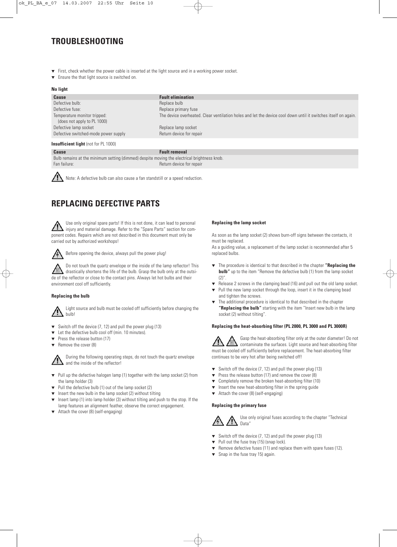## **TROUBLESHOOTING**

- ▼ First, check whether the power cable is inserted at the light source and in a working power socket.
- ▼ Ensure the that light source is switched on.

#### **No light**

| <b>Cause</b>                                                | <b>Fault elimination</b>                                                                                       |
|-------------------------------------------------------------|----------------------------------------------------------------------------------------------------------------|
| Defective bulb:                                             | Replace bulb                                                                                                   |
| Defective fuse:                                             | Replace primary fuse                                                                                           |
| Temperature monitor tripped:<br>(does not apply to PL 1000) | The device overheated. Clear ventilation holes and let the device cool down until it switches itself on again. |
| Defective lamp socket                                       | Replace lamp socket                                                                                            |
| Defective switched-mode power supply                        | Return device for repair                                                                                       |
| <b>Insufficient light</b> (not for PL 1000)                 |                                                                                                                |

**Cause Fault removal** 

Bulb remains at the minimum setting (dimmed) despite moving the electrical brightness knob. Fan failure: **Return device for repair** 



Note: A defective bulb can also cause a fan standstill or a speed reduction.

## **REPLACING DEFECTIVE PARTS**

Use only original spare parts! If this is not done, it can lead to personal injury and material damage. Refer to the "Spare Parts" section for component codes. Repairs which are not described in this document must only be carried out by authorized workshops!



Before opening the device, always pull the power plug!

Do not touch the quartz envelope or the inside of the lamp reflector! This drastically shortens the life of the bulb. Grasp the bulb only at the outside of the reflector or close to the contact pins. Always let hot bulbs and their environment cool off sufficiently.

#### **Replacing the bulb**

Light source and bulb must be cooled off sufficiently before changing the bulb!

- $\blacktriangledown$  Switch off the device (7, 12) and pull the power plug (13)
- ▼ Let the defective bulb cool off (min. 10 minutes).
- Press the release button (17)
- ▼ Remove the cover (8)



During the following operating steps, do not touch the quartz envelope and the inside of the reflector!

- ▼ Pull up the defective halogen lamp (1) together with the lamp socket (2) from the lamp holder (3)
- Pull the defective bulb (1) out of the lamp socket (2)
- $\blacktriangledown$  Insert the new bulb in the lamp socket (2) without tilting
- Insert lamp (1) into lamp holder (3) without tilting and push to the stop. If the lamp features an alignment feather, observe the correct engagement.
- Attach the cover (8) (self-engaging)

#### **Replacing the lamp socket**

As soon as the lamp socket (2) shows burn-off signs between the contacts, it must be replaced.

As a guiding value, a replacement of the lamp socket is recommended after 5 replaced bulbs.

- ▼ The procedure is identical to that described in the chapter **"Replacing the bulb**" up to the item "Remove the defective bulb (1) from the lamp socket  $(2)$ "
- Release 2 screws in the clamping bead (16) and pull out the old lamp socket.
- ▼ Pull the new lamp socket through the loop, insert it in the clamping bead and tighten the screws.
- ▼ The additional procedure is identical to that described in the chapter **"Replacing the bulb"** starting with the item "Insert new bulb in the lamp socket (2) without tilting".

#### **Replacing the heat-absorbing filter (PL 2000, PL 3000 and PL 3000R)**

Gasp the heat-absorbing filter only at the outer diameter! Do not contaminate the surfaces. Light source and heat-absorbing filter must be cooled off sufficiently before replacement. The heat-absorbing filter continues to be very hot after being switched off!

- ▼ Switch off the device (7, 12) and pull the power plug (13)
- ▼ Press the release button (17) and remove the cover (8)
- ▼ Completely remove the broken heat-absorbing filter (10)
- ▼ Insert the new heat-absorbing filter in the spring guide
- ▼ Attach the cover (8) (self-engaging)

#### **Replacing the primary fuse**



Use only original fuses according to the chapter "Technical Data"

- ▼ Switch off the device (7, 12) and pull the power plug (13)
- ▼ Pull out the fuse tray (15) (snap lock).
- ▼ Remove defective fuses (11) and replace them with spare fuses (12).
- ▼ Snap in the fuse tray 15) again.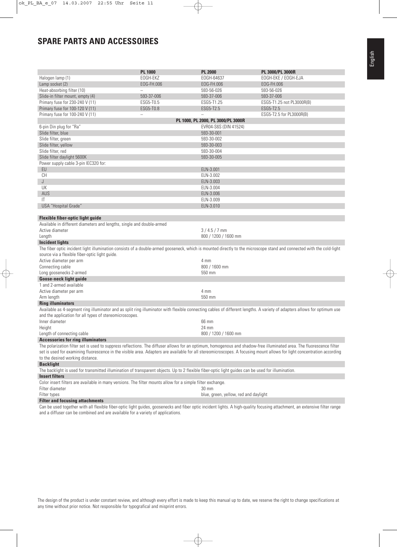## **SPARE PARTS AND ACCESSOIRES**

|                                                                                                                                                                             | <b>PL 1000</b> | <b>PL 2000</b>                        | PL 3000/PL 3000R          |  |  |  |  |  |  |
|-----------------------------------------------------------------------------------------------------------------------------------------------------------------------------|----------------|---------------------------------------|---------------------------|--|--|--|--|--|--|
| Halogen lamp (1)                                                                                                                                                            | EOGH-EKZ       | E0GH-64637                            | EOGH-EKE / EOGH-EJA       |  |  |  |  |  |  |
| Lamp socket (2)                                                                                                                                                             | EOG-FH.006     | EOG-FH.006                            | EOG-FH.006                |  |  |  |  |  |  |
| Heat-absorbing filter (10)                                                                                                                                                  |                | 593-56-026                            | 593-56-026                |  |  |  |  |  |  |
| Slide-in filter mount, empty (4)                                                                                                                                            | 593-37-006     | 593-37-006                            | 593-37-006                |  |  |  |  |  |  |
| Primary fuse for 230-240 V (11)                                                                                                                                             | ESG5-T0.5      | ESG5-T1.25                            |                           |  |  |  |  |  |  |
|                                                                                                                                                                             |                | ESG5-T2.5                             | ESG5-T1.25 not PL3000R(B) |  |  |  |  |  |  |
| Primary fuse for 100-120 V (11)                                                                                                                                             | ESG5-T0.8      |                                       | ESG5-T2.5                 |  |  |  |  |  |  |
| Primary fuse for 100-240 V (11)                                                                                                                                             |                | PL 1000, PL 2000, PL 3000/PL 3000R    | ESG5-T2.5 for PL3000R(B)  |  |  |  |  |  |  |
| 6-pin Din plug for "Ra"                                                                                                                                                     |                | EVR04-S6S (DIN 41524)                 |                           |  |  |  |  |  |  |
|                                                                                                                                                                             |                |                                       |                           |  |  |  |  |  |  |
| Slide filter, blue                                                                                                                                                          |                | 593-30-001                            |                           |  |  |  |  |  |  |
| Slide filter, green                                                                                                                                                         |                | 593-30-002                            |                           |  |  |  |  |  |  |
| Slide filter, yellow                                                                                                                                                        |                | 593-30-003                            |                           |  |  |  |  |  |  |
| Slide filter, red                                                                                                                                                           |                | 593-30-004                            |                           |  |  |  |  |  |  |
| Slide filter daylight 5600K                                                                                                                                                 |                | 593-30-005                            |                           |  |  |  |  |  |  |
| Power supply cable 3-pin IEC320 for:                                                                                                                                        |                |                                       |                           |  |  |  |  |  |  |
| EU                                                                                                                                                                          |                | ELN-3.001                             |                           |  |  |  |  |  |  |
| СH                                                                                                                                                                          |                | ELN-3.002                             |                           |  |  |  |  |  |  |
| J                                                                                                                                                                           |                | ELN-3.003                             |                           |  |  |  |  |  |  |
| UK                                                                                                                                                                          |                | ELN-3.004                             |                           |  |  |  |  |  |  |
| AUS                                                                                                                                                                         |                | ELN-3.006                             |                           |  |  |  |  |  |  |
| IT                                                                                                                                                                          |                | ELN-3.009                             |                           |  |  |  |  |  |  |
| USA "Hospital Grade"                                                                                                                                                        |                | ELN-3.010                             |                           |  |  |  |  |  |  |
|                                                                                                                                                                             |                |                                       |                           |  |  |  |  |  |  |
| Flexible fiber-optic light guide                                                                                                                                            |                |                                       |                           |  |  |  |  |  |  |
| Available in different diameters and lengths, single and double-armed                                                                                                       |                |                                       |                           |  |  |  |  |  |  |
| Active diameter                                                                                                                                                             |                | $3/4.5/7$ mm                          |                           |  |  |  |  |  |  |
| Length                                                                                                                                                                      |                | 800 / 1200 / 1600 mm                  |                           |  |  |  |  |  |  |
| <b>Incident lights</b>                                                                                                                                                      |                |                                       |                           |  |  |  |  |  |  |
| The fiber optic incident light illumination consists of a double-armed gooseneck, which is mounted directly to the microscope stand and connected with the cold-light       |                |                                       |                           |  |  |  |  |  |  |
| source via a flexible fiber-optic light guide.                                                                                                                              |                |                                       |                           |  |  |  |  |  |  |
| Active diameter per arm                                                                                                                                                     |                | 4 mm                                  |                           |  |  |  |  |  |  |
| Connecting cable                                                                                                                                                            |                | 800 / 1600 mm                         |                           |  |  |  |  |  |  |
| Long goosenecks 2-armed                                                                                                                                                     |                | 550 mm                                |                           |  |  |  |  |  |  |
| <b>Goose-neck light guide</b>                                                                                                                                               |                |                                       |                           |  |  |  |  |  |  |
| 1 and 2-armed available                                                                                                                                                     |                |                                       |                           |  |  |  |  |  |  |
| Active diameter per arm                                                                                                                                                     |                | 4 mm                                  |                           |  |  |  |  |  |  |
| Arm length                                                                                                                                                                  |                | 550 mm                                |                           |  |  |  |  |  |  |
| <b>Ring illuminators</b>                                                                                                                                                    |                |                                       |                           |  |  |  |  |  |  |
| Available as 4-segment ring illuminator and as split ring illuminator with flexible connecting cables of different lengths. A variety of adapters allows for optimum use    |                |                                       |                           |  |  |  |  |  |  |
| and the application for all types of stereomicroscopes.                                                                                                                     |                |                                       |                           |  |  |  |  |  |  |
| Inner diameter                                                                                                                                                              |                | 66 mm                                 |                           |  |  |  |  |  |  |
| Height                                                                                                                                                                      |                | 24 mm                                 |                           |  |  |  |  |  |  |
| Length of connecting cable                                                                                                                                                  |                | 800 / 1200 / 1600 mm                  |                           |  |  |  |  |  |  |
| <b>Accessories for ring illuminators</b>                                                                                                                                    |                |                                       |                           |  |  |  |  |  |  |
| The polarization filter set is used to suppress reflections. The diffuser allows for an optimum, homogenous and shadow-free illuminated area. The fluorescence filter       |                |                                       |                           |  |  |  |  |  |  |
| set is used for examining fluorescence in the visible area. Adapters are available for all stereomicroscopes. A focusing mount allows for light concentration according     |                |                                       |                           |  |  |  |  |  |  |
| to the desired working distance.                                                                                                                                            |                |                                       |                           |  |  |  |  |  |  |
| <b>Backlight</b>                                                                                                                                                            |                |                                       |                           |  |  |  |  |  |  |
| The backlight is used for transmitted illumination of transparent objects. Up to 2 flexible fiber-optic light guides can be used for illumination.                          |                |                                       |                           |  |  |  |  |  |  |
| <b>Insert filters</b>                                                                                                                                                       |                |                                       |                           |  |  |  |  |  |  |
| Color insert filters are available in many versions. The filter mounts allow for a simple filter exchange.                                                                  |                |                                       |                           |  |  |  |  |  |  |
| Filter diameter                                                                                                                                                             |                | 30 mm                                 |                           |  |  |  |  |  |  |
| Filter types                                                                                                                                                                |                | blue, green, yellow, red and daylight |                           |  |  |  |  |  |  |
| <b>Filter and focusing attachments</b>                                                                                                                                      |                |                                       |                           |  |  |  |  |  |  |
| Can be used together with all floxible fiber entia light quides, assessments and fiber entia insident lights. A bigh quality focusing attachment, an extensive filter range |                |                                       |                           |  |  |  |  |  |  |

Can be used together with all flexible fiber-optic light guides, goosenecks and fiber optic incident lights. A high-quality focusing attachment, an extensive filter range and a diffuser can be combined and are available for a variety of applications.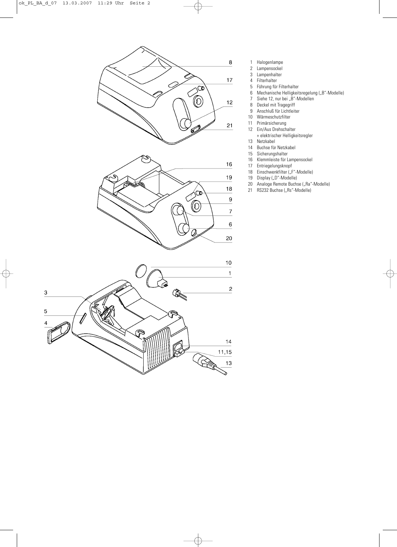

- 1 Halogenlampe<br>2 Lampensockel
	- Lampensockel
	- 3 Lampenhalter
- 4 Filterhalter<br>5 Führung für
- 5 Führung für Filterhalter<br>6 Mechanische Helligkeit
- 6 Mechanische Helligkeitsregelung ("B"-Modelle)
- 7 Siehe 12, nur bei "B"-Modellen
- 8 Deckel mit Tragegriff
- 9 Anschluß für Lichtleiter
- 10 Wärmeschutzfilter<br>11 Primärsicherung
- Primärsicherung
- 12 Ein/Aus Drehschalter
	- + elektrischer Helligkeitsregler
- 13 Netzkabel<br>14 Buchse für
- 14 Buchse für Netzkabel<br>15 Sicherungshalter
- 15 Sicherungshalter<br>16 Klemmleiste für L
- Klemmleiste für Lampensockel
- 17 Entriegelungsknopf
- 18 Einschwenkfilter ("F"-Modelle)<br>19 Display ("D"-Modelle)
- 19 Display ("D"-Modelle)<br>20 Analoge Remote Buchs
- 20 Analoge Remote Buchse ("Ra"-Modelle)<br>21 RS232 Buchse ("Rs"-Modelle)
- RS232 Buchse ("Rs"-Modelle)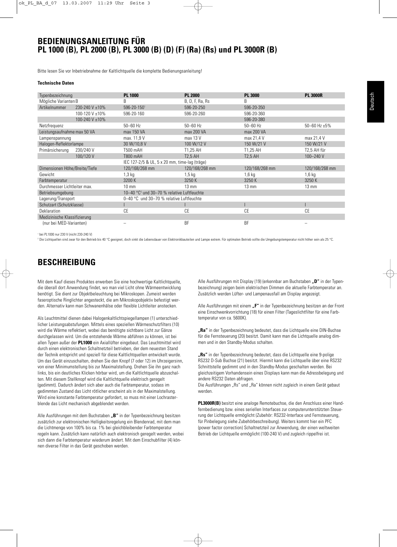### **BEDIENUNGSANLEITUNG FÜR PL 1000 (B), PL 2000 (B), PL 3000 (B) (D) (F) (Ra) (Rs) und PL 3000R (B)**

Bitte lesen Sie vor Inbetriebnahme der Kaltlichtquelle die komplette Bedienungsanleitung!

#### **Technische Daten**

| Typenbezeichnung                |                | <b>PL 1000</b>                                         | <b>PL 2000</b>  | <b>PL 3000</b>  | <b>PL 3000R</b>        |  |  |  |  |  |
|---------------------------------|----------------|--------------------------------------------------------|-----------------|-----------------|------------------------|--|--|--|--|--|
| Mögliche Varianten B            |                | B                                                      | B, D, F, Ra, Rs | B               |                        |  |  |  |  |  |
| Artikelnummer<br>230-240 V ±10% |                | 596-20-1501                                            | 596-20-250      | 596-20-350      |                        |  |  |  |  |  |
|                                 | 100-120 V ±10% | 596-20-160                                             | 596-20-260      | 596-20-360      |                        |  |  |  |  |  |
|                                 | 100-240 V ±10% |                                                        |                 | 596-20-380      |                        |  |  |  |  |  |
| Netzfrequenz                    |                | $50 - 60$ Hz                                           | $50 - 60$ Hz    | $50 - 60$ Hz    | $50 - 60$ Hz $\pm 5\%$ |  |  |  |  |  |
| Leistungsaufnahme max 50 VA     |                | max 150 VA                                             | max 200 VA      | max 200 VA      |                        |  |  |  |  |  |
| Lampenspannung                  |                | max. 11,9 V                                            | max 13 V        | max 21,4 V      | max 21,4 V             |  |  |  |  |  |
| Halogen-Reflektorlampe          |                | 30 W/10,8 V                                            | 100 W/12 V      | 150 W/21 V      | 150 W/21 V             |  |  |  |  |  |
| Primärsicherung                 | 230/240 V      | T500 mAH                                               | T1,25 AH        | T1,25 AH        | T2,5 AH für            |  |  |  |  |  |
|                                 | 100/120 V      | T800 mAH                                               | <b>T2.5 AH</b>  | <b>T2.5 AH</b>  | 100-240 V              |  |  |  |  |  |
|                                 |                | IEC 127-2/5 & UL, 5 x 20 mm, time-lag (träge)          |                 |                 |                        |  |  |  |  |  |
| Dimensionen Höhe/Breite/Tiefe   |                | 120/168/268 mm                                         | 120/168/268 mm  | 120/168/268 mm  | 120/168/268 mm         |  |  |  |  |  |
| Gewicht                         |                | $1,3$ kg                                               | $1,5$ kg        | 1,6 kg          | $1,6$ kg               |  |  |  |  |  |
| Farbtemperatur                  |                | 3200 K                                                 | 3250K           | 3250 K          | 3250K                  |  |  |  |  |  |
| Durchmesser Lichtleiter max.    |                | $10 \text{ mm}$                                        | $13 \text{ mm}$ | $13 \text{ mm}$ | $13 \text{ mm}$        |  |  |  |  |  |
| Betriebsumgebung                |                | 10-40 °C <sup>2</sup> und 30-70 % relative Luftfeuchte |                 |                 |                        |  |  |  |  |  |
| Lagerung/Transport              |                | 0-40 °C und 30-70 % relative Luftfeuchte               |                 |                 |                        |  |  |  |  |  |
| Schutzart (Schutzklasse)        |                |                                                        |                 |                 |                        |  |  |  |  |  |
| Deklaration                     |                | CE                                                     | <b>CE</b>       | CE              | <b>CE</b>              |  |  |  |  |  |
| Medizinische Klassifizierung    |                |                                                        |                 |                 |                        |  |  |  |  |  |
| (nur bei MED-Varianten)         |                |                                                        | <b>BF</b>       | <b>BF</b>       |                        |  |  |  |  |  |

<sup>1</sup> bei PL1000 nur 230 V (nicht 230-240 V)

<sup>2</sup> Die Lichtquellen sind zwar für den Betrieb bis 40 °C geeignet, doch sinkt die Lebensdauer von Elektronikbauteilen und Lampe extrem. Für optimalen Betrieb sollte die Umgebungstemperatur nicht höher sein als 25 °C.

## **BESCHREIBUNG**

Mit dem Kauf dieses Produktes erwerben Sie eine hochwertige Kaltlichtquelle, die überall dort Anwendung findet, wo man viel Licht ohne Wärmeentwicklung benötigt. Sie dient zur Objektbeleuchtung bei Mikroskopen. Zumeist werden faseroptische Ringlichter angesteckt, die am Mikroskopobjektiv befestigt werden. Alternativ kann man Schwanenhälse oder flexible Lichtleiter anstecken.

Als Leuchtmittel dienen dabei Halogenkaltlichtspiegellampen (1) unterschiedlicher Leistungsabstufungen. Mittels eines speziellen Wärmeschutzfilters (10) wird die Wärme reflektiert, wobei das benötigte sichtbare Licht zur Gänze durchgelassen wird. Um die entstehende Wärme abführen zu können, ist bei allen Typen außer der **PL1000** ein Axiallüfter eingebaut. Das Leuchtmittel wird durch einen elektronischen Schaltnetzteil betrieben, der dem neuesten Stand der Technik entspricht und speziell für diese Kaltlichtquellen entwickelt wurde. Um das Gerät einzuschalten, drehen Sie den Knopf (7 oder 12) im Uhrzeigersinn, von einer Minimumstellung bis zur Maximalstellung. Drehen Sie ihn ganz nach links, bis ein deutliches Klicken hörbar wird, um die Kaltlichtquelle abzuschalten. Mit diesem Stellknopf wird die Kaltlichtquelle elektrisch geregelt (gedimmt). Dadurch ändert sich aber auch die Farbtemperatur, sodass im gedimmten Zustand das Licht rötlicher erscheint als in der Maximalstellung. Wird eine konstante Farbtemperatur gefordert, so muss mit einer Lochrasterblende das Licht mechanisch abgeblendet werden.

Alle Ausführungen mit dem Buchstaben "B" in der Typenbezeichnung besitzen zusätzlich zur elektronischen Helligkeitsregelung ein Blendenrad, mit dem man die Lichtmenge von 100% bis ca. 1% bei gleichbleibender Farbtemperatur regeln kann. Zusätzlich kann natürlich auch elektronisch geregelt werden, wobei sich dann die Farbtemperatur wiederum ändert. Mit dem Einschubfilter (4) können diverse Filter in das Gerät geschoben werden.

Alle Ausführungen mit Display (19) (erkennbar am Buchstaben **"D"** in der Typenbezeichnung) zeigen beim elektrischen Dimmen die aktuelle Farbtemperatur an. Zusätzlich werden Lüfter- und Lampenausfall am Display angezeigt.

Alle Ausführungen mit einem "F" in der Typenbezeichnung besitzen an der Front eine Einschwenkvorrichtung (18) für einen Filter (Tageslichtfilter für eine Farbtemperatur von ca. 5600K).

"Ra" in der Typenbezeichnung bedeutet, dass die Lichtquelle eine DIN-Buchse für die Fernsteuerung (20) besitzt. Damit kann man die Lichtquelle analog dimmen und in den Standby-Modus schalten.

**"Rs"** in der Typenbezeichnung bedeutet, dass die Lichtquelle eine 9-polige RS232 D-Sub Buchse (21) besitzt. Hiermit kann die Lichtquelle über eine RS232 Schnittstelle gedimmt und in den Standby-Modus geschalten werden. Bei gleichzeitigem Vorhandensein eines Displays kann man die Adressbelegung und andere RS232 Daten abfragen.

Die Ausführungen "Rs" und "Ra" können nicht zugleich in einem Gerät gebaut werden.

**PL3000R(B)** besitzt eine analoge Remotebuchse, die den Anschluss einer Handfernbedienung bzw. eines seriellen Interfaces zur computerunterstützten Steuerung der Lichtquelle ermöglicht (Zubehör: RS232-Interface und Fernsteuerung, für Pinbelegung siehe Zubehörbeschreibung). Weiters kommt hier ein PFC (power factor correction) Schaltnetzteil zur Anwendung, der einen weltweiten Betrieb der Lichtquelle ermöglicht (100-240 V) und zugleich rippelfrei ist.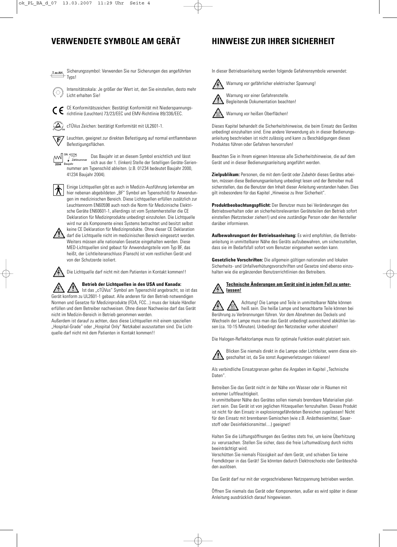## **VERWENDETE SYMBOLE AM GERÄT HINWEISE ZUR IHRER SICHERHEIT**

Sicherungssymbol: Verwenden Sie nur Sicherungen des angeführten  $TxXAH$ Typs!



Intensitätsskala: Je größer der Wert ist, den Sie einstellen, desto mehr Licht erhalten Sie!



CE Konformitätszeichen: Bestätigt Konformität mit Niederspannungsrichtlinie (Leuchten) 73/23/EEC und EMV-Richtlinie 89/336/EEC.

 $\left(\Delta\right)$ cTÜVus Zeichen: bestätigt Konformität mit UL2601-1.

Leuchten, geeignet zur direkten Befestigung auf normal entflammbaren 正 Befestigungsflächen.

 $\left[\begin{array}{c} \begin{array}{c} \text{SN: 41234} \\ \text{231} \end{array} \\ \end{array}\right]$ 

Das Baujahr ist an diesem Symbol ersichtlich und lässt  $\sqrt{\phantom{a}$  Zählnummer<br>Baujahr sich aus der 1. (linken) Stelle der 5stelligen Geräte-Seriennummer am Typenschild ableiten. (z.B. 01234 bedeutet Baujahr 2000, 41234 Baujahr 2004).

Einige Lichtquellen gibt es auch in Medizin-Ausführung (erkennbar am hier nebenan abgebildeten "BF" Symbol am Typenschild) für Anwendungen im medizinischen Bereich. Diese Lichtquellen erfüllen zusätzlich zur Leuchtennorm EN60598 auch noch die Norm für Medizinische Elektrische Geräte EN60601-1, allerdings ist vom Systemhersteller die CE Deklaration für Medizinprodukte unbedingt einzuholen. Die Lichtquelle wird nur als Komponente eines Systems betrachtet und besitzt selbst



keine CE Deklaration für Medizinprodukte. Ohne dieser CE Deklaration darf die Lichtquelle nicht im medizinischen Bereich eingesetzt werden. Weiters müssen alle nationalen Gesetze eingehalten werden. Diese MED-Lichtquellen sind gebaut für Anwendungsteile vom Typ BF, das heißt, der Lichtleiteranschluss (Flansch) ist vom restlichen Gerät und von der Schutzerde isoliert.



## Die Lichtquelle darf nicht mit dem Patienten in Kontakt kommen!!

**Betrieb der Lichtquellen in den USA und Kanada:**

Ist das "cTÜVus" Symbol am Typenschild angebracht, so ist das Gerät konform zu UL2601-1 gebaut. Alle anderen für den Betrieb notwendigen Normen und Gesetze für Medizinprodukte (FDA, FCC...) muss der lokale Händler erfüllen und dem Betreiber nachweisen. Ohne dieser Nachweise darf das Gerät nicht im Medizin-Bereich in Betrieb genommen werden.

Außerdem ist darauf zu achten, dass diese Lichtquellen mit einem speziellen "Hospital-Grade" oder "Hospital Only" Netzkabel auszustatten sind. Die Lichtquelle darf nicht mit dem Patienten in Kontakt kommen!!

In dieser Betriebsanleitung werden folgende Gefahrensymbole verwendet:



Warnung vor gefährlicher elektrischer Spannung! Warnung vor einer Gefahrenstelle.

Begleitende Dokumentation beachten!



Dieses Kapitel behandelt die Sicherheitshinweise, die beim Einsatz des Gerätes unbedingt einzuhalten sind. Eine andere Verwendung als in dieser Bedienungsanleitung beschrieben ist nicht zulässig und kann zu Beschädigungen dieses Produktes führen oder Gefahren hervorrufen!

Beachten Sie in Ihrem eigenen Interesse alle Sicherheitshinweise, die auf dem Gerät und in dieser Bedienungsanleitung angeführt werden.

**Zielpublikum:** Personen, die mit dem Gerät oder Zubehör dieses Gerätes arbeiten, müssen diese Bedienungsanleitung unbedingt lesen und der Betreiber muß sicherstellen, das die Benutzer den Inhalt dieser Anleitung verstanden haben. Dies gilt insbesondere für das Kapitel "Hinweise zu Ihrer Sicherheit".

**Produktbeobachtungspflicht:** Der Benutzer muss bei Veränderungen des Betriebsverhalten oder an sicherheitsrelevanten Geräteteilen den Betrieb sofort einstellen (Netzstecker ziehen!) und eine zuständige Person oder den Hersteller darüber informieren.

**Aufbewahrungsort der Betriebsanleitung:** Es wird empfohlen, die Betriebsanleitung in unmittelbarer Nähe des Geräts aufzubewahren, um sicherzustellen, dass sie im Bedarfsfall sofort vom Benutzer eingesehen werden kann.

**Gesetzliche Vorschriften:** Die allgemein gültigen nationalen und lokalen Sicherheits- und Unfallverhütungsvorschriften und Gesetze sind ebenso einzuhalten wie die ergänzenden Benutzerrichtlinien des Betreibers.

#### **Technische Änderungen am Gerät sind in jedem Fall zu unterlassen!**

Achtung! Die Lampe und Teile in unmittelbarer Nähe können heiß sein. Die heiße Lampe und benachbarte Teile können bei Berührung zu Verbrennungen führen. Vor dem Abnehmen des Deckels und Wechseln der Lampe muss man das Gerät unbedingt ausreichend abkühlen lassen (ca. 10-15 Minuten). Unbedingt den Netzstecker vorher abziehen!

Die Halogen-Reflektorlampe muss für optimale Funktion exakt platziert sein.



Blicken Sie niemals direkt in die Lampe oder Lichtleiter, wenn diese eingeschaltet ist, da Sie sonst Augenverletzungen riskieren!

Als verbindliche Einsatzgrenzen gelten die Angaben im Kapitel "Technische Daten".

Betreiben Sie das Gerät nicht in der Nähe von Wasser oder in Räumen mit extremer Luftfeuchtigkeit.

In unmittelbarer Nähe des Gerätes sollen niemals brennbare Materialien platziert sein. Das Gerät ist von jeglichen Hitzequellen fernzuhalten. Dieses Produkt ist nicht für den Einsatz in explosionsgefährdeten Bereichen zugelassen! Nicht für den Einsatz mit brennbaren Gemischen (wie z.B. Anästhesiemittel, Sauerstoff oder Desinfektionsmittel....) geeignet!

Halten Sie die Lüftungsöffnungen des Gerätes stets frei, um keine Überhitzung zu verursachen. Stellen Sie sicher, dass die freie Luftumwälzung durch nichts beeinträchtigt wird.

Verschütten Sie niemals Flüssigkeit auf dem Gerät, und schieben Sie keine Fremdkörper in das Gerät! Sie könnten dadurch Elektroschocks oder Geräteschäden auslösen.

Das Gerät darf nur mit der vorgeschriebenen Netzspannung betrieben werden.

Öffnen Sie niemals das Gerät oder Komponenten, außer es wird später in dieser Anleitung ausdrücklich darauf hingewiesen.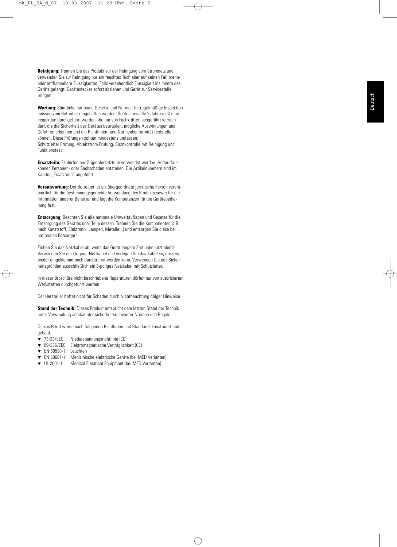**Reinigung:** Trennen Sie das Produkt vor der Reinigung vom Stromnetz und verwenden Sie zur Reinigung nur ein feuchtes Tuch aber auf keinen Fall brennoder entflammbare Flüssigkeiten. Falls versehentlich Flüssigkeit ins Innere des Geräts gelangt, Gerätestecker sofort abziehen und Gerät zur Servicestelle bringen.

**Wartung:** Sämtliche nationale Gesetze und Normen für regelmäßige Inspektion müssen vom Betreiber eingehalten werden. Spätestens alle 2 Jahre muß eine Inspektion durchgeführt werden, die nur von Fachkräften ausgeführt werden darf, die die Sicherheit des Gerätes beurteilen, mögliche Auswirkungen und Gefahren erkennen und die Richtlinien- und Normenkonformität feststellen können. Diese Prüfungen sollten mindestens umfassen: Schutzleiter Prüfung, Ableitstrom Prüfung, Sichtkontrolle mit Reinigung und Funktionstest

**Ersatzteile:** Es dürfen nur Originalersatzteile verwendet werden. Andernfalls können Personen- oder Sachschäden entstehen. Die Artikelnummern sind im Kapitel "Ersatzteile" angeführt.

**Verantwortung:** Der Betreiber ist als übergeordnete juristische Person verantwortlich für die bestimmungsgerechte Verwendung des Produkts sowie für die Information anderer Benutzer und legt die Kompetenzen für die Gerätebedienung fest.

**Entsorgung:** Beachten Sie alle nationale Umweltauflagen und Gesetze für die Entsorgung des Gerätes oder Teile dessen. Trennen Sie die Komponenten (z.B. nach Kunststoff, Elektronik, Lampen, Metalle...) und entsorgen Sie diese bei nationalen Entsorger!

Ziehen Sie das Netzkabel ab, wenn das Gerät längere Zeit unbenutzt bleibt. Verwenden Sie nur Original-Netzkabel und verlegen Sie das Kabel so, dass es weder eingeklemmt noch durchtrennt werden kann. Verwenden Sie aus Sicherheitsgründen ausschließlich ein 3-poliges Netzkabel mit Schutzleiter.

In dieser Broschüre nicht beschriebene Reparaturen dürfen nur von autorisierten Werkstätten durchgeführt werden.

Der Hersteller haftet nicht für Schäden durch Nichtbeachtung obiger Hinweise!

**Stand der Technik:** Dieses Produkt entspricht dem letzten Stand der Technik unter Verwendung anerkannter sicherheitsrelevanter Normen und Regeln.

Dieses Gerät wurde nach folgenden Richtlinien und Standards konstruiert und gebaut.<br> $\blacktriangledown$  73/23/EEC:

- Niederspannungsrichtlinie (CE)
- ▼ 89/336/EEC: Elektromagnetische Verträglichkeit (CE)
- ▼ EN 60598-1: Leuchten
- ▼ EN 60601-1: Medizinische elektrische Geräte (bei MED Varianten)
- ▼ UL 2601-1: Medical Electrical Equipment (bei MED Varianten)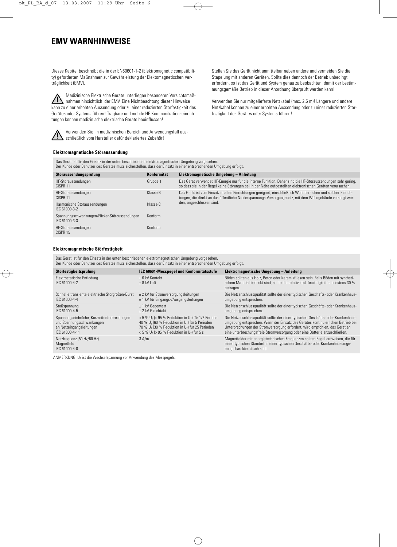## **EMV WARNHINWEISE**

Dieses Kapitel beschreibt die in der EN60601-1-2 (Elektromagnetic compatibility) geforderten Maßnahmen zur Gewährleistung der Elektomagnetischen Verträglichkeit (EMV).

Medizinische Elektrische Geräte unterliegen besonderen Vorsichtsmaß- $\triangle$ nahmen hinsichtlich der EMV. Eine Nichtbeachtung dieser Hinweise kann zu einer erhöhten Aussendung oder zu einer reduzierten Störfestigkeit des Gerätes oder Systems führen! Tragbare und mobile HF-Kommunikationseinrichtungen können medizinische elektrische Geräte beeinflussen!



Verwenden Sie im medizinischen Bereich und Anwendungsfall ausschließlich vom Hersteller dafür deklariertes Zubehör!

Stellen Sie das Gerät nicht unmittelbar neben andere und vermeiden Sie die Stapelung mit anderen Geräten. Sollte dies dennoch der Betrieb unbedingt erfordern, so ist das Gerät und System genau zu beobachten, damit der bestimmungsgemäße Betrieb in dieser Anordnung überprüft werden kann!

Verwenden Sie nur mitgelieferte Netzkabel (max. 2,5 m)! Längere und andere Netzkabel können zu einer erhöhten Aussendung oder zu einer reduzierten Störfestigkeit des Gerätes oder Systems führen!

#### **Elektromagnetische Störaussendung**

Das Gerät ist für den Einsatz in der unten beschriebenen elektromagnetischen Umgebung vorgesehen.

| Der Kunde oder Benutzer des Gerätes muss sicherstellen, dass der Einsatz in einer entsprechenden Umgebung erfolgt. |             |                                                                                                                                                                                                                            |  |  |  |  |  |
|--------------------------------------------------------------------------------------------------------------------|-------------|----------------------------------------------------------------------------------------------------------------------------------------------------------------------------------------------------------------------------|--|--|--|--|--|
| Störaussendungsprüfung                                                                                             | Konformität | Elektromagnetische Umgebung - Anleitung                                                                                                                                                                                    |  |  |  |  |  |
| HF-Störaussendungen<br>CISPR <sub>11</sub>                                                                         | Gruppe 1    | Das Gerät verwendet HF-Energie nur für die interne Funktion. Daher sind die HF-Störaussendungen sehr gering,<br>so dass sie in der Regel keine Störungen bei in der Nähe aufgestellten elektronischen Geräten verursachen. |  |  |  |  |  |
| HF-Störaussendungen<br>CISPR <sub>11</sub>                                                                         | Klasse B    | Das Gerät ist zum Einsatz in allen Einrichtungen geeignet, einschließlich Wohnbereichen und solcher Einrich-<br>tungen, die direkt an das öffentliche Niederspannungs-Versorgungsnetz, mit dem Wohngebäude versorgt wer-   |  |  |  |  |  |
| Harmonische Störaussendungen<br>IFC 61000-3-2                                                                      | Klasse C    | den, angeschlossen sind.                                                                                                                                                                                                   |  |  |  |  |  |
| Spannungsschwankungen/Flicker-Störaussendungen<br>IEC 61000-3-3                                                    | Konform     |                                                                                                                                                                                                                            |  |  |  |  |  |
| HF-Störaussendungen<br>CISPR 15                                                                                    | Konform     |                                                                                                                                                                                                                            |  |  |  |  |  |
|                                                                                                                    |             |                                                                                                                                                                                                                            |  |  |  |  |  |

#### **Elektromagnetische Störfestigkeit**

Das Gerät ist für den Einsatz in der unten beschriebenen elektromagnetischen Umgebung vorgesehen. Der Kunde oder Benutzer des Gerätes muss sicherstellen, dass der Einsatz in einer entsprechenden Umgebung erfolgt.

| Störfestigkeitsprüfung                                                                                                 | IEC 60601-Messpegel und Konformitätsstufe                                                                                                                                                                                                           | Elektromagnetische Umgebung - Anleitung                                                                                                                                                                                                                                                                                           |  |  |  |  |  |  |
|------------------------------------------------------------------------------------------------------------------------|-----------------------------------------------------------------------------------------------------------------------------------------------------------------------------------------------------------------------------------------------------|-----------------------------------------------------------------------------------------------------------------------------------------------------------------------------------------------------------------------------------------------------------------------------------------------------------------------------------|--|--|--|--|--|--|
| Elektrostatische Entladung<br>IFC 61000-4-2                                                                            | + 6 kV Kontakt<br>$+8$ kV Luft                                                                                                                                                                                                                      | Böden sollten aus Holz, Beton oder Keramikfliesen sein. Falls Böden mit syntheti-<br>schem Material bedeckt sind, sollte die relative Luftfeuchtigkeit mindestens 30 %<br>betragen.                                                                                                                                               |  |  |  |  |  |  |
| Schnelle transiente elektrische Störgrößen/Burst<br>IFC 61000-4-4                                                      | ± 2 kV für Stromversorgungsleitungen<br>$\pm$ 1 kV für Eingangs-/Ausgangsleitungen                                                                                                                                                                  | Die Netzanschlussqualität sollte der einer typischen Geschäfts- oder Krankenhaus-<br>umgebung entsprechen.                                                                                                                                                                                                                        |  |  |  |  |  |  |
| Stoßspannung<br>IFC 61000-4-5                                                                                          | $±$ 1 kV Gegentakt<br>+ 2 kV Gleichtakt                                                                                                                                                                                                             | Die Netzanschlussqualität sollte der einer typischen Geschäfts- oder Krankenhaus-<br>umgebung entsprechen.                                                                                                                                                                                                                        |  |  |  |  |  |  |
| Spannungseinbrüche, Kurzzeitunterbrechungen<br>und Spannungsschwankungen<br>an Netzeingangsleitungen<br>IEC 61000-4-11 | <5 % $U_T$ (> 95 % Reduktion in $U_T$ ) für 1/2 Periode<br>40 % $U_T$ (60 % Reduktion in $U_T$ ) für 5 Perioden<br>70 % $U_T$ (30 % Reduktion in $U_T$ ) für 25 Perioden<br>$<$ 5 % U <sub>T</sub> ( $>$ 95 % Reduktion in U <sub>T</sub> ) für 5 s | Die Netzanschlussqualität sollte der einer typischen Geschäfts- oder Krankenhaus-<br>umgebung entsprechen. Wenn der Einsatz des Gerätes kontinuierlichen Betrieb bei<br>Unterbrechungen der Stromversorgung erfordert, wird empfohlen, das Gerät an<br>eine unterbrechungsfreie Stromversorgung oder eine Batterie anzuschließen. |  |  |  |  |  |  |
| Netzfrequenz (50 Hz/60 Hz)<br>Magnetfeld<br>IEC 61000-4-8                                                              | 3 A/m                                                                                                                                                                                                                                               | Magnetfelder mit energietechnischen Frequenzen sollten Pegel aufweisen, die für<br>einen typischen Standort in einer typischen Geschäfts- oder Krankenhausumge-<br>bung charakteristisch sind.                                                                                                                                    |  |  |  |  |  |  |

ANMERKUNG:  $U_T$  ist die Wechselspannung vor Anwendung des Messpegels.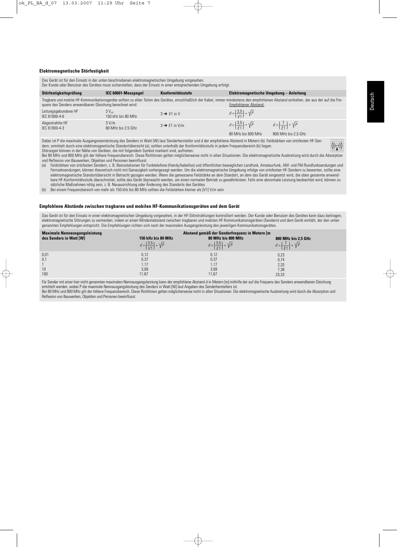$((\cdot))$ 

#### **Elektromagnetische Störfestigkeit**

Das Gerät ist für den Einsatz in der unten beschriebenen elektromagnetischen Umgebung vorgesehen.

|  | Der Kunde oder Benutzer des Gerätes muss sicherstellen, dass der Einsatz in einer entsprechenden Umgebung erfolgt. |  |  |  |  |  |  |  |  |  |  |  |  |  |  |  |  |  |
|--|--------------------------------------------------------------------------------------------------------------------|--|--|--|--|--|--|--|--|--|--|--|--|--|--|--|--|--|
|--|--------------------------------------------------------------------------------------------------------------------|--|--|--|--|--|--|--|--|--|--|--|--|--|--|--|--|--|

| Störfestigkeitsprüfung                                  | IEC 60601-Messpegel                     | Konformitätsstufe         | Elektromagnetische Umgebung - Anleitung                             |                                                                                                                                                                                         |
|---------------------------------------------------------|-----------------------------------------|---------------------------|---------------------------------------------------------------------|-----------------------------------------------------------------------------------------------------------------------------------------------------------------------------------------|
| quenz des Senders anwendbaren Gleichung berechnet wird: |                                         |                           | Empfohlener Abstand:                                                | Tragbare und mobile HF-Kommunikationsgeräte sollten zu allen Teilen des Gerätes, einschließlich der Kabel, immer mindestens den empfohlenen Abstand einhalten, der aus der auf die Fre- |
| Leitungsgebundene HF<br>IEC 61000-4-6                   | $3V_{\text{off}}$<br>150 kHz bis 80 MHz | $3 \rightarrow V1$ in V   | $d = \left(\frac{3.5}{1/1}\right) * \sqrt{P}$                       |                                                                                                                                                                                         |
| Abgestrahlte HF<br>IEC 61000-4-3                        | 3 V/m<br>80 MHz bis 2.5 GHz             | $3 \rightarrow E1$ in V/m | $d = \left(\frac{3.5}{5.1}\right) * \sqrt{P}$<br>80 MHz bis 800 MHz | $d = \left(\frac{7}{51}\right) * \sqrt{P}$<br>800 MHz bis 2.5 GHz                                                                                                                       |

Dabei ist P die maximale Ausgangsnennleistung des Senders in Watt (W) laut Senderhersteller und d der empfohlene Abstand in Metern (b). Feldstärken von ortsfesten HF-Sendern, ermittelt durch eine elektromagnetische Standortübersicht (a), sollten unterhalb der Konformitätsstufe in jedem Frequenzbereich (b) liegen. Störungen können in der Nähe von Geräten, die mit folgendem Symbol markiert sind, auftreten:

Bei 80 MHz und 800 MHz gilt der höhere Frequenzbereich. Diese Richtlinien gelten möglicherweise nicht in allen Situationen. Die elektromagnetische Ausbreitung wird durch die Absorption und Reflexion von Bauwerken, Objekten und Personen beeinflusst.<br>(a) Feldstärken von ortsfesten Sendern, z. B. Basisstationen für F

- Feldstärken von ortsfesten Sendern, z. B. Basisstationen für Funktelefone (Handy/kabellos) und öffentlichen beweglichen Landfunk, Amateurfunk, AM- und FM-Rundfunksendungen und Fernsehsendungen, können theoretisch nicht mit Genauigkeit vorhergesagt werden. Um die elektromagnetische Umgebung infolge von ortsfesten HF-Sendern zu bewerten, sollte eine elektromagnetische Standortübersicht in Betracht gezogen werden. Wenn die gemessene Feldstärke an dem Standort, an dem das Gerät eingesetzt wird, die oben genannte anwendbare HF-Konformitätsstufe überschreitet, sollte das Gerät überwacht werden, um einen normalen Betrieb zu gewährleisten. Falls eine abnormale Leistung beobachtet wird, können zusätzliche Maßnahmen nötig sein, z. B. Neuausrichtung oder Änderung des Standorts des Gerätes.
- (b) Bei einem Frequenzbereich von mehr als 150 kHz bis 80 MHz sollten die Feldstärken kleiner als [V1] V/m sein.

#### **Empfohlene Abstände zwischen tragbaren und mobilen HF-Kommunikationsgeräten und dem Gerät**

Das Gerät ist für den Einsatz in einer elektromagnetischen Umgebung vorgesehen, in der HF-Störstrahlungen kontrolliert werden. Der Kunde oder Benutzer des Gerätes kann dazu beitragen, elektromagnetische Störungen zu vermeiden, indem er einen Mindestabstand zwischen tragbaren und mobilen HF-Kommunikationsgeräten (Sendern) und dem Gerät einhält, der den unten genannten Empfehlungen entspricht. Die Empfehlungen richten sich nach der maximalen Ausgangsleistung des jeweiligen Kommunikationsgerätes.

| <b>Maximale Nennausgangsleistung</b><br>des Senders in Watt [W] | 150 kHz bis 80 MHz<br>$d = \left(\frac{3.5}{1/1}\right) * \sqrt{P}$ | Abstand gemäß der Senderfrequenz in Metern [m<br>80 MHz bis 800 MHz<br>$d = \left(\frac{3.5}{5.1}\right) * \sqrt{P}$ | 800 MHz bis 2,5 GHz<br>$d = \left(\frac{7}{51}\right) * \sqrt{P}$ |
|-----------------------------------------------------------------|---------------------------------------------------------------------|----------------------------------------------------------------------------------------------------------------------|-------------------------------------------------------------------|
| 0,01<br>0,1<br>10<br>100                                        | 0,12<br>0,37<br>1.17<br>3,69<br>11,67                               | 0,12<br>0,37<br>1.17<br>3,69<br>11,67                                                                                | 0,23<br>0,74<br>2,33<br>7,38<br>23,33                             |

Für Sender mit einer hier nicht genannten maximalen Nennausgangsleistung kann der empfohlene Abstand d in Metern [m] mithilfe der auf die Frequenz des Senders anwendbaren Gleichung ermittelt werden, wobei P die maximale Nennausgangsleistung des Senders in Watt [W] laut Angaben des Senderherstellers ist.

Bei 80 MHz und 800 MHz gilt der höhere Frequenzbereich. Diese Richtlinien gelten möglicherweise nicht in allen Situationen. Die elektromagnetische Ausbreitung wird durch die Absorption und Reflexion von Bauwerken, Objekten und Personen beeinflusst.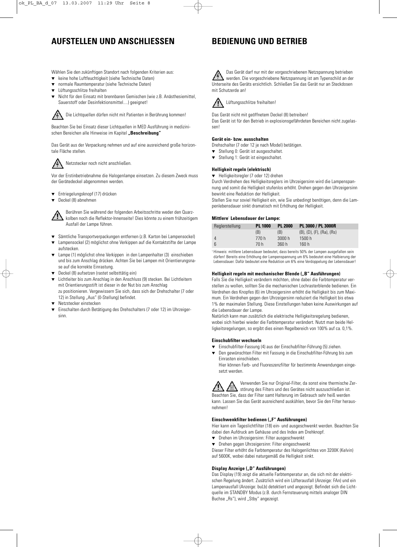## **AUFSTELLEN UND ANSCHLIESSEN**

## **BEDIENUNG UND BETRIEB**

Wählen Sie den zukünftigen Standort nach folgenden Kriterien aus:

- ▼ keine hohe Luftfeuchtigkeit (siehe Technische Daten)
- ▼ normale Raumtemperatur (siehe Technische Daten)
- Lüftungsschlitze freihalten
- ▼ Nicht für den Einsatz mit brennbaren Gemischen (wie z.B. Anästhesiemittel, Sauerstoff oder Desinfektionsmittel....) geeignet!

Die Lichtquellen dürfen nicht mit Patienten in Berührung kommen!

Beachten Sie bei Einsatz dieser Lichtquellen in MED Ausführung in medizinischen Bereichen alle Hinweise im Kapitel "Beschreibung"

Das Gerät aus der Verpackung nehmen und auf eine ausreichend große horizontale Fläche stellen.



Netzstecker noch nicht anschließen.

Vor der Erstinbetriebnahme die Halogenlampe einsetzen. Zu diesem Zweck muss der Gerätedeckel abgenommen werden.

- ▼ Entriegelungsknopf (17) drücken
- ▼ Deckel (8) abnehmen

Berühren Sie während der folgenden Arbeitsschritte weder den Quarzkolben noch die Reflektor-Innenseite! Dies könnte zu einem frühzeitigem Ausfall der Lampe führen.

- ▼ Sämtliche Transportverpackungen entfernen (z.B. Karton bei Lampensockel)
- Lampensockel (2) möglichst ohne Verkippen auf die Kontaktstifte der Lampe aufstecken.
- Lampe (1) möglichst ohne Verkippen in den Lampenhalter (3) einschieben und bis zum Anschlag drücken. Achten Sie bei Lampen mit Orientierungsnase auf die korrekte Einrastung.
- Deckel (8) aufsetzen (rastet selbsttätig ein)
- ▼ Lichtleiter bis zum Anschlag in den Anschluss (9) stecken. Bei Lichtleitern mit Orientierungsstift ist dieser in der Nut bis zum Anschlag zu positionieren. Vergewissern Sie sich, dass sich der Drehschalter (7 oder 12) in Stellung "Aus" (0-Stellung) befindet.
- Netzstecker einstecken
- Einschalten durch Betätigung des Drehschalters (7 oder 12) im Uhrzeigersinn.

Das Gerät darf nur mit der vorgeschriebenen Netzspannung betrieben werden. Die vorgeschriebene Netzspannung ist am Typenschild an der Unterseite des Geräts ersichtlich. Schließen Sie das Gerät nur an Steckdosen mit Schutzerde an!





Das Gerät nicht mit geöffnetem Deckel (8) betreiben! Das Gerät ist für den Betrieb in explosionsgefährdeten Bereichen nicht zugelassen!

#### **Gerät ein- bzw. ausschalten**

Drehschalter (7 oder 12 je nach Model) betätigen.

- ▼ Stellung 0: Gerät ist ausgeschaltet.
- ▼ Stellung 1: Gerät ist eingeschaltet.

#### **Helligkeit regeln (elektrisch)**

▼ Helligkeitsregler (7 oder 12) drehen

Durch Verdrehen des Helligkeitsreglers im Uhrzeigersinn wird die Lampenspannung und somit die Helligkeit stufenlos erhöht. Drehen gegen den Uhrzeigersinn bewirkt eine Reduktion der Helligkeit.

Stellen Sie nur soviel Helligkeit ein, wie Sie unbedingt benötigen, denn die Lampenlebensdauer sinkt dramatisch mit Erhöhung der Helligkeit.

#### **Mittlere**<sup>1</sup> **Lebensdauer der Lampe:**

| Reglerstellung | <b>PL 1000</b> | <b>PL 2000</b> | PL 3000 / PL 3000R                      |
|----------------|----------------|----------------|-----------------------------------------|
|                | (B)            | (B)            | $(B)$ , $(D)$ , $(F)$ , $(Ra)$ , $(Rs)$ |
| 4              | 770 h          | 3000h          | 1500h                                   |
| 6              | 70 h           | 360 h          | 160 h                                   |

<sup>1</sup> Hinweis: mittlere Lebensdauer bedeutet, dass bereits 50% der Lampen ausgefallen sein dürfen! Bereits eine Erhöhung der Lampenspannung um 6% bedeutet eine Halbierung der Lebensdauer. Dafür bedeutet eine Reduktion um 6% eine Verdoppelung der Lebensdauer!

#### **Helligkeit regeln mit mechanischer Blende ("B" Ausführungen)**

Falls Sie die Helligkeit verändern möchten, ohne dabei die Farbtemperatur verstellen zu wollen, sollten Sie die mechanischen Lochrasterblende bedienen. Ein Verdrehen des Knopfes (6) im Uhrzeigersinn erhöht die Helligkeit bis zum Maximum. Ein Verdrehen gegen den Uhrzeigersinn reduziert die Helligkeit bis etwa 1% der maximalen Stellung. Diese Einstellungen haben keine Auswirkungen auf die Lebensdauer der Lampe.

Natürlich kann man zusätzlich die elektrische Helligkeitsregelung bedienen, wobei sich hierbei wieder die Farbtemperatur verändert. Nutzt man beide Helligkeitsregelungen, so ergibt dies einen Regelbereich von 100% auf ca. 0,1%.

#### **Einschubfilter wechseln**

- ▼ Einschubfilter-Fassung (4) aus der Einschubfilter-Führung (5) ziehen.
- ▼ Den gewünschten Filter mit Fassung in die Einschubfilter-Führung bis zum Einrasten einschieben.

Hier können Farb- und Fluoreszenzfilter für bestimmte Anwendungen eingesetzt werden.



Verwenden Sie nur Original-Filter, da sonst eine thermische Zerstörung des Filters und des Gerätes nicht auszuschließen ist. Beachten Sie, dass der Filter samt Halterung im Gebrauch sehr heiß werden kann. Lassen Sie das Gerät ausreichend auskühlen, bevor Sie den Filter herausnehmen!

#### **Einschwenkfilter bedienen ("F" Ausführungen)**

Hier kann ein Tageslichtfilter (18) ein- und ausgeschwenkt werden. Beachten Sie dabei den Aufdruck am Gehäuse und des Index am Drehknopf.

- ▼ Drehen im Uhrzeigersinn: Filter ausgeschwenkt
- Drehen gegen Uhrzeigersinn: Filter eingeschwenkt

Dieser Filter erhöht die Farbtemperatur des Halogenlichtes von 3200K (Kelvin) auf 5600K, wobei dabei naturgemäß die Helligkeit sinkt.

#### **Display Anzeige ("D" Ausführungen)**

Das Display (19) zeigt die aktuelle Farbtemperatur an, die sich mit der elektrischen Regelung ändert. Zusätzlich wird ein Lüfterausfall (Anzeige: FAn) und ein Lampenausfall (Anzeige: buLb) detektiert und angezeigt. Befindet sich die Lichtquelle im STANDBY Modus (z.B. durch Fernsteuerung mittels analoger DIN Buchse "Rs"), wird "Stby" angezeigt.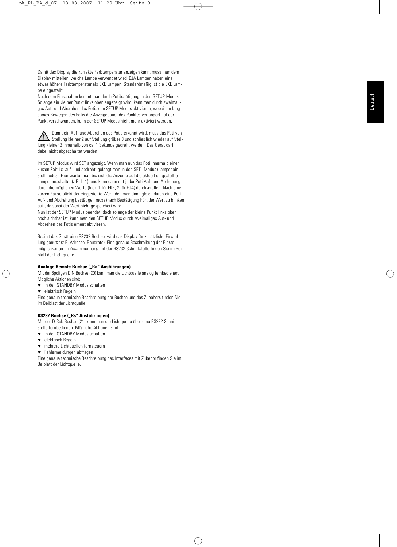Damit das Display die korrekte Farbtemperatur anzeigen kann, muss man dem Display mitteilen, welche Lampe verwendet wird. EJA Lampen haben eine etwas höhere Farbtemperatur als EKE Lampen. Standardmäßig ist die EKE Lampe eingestellt.

Nach dem Einschalten kommt man durch Potibetätigung in den SETUP-Modus. Solange ein kleiner Punkt links oben angezeigt wird, kann man durch zweimaliges Auf- und Abdrehen des Potis den SETUP Modus aktivieren, wobei ein langsames Bewegen des Potis die Anzeigedauer des Punktes verlängert. Ist der Punkt verschwunden, kann der SETUP Modus nicht mehr aktiviert werden.

Damit ein Auf- und Abdrehen des Potis erkannt wird, muss das Poti von Uamit ein Auf- und Abdurenen des Forte Strattnehmen. Der genetikte auf Stel-<br>Stellung kleiner 2 auf Stellung größer 3 und schließlich wieder auf Stellung kleiner 2 innerhalb von ca. 1 Sekunde gedreht werden. Das Gerät darf dabei nicht abgeschaltet werden!

Im SETUP Modus wird SET angezeigt. Wenn man nun das Poti innerhalb einer kurzen Zeit 1x auf- und abdreht, gelangt man in den SETL Modus (Lampeneinstellmodus). Hier wartet man bis sich die Anzeige auf die aktuell eingestellte Lampe umschaltet (z.B. L 1), und kann dann mit jeder Poti Auf- und Abdrehung durch die möglichen Werte (hier: 1 für EKE, 2 für EJA) durchscrollen. Nach einer kurzen Pause blinkt der eingestellte Wert, den man dann gleich durch eine Poti Auf- und Abdrehung bestätigen muss (nach Bestätigung hört der Wert zu blinken auf), da sonst der Wert nicht gespeichert wird.

Nun ist der SETUP Modus beendet, doch solange der kleine Punkt links oben noch sichtbar ist, kann man den SETUP Modus durch zweimaliges Auf- und Abdrehen des Potis erneut aktivieren.

Besitzt das Gerät eine RS232 Buchse, wird das Display für zusätzliche Einstellung genützt (z.B. Adresse, Baudrate). Eine genaue Beschreibung der Einstellmöglichkeiten im Zusammenhang mit der RS232 Schnittstelle finden Sie im Beiblatt der Lichtquelle.

#### **Analoge Remote Buchse ("Ra" Ausführungen)**

Mit der 6poligen DIN Buchse (20) kann man die Lichtquelle analog fernbedienen. Mögliche Aktionen sind:

- ▼ in den STANDBY Modus schalten
- ▼ elektrisch Regeln

Eine genaue technische Beschreibung der Buchse und des Zubehörs finden Sie im Beiblatt der Lichtquelle.

#### **RS232 Buchse ("Rs" Ausführungen)**

Mit der D-Sub Buchse (21) kann man die Lichtquelle über eine RS232 Schnittstelle fernbedienen. Mögliche Aktionen sind:

- ▼ in den STANDBY Modus schalten
- ▼ elektrisch Regeln
- ▼ mehrere Lichtquellen fernsteuern
- ▼ Fehlermeldungen abfragen

Eine genaue technische Beschreibung des Interfaces mit Zubehör finden Sie im Beiblatt der Lichtquelle.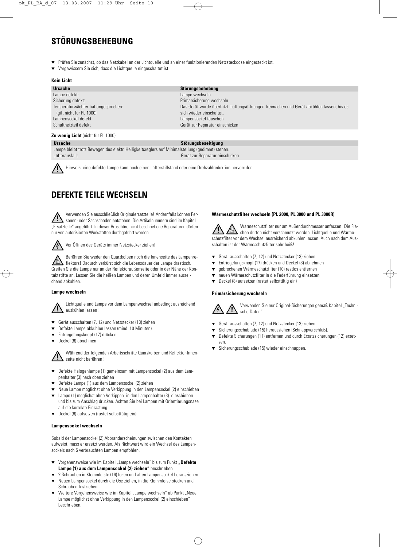# **STÖRUNGSBEHEBUNG**

Prüfen Sie zunächst, ob das Netzkabel an der Lichtquelle und an einer funktionierenden Netzsteckdose eingesteckt ist.

Lampe wechseln

Vergewissern Sie sich, dass die Lichtquelle eingeschaltet ist.

#### **Kein Licht**

**Ursache Störungsbehebung** Sicherung defekt: Primärsicherung wechseln Temperaturwächter hat angesprochen: Das Gerät wurde überhitzt. Lüftungsöffnungen freimachen und Gerät abkühlen lassen, bis es (gilt nicht für PL 1000) sich wieder einschaltet Lampensockel defekt Lampensockel tauschen Lampensockel tauschen Schaltnetzteil defekt Gerät zur Reparatur einschicken

#### **Zu wenig Licht** (nicht für PL 1000)

### **Ursache** Störungsbeseitigung

Lampe bleibt trotz Bewegen des elektr. Helligkeitsreglers auf Minimalstellung (gedimmt) stehen. Lüfterausfall: Gerät zur Reparatur einschicken

Hinweis: eine defekte Lampe kann auch einen Lüfterstillstand oder eine Drehzahlreduktion hervorrufen.

## **DEFEKTE TEILE WECHSELN**

Verwenden Sie ausschließlich Originalersatzteile! Andernfalls können Personen- oder Sachschäden entstehen. Die Artikelnummern sind im Kapitel "Ersatzteile" angeführt. In dieser Broschüre nicht beschriebene Reparaturen dürfen nur von autorisierten Werkstätten durchgeführt werden.



Vor Öffnen des Geräts immer Netzstecker ziehen!

Berühren Sie weder den Quarzkolben noch die Innenseite des Lampenreflektors! Dadurch verkürzt sich die Lebensdauer der Lampe drastisch. Greifen Sie die Lampe nur an der Reflektoraußenseite oder in der Nähe der Kontaktstifte an. Lassen Sie die heißen Lampen und deren Umfeld immer ausreichend abkühlen.

#### **Lampe wechseln**

Lichtquelle und Lampe vor dem Lampenwechsel unbedingt ausreichend auskühlen lassen!

- Gerät ausschalten (7, 12) und Netzstecker (13) ziehen
- Defekte Lampe abkühlen lassen (mind. 10 Minuten).
- Entriegelungsknopf (17) drücken
- ▼ Deckel (8) abnehmen

Während der folgenden Arbeitsschritte Quarzkolben und Reflektor-Innenseite nicht berühren!

- ▼ Defekte Halogenlampe (1) gemeinsam mit Lampensockel (2) aus dem Lampenhalter (3) nach oben ziehen
- Defekte Lampe (1) aus dem Lampensockel (2) ziehen
- Neue Lampe möglichst ohne Verkippung in den Lampensockel (2) einschieben
- ▼ Lampe (1) möglichst ohne Verkippen in den Lampenhalter (3) einschieben und bis zum Anschlag drücken. Achten Sie bei Lampen mit Orientierungsnase auf die korrekte Einrastung.
- ▼ Deckel (8) aufsetzen (rastet selbsttätig ein).

#### **Lampensockel wechseln**

Sobald der Lampensockel (2) Abbranderscheinungen zwischen den Kontakten aufweist, muss er ersetzt werden. Als Richtwert wird ein Wechsel des Lampensockels nach 5 verbrauchten Lampen empfohlen.

- ▼ Vorgehensweise wie im Kapitel "Lampe wechseln" bis zum Punkt "Defekte **Lampe (1) aus dem Lampensockel (2) ziehen"** beschrieben.
- 2 Schrauben in Klemmleiste (16) lösen und alten Lampensockel herausziehen. Neuen Lampensockel durch die Öse ziehen, in die Klemmleise stecken und
- Schrauben festziehen.
- Weitere Vorgehensweise wie im Kapitel "Lampe wechseln" ab Punkt "Neue Lampe möglichst ohne Verkippung in den Lampensockel (2) einschieben" beschrieben.

#### **Wärmeschutzfilter wechseln (PL 2000, PL 3000 und PL 3000R)**

Wärmeschutzfilter nur am Außendurchmesser anfassen! Die Flächen dürfen nicht verschmutzt werden. Lichtquelle und Wärmeschutzfilter vor dem Wechsel ausreichend abkühlen lassen. Auch nach dem Ausschalten ist der Wärmeschutzfilter sehr heiß!

- ▼ Gerät ausschalten (7, 12) und Netzstecker (13) ziehen
- Entriegelungsknopf (17) drücken und Deckel (8) abnehmen
- ▼ gebrochenen Wärmeschutzfilter (10) restlos entfernen
- neuen Wärmeschutzfilter in die Federführung einsetzen
- ▼ Deckel (8) aufsetzen (rastet selbsttätig ein)

#### **Primärsicherung wechseln**



Verwenden Sie nur Original-Sicherungen gemäß Kapitel "Technische Daten"

- ▼ Gerät ausschalten (7, 12) und Netzstecker (13) ziehen.
- Sicherungsschublade (15) herausziehen (Schnappverschluß).
- ▼ Defekte Sicherungen (11) entfernen und durch Ersatzsicherungen (12) ersetzen.
- Sicherungsschublade (15) wieder einschnappen.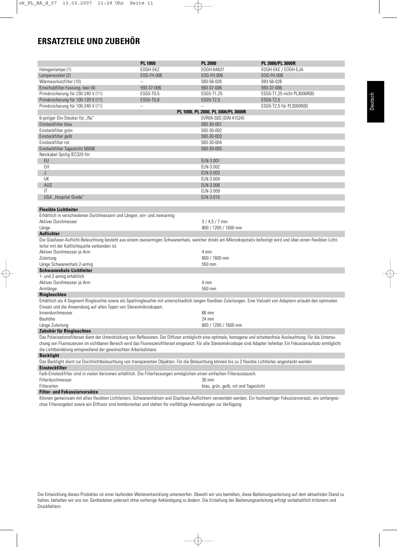# **ERSATZTEILE UND ZUBEHÖR**

|                                                                                                                                                                                                                                                                                                                                                   | <b>PL 1000</b> | <b>PL 2000</b>                       | PL 3000/PL 3000R            |  |
|---------------------------------------------------------------------------------------------------------------------------------------------------------------------------------------------------------------------------------------------------------------------------------------------------------------------------------------------------|----------------|--------------------------------------|-----------------------------|--|
| Halogenlampe (1)                                                                                                                                                                                                                                                                                                                                  | EOGH-EKZ       | EOGH-64637                           | EOGH-EKE / EOGH-EJA         |  |
| Lampensockel (2)                                                                                                                                                                                                                                                                                                                                  | EOG-FH.006     | EOG-FH.006                           | EOG-FH.006                  |  |
| Wärmeschutzfilter (10)                                                                                                                                                                                                                                                                                                                            |                | 593-56-026                           | 593-56-026                  |  |
| Einschubfilter-Fassung, leer (4)                                                                                                                                                                                                                                                                                                                  | 593-37-006     | 593-37-006                           | 593-37-006                  |  |
| Primärsicherung für 230-240 V (11)                                                                                                                                                                                                                                                                                                                | ESG5-T0,5      | ESG5-T1,25                           | ESG5-T1,25 nicht PL3000R(B) |  |
| Primärsicherung für 100-120 V (11)                                                                                                                                                                                                                                                                                                                | ESG5-T0,8      | ESG5-T2,5                            | ESG5-T2.5                   |  |
| Primärsicherung für 100-240 V (11)                                                                                                                                                                                                                                                                                                                |                |                                      | ESG5-T2,5 für PL3000R(B)    |  |
|                                                                                                                                                                                                                                                                                                                                                   |                | PL 1000, PL 2000, PL 3000/PL 3000R   |                             |  |
| 6-poliger Din-Stecker für "Ra"                                                                                                                                                                                                                                                                                                                    |                | EVR04-S6S (DIN 41524)                |                             |  |
| Einsteckfilter blau                                                                                                                                                                                                                                                                                                                               |                | 593-30-001                           |                             |  |
| Einsteckfilter grün                                                                                                                                                                                                                                                                                                                               |                | 593-30-002                           |                             |  |
| Einsteckfilter gelb                                                                                                                                                                                                                                                                                                                               |                | 593-30-003                           |                             |  |
| Einsteckfilter rot                                                                                                                                                                                                                                                                                                                                |                | 593-30-004                           |                             |  |
|                                                                                                                                                                                                                                                                                                                                                   |                |                                      |                             |  |
| Einsteckfilter Tageslicht 5600K                                                                                                                                                                                                                                                                                                                   |                | 593-30-005                           |                             |  |
| Netzkabel 3polig IEC320 für:                                                                                                                                                                                                                                                                                                                      |                |                                      |                             |  |
| EU                                                                                                                                                                                                                                                                                                                                                |                | ELN-3.001                            |                             |  |
| <b>CH</b>                                                                                                                                                                                                                                                                                                                                         |                | ELN-3.002                            |                             |  |
| J                                                                                                                                                                                                                                                                                                                                                 |                | ELN-3.003                            |                             |  |
| UK                                                                                                                                                                                                                                                                                                                                                |                | ELN-3.004                            |                             |  |
| AUS                                                                                                                                                                                                                                                                                                                                               |                | ELN-3.006                            |                             |  |
| $\mathsf{I}\mathsf{T}$                                                                                                                                                                                                                                                                                                                            |                | ELN-3.009                            |                             |  |
| USA "Hospital Grade"                                                                                                                                                                                                                                                                                                                              |                | ELN-3.010                            |                             |  |
|                                                                                                                                                                                                                                                                                                                                                   |                |                                      |                             |  |
| <b>Flexible Lichtleiter</b>                                                                                                                                                                                                                                                                                                                       |                |                                      |                             |  |
| Erhältlich in verschiedenen Durchmessern und Längen, ein- und zweiarmig                                                                                                                                                                                                                                                                           |                |                                      |                             |  |
| Aktiver Durchmesser                                                                                                                                                                                                                                                                                                                               |                | $3/4,5/7$ mm                         |                             |  |
| Länge                                                                                                                                                                                                                                                                                                                                             |                | 800 / 1200 / 1600 mm                 |                             |  |
| <b>Auflichter</b>                                                                                                                                                                                                                                                                                                                                 |                |                                      |                             |  |
| Die Glasfaser-Auflicht-Beleuchtung besteht aus einem zweiarmigen Schwanenhals, welcher direkt am Mikroskopstativ befestigt wird und über einen flexiblen Licht-                                                                                                                                                                                   |                |                                      |                             |  |
| leiter mit der Kaltlichtquelle verbunden ist.                                                                                                                                                                                                                                                                                                     |                |                                      |                             |  |
| Aktiver Durchmesser je Arm                                                                                                                                                                                                                                                                                                                        |                | 4 mm                                 |                             |  |
| Zuleitung                                                                                                                                                                                                                                                                                                                                         |                | 800 / 1600 mm                        |                             |  |
| Länge Schwanenhals 2-armig                                                                                                                                                                                                                                                                                                                        |                | 550 mm                               |                             |  |
| <b>Schwanenhals-Lichtleiter</b>                                                                                                                                                                                                                                                                                                                   |                |                                      |                             |  |
| 1- und 2-armig erhältlich                                                                                                                                                                                                                                                                                                                         |                |                                      |                             |  |
| Aktiver Durchmesser je Arm                                                                                                                                                                                                                                                                                                                        |                | 4 mm                                 |                             |  |
| Armlänge                                                                                                                                                                                                                                                                                                                                          |                | 550 mm                               |                             |  |
| Ringleuchten                                                                                                                                                                                                                                                                                                                                      |                |                                      |                             |  |
| Erhältlich als 4-Segment-Ringleuchte sowie als Spaltringleuchte mit unterschiedlich langen flexiblen Zuleitungen. Eine Vielzahl von Adaptern erlaubt den optimalen                                                                                                                                                                                |                |                                      |                             |  |
| Einsatz und die Anwendung auf allen Typen von Stereomikroskopen.                                                                                                                                                                                                                                                                                  |                |                                      |                             |  |
| Innendurchmesser                                                                                                                                                                                                                                                                                                                                  |                | 66 mm                                |                             |  |
| Bauhöhe                                                                                                                                                                                                                                                                                                                                           |                | 24 mm                                |                             |  |
| Länge Zuleitung                                                                                                                                                                                                                                                                                                                                   |                | 800 / 1200 / 1600 mm                 |                             |  |
| Zubehör für Ringleuchten                                                                                                                                                                                                                                                                                                                          |                |                                      |                             |  |
|                                                                                                                                                                                                                                                                                                                                                   |                |                                      |                             |  |
| Das Polarisationsfilterset dient der Unterdrückung von Reflexionen. Der Diffusor ermöglicht eine optimale, homogene und schattenfreie Ausleuchtung. Für die Untersu-<br>chung von Fluoreszenzen im sichtbaren Bereich wird das Fluoreszenzfilterset eingesetzt. Für alle Stereomikroskope sind Adapter lieferbar. Ein Fokussieraufsatz ermöglicht |                |                                      |                             |  |
| die Lichtbündelung entsprechend der gewünschten Arbeitsdistanz.                                                                                                                                                                                                                                                                                   |                |                                      |                             |  |
| <b>Backlight</b>                                                                                                                                                                                                                                                                                                                                  |                |                                      |                             |  |
| Das Backlight dient zur Durchlichtbeleuchtung von transparenten Objekten. Für die Beleuchtung können bis zu 2 flexible Lichtleiter angesteckt werden.                                                                                                                                                                                             |                |                                      |                             |  |
| <b>Einsteckfilter</b>                                                                                                                                                                                                                                                                                                                             |                |                                      |                             |  |
| Farb-Einsteckfilter sind in vielen Versionen erhältlich. Die Filterfassungen ermöglichen einen einfachen Filteraustausch.                                                                                                                                                                                                                         |                |                                      |                             |  |
| Filterdurchmesser                                                                                                                                                                                                                                                                                                                                 |                | 30 mm                                |                             |  |
| Filterarten                                                                                                                                                                                                                                                                                                                                       |                | blau, grün, gelb, rot und Tageslicht |                             |  |
| Filter- und Fokussiervorsätze                                                                                                                                                                                                                                                                                                                     |                |                                      |                             |  |

Können gemeinsam mit allen flexiblen Lichtleitern, Schwanenhälsen und Glasfaser-Auflichtern verwendet werden. Ein hochwertiger Fokussiervorsatz, ein umfangreiches Filterangebot sowie ein Diffusor sind kombinierbar und stehen für vielfältige Anwendungen zur Verfügung.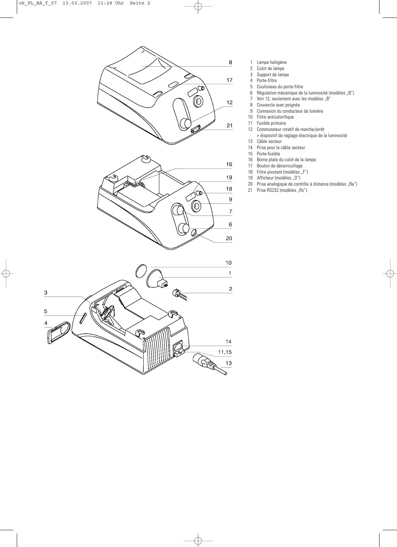

- 1 Lampe halogène<br>2 Culot de lampe
- 2 Culot de lampe<br>3 Support de lam
- Support de lampe
- 4 Porte-filtre<br>5 Coulisseau
- 5 Coulisseau du porte-filtre<br>6 Régulation mécanique de
- Régulation mécanique de la luminosité (modèles "B")
- 7 Voir 12, seulement avec les modèles "B"<br>8 Couvercle avec poignée
- Couvercle avec poignée
- 9 Connexion du conducteur de lumière
- 10 Filtre anticalorifique<br>11 Fusible primaire
- 11 Fusible primaire<br>12 Commutateur ro
	- Commutateur rotatif de marche/arrêt
	- + dispositif de réglage électrique de la luminosité
	- 13 Câble secteur<br>14 Prise pour le c Prise pour le câble secteur
- 
- 15 Porte-fusible<br>16 Borne plate d Borne plate du culot de la lampe
- 17 Bouton de déverrouillage
- 
- 18 Filtre pivotant (modèles "F")<br>19 Afficheur (modèles "D") Afficheur (modèles "D")
- 20 Prise analogique de contrôle à distance (modèles "Ra")
- 21 Prise RS232 (modèles "Rs")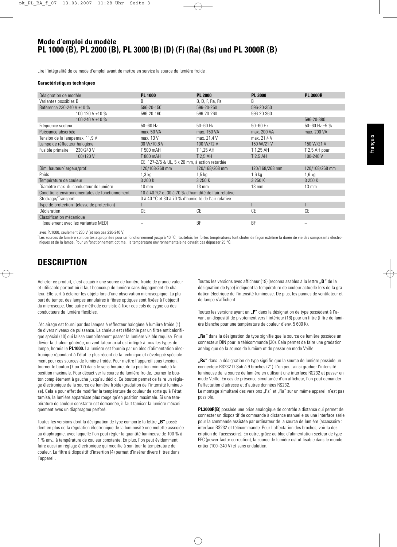### **Mode d'emploi du modèle PL 1000 (B), PL 2000 (B), PL 3000 (B) (D) (F) (Ra) (Rs) und PL 3000R (B)**

Lire l'intégralité de ce mode d'emploi avant de mettre en service la source de lumière froide !

#### **Caractéristiques techniques**

| Désignation de modèle                          | <b>PL 1000</b>                                                    | <b>PL 2000</b>  | <b>PL 3000</b>  | <b>PL 3000R</b>    |
|------------------------------------------------|-------------------------------------------------------------------|-----------------|-----------------|--------------------|
| Variantes possibles B                          | B                                                                 | B, D, F, Ra, Rs | B               |                    |
| Référence 230-240 V ±10 %                      | 596-20-1501                                                       | 596-20-250      | 596-20-350      |                    |
| 100-120 V ±10 %                                | 596-20-160                                                        | 596-20-260      | 596-20-360      |                    |
| 100-240 V ±10 %                                |                                                                   |                 |                 | 596-20-380         |
| Fréquence secteur                              | $50 - 60$ Hz                                                      | $50 - 60$ Hz    | $50 - 60$ Hz    | 50-60 Hz $\pm$ 5 % |
| Puissance absorbée                             | max. 50 VA                                                        | max. 150 VA     | max. 200 VA     | max. 200 VA        |
| Tension de la lampemax. 11,9 V                 | max. 13 V                                                         | max. 21,4 V     | max. 21,4 V     |                    |
| Lampe de réflecteur halogène                   | 30 W/10,8 V                                                       | 100 W/12 V      | 150 W/21 V      | 150 W/21 V         |
| Fusible primaire<br>230/240 V                  | T 500 mAH                                                         | T 1,25 AH       | T 1,25 AH       | T 2,5 AH pour      |
| 100/120 V                                      | T 800 mAH                                                         | T 2.5 AH        | T 2.5 AH        | 100-240 V          |
|                                                | CEI 127-2/5 & UL, 5 x 20 mm, à action retardée                    |                 |                 |                    |
| Dim. hauteur/largeur/prof.                     | 120/168/268 mm                                                    | 120/168/268 mm  | 120/168/268 mm  | 120/168/268 mm     |
| Poids                                          | $1,3$ kg                                                          | $1,5$ kg        | 1,6 kg          | 1,6 kg             |
| Température de couleur                         | 3 200 K                                                           | 3 250 K         | 3 250 K         | 3 250 K            |
| Diamètre max, du conducteur de lumière         | $10 \text{ mm}$                                                   | $13 \text{ mm}$ | $13 \text{ mm}$ | $13 \text{ mm}$    |
| Conditions environnementales de fonctionnement | 10 à 40 °C <sup>2</sup> et 30 à 70 % d'humidité de l'air relative |                 |                 |                    |
| Stockage/Transport                             | 0 à 40 °C et 30 à 70 % d'humidité de l'air relative               |                 |                 |                    |
| Type de protection (classe de protection)      |                                                                   |                 |                 |                    |
| <b>Déclaration</b>                             | CE                                                                | CE              | CE              | CE                 |
| Classification mécanique                       |                                                                   |                 |                 |                    |
| (seulement avec les variantes MED)             |                                                                   | <b>BF</b>       | <b>BF</b>       |                    |
|                                                |                                                                   |                 |                 |                    |

<sup>1</sup> avec PL1000, seulement 230 V (et non pas 230-240 V)

<sup>2</sup> Les sources de lumière sont certes appropriées pour un fonctionnement jusqu'à 40 °C ; toutefois les fortes températures font chuter de façon extrême la durée de vie des composants électroniques et de la lampe. Pour un fonctionnement optimal, la température environnementale ne devrait pas dépasser 25 °C.

## **DESCRIPTION**

Acheter ce produit, c'est acquérir une source de lumière froide de grande valeur et utilisable partout où il faut beaucoup de lumière sans dégagement de chaleur. Elle sert à éclairer les objets lors d'une observation microscopique. La plupart du temps, des lampes annulaires à fibres optiques sont fixées à l'objectif du microscope. Une autre méthode consiste à fixer des cols de cygne ou des conducteurs de lumière flexibles.

L'éclairage est fourni par des lampes à réflecteur halogène à lumière froide (1) de divers niveaux de puissance. La chaleur est réfléchie par un filtre anticalorifique spécial (10) qui laisse complètement passer la lumière visible requise. Pour dévier la chaleur générée, un ventilateur axial est intégré à tous les types de lampe, hormis le **PL1000.** La lumière est fournie par un bloc d'alimentation électronique répondant à l'état le plus récent de la technique et développé spécialement pour ces sources de lumière froide. Pour mettre l'appareil sous tension, tourner le bouton (7 ou 12) dans le sens horaire, de la position minimale à la position maximale. Pour désactiver la source de lumière froide, tourner le bouton complètement à gauche jusqu'au déclic. Ce bouton permet de faire un réglage électronique de la source de lumière froide (gradation de l'intensité lumineuse). Cela a pour effet de modifier la température de couleur de sorte qu'à l'état tamisé, la lumière apparaisse plus rouge qu'en position maximale. Si une température de couleur constante est demandée, il faut tamiser la lumière mécaniquement avec un diaphragme perforé.

Toutes les versions dont la désignation de type comporte la lettre "B" possèdent en plus de la régulation électronique de la luminosité une molette associée au diaphragme, avec laquelle l'on peut régler la quantité lumineuse de 100 % à 1 % env., à température de couleur constante. En plus, l'on peut évidemment faire aussi un réglage électronique qui modifie à son tour la température de couleur. Le filtre à dispositif d'insertion (4) permet d'insérer divers filtres dans l'appareil.

Toutes les versions avec afficheur (19) (reconnaissables à la lettre **"D"** de la désignation de type) indiquent la température de couleur actuelle lors de la gradation électrique de l'intensité lumineuse. De plus, les pannes de ventilateur et de lampe s'affichent.

Toutes les versions ayant un "F" dans la désignation de type possèdent à l'avant un dispositif de pivotement vers l'intérieur (18) pour un filtre (filtre de lumière blanche pour une température de couleur d'env. 5 600 K).

**"Ra"** dans la désignation de type signifie que la source de lumière possède un connecteur DIN pour la télécommande (20). Cela permet de faire une gradation analogique de la source de lumière et de passer en mode Veille.

**"Rs"** dans la désignation de type signifie que la source de lumière possède un connecteur RS232 D-Sub à 9 broches (21). L'on peut ainsi graduer l'intensité lumineuse de la source de lumière en utilisant une interface RS232 et passer en mode Veille. En cas de présence simultanée d'un afficheur, l'on peut demander l'affectation d'adresse et d'autres données RS232.

Le montage simultané des versions "Rs" et "Ra" sur un même appareil n'est pas possible.

**PL3000R(B**) possède une prise analogique de contrôle à distance qui permet de connecter un dispositif de commande à distance manuelle ou une interface série pour la commande assistée par ordinateur de la source de lumière (accessoire : interface RS232 et télécommande. Pour l'affectation des broches, voir la description de l'accessoire). En outre, grâce au bloc d'alimentation secteur de type PFC (power factor correction), la source de lumière est utilisable dans le monde entier (100–240 V) et sans ondulation.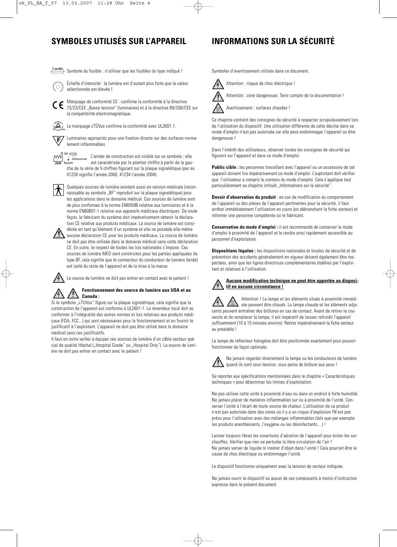## **SYMBOLES UTILISÉS SUR L'APPAREIL INFORMATIONS SUR LA SÉCURITÉ**

Symbole du fusible : n'utiliser que les fusibles du type indiqué !



Échelle d'intensité : la lumière est d'autant plus forte que la valeur sélectionnée est élevée !

Marquage de conformité CE : confirme la conformité à la directive  $\epsilon$ 73/23/CEE "Basse tension" (luminaires) et à la directive 89/336/CEE sur la compatibilité électromagnétique.

 $\left(\Delta\right)$ Le marquage cTÜVus confirme la conformité avec UL2601-1.

Luminaires appropriés pour une fixation directe sur des surfaces norma-正 lement inflammables.

 $\mathbb{M}$ 

L'année de construction est visible sur ce symbole ; elle est caractérisée par le premier chiffre à partir de la gauche de la série de 5 chiffres figurant sur la plaque signalétique (par ex. 01234 signifie l'année 2000, 41234 l'année 2004).

Quelques sources de lumière existent aussi en version médicale (reconnaissable au symbole "BF" reproduit sur la plaque signalétique) pour les applications dans le domaine médical. Ces sources de lumière sont de plus conformes à la norme EN60598 relative aux luminaires et à la norme EN60601-1 relative aux appareils médicaux électriques. De toute façon, le fabricant du système doit impérativement obtenir la déclaration CE relative aux produits médicaux. La source de lumière est considérée en tant qu'élément d'un système et elle ne possède elle-même



aucune déclaration CE pour les produits médicaux. La source de lumière ne doit pas être utilisée dans le domaine médical sans cette déclaration CE. En outre, le respect de toutes les lois nationales s'impose. Ces sources de lumière MED sont construites pour les parties appliquées de type BF, cela signifie que le connecteur du conducteur de lumière (bride) est isolé du reste de l'appareil et de la mise à la masse.

La source de lumière ne doit pas entrer en contact avec le patient !

### **Fonctionnement des source de lumière aux USA et au Canada :**

Si le symbole "cTUVus" figure sur la plaque signalétique, cela signifie que la construction de l'appareil est conforme à UL2601-1. Le revendeur local doit se conformer à l'intégralité des autres normes et lois relatives aux produits médicaux (FDA, FCC...) qui sont nécessaires pour le fonctionnement et en fournir le justificatif à l'exploitant. L'appareil ne doit pas être utilisé dans le domaine médical sans ces justificatifs.

Il faut en outre veiller à équiper ces sources de lumière d'un câble secteur spécial de qualité Hôpital ("Hospital Grade" ou "Hospital Only"). La source de lumière ne doit pas entrer en contact avec le patient !

Symboles d'avertissement utilisés dans ce document.

Attention : risque de choc électrique !



Attention : zone dangereuse. Tenir compte de la documentation !

Avertissement : surfaces chaudes !

Ce chapitre contient des consignes de sécurité à respecter scrupuleusement lors de l'utilisation du dispositif. Une utilisation différente de celle décrite dans ce mode d'emploi n'est pas autorisée car elle peut endommager l'appareil ou être dangereuse !

Dans l'intérêt des utilisateurs, observer toutes les consignes de sécurité qui figurent sur l'appareil et dans ce mode d'emploi.

Public cible : les personnes travaillant avec l'appareil ou un accessoire de cet appareil doivent lire impérativement ce mode d'emploi. L'exploitant doit vérifier que l'utilisateur a compris le contenu du mode d'emploi. Cela s'applique tout particulièrement au chapitre intitulé "Informations sur la sécurité".

**Devoir d'observation du produit** : en cas de modification du comportement de l'appareil ou des pièces de l'appareil pertinentes pour la sécurité, il faut arrêter immédiatement l'utilisation en cours (en débranchant la fiche secteur) et informer une personne compétente ou le fabricant.

**Conservation du mode d'emploi :** il est recommandé de conserver le mode d'emploi à proximité de l'appareil et le rendre ainsi rapidement accessible au personnel d'exploitation.

**Dispositions légales :** les dispositions nationales et locales de sécurité et de prévention des accidents généralement en vigueur doivent également être respectées, ainsi que les lignes directrices complémentaires établies par l'exploitant et relatives à l'utilisation.

### **Aucune modification technique ne peut être apportée au dispositif en aucune circonstance !**

Attention ! La lampe et les éléments situés à proximité immédiate peuvent être chauds. La lampe chaude et les éléments adjacents peuvent entraîner des brûlures en cas de contact. Avant de retirer le couvercle et de remplacer la lampe, il est impératif de laisser refroidir l'appareil suffisamment (10 à 15 minutes environ). Retirer impérativement la fiche secteur au préalable !

La lampe de réflecteur halogène doit être positionnée exactement pour pouvoir fonctionner de façon optimale.



Ne jamais regarder directement la lampe ou les conducteurs de lumière quand ils sont sous tension, sous peine de brûlure aux yeux !

Se reporter aux spécifications mentionnées dans le chapitre « Caractéristiques techniques » pour déterminer les limites d'exploitation.

Ne pas utiliser cette unité à proximité d'eau ou dans un endroit à forte humidité. Ne jamais placer de matières inflammables sur ou à proximité de l'unité. Conserver l'unité à l'écart de toute source de chaleur. L'utilisation de ce produit n'est pas autorisée dans des zones où il y a un risque d'explosion !N'est pas prévu pour l'utilisation avec des mélanges inflammables (tels que par exemple les produits anesthésiants, l'oxygène ou les désinfectants....) !

Laisser toujours libres les ouvertures d'aération de l'appareil pour éviter les surchauffes. Vérifier que rien ne perturbe la libre circulation de l'air ! Ne jamais verser de liquide ni insérer d'objet dans l'unité ! Cela pourrait être la cause de choc électrique ou endommager l'unité.

Le dispositif fonctionne uniquement avec la tension de secteur indiquée.

Ne jamais ouvrir le dispositif ou aucun de ses composants à moins d'instruction expresse dans le présent document.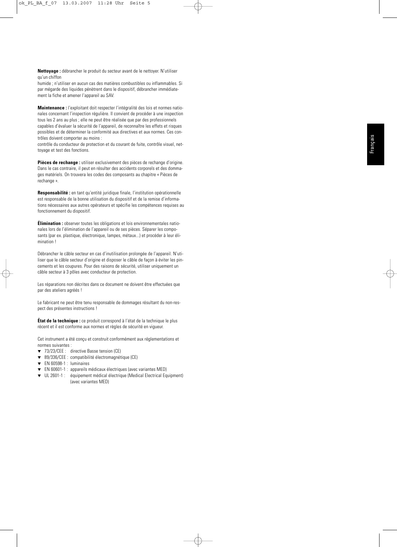**Nettoyage :** débrancher le produit du secteur avant de le nettoyer. N'utiliser qu'un chiffon

humide ; n'utiliser en aucun cas des matières combustibles ou inflammables. Si par mégarde des liquides pénètrent dans le dispositif, débrancher immédiatement la fiche et amener l'appareil au SAV.

**Maintenance :** l'exploitant doit respecter l'intégralité des lois et normes nationales concernant l'inspection régulière. Il convient de procéder à une inspection tous les 2 ans au plus ; elle ne peut être réalisée que par des professionnels capables d'évaluer la sécurité de l'appareil, de reconnaître les effets et risques possibles et de déterminer la conformité aux directives et aux normes. Ces contrôles doivent comporter au moins :

contrôle du conducteur de protection et du courant de fuite, contrôle visuel, nettoyage et test des fonctions.

**Pièces de rechange :** utiliser exclusivement des pièces de rechange d'origine. Dans le cas contraire, il peut en résulter des accidents corporels et des dommages matériels. On trouvera les codes des composants au chapitre « Pièces de rechange ».

**Responsabilité :** en tant qu'entité juridique finale, l'institution opérationnelle est responsable de la bonne utilisation du dispositif et de la remise d'informations nécessaires aux autres opérateurs et spécifie les compétences requises au fonctionnement du dispositif.

**Élimination :** observer toutes les obligations et lois environnementales nationales lors de l'élimination de l'appareil ou de ses pièces. Séparer les composants (par ex. plastique, électronique, lampes, métaux...) et procéder à leur élimination !

Débrancher le câble secteur en cas d'inutilisation prolongée de l'appareil. N'utiliser que le câble secteur d'origine et disposer le câble de façon à éviter les pincements et les coupures. Pour des raisons de sécurité, utiliser uniquement un câble secteur à 3 pôles avec conducteur de protection.

Les réparations non décrites dans ce document ne doivent être effectuées que par des ateliers agréés !

Le fabricant ne peut être tenu responsable de dommages résultant du non-respect des présentes instructions !

**État de la technique :** ce produit correspond à l'état de la technique le plus récent et il est conforme aux normes et règles de sécurité en vigueur.

Cet instrument a été conçu et construit conformément aux réglementations et normes suivantes :

- ▼ 73/23/CEE : directive Basse tension (CE)
- ▼ 89/336/CEE : compatibilité électromagnétique (CE)
- ▼ EN 60598-1 : luminaires
- ▼ EN 60601-1 : appareils médicaux électriques (avec variantes MED)
- ▼ UL 2601-1 : équipement médical électrique (Medical Electrical Equipment) (avec variantes MED)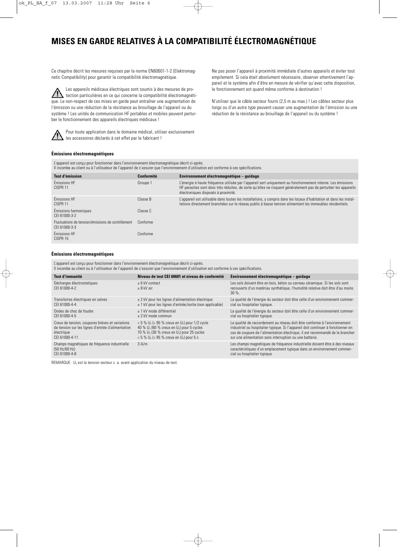# **MISES EN GARDE RELATIVES À LA COMPATIBILITÉ ÉLECTROMAGNÉTIQUE**

Ce chapitre décrit les mesures requises par la norme EN60601-1-2 (Elektromagnetic Compatibility) pour garantir la compatibilité électromagnétique.

Les appareils médicaux électriques sont soumis à des mesures de protection particulières en ce qui concerne la compatibilité électromagnétique. Le non-respect de ces mises en garde peut entraîner une augmentation de l'émission ou une réduction de la résistance au brouillage de l'appareil ou du système ! Les unités de communication HF portables et mobiles peuvent perturber le fonctionnement des appareils électriques médicaux !



Pour toute application dans le domaine médical, utiliser exclusivement les accessoires déclarés à cet effet par le fabricant !

Ne pas poser l'appareil à proximité immédiate d'autres appareils et éviter tout empilement. Si cela était absolument nécessaire, observer attentivement l'appareil et le système afin d'être en mesure de vérifier qu'avec cette disposition, le fonctionnement est quand même conforme à destination !

N'utiliser que le câble secteur fourni (2,5 m au max.) ! Les câbles secteur plus longs ou d'un autre type peuvent causer une augmentation de l'émission ou une réduction de la résistance au brouillage de l'appareil ou du système !

#### **Émissions électromagnétiques**

L'appareil est conçu pour fonctionner dans l'environnement électromagnétique décrit ci-après. Il incombe au client ou à l'utilisateur de l'appareil de s'assurer que l'environnement d'utilisation est conforme à ces spécifications.

| Test d'émission                                                     | <b>Conformité</b> | Environnement électromagnétique – quidage                                                                                                                                                                                                                              |
|---------------------------------------------------------------------|-------------------|------------------------------------------------------------------------------------------------------------------------------------------------------------------------------------------------------------------------------------------------------------------------|
| Émissions HF<br>CISPR <sub>11</sub>                                 | Groupe 1          | L'énergie à haute fréquence utilisée par l'appareil sert uniquement au fonctionnement interne. Les émissions<br>HF parasites sont donc très réduites, de sorte qu'elles ne risquent généralement pas de perturber les appareils<br>électroniques disposés à proximité. |
| Émissions HF<br>CISPR <sub>11</sub>                                 | Classe B          | L'appareil est utilisable dans toutes les installations, y compris dans les locaux d'habitation et dans les instal-<br>lations directement branchées sur le réseau public à basse tension alimentant les immeubles résidentiels.                                       |
| Émissions harmoniques<br>CFI 61000-3-2                              | Classe C          |                                                                                                                                                                                                                                                                        |
| Fluctuations de tension/émissions de scintillement<br>CFI 61000-3-3 | Conforme          |                                                                                                                                                                                                                                                                        |
| Émissions HF<br>CISPR 15                                            | Conforme          |                                                                                                                                                                                                                                                                        |

#### **Émissions électromagnétiques**

L'appareil est conçu pour fonctionner dans l'environnement électromagnétique décrit ci-après.

Il incombe au client ou à l'utilisateur de l'appareil de s'assurer que l'environnement d'utilisation est conforme à ces spécifications.

| Test d'immunité                                                                                                                      | Niveau de test CEI 60601 et niveau de conformité                                                                                                                                                                                                   | Environnement électromagnétique – quidage                                                                                                                                                                                                                                                                 |
|--------------------------------------------------------------------------------------------------------------------------------------|----------------------------------------------------------------------------------------------------------------------------------------------------------------------------------------------------------------------------------------------------|-----------------------------------------------------------------------------------------------------------------------------------------------------------------------------------------------------------------------------------------------------------------------------------------------------------|
| Décharges électrostatiques<br>CFI 61000-4-2                                                                                          | $+6$ kV contact<br>+ 8 kV air                                                                                                                                                                                                                      | Les sols doivent être en bois, béton ou carreau céramique. Si les sols sont<br>recouverts d'un matériau synthétique, l'humidité relative doit être d'au moins<br>30%                                                                                                                                      |
| Transitoires électriques en salves<br>CFI 61000-4-4                                                                                  | $\pm$ 2 kV pour les lignes d'alimentation électrique<br>± 1 kV pour les lignes d'entrée/sortie (non applicable)                                                                                                                                    | La qualité de l'énergie du secteur doit être celle d'un environnement commer-<br>cial ou hospitalier typique.                                                                                                                                                                                             |
| Ondes de choc de foudre<br>CEI 61000-4-5                                                                                             | + 1 kV mode différentiel<br>$\pm$ 2 kV mode commun                                                                                                                                                                                                 | La qualité de l'énergie du secteur doit être celle d'un environnement commer-<br>cial ou hospitalier typique.                                                                                                                                                                                             |
| Creux de tension, coupures brèves et variations<br>de tension sur les lignes d'entrée d'alimentation<br>électrique<br>CFI 61000-4-11 | $<$ 5 % U <sub>T</sub> ( $>$ 95 % creux en U <sub>T</sub> ) pour 1/2 cycle<br>40 % $U_T$ (60 % creux en $U_T$ ) pour 5 cycles<br>70 % $U_T$ (30 % creux en $U_T$ ) pour 25 cycles<br>$< 5 \% U_{\rm T}$ (> 95 % creux en U <sub>T</sub> ) pour 5 s | La qualité de raccordement au réseau doit être conforme à l'environnement<br>industriel ou hospitalier typique. Si l'appareil doit continuer à fonctionner en<br>cas de coupure de l'alimentation électrique, il est recommandé de le brancher<br>sur une alimentation sans interruption ou une batterie. |
| Champs magnétiques de fréquence industrielle<br>(50 Hz/60 Hz)<br>CFI 61000-4-8                                                       | 3 A/m                                                                                                                                                                                                                                              | Les champs magnétiques de fréquence industrielle doivent être à des niveaux<br>caractéristiques d'un emplacement typique dans un environnement commer-<br>cial ou hospitalier typique.                                                                                                                    |

REMARQUE :  $U_T$  est la tension secteur c. a. avant application du niveau de test.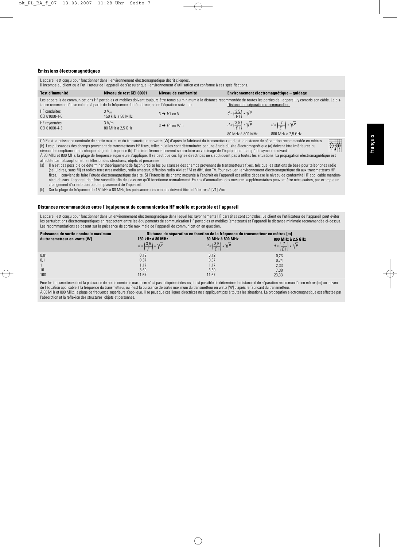#### **Émissions électromagnétiques**

L'appareil est conçu pour fonctionner dans l'environnement électromagnétique décrit ci-après.

| Il incombe au client ou à l'utilisateur de l'appareil de s'assurer que l'environnement d'utilisation est conforme à ces spécifications. |  |  |  |  |
|-----------------------------------------------------------------------------------------------------------------------------------------|--|--|--|--|
|-----------------------------------------------------------------------------------------------------------------------------------------|--|--|--|--|

| Test d'immunité                                                                                  | Niveau de test CEI 60601              | Niveau de conformité      | Environnement électromagnétique – quidage                         |                                                                                                                                                                                            |
|--------------------------------------------------------------------------------------------------|---------------------------------------|---------------------------|-------------------------------------------------------------------|--------------------------------------------------------------------------------------------------------------------------------------------------------------------------------------------|
| tance recommandée se calcule à partir de la fréquence de l'émetteur, selon l'équation suivante : |                                       |                           | Distance de séparation recommandée :                              | Les appareils de communications HF portables et mobiles doivent toujours être tenus au minimum à la distance recommandée de toutes les parties de l'appareil, y compris son câble. La dis- |
| <b>HF</b> conduites<br>CEI 61000-4-6                                                             | $3V_{\text{eff}}$<br>150 kHz à 80 MHz | $3 \rightarrow V1$ en V   | $d = \left(\frac{3.5}{1/1}\right) * \sqrt{P}$                     |                                                                                                                                                                                            |
| HF ravonnées<br>CEI 61000-4-3                                                                    | 3 V/m<br>80 MHz à 2.5 GHz             | $3 \rightarrow E1$ en V/m | $d = \left(\frac{3.5}{5.1}\right) * \sqrt{P}$<br>80 MHz à 800 MHz | $d = \left(\frac{7}{51}\right) * \sqrt{P}$<br>800 MHz à 2.5 GHz                                                                                                                            |

Où P est la puissance nominale de sortie maximum du transmetteur en watts (W) d'après le fabricant du transmetteur et d est la distance de séparation recommandée en mètres (b). Les puissances des champs provenant de transmetteurs HF fixes, telles qu'elles sont déterminées par une étude du site électromagnétique (a) doivent être inférieures au niveau de compliance dans chaque plage de fréquence (b). Des interférences peuvent se produire au voisinage de l'équipement marqué du symbole suivant : À 80 MHz et 800 MHz, la plage de fréquence supérieure s'applique. Il se peut que ces lignes directrices ne s'appliquent pas à toutes les situations. La propagation électromagnétique est affectée par l'absorption et la réflexion des structures, objets et personnes.

(a) Il n'est pas possible de déterminer théoriquement de façon précise les puissances des champs provenant de transmetteurs fixes, tels que les stations de base pour téléphones radio (cellulaires, sans fil) et radios terrestres mobiles, radio amateur, diffusion radio AM et FM et diffusion TV. Pour évaluer l'environnement électromagnétique dû aux transmetteurs HF fixes, il convient de faire l'étude électromagnétique du site. Si l'intensité de champ mesurée à l'endroit où l'appareil est utilisé dépasse le niveau de conformité HF applicable mentionné ci-dessus, l'appareil doit être surveillé afin de s'assurer qu'il fonctionne normalement. En cas d'anomalies, des mesures supplémentaires peuvent être nécessaires, par exemple un changement d'orientation ou d'emplacement de l'appareil.

(b) Sur la plage de fréquence de 150 kHz à 80 MHz, les puissances des champs doivent être inférieures à [V1] V/m.

#### **Distances recommandées entre l'équipement de communication HF mobile et portable et l'appareil**

L'appareil est concu pour fonctionner dans un environnement électromagnétique dans lequel les rayonnements HF parasites sont contrôlés. Le client ou l'utilisateur de l'appareil peut éviter les perturbations électromagnétiques en respectant entre les équipements de communication HF portables et mobiles (émetteurs) et l'appareil la distance minimale recommandée ci-dessus. Les recommandations se basent sur la puissance de sortie maximale de l'appareil de communication en question.

| Puissance de sortie nominale maximum |                                               | Distance de séparation en fonction de la fréquence du transmetteur en mètres [m] |                                            |
|--------------------------------------|-----------------------------------------------|----------------------------------------------------------------------------------|--------------------------------------------|
| du transmetteur en watts [W]         | 150 kHz à 80 MHz                              | 80 MHz à 800 MHz                                                                 | 800 MHz à 2,5 GHz                          |
|                                      | $d = \left(\frac{3.5}{1/1}\right) * \sqrt{P}$ | $d = \left(\frac{3.5}{5.1}\right) * \sqrt{P}$                                    | $d = \left(\frac{7}{61}\right) * \sqrt{P}$ |
| 0,01                                 | 0,12                                          | 0,12                                                                             | 0,23                                       |
| 0,1                                  | 0,37                                          | 0,37                                                                             | 0,74                                       |
|                                      | 1,17                                          | 1.17                                                                             | 2,33                                       |
| 10                                   | 3,69                                          | 3,69                                                                             | 7,38                                       |
| 100                                  | 11,67                                         | 11,67                                                                            | 23,33                                      |

Pour les transmetteurs dont la puissance de sortie nominale maximum n'est pas indiquée ci-dessus, il est possible de déterminer la distance d de séparation recommandée en mètres [m] au moyen de l'équation applicable à la fréquence du transmetteur, où P est la puissance de sortie maximum du transmetteur en watts [W] d'après le fabricant du transmetteur. À 80 MHz et 800 MHz, la plage de fréquence supérieure s'applique. Il se peut que ces lignes directrices ne s'appliquent pas à toutes les situations. La propagation électromagnétique est affectée par l'absorption et la réflexion des structures, objets et personnes.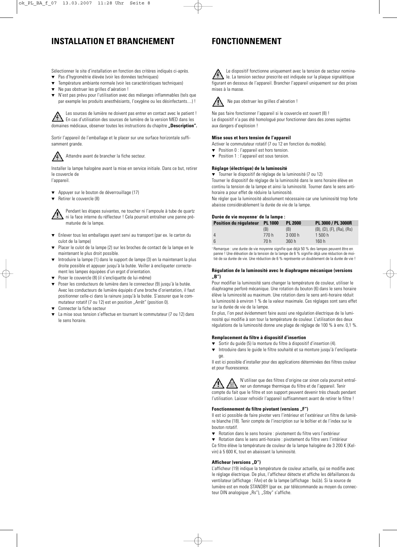## **INSTALLATION ET BRANCHEMENT**

### **FONCTIONNEMENT**

Sélectionner le site d'installation en fonction des critères indiqués ci-après.

- Pas d'hygrométrie élevée (voir les données techniques)
- Température ambiante normale (voir les caractéristiques techniques)
- Ne pas obstruer les grilles d'aération !
- N'est pas prévu pour l'utilisation avec des mélanges inflammables (tels que par exemple les produits anesthésiants, l'oxygène ou les désinfectants....) !

Les sources de lumière ne doivent pas entrer en contact avec le patient ! En cas d'utilisation des sources de lumière de la version MED dans les domaines médicaux, observer toutes les instructions du chapitre **"Description".**

Sortir l'appareil de l'emballage et le placer sur une surface horizontale suffisamment grande.



Attendre avant de brancher la fiche secteur.

Installer la lampe halogène avant la mise en service initiale. Dans ce but, retirer le couvercle de l'appareil.

- Appuyer sur le bouton de déverrouillage (17)
- ▼ Retirer le couvercle (8)

Pendant les étapes suivantes, ne toucher ni l'ampoule à tube de quartz ni la face interne du réflecteur ! Cela pourrait entraîner une panne prématurée de la lampe.

- ▼ Enlever tous les emballages ayant servi au transport (par ex. le carton du culot de la lampe)
- Placer le culot de la lampe (2) sur les broches de contact de la lampe en le maintenant le plus droit possible.
- Introduire la lampe (1) dans le support de lampe (3) en la maintenant la plus droite possible et appuyer jusqu'à la butée. Veiller à encliqueter correctement les lampes équipées d'un ergot d'orientation.
- Poser le couvercle (8) (il s'encliquette de lui-même)
- Poser les conducteurs de lumière dans le connecteur (9) jusqu'à la butée. Avec les conducteurs de lumière équipés d'une broche d'orientation, il faut positionner celle-ci dans la rainure jusqu'à la butée. S'assurer que le commutateur rotatif (7 ou 12) est en position "Arrêt" (position 0).
- Connecter la fiche secteur
- La mise sous tension s'effectue en tournant le commutateur (7 ou 12) dans le sens horaire.

Le dispositif fonctionne uniquement avec la tension de secteur nominale. La tension secteur prescrite est indiquée sur la plaque signalétique figurant en dessous de l'appareil. Brancher l'appareil uniquement sur des prises mises à la masse.



Ne pas obstruer les grilles d'aération !

Ne pas faire fonctionner l'appareil si le couvercle est ouvert (8) ! Le dispositif n'a pas été homologué pour fonctionner dans des zones sujettes aux dangers d'explosion !

#### **Mise sous et hors tension de l'appareil**

- Activer le commutateur rotatif (7 ou 12 en fonction du modèle).
- Position 0 : l'appareil est hors tension.
- ▼ Position 1 : l'appareil est sous tension.

#### **Réglage (électrique) de la luminosité**

▼ Tourner le dispositif de réglage de la luminosité (7 ou 12) Tourner le dispositif de réglage de la luminosité dans le sens horaire élève en continu la tension de la lampe et ainsi la luminosité. Tourner dans le sens antihoraire a pour effet de réduire la luminosité.

Ne régler que la luminosité absolument nécessaire car une luminosité trop forte abaisse considérablement la durée de vie de la lampe.

#### **Durée de vie moyenne**<sup>1</sup> **de la lampe :**

| Position du régulateur PL 1000 | <b>PL 2000</b> | PL 3000 / PL 3000R                      |
|--------------------------------|----------------|-----------------------------------------|
| (B)                            | (B)            | $(B)$ , $(D)$ , $(F)$ , $(Ra)$ , $(Rs)$ |
| 770 h<br>$\overline{4}$        | 3 000 h        | 1500 h                                  |
| -6<br>70 h                     | 360h           | 160 h                                   |

<sup>1</sup> Remarque : une durée de vie moyenne signifie que déjà 50 % des lampes peuvent être en panne ! Une élévation de la tension de la lampe de 6 % signifie déjà une réduction de moitié de sa durée de vie. Une réduction de 6 % représente un doublement de la durée de vie !

#### **Régulation de la luminosité avec le diaphragme mécanique (versions "B")**

Pour modifier la luminosité sans changer la température de couleur, utiliser le diaphragme perforé mécanique. Une rotation du bouton (6) dans le sens horaire élève la luminosité au maximum. Une rotation dans le sens anti-horaire réduit la luminosité à environ 1 % de la valeur maximale. Ces réglages sont sans effet sur la durée de vie de la lampe.

En plus, l'on peut évidemment faire aussi une régulation électrique de la luminosité qui modifie à son tour la température de couleur. L'utilisation des deux régulations de la luminosité donne une plage de réglage de 100 % à env. 0,1 %.

#### **Remplacement du filtre à dispositif d'insertion**

- ▼ Sortir du guide (5) la monture du filtre à dispositif d'insertion (4).
- ▼ Introduire dans le guide le filtre souhaité et sa monture jusqu'à l'encliquetage.

Il est ici possible d'installer pour des applications déterminées des filtres couleur et pour fluorescence.

N'utiliser que des filtres d'origine car sinon cela pourrait entraîner un dommage thermique du filtre et de l'appareil. Tenir compte du fait que le filtre et son support peuvent devenir très chauds pendant l'utilisation. Laisser refroidir l'appareil suffisamment avant de retirer le filtre !

#### **Fonctionnement du filtre pivotant (versions .. F")**

Il est ici possible de faire pivoter vers l'intérieur et l'extérieur un filtre de lumière blanche (18). Tenir compte de l'inscription sur le boîtier et de l'index sur le bouton rotatif.

- Rotation dans le sens horaire : pivotement du filtre vers l'extérieur
- ▼ Rotation dans le sens anti-horaire : pivotement du filtre vers l'intérieur Ce filtre élève la température de couleur de la lampe halogène de 3 200 K (Kelvin) à 5 600 K, tout en abaissant la luminosité.

#### Afficheur (versions "D")

L'afficheur (19) indique la température de couleur actuelle, qui se modifie avec le réglage électrique. De plus, l'afficheur détecte et affiche les défaillances du ventilateur (affichage : FAn) et de la lampe (affichage : buLb). Si la source de lumière est en mode STANDBY (par ex. par télécommande au moyen du connecteur DIN analogique "Rs"), "Stby" s'affiche.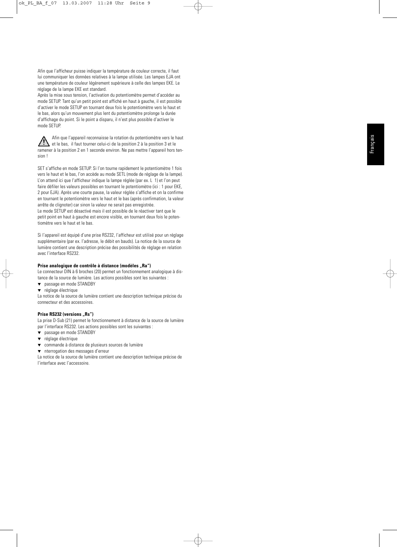Afin que l'afficheur puisse indiquer la température de couleur correcte, il faut lui communiquer les données relatives à la lampe utilisée. Les lampes EJA ont une température de couleur légèrement supérieure à celle des lampes EKE. Le réglage de la lampe EKE est standard.

Après la mise sous tension, l'activation du potentiomètre permet d'accéder au mode SETUP. Tant qu'un petit point est affiché en haut à gauche, il est possible d'activer le mode SETUP en tournant deux fois le potentiomètre vers le haut et le bas, alors qu'un mouvement plus lent du potentiomètre prolonge la durée d'affichage du point. Si le point a disparu, il n'est plus possible d'activer le mode SETUP.

Afin que l'appareil reconnaisse la rotation du potentiomètre vers le haut  $\bigwedge$ et le bas, il faut tourner celui-ci de la position 2 à la position 3 et le ramener à la position 2 en 1 seconde environ. Ne pas mettre l'appareil hors tension !

SET s'affiche en mode SETUP. Si l'on tourne rapidement le potentiomètre 1 fois vers le haut et le bas, l'on accède au mode SETL (mode de réglage de la lampe). L'on attend ici que l'afficheur indique la lampe réglée (par ex. L 1) et l'on peut faire défiler les valeurs possibles en tournant le potentiomètre (ici : 1 pour EKE, 2 pour EJA). Après une courte pause, la valeur réglée s'affiche et on la confirme en tournant le potentiomètre vers le haut et le bas (après confirmation, la valeur arrête de clignoter) car sinon la valeur ne serait pas enregistrée.

Le mode SETUP est désactivé mais il est possible de le réactiver tant que le petit point en haut à gauche est encore visible, en tournant deux fois le potentiomètre vers le haut et le bas.

Si l'appareil est équipé d'une prise RS232, l'afficheur est utilisé pour un réglage supplémentaire (par ex. l'adresse, le débit en bauds). La notice de la source de lumière contient une description précise des possibilités de réglage en relation avec l'interface RS232.

#### Prise analogique de contrôle à distance (modèles "Ra")

Le connecteur DIN à 6 broches (20) permet un fonctionnement analogique à distance de la source de lumière. Les actions possibles sont les suivantes :

- ▼ passage en mode STANDBY
- ▼ réglage électrique

La notice de la source de lumière contient une description technique précise du connecteur et des accessoires.

### **Prise RS232 (versions "Rs")**

La prise D-Sub (21) permet le fonctionnement à distance de la source de lumière par l'interface RS232. Les actions possibles sont les suivantes :

- ▼ passage en mode STANDBY
- ▼ réglage électrique
- ▼ commande à distance de plusieurs sources de lumière
- ▼ nterrogation des messages d'erreur

La notice de la source de lumière contient une description technique précise de l'interface avec l'accessoire.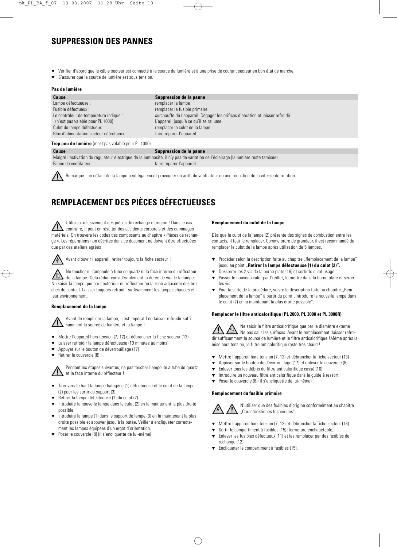## **SUPPRESSION DES PANNES**

- Vérifier d'abord que le câble secteur est connecté à la source de lumière et à une prise de courant secteur en bon état de marche.
- ▼ S'assurer que la source de lumière est sous tension.

#### **Pas de lumière**

| Cause                                  | Suppression de la panne                                                         |
|----------------------------------------|---------------------------------------------------------------------------------|
| Lampe défectueuse :                    | remplacer la lampe                                                              |
| Fusible défectueux :                   | remplacer le fusible primaire                                                   |
| Le contrôleur de température indique : | surchauffe de l'appareil. Dégager les orifices d'aération et laisser refroidir. |
| (n'est pas valable pour PL 1000)       | L'appareil jusqu'à ce qu'il se rallume.                                         |
| Culot de lampe défectueux              | remplacer le culot de la lampe                                                  |
| Bloc d'alimentation secteur défectueux | faire réparer l'appareil                                                        |
|                                        |                                                                                 |

#### **Trop peu de lumière** (n'est pas valable pour PL 1000)

#### **Cause Cause Suppression de la panne**

Malgré l'activation du régulateur électrique de la luminosité, il n'y pas de variation de l'éclairage (la lumière reste tamisée). Panne de ventilateur : faire réparer l'appareil



Remarque : un défaut de la lampe peut également provoquer un arrêt du ventilateur ou une réduction de la vitesse de rotation.

# **REMPLACEMENT DES PIÈCES DÉFECTUEUSES**

Utiliser exclusivement des pièces de rechange d'origine ! Dans le cas contraire, il peut en résulter des accidents corporels et des dommages matériels. On trouvera les codes des composants au chapitre « Pièces de rechange ». Les réparations non décrites dans ce document ne doivent être effectuées que par des ateliers agréés !



Avant d'ouvrir l'appareil, retirer toujours la fiche secteur !

Ne toucher ni l'ampoule à tube de quartz ni la face interne du réflecteur de la lampe !Cela réduit considérablement la durée de vie de la lampe. Ne saisir la lampe que par l'extérieur du réflecteur ou la zone adjacente des broches de contact. Laisser toujours refroidir suffisamment les lampes chaudes et leur environnement.

#### **Remplacement de la lampe**

Avant de remplacer la lampe, il est impératif de laisser refroidir suffisamment la source de lumière et la lampe !

- ▼ Mettre l'appareil hors tension (7, 12) et débrancher la fiche secteur (13)
- Laisser refroidir la lampe défectueuse (10 minutes au moins).
- Appuyer sur le bouton de déverrouillage (17)
- Retirer le couvercle (8)

Pendant les étapes suivantes, ne pas toucher l'ampoule à tube de quartz et la face interne du réflecteur !

- Tirer vers le haut la lampe halogène (1) défectueuse et le culot de la lampe (2) pour les sortir du support (3)
- Retirer la lampe défectueuse (1) du culot (2)
- Introduire la nouvelle lampe dans le culot (2) en la maintenant la plus droite possible
- Introduire la lampe (1) dans le support de lampe (3) en la maintenant la plus droite possible et appuyer jusqu'à la butée. Veiller à encliqueter correctement les lampes équipées d'un ergot d'orientation.
- ▼ Poser le couvercle (8) (il s'encliquette de lui-même)

#### **Remplacement du culot de la lampe**

Dès que le culot de la lampe (2) présente des signes de combustion entre les contacts, il faut le remplacer. Comme ordre de grandeur, il est recommandé de remplacer le culot de la lampe après utilisation de 5 lampes.

- ▼ Procéder selon la description faite au chapitre "Remplacement de la lampe" jusqu'au point "Retirer la lampe défectueuse (1) du culot (2)".
- Desserrer les 2 vis de la borne plate (16) et sortir le culot usagé.
- ▼ Passer le nouveau culot par l'œillet, le mettre dans la borne plate et serrer les vis.
- Pour la suite de la procédure, suivre la description faite au chapitre "Remplacement de la lampe" à partir du point "Introduire la nouvelle lampe dans le culot (2) en la maintenant la plus droite possible".

#### **Remplacer le filtre anticalorifique (PL 2000, PL 3000 et PL 3000R)**

Ne saisir le filtre anticalorifique que par le diamètre externe ! Ne pas salir les surfaces. Avant le remplacement, laisser refroidir suffisamment la source de lumière et le filtre anticalorifique !Même après la mise hors tension, le filtre anticalorifique reste très chaud !

- ▼ Mettre l'appareil hors tension (7, 12) et débrancher la fiche secteur (13)
- Appuyer sur le bouton de déverrouillage (17) et enlever le couvercle (8)
- ▼ Enlever tous les débris du filtre anticalorifique cassé (10)
- ▼ Introduire un nouveau filtre anticalorifique dans le guide à ressort
- Poser le couvercle (8) (il s'encliquette de lui-même)

#### **Remplacement du fusible primaire**



N'utiliser que des fusibles d'origine conformément au chapitre "Caractéristiques techniques".

- ▼ Mettre l'appareil hors tension (7, 12) et débrancher la fiche secteur (13).
- Sortir le compartiment à fusibles (15) (fermeture encliquetable).
- Enlever les fusibles défectueux (11) et les remplacer par des fusibles de rechange (12).
- ▼ Encliqueter le compartiment à fusibles (15).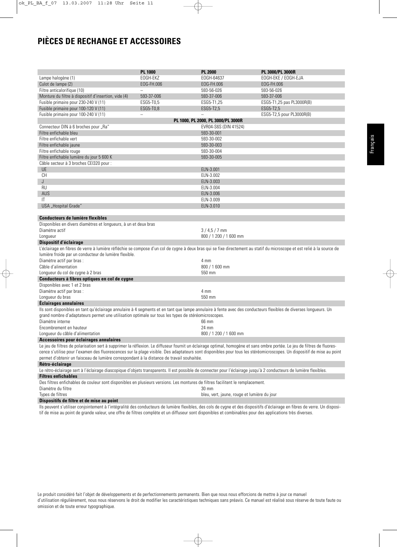## **PIÈCES DE RECHANGE ET ACCESSOIRES**

|                                                                                                                                                                          | <b>PL 1000</b>           | <b>PL 2000</b>                              | PL 3000/PL 3000R          |  |  |
|--------------------------------------------------------------------------------------------------------------------------------------------------------------------------|--------------------------|---------------------------------------------|---------------------------|--|--|
| Lampe halogène (1)                                                                                                                                                       | EOGH-EKZ                 | EOGH-64637                                  | EOGH-EKE / EOGH-EJA       |  |  |
| Culot de lampe (2)                                                                                                                                                       | EOG-FH.006               | EOG-FH.006                                  | EOG-FH.006                |  |  |
| Filtre anticalorifique (10)                                                                                                                                              |                          | 593-56-026                                  | 593-56-026                |  |  |
| Monture du filtre à dispositif d'insertion, vide (4)                                                                                                                     | 593-37-006               | 593-37-006                                  | 593-37-006                |  |  |
| Fusible primaire pour 230-240 V (11)                                                                                                                                     | ESG5-T0.5                | ESG5-T1,25                                  | ESG5-T1,25 pas PL3000R(B) |  |  |
| Fusible primaire pour 100-120 V (11)                                                                                                                                     | ESG5-T0,8                | ESG5-T2,5                                   | ESG5-T2,5                 |  |  |
| Fusible primaire pour 100-240 V (11)                                                                                                                                     | $\overline{\phantom{0}}$ |                                             | ESG5-T2,5 pour PL3000R(B) |  |  |
|                                                                                                                                                                          |                          | PL 1000, PL 2000, PL 3000/PL 3000R          |                           |  |  |
| Connecteur DIN à 6 broches pour "Ra"                                                                                                                                     |                          | EVR04-S6S (DIN 41524)                       |                           |  |  |
| Filtre enfichable bleu                                                                                                                                                   |                          | 593-30-001                                  |                           |  |  |
| Filtre enfichable vert                                                                                                                                                   |                          | 593-30-002                                  |                           |  |  |
| Filtre enfichable jaune                                                                                                                                                  |                          | 593-30-003                                  |                           |  |  |
| Filtre enfichable rouge                                                                                                                                                  |                          | 593-30-004                                  |                           |  |  |
| Filtre enfichable lumière du jour 5 600 K                                                                                                                                |                          | 593-30-005                                  |                           |  |  |
| Câble secteur à 3 broches CEI320 pour :                                                                                                                                  |                          |                                             |                           |  |  |
| <b>UE</b>                                                                                                                                                                |                          | ELN-3.001                                   |                           |  |  |
| <b>CH</b>                                                                                                                                                                |                          | ELN-3.002                                   |                           |  |  |
| J                                                                                                                                                                        |                          | ELN-3.003                                   |                           |  |  |
| <b>RU</b>                                                                                                                                                                |                          | ELN-3.004                                   |                           |  |  |
| AUS                                                                                                                                                                      |                          | ELN-3.006                                   |                           |  |  |
| IT                                                                                                                                                                       |                          | ELN-3.009                                   |                           |  |  |
| USA "Hospital Grade"                                                                                                                                                     |                          | ELN-3.010                                   |                           |  |  |
| Conducteurs de lumière flexibles                                                                                                                                         |                          |                                             |                           |  |  |
| Disponibles en divers diamètres et longueurs, à un et deux bras                                                                                                          |                          |                                             |                           |  |  |
| Diamètre actif                                                                                                                                                           |                          | $3/4,5/7$ mm                                |                           |  |  |
| Longueur                                                                                                                                                                 |                          | 800 / 1 200 / 1 600 mm                      |                           |  |  |
| Dispositif d'éclairage                                                                                                                                                   |                          |                                             |                           |  |  |
| L'éclairage en fibres de verre à lumière réfléchie se compose d'un col de cygne à deux bras qui se fixe directement au statif du microscope et est relié à la source de  |                          |                                             |                           |  |  |
| lumière froide par un conducteur de lumière flexible.                                                                                                                    |                          |                                             |                           |  |  |
| Diamètre actif par bras :                                                                                                                                                |                          | 4 mm                                        |                           |  |  |
| Câble d'alimentation                                                                                                                                                     |                          | 800 / 1 600 mm                              |                           |  |  |
| Longueur du col de cygne à 2 bras                                                                                                                                        |                          | 550 mm                                      |                           |  |  |
| Conducteurs à fibres optiques en col de cygne                                                                                                                            |                          |                                             |                           |  |  |
| Disponibles avec 1 et 2 bras                                                                                                                                             |                          |                                             |                           |  |  |
| Diamètre actif par bras :                                                                                                                                                |                          | 4 mm                                        |                           |  |  |
| Longueur du bras                                                                                                                                                         |                          | 550 mm                                      |                           |  |  |
| <b>Éclairages annulaires</b>                                                                                                                                             |                          |                                             |                           |  |  |
| Ils sont disponibles en tant qu'éclairage annulaire à 4 segments et en tant que lampe annulaire à fente avec des conducteurs flexibles de diverses longueurs. Un         |                          |                                             |                           |  |  |
| grand nombre d'adaptateurs permet une utilisation optimale sur tous les types de stéréomicroscopes.                                                                      |                          |                                             |                           |  |  |
| Diamètre interne                                                                                                                                                         |                          | 66 mm                                       |                           |  |  |
| Encombrement en hauteur                                                                                                                                                  |                          | 24 mm                                       |                           |  |  |
| Longueur du câble d'alimentation                                                                                                                                         |                          | 800 / 1 200 / 1 600 mm                      |                           |  |  |
| Accessoires pour éclairages annulaires                                                                                                                                   |                          |                                             |                           |  |  |
| Le jeu de filtres de polarisation sert à supprimer la réflexion. Le diffuseur fournit un éclairage optimal, homogène et sans ombre portée. Le jeu de filtres de fluores- |                          |                                             |                           |  |  |
| cence s'utilise pour l'examen des fluorescences sur la plage visible. Des adaptateurs sont disponibles pour tous les stéréomicroscopes. Un dispositif de mise au point   |                          |                                             |                           |  |  |
| permet d'obtenir un faisceau de lumière correspondant à la distance de travail souhaitée.                                                                                |                          |                                             |                           |  |  |
| Rétro-éclairage                                                                                                                                                          |                          |                                             |                           |  |  |
| Le rétro-éclairage sert à l'éclairage diascopique d'objets transparents. Il est possible de connecter pour l'éclairage jusqu'à 2 conducteurs de lumière flexibles.       |                          |                                             |                           |  |  |
| <b>Filtres enfichables</b>                                                                                                                                               |                          |                                             |                           |  |  |
| Des filtres enfichables de couleur sont disponibles en plusieurs versions. Les montures de filtres facilitent le remplacement.                                           |                          |                                             |                           |  |  |
| Diamètre du filtre                                                                                                                                                       |                          | $30 \text{ mm}$                             |                           |  |  |
| Types de filtres                                                                                                                                                         |                          | bleu, vert, jaune, rouge et lumière du jour |                           |  |  |

**Dispositifs de filtre et de mise au point**

Ils peuvent s'utiliser conjointement à l'intégralité des conducteurs de lumière flexibles, des cols de cygne et des dispositifs d'éclairage en fibres de verre. Un dispositif de mise au point de grande valeur, une offre de filtres complète et un diffuseur sont disponibles et combinables pour des applications très diverses.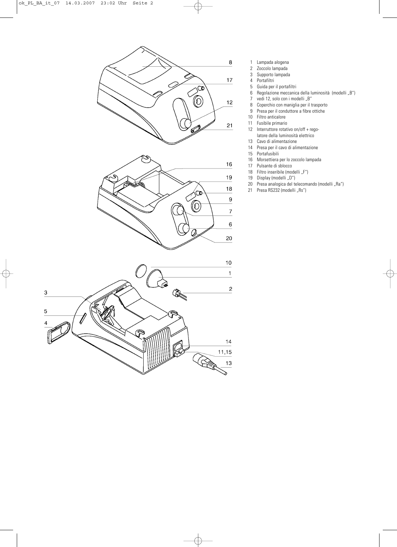

- 1 Lampada alogena
- 2 Zoccolo lampada<br>3 Supporto lampada
- 3 Supporto lampada
- 4 Portafiltri
- 
- 5 Guida per il portafiltri 6 Regolazione meccanica della luminosità (modelli "B")
- 7 vedi 12, solo con i modelli "B"
- 8 Coperchio con maniglia per il trasporto
- 9 Presa per il conduttore a fibre ottiche
- 10 Filtro anticalore<br>11 Fusibile primario
- 11 Fusibile primario<br>12 Interruttore rotati
- Interruttore rotativo on/off + rego-
- latore della luminosità elettrico
- 13 Cavo di alimentazione<br>14 Presa per il cavo di alir Presa per il cavo di alimentazione
- 
- 15 Portafusibili Morsettiera per lo zoccolo lampada
- 17 Pulsante di sblocco
- 18 Filtro inseribile (modelli "F")<br>19 Display (modelli "D")
- 19 Display (modelli "D")
- 20 Presa analogica del telecomando (modelli "Ra")
	- 21 Presa RS232 (modelli "Rs")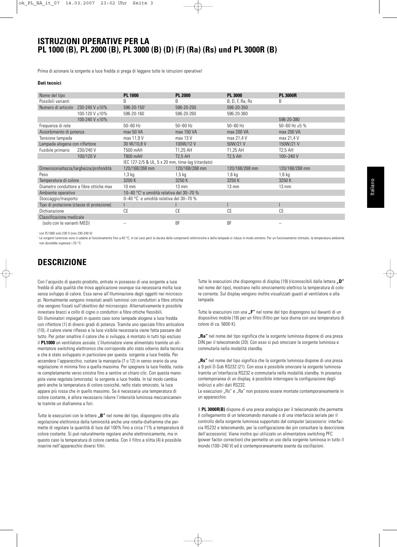### **ISTRUZIONI OPERATIVE PER LA PL 1000 (B), PL 2000 (B), PL 3000 (B) (D) (F) (Ra) (Rs) und PL 3000R (B)**

Prima di azionare la sorgente a luce fredda si prega di leggere tutte le istruzioni operative!

#### **Dati tecnici**

| Nome del tipo                                                              |                                           | <b>PL 1000</b>                                    | <b>PL 2000</b>  | <b>PL 3000</b>  | <b>PL 3000R</b>    |  |
|----------------------------------------------------------------------------|-------------------------------------------|---------------------------------------------------|-----------------|-----------------|--------------------|--|
| Possibili varianti                                                         |                                           | B                                                 | B               | B, D, F, Ra, Rs | B                  |  |
| Numero di articolo                                                         | 230-240 V ±10%                            | 596-20-1501                                       | 596-20-250      | 596-20-350      |                    |  |
|                                                                            | 100-120 V ±10%                            | 596-20-160                                        | 596-20-260      | 596-20-360      |                    |  |
|                                                                            | 100-240 V ±10%                            |                                                   |                 |                 | 596-20-380         |  |
| Frequenza di rete                                                          |                                           | $50 - 60$ Hz                                      | $50 - 60$ Hz    | $50 - 60$ Hz    | 50-60 Hz $\pm$ 5 % |  |
| Assorbimento di potenza                                                    |                                           | max 50 VA                                         | max 150 VA      | max 200 VA      | max 200 VA         |  |
| Tensione lampada                                                           |                                           | max 11,9 V                                        | max 13 V        | max 21,4 V      | max 21,4 V         |  |
| Lampada alogena con riflettore                                             |                                           | 30 W/10,8 V                                       | 100W/12V        | 50W/21 V        | 150W/21 V          |  |
| Fusibile primario                                                          | 230/240 V                                 | T500 mAH                                          | T1.25 AH        | T1,25 AH        | T2.5 AH            |  |
|                                                                            | 100/120 V                                 | <b>T800 mAH</b>                                   | <b>T2.5 AH</b>  | <b>T2.5 AH</b>  | 100-240 V          |  |
|                                                                            |                                           | IEC 127-2/5 & UL, 5 x 20 mm, time-lag (ritardato) |                 |                 |                    |  |
|                                                                            | Dimensionialtezza/larghezza/profondità    | 120/168/268 mm                                    | 120/168/268 mm  | 120/168/268 mm  | 120/168/268 mm     |  |
| Peso                                                                       |                                           | $1,3$ kg                                          | $1,5$ kg        | $1,6$ kg        | $1,6$ kg           |  |
| Temperatura di colore                                                      |                                           | 3200 K                                            | 3250 K          | 3250 K          | 3250 K             |  |
|                                                                            | Diametro conduttore a fibre ottiche max   | $10 \text{ mm}$                                   | $13 \text{ mm}$ | $13 \text{ mm}$ | $13 \text{ mm}$    |  |
| 10-40 °C <sup>2</sup> e umidità relativa del 30-70 %<br>Ambiente operativo |                                           |                                                   |                 |                 |                    |  |
| 0-40 °C e umidità relativa del 30-70 %<br>Stoccaggio/trasporto             |                                           |                                                   |                 |                 |                    |  |
|                                                                            | Tipo di protezione (classe di protezione) |                                                   |                 |                 |                    |  |
| Dichiarazione                                                              |                                           | CE                                                | СE              | CE              | CE                 |  |
| Classificazione medicale                                                   |                                           |                                                   |                 |                 |                    |  |
| (solo con le varianti MED)                                                 |                                           |                                                   | <b>BF</b>       | <b>BF</b>       |                    |  |
|                                                                            |                                           |                                                   |                 |                 |                    |  |

<sup>1</sup> con PL1000 solo 230 V (non 230-240 V)

 $2 \text{ l}$ e sorgenti luminose sono sì adatte al funzionamento fino a 40 °C, in tal caso però la durata delle componenti elettroniche e della lampada si riduce in modo estremo. Per un funzionamento ottimale, la temperatura a non dovrebbe superare i 25 °C.

## **DESCRIZIONE**

Con l'acquisto di questo prodotto, entrate in possesso di una sorgente a luce fredda di alta qualità che trova applicazione ovunque sia necessaria molta luce senza sviluppo di calore. Essa serve all'illuminazione degli oggetti nei microscopi. Normalmente vengono innestati anelli luminosi con conduttori a fibre ottiche che vengono fissati sull'obiettivo del microscopio. Alternativamente è possibile innestare bracci a collo di cigno o conduttori a fibre ottiche flessibili. Gli illuminatori impiegati in questo caso sono lampade alogene a luce fredda con riflettore (1) di diversi gradi di potenza. Tramite uno speciale filtro anticalore (10), il calore viene riflesso e la luce visibile necessaria viene fatta passare del tutto. Per poter smaltire il calore che si sviluppa, è montato in tutti tipi escluso il **PL1000** un ventilatore assiale. L'illuminatore viene alimentato tramite un alimentatore switching elettronico che corrisponde allo stato odierno della tecnica e che è stato sviluppato in particolare per questa sorgente a luce fredda. Per accendere l'apparecchio, ruotare la manopola (7 o 12) in senso orario da una regolazione in minima fino a quella massima. Per spegnere la luce fredda, ruotare completamente verso sinistra fino a sentire un chiaro clic. Con questa manopola viene regolata (smorzata) la sorgente a luce fredda. In tal modo cambia però anche la temperatura di colore cosicché, nello stato smorzato, la luce appare più rossa che in quello massimo. Se è necessaria una temperatura di colore costante, è allora necessario ridurre l'intensità luminosa meccanicamente tramite un diaframma a fori.

Tutte le esecuzioni con le lettere "B" nel nome del tipo, dispongono oltre alla regolazione elettronica della luminosità anche una rotella-diaframma che permette di regolare la quantità di luce dal 100% fino a circa l'1% a temperatura di colore costante. Si può naturalmente regolare anche elettronicamente, ma in questo caso la temperatura di colore cambia. Con il filtro a slitta (4) è possibile inserire nell'apparecchio diversi filtri.

Tutte le esecuzioni che dispongono di display (19) (riconoscibili dalla lettera **"D"** nel nome del tipo), mostrano nello smorzamento elettrico la temperatura di colore corrente. Sul display vengono inoltre visualizzati guasti al ventilatore e alla lampada.

Tutte le esecuzioni con una "F" nel nome del tipo dispongono sul davanti di un dispositivo mobile (18) per un filtro (filtro per luce diurna con una temperatura di colore di ca. 5600 K).

**"Ra"** nel nome del tipo significa che la sorgente luminosa dispone di una presa DIN per il telecomando (20). Con esso si può smorzare la sorgente luminosa e commutarla nella modalità standby.

**"Rs"** nel nome del tipo significa che la sorgente luminosa dispone di una presa a 9 poli D-Sub RS232 (21). Con essa è possibile smorzare la sorgente luminosa tramite un'interfaccia RS232 e commutarla nella modalità standby. In presenza contemporanea di un display, è possibile interrogare la configurazione degli indirizzi e altri dati RS232.

Le esecuzioni "Rs" e "Ra" non possono essere montate contemporaneamente in un apparecchio.

Il **PL 3000R(B)** dispone di una presa analogica per il telecomando che permette il collegamento di un telecomando manuale o di una interfaccia seriale per il controllo della sorgente luminosa supportato dal computer (accessorio: interfaccia RS232 e telecomando, per la configurazione dei pin consultare la descrizione dell'accessorio). Viene inoltre qui utilizzato un alimentatore switching PFC (power factor correction) che permette un uso della sorgente luminosa in tutto il mondo (100–240 V) ed è contemporaneamente esente da oscillazioni.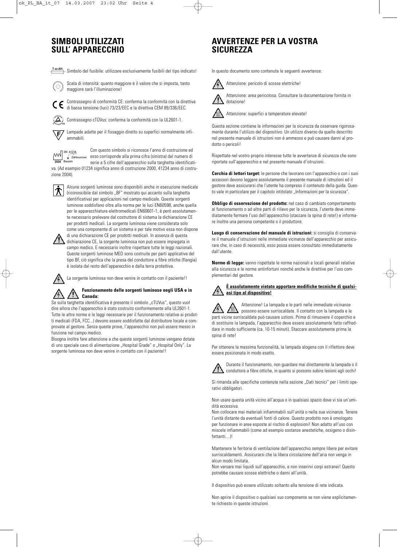### **SIMBOLI UTILIZZATI SULL' APPARECCHIO**

 $\frac{r \times A H}{r}$  Simbolo del fusibile: utilizzare esclusivamente fusibili del tipo indicato!



Scala di intensità: quanto maggiore è il valore che si imposta, tanto maggiore sarà l'illuminazione!

Contrassegno di conformità CE: conferma la conformità con la direttiva di bassa tensione (luci) 73/23/EEC e la direttiva CEM 89/336/EEC.

Contrassegno cTÜVus: conferma la conformità con la UL2601-1.

Lampade adatte per il fissaggio diretto su superfici normalmente infi-Ē ammabili.



Con questo simbolo si riconosce l'anno di costruzione ed  $\begin{array}{c}\n\text{W-N} \\
\hline\n\text{2004}\n\end{array}$   $\begin{array}{c}\n\text{F} \\
\hline\n\text{2004}\n\end{array}$  Baujahrummer esso corrisponde alla prima cifra (sinistra) del numero di serie a 5 cifre dell'apparecchio sulla targhetta identificati-

va. (Ad esempio 01234 significa anno di costruzione 2000, 41234 anno di costruzione 2004).



Alcune sorgenti luminose sono disponibili anche in esecuzione medicale (riconoscibile dal simbolo "BF" mostrato qui accanto sulla targhetta identificativa) per applicazioni nel campo medicale. Queste sorgenti luminose soddisfano oltre alla norma per le luci EN60598, anche quella per le apparecchiature elettromedicali EN60601-1, è però assolutamente necessario prelevare dal costruttore di sistema la dichiarazione CE per prodotti medicali. La sorgente luminosa viene considerata solo come una componente di un sistema e per tale motivo essa non dispone di una dichiarazione CE per prodotti medicali. In assenza di questa



dichiarazione CE, la sorgente luminosa non può essere impiegata in campo medico. E necessario inoltre rispettare tutte le leggi nazionali. Queste sorgenti luminose MED sono costruite per parti applicative del tipo BF, ciò significa che la presa del conduttore a fibre ottiche (flangia) è isolata dal resto dell'apparecchio e dalla terra protettiva.

La sorgente luminosa non deve venire in contatto con il paziente!!

### **Funzionamento delle sorgenti luminose negli USA e in Canada:**

Se sulla targhetta identificativa è presente il simbolo "cTUVus", questo vuol dire allora che l'apparecchio è stato costruito conformemente alla UL2601-1. Tutte le altre norme e le leggi necessarie per il funzionamento relative ai prodotti medicali (FDA, FCC...) devono essere soddisfatte dal distributore locale e comprovate al gestore. Senza queste prove, l'apparecchio non può essere messo in funzione nel campo medico.

Bisogna inoltre fare attenzione a che queste sorgenti luminose vengano dotate di uno speciale cavo di alimentazione "Hospital Grade" o "Hospital Only". La sorgente luminosa non deve venire in contatto con il paziente!!

## **AVVERTENZE PER LA VOSTRA SICUREZZA**

In questo documento sono contenute le seguenti avvertenze:



Attenzione: area pericolosa. Consultare la documentazione fornita in dotazione!



Attenzione: superfici a temperature elevate!

Questa sezione contiene le informazioni per la sicurezza da osservare rigorosamente durante l'utilizzo del dispositivo. Un utilizzo diverso da quello descritto nel presente manuale di istruzioni non è ammesso e può causare danni al prodotto o pericoli!

Rispettate nel vostro proprio interesse tutte le avvertenze di sicurezza che sono riportate sull'apparecchio e nel presente manuale d'istruzioni.

**Cerchia di lettori target:** le persone che lavorano con l'apparecchio o con i suoi accessori devono leggere assolutamente il presente manuale di istruzioni ed il gestore deve assicurarsi che l'utente ha compreso il contenuto della guida. Questo vale in particolare per il capitolo intitolato "Informazioni per la sicurezza".

**Obbligo di osservazione del prodotto:** nel caso di cambiato comportamento al funzionamento o ad altre parti di rilievo per la sicurezza, l'utente deve immediatamente fermare l'uso dell'apparecchio (staccare la spina di rete!) e informare inoltre una persona competente o il produttore.

**Luogo di conservazione del manuale di istruzioni:** si consiglia di conservare il manuale d'istruzioni nelle immediate vicinanze dell'apparecchio per assicurare che, in caso di necessità, esso possa essere consultato immediatamente dall'utente.

**Norme di legge:** vanno rispettate le norme nazionali e locali generali relative alla sicurezza e le norme antinfortuni nonché anche le direttive per l'uso complementari del gestore.

### **È assolutamente vietato apportare modifiche tecniche di qualsiasi tipo al dispositivo!**

Attenzione! La lampada e le parti nelle immediate vicinanze possono essere surriscaldate. Il contatto con la lampada e le parti vicine surriscaldate può causare ustioni. Prima di rimuovere il coperchio e di sostituire la lampada, l'apparecchio deve essere assolutamente fatto raffreddare in modo sufficiente (ca. 10-15 minuti). Staccare assolutamente prima la spina di rete!

Per ottenere la massima funzionalità, la lampada alogena con il riflettore deve essere posizionata in modo esatto.



Durante il funzionamento, non guardare mai direttamente la lampada o il conduttore a fibre ottiche, in quanto si possono subire lesioni agli occhi!

Si rimanda alle specifiche contenute nella sezione "Dati tecnici" per i limiti operativi obbligatori.

Non usare questa unità vicino all'acqua o in qualsiasi spazio dove vi sia un'umidità eccessiva.

Non collocare mai materiali infiammabili sull'unità o nelle sue vicinanze. Tenere l'unità distante da eventuali fonti di calore. Questo prodotto non è omologato per funzionare in aree esposte al rischio di esplosioni! Non adatto all'uso con miscele infiammabili (come ad esempio sostanze anestetiche, ossigeno o disinfettanti II

Mantenere le feritorie di ventilazione dell'apparecchio sempre libere per evitare surriscaldamenti. Assicurarsi che la libera circolazione dell'aria non venga in alcun modo limitata.

Non versare mai liquidi sull'apparecchio, e non inserirvi corpi estranei! Questo potrebbe causare scosse elettriche o danni all'unità.

Il dispositivo può essere utilizzato soltanto alla tensione di rete indicata.

Non aprire il dispositivo o qualsiasi suo componente se non viene esplicitamente richiesto in queste istruzioni.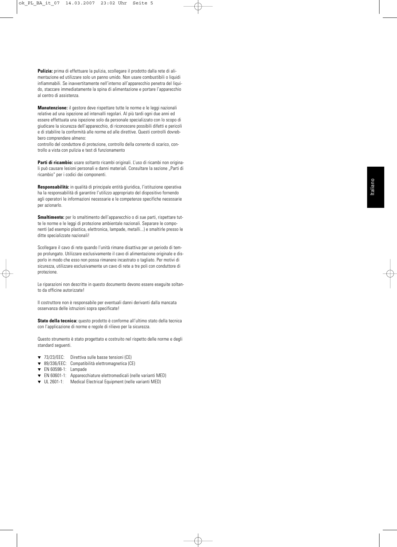**Pulizia:** prima di effettuare la pulizia, scollegare il prodotto dalla rete di alimentazione ed utilizzare solo un panno umido. Non usare combustibili o liquidi infiammabili. Se inavvertitamente nell'interno all'apparecchio penetra del liquido, staccare immediatamente la spina di alimentazione e portare l'apparecchio al centro di assistenza.

**Manutenzione:** il gestore deve rispettare tutte le norme e le leggi nazionali relative ad una ispezione ad intervalli regolari. Al più tardi ogni due anni ed essere effettuata una ispezione solo da personale specializzato con lo scopo di giudicare la sicurezza dell'apparecchio, di riconoscere possibili difetti e pericoli e di stabilire la conformità alle norme ed alle direttive. Questi controlli dovrebbero comprendere almeno:

controllo del conduttore di protezione, controllo della corrente di scarico, controllo a vista con pulizia e test di funzionamento

**Parti di ricambio:** usare soltanto ricambi originali. L'uso di ricambi non originali può causare lesioni personali e danni materiali. Consultare la sezione "Parti di ricambio" per i codici dei componenti.

**Responsabilità:** in qualità di principale entità giuridica, l'istituzione operativa ha la responsabilità di garantire l'utilizzo appropriato del dispositivo fornendo agli operatori le informazioni necessarie e le competenze specifiche necessarie per azionarlo.

**Smaltimento:** per lo smaltimento dell'apparecchio o di sue parti, rispettare tutte le norme e le leggi di protezione ambientale nazionali. Separare le componenti (ad esempio plastica, elettronica, lampade, metalli...) e smaltirle presso le ditte specializzate nazionali!

Scollegare il cavo di rete quando l'unità rimane disattiva per un periodo di tempo prolungato. Utilizzare esclusivamente il cavo di alimentazione originale e disporlo in modo che esso non possa rimanere incastrato o tagliato. Per motivi di sicurezza, utilizzare esclusivamente un cavo di rete a tre poli con conduttore di protezione.

Le riparazioni non descritte in questo documento devono essere eseguite soltanto da officine autorizzate!

Il costruttore non è responsabile per eventuali danni derivanti dalla mancata osservanza delle istruzioni sopra specificate!

**Stato della tecnica:** questo prodotto è conforme all'ultimo stato della tecnica con l'applicazione di norme e regole di rilievo per la sicurezza.

Questo strumento è stato progettato e costruito nel rispetto delle norme e degli standard seguenti.

- ▼ 73/23/EEC: Direttiva sulle basse tensioni (CE)
- ▼ 89/336/EEC: Compatibilità elettromagnetica (CE)
- ▼ EN 60598-1: Lampade
- ▼ EN 60601-1: Apparecchiature elettromedicali (nelle varianti MED)
- ▼ UL 2601-1: Medical Electrical Equipment (nelle varianti MED)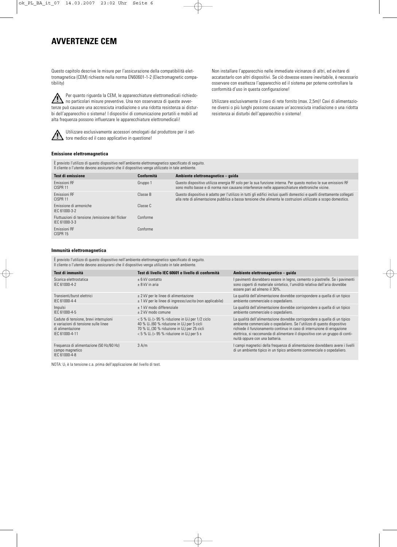## **AVVERTENZE CEM**

Questo capitolo descrive le misure per l'assicurazione della compatibilità elettromagnetica (CEM) richieste nella norma EN60601-1-2 (Electromagnetic compatibility)

Per quanto riguarda la CEM, le apparecchiature elettromedicali richiedo- $\sqrt{2}$ no particolari misure preventive. Una non osservanza di queste avvertenze può causare una accresciuta irradiazione o una ridotta resistenza ai disturbi dell'apparecchio o sistema! I dispositivi di comunicazione portatili e mobili ad alta frequenza possono influenzare le apparecchiature elettromedicali!



Utilizzare esclusivamente accessori omologati dal produttore per il set- $\blacksquare$  tore medico ed il caso applicativo in questione!

Non installare l'apparecchio nelle immediate vicinanze di altri, ed evitare di accatastarlo con altri dispositivi. Se ciò dovesse essere inevitabile, è necessario osservare con esattezza l'apparecchio ed il sistema per poterne controllare la conformità d'uso in questa configurazione!

Utilizzare esclusivamente il cavo di rete fornito (max. 2,5m)! Cavi di alimentazione diversi o più lunghi possono causare un'accresciuta irradiazione o una ridotta resistenza ai disturbi dell'apparecchio o sistema!

#### **Emissione elettromagnetica**

È previsto l'utilizzo di questo dispositivo nell'ambiente elettromagnetico specificato di seguito. Il cliente o l'utente devono assicurarsi che il dispositivo venga utilizzato in tale ambiente.

| <b>Test di emissione</b>                                         | <b>Conformità</b> | Ambiente elettromagnetico - quida                                                                                                                                                                                                          |
|------------------------------------------------------------------|-------------------|--------------------------------------------------------------------------------------------------------------------------------------------------------------------------------------------------------------------------------------------|
| Emissioni RF<br>CISPR <sub>11</sub>                              | Gruppo 1          | Questo dispositivo utilizza energia RF solo per la sua funzione interna. Per questo motivo le sue emissioni RF<br>sono molto basse e di norma non causano interferenze nelle apparecchiature elettroniche vicine.                          |
| <b>Fmissioni RF</b><br>CISPR <sub>11</sub>                       | Classe B          | Questo dispositivo è adatto per l'utilizzo in tutti gli edifici inclusi quelli domestici e quelli direttamente collegati<br>alla rete di alimentazione pubblica a bassa tensione che alimenta le costruzioni utilizzate a scopo domestico. |
| Emissione di armoniche<br>IEC 61000-3-2                          | Classe C          |                                                                                                                                                                                                                                            |
| Fluttuazioni di tensione /emissione del flicker<br>IEC 61000-3-3 | Conforme          |                                                                                                                                                                                                                                            |
| <b>Fmissioni RF</b><br>CISPR 15                                  | Conforme          |                                                                                                                                                                                                                                            |

#### **Immunità elettromagnetica**

È previsto l'utilizzo di questo dispositivo nell'ambiente elettromagnetico specificato di seguito. Il cliente o l'utente devono assicurarsi che il dispositivo venga utilizzato in tale ambiente.

| Test di immunità                                                                                                     | Test di livello IEC 60601 e livello di conformità                                                                                                                                                                                                                   | Ambiente elettromagnetico - quida                                                                                                                                                                                                                                                                                                                    |
|----------------------------------------------------------------------------------------------------------------------|---------------------------------------------------------------------------------------------------------------------------------------------------------------------------------------------------------------------------------------------------------------------|------------------------------------------------------------------------------------------------------------------------------------------------------------------------------------------------------------------------------------------------------------------------------------------------------------------------------------------------------|
| Scarica elettrostatica<br>IFC 61000-4-2                                                                              | + 6 kV contatto<br>$+8$ kV in aria                                                                                                                                                                                                                                  | I pavimenti dovrebbero essere in legno, cemento o piastrelle. Se i pavimenti<br>sono coperti di materiale sintetico, l'umidità relativa dell'aria dovrebbe<br>essere pari ad almeno il 30%.                                                                                                                                                          |
| Transienti/burst elettrici<br>IFC 61000-4-4                                                                          | $\pm$ 2 kV per le linee di alimentazione<br>$\pm$ 1 kV per le linee di ingresso/uscita (non applicabile)                                                                                                                                                            | La qualità dell'alimentazione dovrebbe corrispondere a quella di un tipico<br>ambiente commerciale o ospedaliero.                                                                                                                                                                                                                                    |
| Impulsi<br>IFC 61000-4-5                                                                                             | + 1 kV modo differenziale<br>$\pm$ 2 kV modo comune                                                                                                                                                                                                                 | La qualità dell'alimentazione dovrebbe corrispondere a quella di un tipico<br>ambiente commerciale o ospedaliero.                                                                                                                                                                                                                                    |
| Cadute di tensione, brevi interruzioni<br>e variazioni di tensione sulle linee<br>di alimentazione<br>IFC 61000-4-11 | $<$ 5 % U <sub>T</sub> ( $>$ 95 % riduzione in U <sub>T</sub> ) per 1/2 ciclo<br>40 % $U_T$ (60 % riduzione in $U_T$ ) per 5 cicli<br>70 % $U_T$ (30 % riduzione in $U_T$ ) per 25 cicli<br>$<$ 5 % U <sub>T</sub> ( $>$ 95 % riduzione in U <sub>T</sub> ) per 5 s | La qualità dell'alimentazione dovrebbe corrispondere a quella di un tipico<br>ambiente commerciale o ospedaliero. Se l'utilizzo di questo dispositivo<br>richiede il funzionamento continuo in caso di interruzione di erogazione<br>elettrica, si raccomanda di alimentare il dispositivo con un gruppo di conti-<br>nuità oppure con una batteria. |
| Frequenza di alimentazione (50 Hz/60 Hz)<br>campo magnetico<br>IFC 61000-4-8                                         | 3 A/m                                                                                                                                                                                                                                                               | I campi magnetici della freguenza di alimentazione dovrebbero avere i livelli<br>di un ambiente tipico in un tipico ambiente commerciale o ospedaliero.                                                                                                                                                                                              |

NOTA:  $U<sub>\tau</sub>$  è la tensione c.a. prima dell'applicazione del livello di test.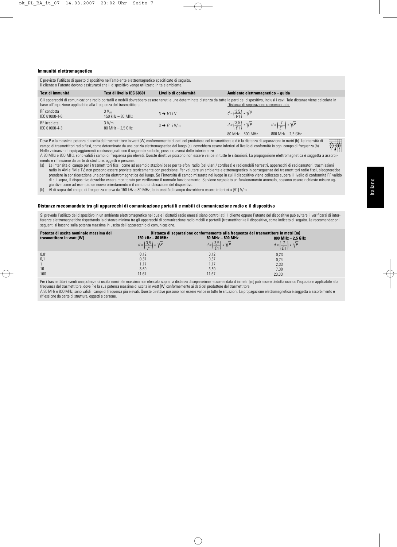### **Immunità elettromagnetica**

È previsto l'utilizzo di questo dispositivo nell'ambiente elettromagnetico specificato di seguito. Il cliente o l'utente devono assicurarsi che il dispositivo venga utilizzato in tale ambiente. **Test di immunità** RF condotta IEC 61000-4-6 RF irradiata IEC 61000-4-3 **Test di livello IEC 60601**   $3 V<sub>1</sub>$ 150 kHz – 80 MHz 3 V/m 80 MHz – 2,5 GHz **Livello di conformità**   $3 \rightarrow V1$  i V  $3 \rightarrow F1$  i V/m **Ambiente elettromagnetico – guida** 80 MHz  $-$  800 MHz  $-$  2,5 GHz Gli apparecchi di comunicazione radio portatili e mobili dovrebbero essere tenuti a una determinata distanza da tutte la parti del dispositivo, inclusi i cavi. Tale distanza viene calcolata in<br>Distanza di separazione racco base all'equazione applicabile alla frequenza del trasmettitore. Dove P e la massima potenza di uscita del trasmettitore in watt (W) conformemente di dati del produttore del trasmettitore e d è la distanza di separazione in metri (b). Le intensità di  $d = \left(\frac{3.5}{V1}\right) * \sqrt{P}$  $d = \left(\frac{3.5}{E1}\right) * \sqrt{P}$  $d = \left(\frac{7}{E1}\right) * \sqrt{P}$ 

campo di trasmettitori radio fissi, come determinate da una perizia elettromagnetica del luogo (a), dovrebbero essere inferiori al livello di conformità in ogni campo di frequenza (b).  $((\cdot))$ Nelle vicinanze di equipaggiamenti contrassegnati con il seguente simbolo, possono aversi delle interferenze: A 80 MHz e 800 MHz, sono validi i campi di frequenza più elevati. Queste direttive possono non essere valide in tutte le situazioni. La propagazione elettromagnetica è soggetta a assorbi-

mento e riflessione da parte di strutture, oggetti e persone.

(a) Le intensità di campo per i trasmettitori fissi, come ad esempio stazioni base per telefoni radio (cellulari / cordless) e radiomobili terrestri, apparecchi di radioamatori, trasmissioni radio in AM e FM e TV, non possono essere previste teoricamente con precisione. Per valutare un ambiente elettromagnetico in conseguenza dei trasmettitori radio fissi, bisognerebbe prendere in considerazione una perizia elettromagnetica del luogo. Se l'intensità di campo misurata nel luogo in cui il dispositivo viene collocato supera il livello di conformità RF valido di cui sopra, il dispositivo dovrebbe essere monitorato per verificarne il normale funzionamento. Se viene segnalato un funzionamento anomalo, possono essere richieste misure aggiuntive come ad esempio un nuovo orientamento o il cambio di ubicazione del dispositivo.

(b) Al di sopra del campo di frequenza che va da 150 kHz a 80 MHz, le intensità di campo dovrebbero essere inferiori a [V1] V/m.

### **Distanze raccomandate tra gli apparecchi di comunicazione portatili e mobili di comunicazione radio e il dispositivo**

Si prevede l'utilizzo del dispositivo in un ambiente elettromagnetico nel quale i disturbi radio emessi siano controllati. Il cliente oppure l'utente del dispositivo può evitare il verificarsi di interferenze elettromagnetiche rispettando la distanza minima tra gli apparecchi di comunicazione radio mobili e portatili (trasmettitori) e il dispositivo, come indicato di seguito. Le raccomandazioni seguenti si basano sulla potenza massima in uscita dell'apparecchio di comunicazione.

| Potenza di uscita nominale massima del |                                               | Distanza di separazione conformemente alla frequenza del trasmettitore in metri [m] |                                            |
|----------------------------------------|-----------------------------------------------|-------------------------------------------------------------------------------------|--------------------------------------------|
| trasmettitore in watt [W]              | 150 kHz - 80 MHz                              | 80 MHz - 800 MHz                                                                    | 800 MHz $-$ 2.5 GHz                        |
|                                        | $d = \left(\frac{3.5}{1/1}\right) * \sqrt{P}$ | $d = \left(\frac{3.5}{51}\right) * \sqrt{P}$                                        | $d = \left(\frac{7}{51}\right) * \sqrt{P}$ |
| 0,01                                   | 0,12                                          | 0,12                                                                                | 0,23                                       |
| 0,1                                    | 0,37                                          | 0,37                                                                                | 0,74                                       |
|                                        | 1.17                                          | 1.17                                                                                | 2,33                                       |
| 10                                     | 3,69                                          | 3,69                                                                                | 7,38                                       |
| 100                                    | 11,67                                         | 11,67                                                                               | 23,33                                      |

Per i trasmettitori aventi una potenza di uscita nominale massima non elencata sopra, la distanza di separazione raccomandata d in metri [m] può essere dedotta usando l'equazione applicabile alla frequenza del trasmettitore, dove P è la sua potenza massima di uscita in watt [W] conformemente ai dati del produttore del trasmettitore.

A 80 MHz e 800 MHz, sono validi i campi di frequenza più elevati. Queste direttive possono non essere valide in tutte le situazioni. La propagazione elettromagnetica è soggetta a assorbimento e riflessione da parte di strutture, oggetti e persone.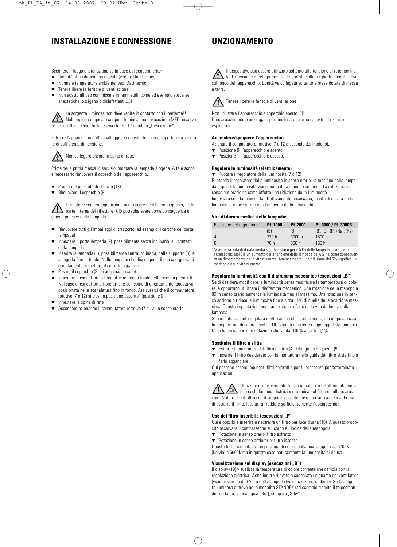# **INSTALLAZIONE E CONNESSIONE**

## **UNZIONAMENTO**

Scegliere il luogo d'istallazione sulla base dei seguenti criteri:

- Umidità atmosferica non elevata (vedere Dati tecnici)
- Normale temperatura ambiente (vedi Dati tecnici)
- Tenere libere le feritoie di ventilazione!
- Non adatto all'uso con miscele infiammabili (come ad esempio sostanze anestetiche, ossigeno o disinfettanti....)!



La sorgente luminosa non deve venire in contatto con il paziente!! Nell'impiego di queste sorgenti luminose nell'esecuzione MED, osservare per i settori medici tutte le avvertenze del capitolo "Descrizione".

Estrarre l'apparecchio dall'imballaggio e depositarlo su una superficie orizzontale di sufficiente dimensione.



Non collegare ancora la spina di rete.

Prima della prima messa in servizio, montare la lampada alogena. A tale scopo è necessario rimuovere il coperchio dell'apparecchio.

- Premere il pulsante di sblocco (17)
- Rimuovere il coperchio (8)

Durante le seguenti operazioni, non toccare né il bulbo di quarzo, né la parte interna del riflettore! Ciò potrebbe avere come conseguenza un guasto precoce della lampada.

- Rimuovere tutti gli imballaggi di trasporto (ad esempio il cartone del portalampada)
- Innestare il porta lampada (2), possibilmente senza inclinarlo, sui contatti della lampada.
- $\frac{1}{2}$  Inserire la lampada (1), possibilmente senza inclinarla, nella supporto (3) e spingerla fino in fondo. Nelle lampade che dispongono di una sporgenza di orientamento, rispettare il corretto aggancio.
- ▼ Posare il coperchio (8) (si aggancia la solo)
- ▼ Innestare il conduttore a fibre ottiche fino in fondo nell'apposita presa (9). Nel caso di conduttori a fibre ottiche con spina di orientamento, questa va posizionata nella scanalatura fino in fondo. Assicurarsi che il commutatore rotativo (7 o 12) si trovi in posizione "spento" (posizione 0).
- Innestare la spina di rete
- Accendere azionando il commutatore rotativo (7 o 12) in senso orario.

Il dispositivo può essere utilizzato soltanto alla tensione di rete nominale. La tensione di rete prescritta è riportata sulla targhetta identificativa sul fondo dell'apparecchio. L'unità va collegata soltanto a prese dotate di messa a terra.



Tenere libere le feritoie di ventilazione!

Non utilizzare l'apparecchio a coperchio aperto (8)! L'apparecchio non è omologato per funzionare in aree esposte al rischio di esplosioni!

### **Accendere/spegnere l'apparecchio**

Azionare il commutatore rotativo (7 o 12 a seconda del modello).

- Posizione 0: l'apparecchio è spento.
- ▼ Posizione 1: l'apparecchio è acceso.

### **Regolare la luminosità (elettricamente)**

▼ Ruotare il regolatore della luminosità (7 o 12) Ruotando il regolatore della luminosità in senso orario, la tensione della lampada e quindi la luminosità viene aumentata in modo continuo. La rotazione in senso antiorario ha come effetto una riduzione della luminosità. Impostare solo la luminosità effettivamente necessaria, la vita di durata della lampada si riduce infatti con l'aumento della luminosità.

### **Vita di durata media**<sup>1</sup> **della lampada:**

| Posizione del regolatore | <b>PL 1000</b> | <b>PL 2000</b> | PL 3000 / PL 3000R                      |
|--------------------------|----------------|----------------|-----------------------------------------|
|                          | (B)            | (B)            | $(B)$ , $(D)$ , $(F)$ , $(Ra)$ , $(Rs)$ |
| 4                        | 770 h          | 3000h          | 1500h                                   |
| -6                       | 70 h           | 360 h          | 160 h                                   |
| .<br>$\sim$ $\sim$       |                |                |                                         |

<sup>1</sup> Avvertenza: vita di durata media significa che è già il 50% delle lampade dovrebbero essersi bruciate!Già un aumento della tensione della lampada del 6% ha come conseguenza un dimezzamento della vita di durata. Analogamente, una riduzione del 6% significa un raddoppio della vita di durata!

### **Regolare la luminosità con il diaframma meccanico (esecuzioni "B")**

Se di desidera modificare la luminosità senza modificare la temperatura di colore, è opportuno utilizzare il diaframma meccanico. Una rotazione della manopola (6) in senso orario aumenta la luminosità fino al massimo. Una rotazione in senso antiorario riduce la luminosità fino a circa l'1% di quella della posizione massima. Queste impostazioni non hanno alcun effetto sulla vita di durata della lampada.

Si può naturalmente regolare inoltre anche elettronicamente, ma in questo caso la temperatura di colore cambia. Utilizzando ambedue i regolaggi della luminosità, si ha un campo di regolazione che va dal 100% a ca. lo 0,1%.

### **Sostituire il filtro a slitta**

- ▼ Estrarre la montatura del filtro a slitta (4) dalla guida di questo (5).
- Inserire il filtro desiderato con la montatura nella quida del filtro slitta fino a farlo agganciare.

Qui possono essere impiegati filtri colorati o per fluorescenza per determinate applicazioni.

Utilizzare esclusivamente filtri originali, poiché altrimenti non si può escludere una distruzione termica del filtro e dell'apparecchio. Notare che il filtro con il supporto durante l'uso può surriscaldarsi. Prima di estrarre il filtro, lasciar raffreddare sufficientemente l'apparecchio!

### Uso del filtro inseribile (esecuzioni "F")

Qui è possibile inserire e riestrarre un filtro per luce diurna (18). A questo proposito osservare il contrassegno sul corpo e l'indice della manopola.

- ▼ Rotazione in senso orario: filtro estratto
- ▼ Rotazione in senso antiorario: filtro inserito

Questo filtro aumenta la temperatura di colore della luce alogena da 3200K (Kelvin) a 5600K ma in questo caso naturalmente la luminosità si riduce.

### **Visualizzazione sul display (esecuzioni "D")**

Il display (19) visualizza la temperatura di colore corrente che cambia con la regolazione elettrica. Viene inoltre rilevato e segnalato un guasto del ventilatore (visualizzazione di: FAn) e della lampada (visualizzazione di: buLb). Se la sorgente luminosa si trova nella modalità STANDBY (ad esempio tramite il telecomando con la presa analogica "Rs"), compare "Stby".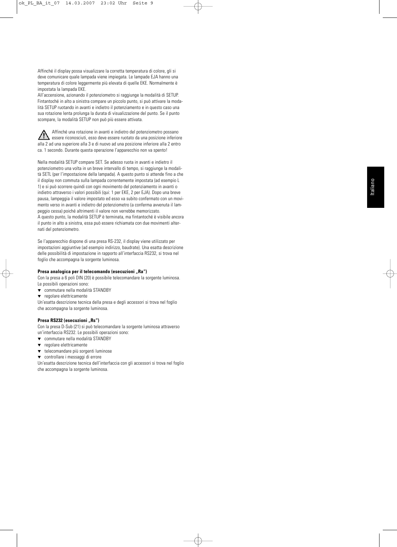Affinché il display possa visualizzare la corretta temperatura di colore, gli si deve comunicare quale lampada viene impiegata. Le lampade EJA hanno una temperatura di colore leggermente più elevata di quelle EKE. Normalmente è impostata la lampada EKE.

All'accensione, azionando il potenziometro si raggiunge la modalità di SETUP. Fintantoché in alto a sinistra compare un piccolo punto, si può attivare la modalità SETUP ruotando in avanti e indietro il potenziamento e in questo caso una sua rotazione lenta prolunga la durata di visualizzazione del punto. Se il punto scompare, la modalità SETUP non può più essere attivata.

Affinché una rotazione in avanti e indietro del potenziometro possano  $\bigwedge$  $\blacktriangle$  essere riconosciuti, esso deve essere ruotato da una posizione inferiore alla 2 ad una superiore alla 3 e di nuovo ad una posizione inferiore alla 2 entro ca. 1 secondo. Durante questa operazione l'apparecchio non va spento!

Nella modalità SETUP compare SET. Se adesso ruota in avanti e indietro il potenziometro una volta in un breve intervallo di tempo, si raggiunge la modalità SETL (per l'impostazione della lampada). A questo punto si attende fino a che il display non commuta sulla lampada correntemente impostata (ad esempio L 1) e si può scorrere quindi con ogni movimento del potenziamento in avanti o indietro attraverso i valori possibili (qui: 1 per EKE, 2 per EJA). Dopo una breve pausa, lampeggia il valore impostato ed esso va subito confermato con un movimento verso in avanti e indietro del potenziometro (a conferma avvenuta il lampeggio cessa) poiché altrimenti il valore non verrebbe memorizzato. A questo punto, la modalità SETUP è terminata, ma fintantoché è visibile ancora il punto in alto a sinistra, essa può essere richiamata con due movimenti alternati del potenziometro.

Se l'apparecchio dispone di una presa RS-232, il display viene utilizzato per impostazioni aggiuntive (ad esempio indirizzo, baudrate). Una esatta descrizione delle possibilità di impostazione in rapporto all'interfaccia RS232, si trova nel foglio che accompagna la sorgente luminosa.

### Presa analogica per il telecomando (esecuzioni "Ra")

Con la presa a 6 poli DIN (20) è possibile telecomandare la sorgente luminosa. Le possibili operazioni sono:

- ▼ commutare nella modalità STANDBY
- ▼ regolare elettricamente

Un'esatta descrizione tecnica della presa e degli accessori si trova nel foglio che accompagna la sorgente luminosa.

### Presa RS232 (esecuzioni "Rs")

Con la presa D-Sub (21) si può telecomandare la sorgente luminosa attraverso un'interfaccia RS232. Le possibili operazioni sono:

- ▼ commutare nella modalità STANDBY
- regolare elettricamente
- ▼ telecomandare più sorgenti luminose

▼ controllare i messaggi di errore

Un'esatta descrizione tecnica dell'interfaccia con gli accessori si trova nel foglio che accompagna la sorgente luminosa.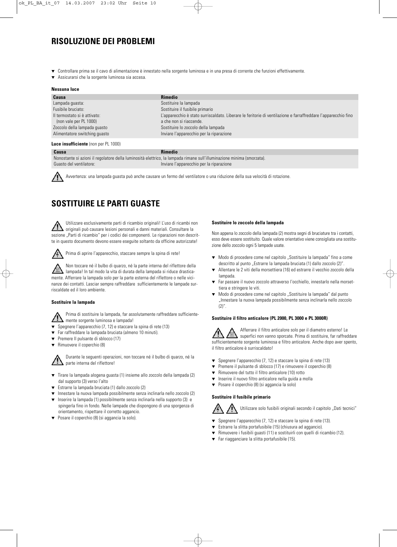# **RISOLUZIONE DEI PROBLEMI**

- Controllare prima se il cavo di alimentazione è innestato nella sorgente luminosa e in una presa di corrente che funzioni effettivamente.
- Assicurarsi che la sorgente luminosa sia accesa.

### **Nessuna luce**

| Causa                         | <b>Rimedio</b>                                                                                                 |
|-------------------------------|----------------------------------------------------------------------------------------------------------------|
| Lampada guasta:               | Sostituire la lampada                                                                                          |
| Fusibile bruciato:            | Sostituire il fusibile primario                                                                                |
| Il termostato și è attivato:  | L'apparecchio è stato surriscaldato. Liberare le feritorie di ventilazione e farraffreddare l'apparecchio fino |
| (non vale per PL 1000)        | a che non si riaccende.                                                                                        |
| Zoccolo della lampada guasto  | Sostituire lo zoccolo della lampada                                                                            |
| Alimentatore switching quasto | Inviare l'apparecchio per la riparazione                                                                       |

### **Luce insufficiente** (non per PL 1000)

**Causa Rimedio** 

Nonostante si azioni il regolatore della luminosità elettrico, la lampada rimane sull'illuminazione minima (smorzata). Guasto del ventilatore: Inviare l'apparecchio per la riparazione

Avvertenza: una lampada guasta può anche causare un fermo del ventilatore o una riduzione della sua velocità di rotazione.

# **SOSTITUIRE LE PARTI GUASTE**

Utilizzare esclusivamente parti di ricambio originali! L'uso di ricambi non originali può causare lesioni personali e danni materiali. Consultare la sezione "Parti di ricambio" per i codici dei componenti. Le riparazioni non descritte in questo documento devono essere eseguite soltanto da officine autorizzate!

Prima di aprire l'apparecchio, staccare sempre la spina di rete!

Non toccare né il bulbo di quarzo, né la parte interna del riflettore della lampada! In tal modo la vita di durata della lampada si riduce drasticamente. Afferrare la lampada solo per la parte esterna del riflettore o nelle vicinanze dei contatti. Lasciar sempre raffreddare sufficientemente le lampade surriscaldate ed il loro ambiente.

### **Sostituire la lampada**

Prima di sostituire la lampada, far assolutamente raffreddare sufficientemente sorgente luminosa e lampada!

- Spegnere l'apparecchio (7, 12) e staccare la spina di rete (13)
- ▼ Far raffreddare la lampada bruciata (almeno 10 minuti).
- Premere II pulsante di sblocco (17)
- Rimuovere il coperchio (8)

Durante le seguenti operazioni, non toccare né il bulbo di quarzo, né la parte interna del riflettore!

- ▼ Tirare la lampada alogena guasta (1) insieme allo zoccolo della lampada (2) dal supporto (3) verso l'alto
- Estrarre la lampada bruciata (1) dallo zoccolo (2)
- ▼ Innestare la nuova lampada possibilmente senza inclinarla nello zoccolo (2)
- Inserire la lampada (1) possibilmente senza inclinarla nella supporto (3) e spingerla fino in fondo. Nelle lampade che dispongono di una sporgenza di orientamento, rispettare il corretto aggancio.
- ▼ Posare il coperchio (8) (si aggancia la solo).

### **Sostituire lo zoccolo della lampada**

Non appena lo zoccolo della lampada (2) mostra segni di bruciature tra i contatti, esso deve essere sostituito. Quale valore orientativo viene consigliata una sostituzione dello zoccolo ogni 5 lampade usate.

- ▼ Modo di procedere come nel capitolo "Sostituire la lampada" fino a come descritto al punto "Estrarre la lampada bruciata (1) dallo zoccolo (2)".
- Allentare le 2 viti della morsettiera (16) ed estrarre il vecchio zoccolo della lampada
- ▼ Far passare il nuovo zoccolo attraverso l'occhiello, innestarlo nella morsettiera e stringere le viti.
- ▼ Modo di procedere come nel capitolo "Sostituire la lampada" dal punto "Innestare la nuova lampada possibilmente senza inclinarla nello zoccolo  $(2)$ ".

### **Sostituire il filtro anticalore (PL 2000, PL 3000 e PL 3000R)**

Afferrare il filtro anticalore solo per il diametro esterno! Le superfici non vanno sporcate. Prima di sostituire, far raffreddare sufficientemente sorgente luminosa e filtro anticalore. Anche dopo aver spento, il filtro anticalore è surriscaldato!

- ▼ Spegnere l'apparecchio (7, 12) e staccare la spina di rete (13)
- Premere il pulsante di sblocco (17) e rimuovere il coperchio (8)
- Rimuovere del tutto il filtro anticalore (10) rotto
- Inserire il nuovo filtro anticalore nella guida a molla
- ▼ Posare il coperchio (8) (si aggancia la solo)

### **Sostituire il fusibile primario**

Utilizzare solo fusibili originali secondo il capitolo "Dati tecnici"

- ▼ Spegnere l'apparecchio (7, 12) e staccare la spina di rete (13).
- ▼ Estrarre la slitta portafusibile (15) (chiusura ad aggancio).
- ▼ Rimuovere i fusibili guasti (11) e sostituirli con quelli di ricambio (12).
- ▼ Far riagganciare la slitta portafusibile (15).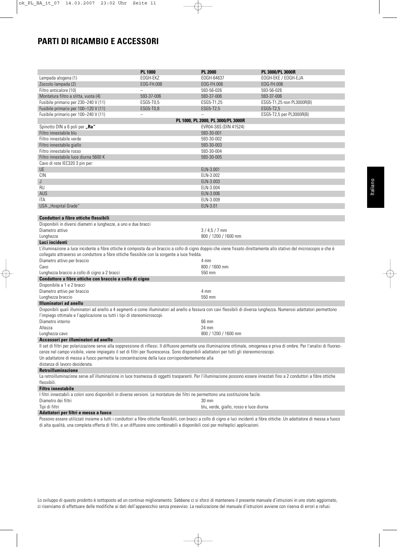# **PARTI DI RICAMBIO E ACCESSORI**

|                                                                                                                                                                                                                                                    | <b>PL 1000</b>           | <b>PL 2000</b>                          | PL 3000/PL 3000R          |
|----------------------------------------------------------------------------------------------------------------------------------------------------------------------------------------------------------------------------------------------------|--------------------------|-----------------------------------------|---------------------------|
| Lampada alogena (1)                                                                                                                                                                                                                                | EOGH-EKZ                 | EOGH-64637                              | EOGH-EKE / EOGH-EJA       |
| Zoccolo lampada (2)                                                                                                                                                                                                                                | EOG-FH.006               | EOG-FH.006                              | EOG-FH.006                |
| Filtro anticalore (10)                                                                                                                                                                                                                             | L,                       | 593-56-026                              | 593-56-026                |
| Montatura filtro a slitta, vuota (4)                                                                                                                                                                                                               | 593-37-006               | 593-37-006                              | 593-37-006                |
| Fusibile primario per 230-240 V (11)                                                                                                                                                                                                               | ESG5-T0,5                | ESG5-T1,25                              | ESG5-T1,25 non PL3000R(B) |
| Fusibile primario per 100-120 V (11)                                                                                                                                                                                                               | ESG5-T0,8                | ESG5-T2,5                               | ESG5-T2.5                 |
| Fusibile primario per 100-240 V (11)                                                                                                                                                                                                               | $\overline{\phantom{0}}$ | $\overline{\phantom{0}}$                | ESG5-T2,5 per PL3000R(B)  |
|                                                                                                                                                                                                                                                    |                          | PL 1000, PL 2000, PL 3000/PL 3000R      |                           |
| Spinotto DIN a 6 poli per "Ra"                                                                                                                                                                                                                     |                          | EVR04-S6S (DIN 41524)                   |                           |
| Filtro innestabile blu                                                                                                                                                                                                                             |                          | 593-30-001                              |                           |
| Filtro innestabile verde                                                                                                                                                                                                                           |                          | 593-30-002                              |                           |
| Filtro innestabile giallo                                                                                                                                                                                                                          |                          | 593-30-003                              |                           |
| Filtro innestabile rosso                                                                                                                                                                                                                           |                          | 593-30-004                              |                           |
| Filtro innestabile luce diurna 5600 K                                                                                                                                                                                                              |                          | 593-30-005                              |                           |
|                                                                                                                                                                                                                                                    |                          |                                         |                           |
| Cavo di rete IEC320 3 pin per:                                                                                                                                                                                                                     |                          |                                         |                           |
| <b>UE</b>                                                                                                                                                                                                                                          |                          | ELN-3.001                               |                           |
| <b>CIN</b>                                                                                                                                                                                                                                         |                          | ELN-3.002                               |                           |
| J                                                                                                                                                                                                                                                  |                          | ELN-3.003                               |                           |
| <b>RU</b>                                                                                                                                                                                                                                          |                          | ELN-3.004                               |                           |
| AUS                                                                                                                                                                                                                                                |                          | ELN-3.006                               |                           |
| ITA                                                                                                                                                                                                                                                |                          | ELN-3.009                               |                           |
| USA "Hospital Grade"                                                                                                                                                                                                                               |                          | ELN-3.01                                |                           |
|                                                                                                                                                                                                                                                    |                          |                                         |                           |
| Conduttori a fibre ottiche flessibili                                                                                                                                                                                                              |                          |                                         |                           |
| Disponibili in diversi diametri e lunghezze, a uno e due bracci                                                                                                                                                                                    |                          |                                         |                           |
| Diametro attivo                                                                                                                                                                                                                                    |                          | $3/4,5/7$ mm                            |                           |
| Lunghezza                                                                                                                                                                                                                                          |                          | 800 / 1200 / 1600 mm                    |                           |
| Luci incidenti                                                                                                                                                                                                                                     |                          |                                         |                           |
| L'illuminazione a luce incidente a fibre ottiche è composta da un braccio a collo di cigno doppio che viene fissato direttamente allo stativo del microscopio e che è                                                                              |                          |                                         |                           |
| collegato attraverso un conduttore a fibre ottiche flessibile con la sorgente a luce fredda.                                                                                                                                                       |                          |                                         |                           |
| Diametro attivo per braccio                                                                                                                                                                                                                        |                          | 4 mm                                    |                           |
| Cavo                                                                                                                                                                                                                                               |                          | 800 / 1600 mm                           |                           |
| Lunghezza braccio a collo di cigno a 2 bracci                                                                                                                                                                                                      |                          | 550 mm                                  |                           |
| Conduttore a fibre ottiche con braccio a collo di cigno                                                                                                                                                                                            |                          |                                         |                           |
| Disponibile a 1 e 2 bracci                                                                                                                                                                                                                         |                          |                                         |                           |
| Diametro attivo per braccio                                                                                                                                                                                                                        |                          | 4 mm                                    |                           |
| Lunghezza braccio                                                                                                                                                                                                                                  |                          | 550 mm                                  |                           |
| <b>Illuminatori ad anello</b>                                                                                                                                                                                                                      |                          |                                         |                           |
|                                                                                                                                                                                                                                                    |                          |                                         |                           |
| Disponibili quali illuminatori ad anello a 4 segmenti e come illuminatori ad anello a fessura con cavi flessibili di diversa lunghezza. Numerosi adattatori permettono<br>l'impiego ottimale e l'applicazione su tutti i tipi di stereomicroscopi. |                          |                                         |                           |
|                                                                                                                                                                                                                                                    |                          |                                         |                           |
| Diametro interno                                                                                                                                                                                                                                   |                          | 66 mm                                   |                           |
| Altezza                                                                                                                                                                                                                                            |                          | 24 mm                                   |                           |
| Lunghezza cavo                                                                                                                                                                                                                                     |                          | 800 / 1200 / 1600 mm                    |                           |
| Accessori per illuminatori ad anello                                                                                                                                                                                                               |                          |                                         |                           |
| Il set di filtri per polarizzazione serve alla soppressione di riflessi. Il diffusore permette una illuminazione ottimale, omogenea e priva di ombre. Per l'analisi di fluores-                                                                    |                          |                                         |                           |
| cenze nel campo visibile, viene impiegato il set di filtri per fluorescenza. Sono disponibili adattatori per tutti gli stereomicroscopi.                                                                                                           |                          |                                         |                           |
| Un adattatore di messa a fuoco permette la concentrazione della luce corrispondentemente alla                                                                                                                                                      |                          |                                         |                           |
| distanza di lavoro desiderata.                                                                                                                                                                                                                     |                          |                                         |                           |
| <b>Retroilluminazione</b>                                                                                                                                                                                                                          |                          |                                         |                           |
| La retroilluminazione serve all'illuminazione in luce trasmessa di oggetti trasparenti. Per l'illuminazione possono essere innestati fino a 2 conduttori a fibre ottiche                                                                           |                          |                                         |                           |
| flessibili.                                                                                                                                                                                                                                        |                          |                                         |                           |
| <b>Filtro innestabile</b>                                                                                                                                                                                                                          |                          |                                         |                           |
| I filtri innestabili a colori sono disponibili in diverse versioni. Le montature dei filtri ne permettono una sostituzione facile.                                                                                                                 |                          |                                         |                           |
| Diametro dei filtri                                                                                                                                                                                                                                |                          | $30 \text{ mm}$                         |                           |
| Tipi di filtri                                                                                                                                                                                                                                     |                          | blu, verde, giallo, rosso e luce diurna |                           |
| Adattatori per filtri e messa a fuoco                                                                                                                                                                                                              |                          |                                         |                           |
|                                                                                                                                                                                                                                                    |                          |                                         |                           |

Possono essere utilizzati insieme a tutti i conduttori a fibre ottiche flessibili, con bracci a collo di cigno e luci incidenti a fibre ottiche. Un adattatore di messa a fuoco di alta qualità, una completa offerta di filtri, e un diffusore sono combinabili e disponibili così per molteplici applicazioni.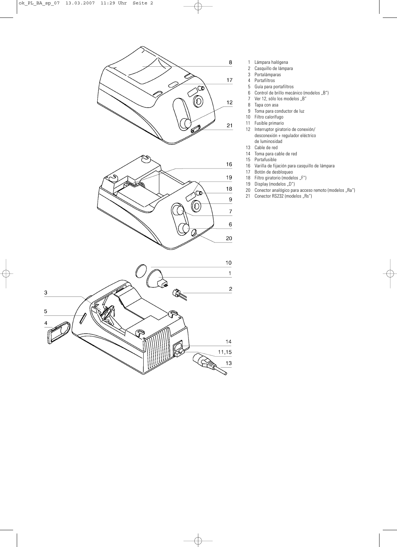

- 1 Lámpara halógena<br>2 Casquillo de lámpa
- 2 Casquillo de lámpara<br>3 Portalámparas
- Portalámparas
- 4 Portafiltros<br>5 Guía para p
- 5 Guía para portafiltros<br>6 Control de brillo mecá
- Control de brillo mecánico (modelos "B")
- 7 Ver 12, sólo los modelos "B"<br>8 Tapa con asa
- Tapa con asa
- 9 Toma para conductor de luz
- 10 Filtro calorífugo<br>11 Fusible primario
- 11 Fusible primario<br>12 Interruptor girato
	- 12 Interruptor giratorio de conexión/ desconexión + regulador eléctrico de luminosidad
- 13 Cable de red
- 14 Toma para cable de red
- Portafusible
- 16 Varilla de fijación para casquillo de lámpara
- 17 Botón de desbloqueo<br>18 Filtro giratorio (model
- Filtro giratorio (modelos "F")
- 19 Display (modelos "D")<br>20 Conector analógico par
- 20 Conector analógico para acceso remoto (modelos "Ra")
- 21 Conector RS232 (modelos "Rs")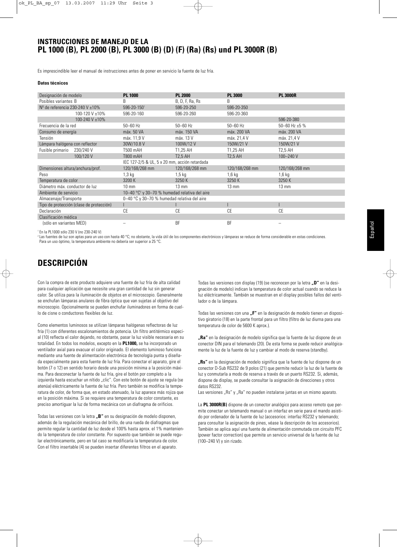## **INSTRUCCIONES DE MANEJO DE LA PL 1000 (B), PL 2000 (B), PL 3000 (B) (D) (F) (Ra) (Rs) und PL 3000R (B)**

Es imprescindible leer el manual de instrucciones antes de poner en servicio la fuente de luz fría.

### **Datos técnicos**

| Designación de modelo                    | <b>PL 1000</b>                                                      | <b>PL 2000</b>  | <b>PL 3000</b>  | <b>PL 3000R</b>    |
|------------------------------------------|---------------------------------------------------------------------|-----------------|-----------------|--------------------|
| Posibles variantes B                     | B                                                                   | B, D, F, Ra, Rs | B               |                    |
| $No$ de referencia 230-240 V $\pm 10\%$  | 596-20-1501                                                         | 596-20-250      | 596-20-350      |                    |
| 100-120 V ±10%                           | 596-20-160                                                          | 596-20-260      | 596-20-360      |                    |
| 100-240 V ±10%                           |                                                                     |                 |                 | 596-20-380         |
| Frecuencia de la red                     | $50 - 60$ Hz                                                        | $50 - 60$ Hz    | $50 - 60$ Hz    | 50-60 Hz $\pm$ 5 % |
| Consumo de energía                       | máx. 50 VA                                                          | máx. 150 VA     | máx. 200 VA     | máx. 200 VA        |
| Tensión                                  | máx. 11.9 V                                                         | máx. 13 V       | máx. 21.4 V     | máx. 21.4 V        |
| Lámpara halógena con reflector           | 30W/10.8 V                                                          | 100W/12V        | 150W/21 V       | 150W/21 V          |
| 230/240 V<br>Fusible primario            | T500 mAH                                                            | T1.25 AH        | T1.25 AH        | <b>T2.5 AH</b>     |
| 100/120 V                                | T800 mAH                                                            | <b>T2.5 AH</b>  | <b>T2.5 AH</b>  | $100 - 240$ V      |
|                                          | IEC 127-2/5 & UL, 5 x 20 mm, acción retardada                       |                 |                 |                    |
| Dimensiones altura/anchura/prof.         | 120/168/268 mm                                                      | 120/168/268 mm  | 120/168/268 mm  | 120/168/268 mm     |
| Peso                                     | $1,3$ kg                                                            | $1,5$ kg        | $1,6$ kg        | 1,6 kg             |
| Temperatura de color                     | 3200 K                                                              | 3250K           | 3250 K          | 3250 K             |
| Diámetro máx, conductor de luz           | $10 \text{ mm}$                                                     | $13 \text{ mm}$ | $13 \text{ mm}$ | $13 \text{ mm}$    |
| Ambiente de servicio                     | 10-40 $^{\circ}$ C <sup>2</sup> y 30-70 % humedad relativa del aire |                 |                 |                    |
| Almacenaje/Transporte                    | 0-40 °C y 30-70 % humedad relativa del aire                         |                 |                 |                    |
| Tipo de protección (clase de protección) |                                                                     |                 |                 |                    |
| Declaración                              | CE                                                                  | СE              | <b>CE</b>       | <b>CE</b>          |
| Clasificación médica                     |                                                                     |                 |                 |                    |
| (sólo en variantes MED)                  |                                                                     | <b>BF</b>       | <b>BF</b>       |                    |

<sup>1</sup> En la PL1000 sólo 230 V (no 230-240 V)

<sup>2</sup> Las fuentes de luz son aptas para un uso con hasta 40 °C; no obstante, la vida útil de los componentes electrónicos y lámparas se reduce de forma considerable en estas condiciones. Para un uso óptimo, la temperatura ambiente no debería ser superior a 25 °C.

# **DESCRIPCIÓN**

Con la compra de este producto adquiere una fuente de luz fría de alta calidad para cualquier aplicación que necesite una gran cantidad de luz sin generar calor. Se utiliza para la iluminación de objetos en el microscopio. Generalmente se enchufan lámparas anulares de fibra óptica que van sujetas al objetivo del microscopio. Opcionalmente se pueden enchufar iluminadores en forma de cuello de cisne o conductores flexibles de luz.

Como elementos luminosos se utilizan lámparas halógenas reflectoras de luz fría (1) con diferentes escalonamientos de potencia. Un filtro antitérmico especial (10) reflecta el calor dejando, no obstante, pasar la luz visible necesaria en su totalidad. En todos los modelos, excepto en la **PL1000,** se ha incorporado un ventilador axial para evacuar el calor originado. El elemento luminoso funciona mediante una fuente de alimentación electrónica de tecnología punta y diseñada especialmente para esta fuente de luz fría. Para conectar el aparato, gire el botón (7 o 12) en sentido horario desde una posición mínima a la posición máxima. Para desconectar la fuente de luz fría, gire el botón por completo a la izquierda hasta escuchar un nítido "clic". Con este botón de ajuste se regula (se atenúa) eléctricamente la fuente de luz fría. Pero también se modifica la temperatura de color, de forma que, en estado atenuado, la luz aparece más rojiza que en la posición máxima. Si se requiere una temperatura de color constante, es preciso amortiguar la luz de forma mecánica con un diafragma de orificios.

Todas las versiones con la letra "B" en su designación de modelo disponen, además de la regulación mecánica del brillo, de una rueda de diafragmas que permite regular la cantidad de luz desde el 100% hasta aprox. el 1% manteniendo la temperatura de color constante. Por supuesto que también se puede regular electrónicamente, pero en tal caso se modificaría la temperatura de color. Con el filtro insertable (4) se pueden insertar diferentes filtros en el aparato.

Todas las versiones con display (19) (se reconocen por la letra "D" en la designación de modelo) indican la temperatura de color actual cuando se reduce la luz eléctricamente. También se muestran en el display posibles fallos del ventilador o de la lámpara.

Todas las versiones con una "F" en la designación de modelo tienen un dispositivo giratorio (18) en la parte frontal para un filtro (filtro de luz diurna para una temperatura de color de 5600 K aprox.).

**"Ra"** en la designación de modelo significa que la fuente de luz dispone de un conector DIN para el telemando (20). De esta forma se puede reducir analógicamente la luz de la fuente de luz y cambiar al modo de reserva (standby).

**"Rs"** en la designación de modelo significa que la fuente de luz dispone de un conector D-Sub RS232 de 9 polos (21) que permite reducir la luz de la fuente de luz y conmutarla a modo de reserva a través de un puerto RS232. Si, además, dispone de display, se puede consultar la asignación de direcciones y otros datos RS232.

Las versiones "Rs" y "Ra" no pueden instalarse juntas en un mismo aparato.

La **PL 3000R(B)** dispone de un conector analógico para acceso remoto que permite conectar un telemando manual o un interfaz en serie para el mando asistido por ordenador de la fuente de luz (accesorios: interfaz RS232 y telemando; para consultar la asignación de pines, véase la descripción de los accesorios). También se aplica aquí una fuente de alimentación conmutada con circuito PFC (power factor correction) que permite un servicio universal de la fuente de luz (100–240 V) y sin rizado.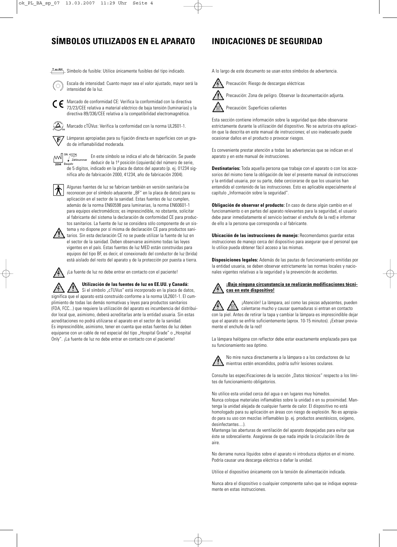# **SÍMBOLOS UTILIZADOS EN EL APARATO INDICACIONES DE SEGURIDAD**

T**xxAH** Símbolo de fusible: Utilice únicamente fusibles del tipo indicado.



Escala de intensidad: Cuanto mayor sea el valor ajustado, mayor será la intensidad de la luz.

CC Marcado de conformidad CE: Verifica la conformidad con la directiva 73/23/CEE relativa a material eléctrico de baja tensión (luminarias) y la directiva 89/336/CEE relativa a la compatibilidad electromagnética.

 $\left(\Delta\right)$ Marcado cTÜVus: Verifica la conformidad con la norma UL2601-1.

Lámparas apropiadas para su fijación directa en superficies con un gra-正 do de inflamabilidad moderada.

 $\left[\begin{matrix} 1 \\ 1 \end{matrix}\right]$   $\left[\begin{matrix} 1 & 1 & 2 & 34 \\ 1 & 2 & 2 & 16 \\ 1 & 1 & 2 & 2 & 16 \end{matrix}\right]$ En este símbolo se indica el año de fabricación. Se puede  $\overline{\phantom{a}}$  Zählnummer<br>Baujabr deducir de la 1ª posición (izquierda) del número de serie, de 5 dígitos, indicado en la placa de datos del aparato (p. ej. 01234 significa año de fabricación 2000, 41234, año de fabricación 2004).

Algunas fuentes de luz se fabrican también en versión sanitaria (se reconocen por el símbolo adyacente "BF" en la placa de datos) para su aplicación en el sector de la sanidad. Estas fuentes de luz cumplen, además de la norma EN60598 para luminarias, la norma EN60601-1 para equipos electromédicos; es imprescindible, no obstante, solicitar al fabricante del sistema la declaración de conformidad CE para productos sanitarios. La fuente de luz se considera sólo componente de un sis-



tema y no dispone por sí misma de declaración CE para productos sanitarios. Sin esta declaración CE no se puede utilizar la fuente de luz en el sector de la sanidad. Deben observarse asimismo todas las leyes vigentes en el país. Estas fuentes de luz MED están construidas para equipos del tipo BF, es decir, el conexionado del conductor de luz (brida) está aislado del resto del aparato y de la protección por puesta a tierra.

¡La fuente de luz no debe entrar en contacto con el paciente!

**Utilización de las fuentes de luz en EE.UU. y Canadá:**

Si el símbolo "cTUVus" está incorporado en la placa de datos, significa que el aparato está construido conforme a la norma UL2601-1. El cumplimiento de todas las demás normativas y leyes para productos sanitarios (FDA, FCC...) que requiere la utilización del aparato es incumbencia del distribuidor local que, asimismo, deberá acreditarlas ante la entidad usuaria. Sin estas acreditaciones no podrá utilizarse el aparato en el sector de la sanidad. Es imprescindible, asimismo, tener en cuenta que estas fuentes de luz deben equiparse con un cable de red especial del tipo "Hospital Grade" o "Hospital Only". ¡La fuente de luz no debe entrar en contacto con el paciente!

A lo largo de este documento se usan estos símbolos de advertencia.





Precaución: Zona de peligro. Observar la documentación adjunta.

Precaución: Superficies calientes

Esta sección contiene información sobre la seguridad que debe observarse estrictamente durante la utilización del dispositivo. No se autoriza otra aplicación que la descrita en este manual de instrucciones; el uso inadecuado puede ocasionar daños en el producto o provocar riesgos.

Es conveniente prestar atención a todas las advertencias que se indican en el aparato y en este manual de instrucciones.

**Destinatarios:** Toda aquella persona que trabaje con el aparato o con los accesorios del mismo tiene la obligación de leer el presente manual de instrucciones y la entidad usuaria, por su parte, debe cerciorarse de que los usuarios han entendido el contenido de las instrucciones. Esto es aplicable especialmente al capítulo "Información sobre la seguridad".

**Obligación de observar el producto:** En caso de darse algún cambio en el funcionamiento o en partes del aparato relevantes para la seguridad, el usuario debe parar inmediatamente el servicio (extraer el enchufe de la red) e informar de ello a la persona que corresponda o al fabricante.

**Ubicación de las instrucciones de manejo:** Recomendamos guardar estas instrucciones de manejo cerca del dispositivo para asegurar que el personal que lo utilice pueda obtener fácil acceso a las mismas.

**Disposiciones legales:** Además de las pautas de funcionamiento emitidas por la entidad usuaria, se deben observar estrictamente las normas locales y nacionales vigentes relativas a la seguridad y la prevención de accidentes.

### **¡Bajo ninguna circunstancia se realizarán modificaciones técnicas en este dispositivo!**

¡Atención! La lámpara, así como las piezas adyacentes, pueden calentarse mucho y causar quemaduras si entran en contacto con la piel. Antes de retirar la tapa y cambiar la lámpara es imprescindible dejar que el aparato se enfríe suficientemente (aprox. 10-15 minutos). ¡Extraer previamente el enchufe de la red!

La lámpara halógena con reflector debe estar exactamente emplazada para que su funcionamiento sea óptimo.



No mire nunca directamente a la lámpara o a los conductores de luz mientras estén encendidos, podría sufrir lesiones oculares.

Consulte las especificaciones de la sección "Datos técnicos" respecto a los límites de funcionamiento obligatorios.

No utilice esta unidad cerca del agua o en lugares muy húmedos. Nunca coloque materiales inflamables sobre la unidad o en su proximidad. Mantenga la unidad alejada de cualquier fuente de calor. El dispositivo no está homologado para su aplicación en áreas con riesgo de explosión. No es apropiado para su uso con mezclas inflamables (p. ej. productos anestésicos, oxígeno, desinfectantes....).

Mantenga las aberturas de ventilación del aparato despejadas para evitar que éste se sobrecaliente. Asegúrese de que nada impide la circulación libre de aire.

No derrame nunca líquidos sobre el aparato ni introduzca objetos en el mismo. Podría causar una descarga eléctrica o dañar la unidad.

Utilice el dispositivo únicamente con la tensión de alimentación indicada.

Nunca abra el dispositivo o cualquier componente salvo que se indique expresamente en estas instrucciones.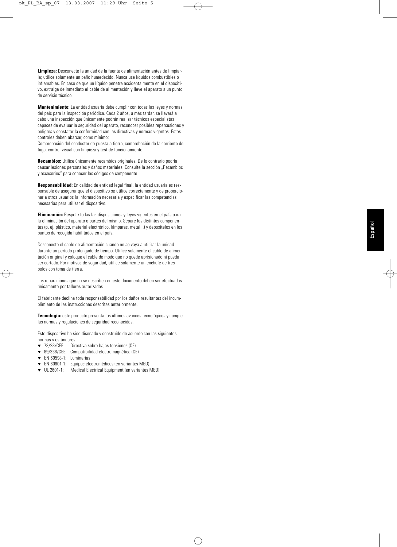**Limpieza:** Desconecte la unidad de la fuente de alimentación antes de limpiarla; utilice solamente un paño humedecido. Nunca use líquidos combustibles o inflamables. En caso de que un líquido penetre accidentalmente en el dispositivo, extraiga de inmediato el cable de alimentación y lleve el aparato a un punto de servicio técnico.

**Mantenimiento:** La entidad usuaria debe cumplir con todas las leyes y normas del país para la inspección periódica. Cada 2 años, a más tardar, se llevará a cabo una inspección que únicamente podrán realizar técnicos especialistas capaces de evaluar la seguridad del aparato, reconocer posibles repercusiones y peligros y constatar la conformidad con las directivas y normas vigentes. Estos controles deben abarcar, como mínimo:

Comprobación del conductor de puesta a tierra, comprobación de la corriente de fuga, control visual con limpieza y test de funcionamiento.

**Recambios:** Utilice únicamente recambios originales. De lo contrario podría causar lesiones personales y daños materiales. Consulte la sección "Recambios y accesorios" para conocer los códigos de componente.

**Responsabilidad:** En calidad de entidad legal final, la entidad usuaria es responsable de asegurar que el dispositivo se utilice correctamente y de proporcionar a otros usuarios la información necesaria y especificar las competencias necesarias para utilizar el dispositivo.

**Eliminación:** Respete todas las disposiciones y leyes vigentes en el país para la eliminación del aparato o partes del mismo. Separe los distintos componentes (p. ej. plástico, material electrónico, lámparas, metal...) y deposítelos en los puntos de recogida habilitados en el país.

Desconecte el cable de alimentación cuando no se vaya a utilizar la unidad durante un período prolongado de tiempo. Utilice solamente el cable de alimentación original y coloque el cable de modo que no quede aprisionado ni pueda ser cortado. Por motivos de seguridad, utilice solamente un enchufe de tres polos con toma de tierra.

Las reparaciones que no se describen en este documento deben ser efectuadas únicamente por talleres autorizados.

El fabricante declina toda responsabilidad por los daños resultantes del incumplimiento de las instrucciones descritas anteriormente.

**Tecnología:** este producto presenta los últimos avances tecnológicos y cumple las normas y regulaciones de seguridad reconocidas.

Este dispositivo ha sido diseñado y construido de acuerdo con las siguientes normas y estándares.

- ▼ 73/23/CEE Directiva sobre bajas tensiones (CE)
- 89/336/CEE Compatibilidad electromagnética (CE)
- ▼ EN 60598-1: Luminarias
- ▼ EN 60601-1: Equipos electromédicos (en variantes MED)
- ▼ UL 2601-1: Medical Electrical Equipment (en variantes MED)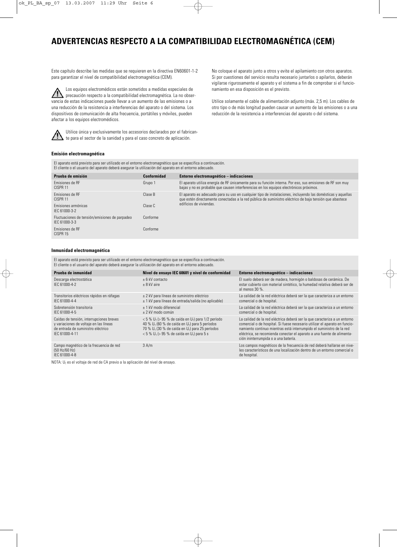# **ADVERTENCIAS RESPECTO A LA COMPATIBILIDAD ELECTROMAGNÉTICA (CEM)**

Este capítulo describe las medidas que se requieren en la directiva EN60601-1-2 para garantizar el nivel de compatibilidad electromagnética (CEM).

Los equipos electromédicos están sometidos a medidas especiales de precaución respecto a la compatibilidad electromagnética. La no observancia de estas indicaciones puede llevar a un aumento de las emisiones o a una reducción de la resistencia a interferencias del aparato o del sistema. Los dispositivos de comunicación de alta frecuencia, portátiles y móviles, pueden afectar a los equipos electromédicos.



Utilice única y exclusivamente los accesorios declarados por el fabrican- $\blacktriangle$  te para el sector de la sanidad y para el caso concreto de aplicación.

No coloque el aparato junto a otros y evite el apilamiento con otros aparatos. Si por cuestiones del servicio resulta necesario juntarlos o apilarlos, deberán vigilarse rigurosamente el aparato y el sistema a fin de comprobar si el funcionamiento en esa disposición es el previsto.

Utilice solamente el cable de alimentación adjunto (máx. 2,5 m). Los cables de otro tipo o de más longitud pueden causar un aumento de las emisiones o a una reducción de la resistencia a interferencias del aparato o del sistema.

### **Emisión electromagnética**

El aparato está previsto para ser utilizado en el entorno electromagnético que se especifica a continuación. El cliente o el usuario del aparato deberá asegurar la utilización del aparato en el entorno adecuado.

| Prueba de emisión                                               | Conformidad | Entorno electromagnético - indicaciones                                                                                                                                                                                |
|-----------------------------------------------------------------|-------------|------------------------------------------------------------------------------------------------------------------------------------------------------------------------------------------------------------------------|
| <b>Fmisiones de RF</b><br>CISPR <sub>11</sub>                   | Grupo 1     | El aparato utiliza energía de RF únicamente para su función interna. Por eso, sus emisiones de RF son muy<br>bajas y no es probable que causen interferencias en los equipos electrónicos próximos.                    |
| <b>Fmisiones de RF</b><br>CISPR <sub>11</sub>                   | Clase B     | El aparato es adecuado para su uso en cualquier tipo de instalaciones, incluyendo las domésticas y aquellas<br>que estén directamente conectadas a la red pública de suministro eléctrico de baja tensión que abastece |
| Emisiones armónicas<br>IFC 61000-3-2                            | Clase C     | edificios de viviendas.                                                                                                                                                                                                |
| Fluctuaciones de tensión/emisiones de parpadeo<br>IFC 61000-3-3 | Conforme    |                                                                                                                                                                                                                        |
| Fmisiones de RF<br>CISPR 15                                     | Conforme    |                                                                                                                                                                                                                        |

### **Inmunidad electromagnética**

El aparato está previsto para ser utilizado en el entorno electromagnético que se especifica a continuación. El cliente o el usuario del aparato deberá asegurar la utilización del aparato en el entorno adecuado.

| Nivel de ensayo IEC 60601 y nivel de conformidad                                                                                                                                                                                                               | Entorno electromagnético - indicaciones                                                                                                                                                                                                                                                                                                           |
|----------------------------------------------------------------------------------------------------------------------------------------------------------------------------------------------------------------------------------------------------------------|---------------------------------------------------------------------------------------------------------------------------------------------------------------------------------------------------------------------------------------------------------------------------------------------------------------------------------------------------|
| $+6$ kV contacto<br>$± 8$ kV aire                                                                                                                                                                                                                              | El suelo deberá ser de madera, hormigón o baldosas de cerámica. De<br>estar cubierto con material sintético. la humedad relativa deberá ser de<br>al menos 30 %.                                                                                                                                                                                  |
| $\pm$ 2 kV para líneas de suministro eléctrico<br>$\pm$ 1 kV para líneas de entrada/salida (no aplicable)                                                                                                                                                      | La calidad de la red eléctrica deberá ser la que caracteriza a un entorno<br>comercial o de hospital.                                                                                                                                                                                                                                             |
| $\pm$ 1 kV modo diferencial<br>$\pm$ 2 kV modo común                                                                                                                                                                                                           | La calidad de la red eléctrica deberá ser la que caracteriza a un entorno<br>comercial o de hospital.                                                                                                                                                                                                                                             |
| $<$ 5 % U <sub>T</sub> ( $>$ 95 % de caída en U <sub>T</sub> ) para 1/2 período<br>40 % $U_T$ (60 % de caída en $U_T$ ) para 5 períodos<br>70 % $U_T$ (30 % de caída en $U_T$ ) para 25 períodos<br>$< 5 \% U_T$ (> 95 % de caída en U <sub>T</sub> ) para 5 s | La calidad de la red eléctrica deberá ser la que caracteriza a un entorno<br>comercial o de hospital. Si fuese necesario utilizar el aparato en funcio-<br>namiento continuo mientras está interrumpido el suministro de la red<br>eléctrica, se recomienda conectar el aparato a una fuente de alimenta-<br>ción ininterrumpida o a una batería. |
| 3 A/m                                                                                                                                                                                                                                                          | Los campos magnéticos de la frecuencia de red deberá hallarse en nive-<br>les característicos de una localización dentro de un entorno comercial o<br>de hospital.                                                                                                                                                                                |
|                                                                                                                                                                                                                                                                |                                                                                                                                                                                                                                                                                                                                                   |

NOTA:  $U_T$  es el voltaje de red de CA previo a la aplicación del nivel de ensayo.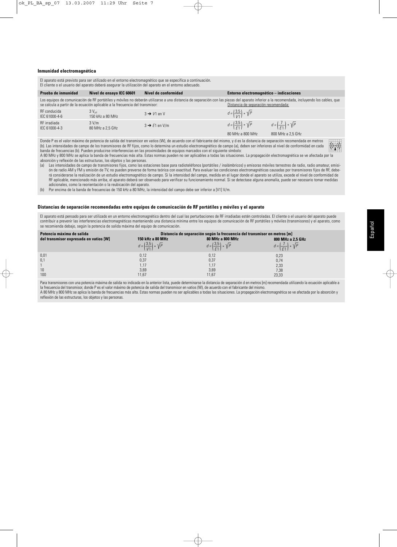### **Inmunidad electromagnética**

|                                                                                                                                                                                                                                                                                                                                                                                                                                                                                                    |                                                                              | El aparato está previsto para ser utilizado en el entorno electromagnético que se especifica a continuación.<br>El cliente o el usuario del aparato deberá asegurar la utilización del aparato en el entorno adecuado. |                                                                                                  |                                                                  |  |
|----------------------------------------------------------------------------------------------------------------------------------------------------------------------------------------------------------------------------------------------------------------------------------------------------------------------------------------------------------------------------------------------------------------------------------------------------------------------------------------------------|------------------------------------------------------------------------------|------------------------------------------------------------------------------------------------------------------------------------------------------------------------------------------------------------------------|--------------------------------------------------------------------------------------------------|------------------------------------------------------------------|--|
| Prueba de inmunidad                                                                                                                                                                                                                                                                                                                                                                                                                                                                                | Nivel de ensayo IEC 60601                                                    | Nivel de conformidad                                                                                                                                                                                                   | Entorno electromagnético - indicaciones                                                          |                                                                  |  |
|                                                                                                                                                                                                                                                                                                                                                                                                                                                                                                    | se calcula a partir de la ecuación aplicable a la frecuencia del transmisor: | Los equipos de comunicación de RF portátiles y móviles no deberán utilizarse a una distancia de separación con las piezas del aparato inferior a la recomendada, incluyendo los cables, que                            | Distancia de separación recomendada:                                                             |                                                                  |  |
| RF conducida<br>IEC 61000-4-6                                                                                                                                                                                                                                                                                                                                                                                                                                                                      | $3V_{\text{off}}$<br>150 kHz a 80 MHz                                        | $3 \rightarrow V1$ en V                                                                                                                                                                                                | $d = \left(\frac{3.5}{1/1}\right) * \sqrt{P}$                                                    |                                                                  |  |
| RF irradiada<br>IFC 61000-4-3                                                                                                                                                                                                                                                                                                                                                                                                                                                                      | 3 V/m<br>80 MHz a 2.5 GHz                                                    | $3 \rightarrow E1$ en V/m                                                                                                                                                                                              | $d = \left(\frac{3.5}{5}\right) * \sqrt{P}$<br>80 MHz a 800 MHz                                  | $d = \left(\frac{I}{F_1}\right) * \sqrt{P}$<br>800 MHz a 2,5 GHz |  |
| Donde P es el valor máximo de potencia de salida del transmisor en vatios (W), de acuerdo con el fabricante del mismo, y d es la distancia de separación recomendada en metros<br>(b). Las intensidades de campo de los transmisores de RF fijos, como lo determina un estudio electromagnético de campo (a), deben ser inferiores al nivel de conformidad en cada<br>banda de frecuencias (b). Pueden producirse interferencias en las proximidades de equipos marcados con el siguiente símbolo: |                                                                              |                                                                                                                                                                                                                        | $\left(\left(\begin{smallmatrix} \cdot & \cdot \\ \cdot & \cdot \end{smallmatrix}\right)\right)$ |                                                                  |  |

banda de frecuencias (b). Pueden producirse interferencias en las proximidades de equipos marcados con el siguiente símbolo: A 80 MHz y 800 MHz se aplica la banda de frecuencias más alta. Estas normas pueden no ser aplicables a todas las situaciones. La propagación electromagnética se ve afectada por la absorción y reflexión de las estructuras, los objetos y las personas.

(a) Las intensidades de campo de transmisores fijos, como las estaciones base para radioteléfonos (portátiles / inalámbricos) y emisoras móviles terrestres de radio, radio amateur, emisión de radio AM y FM y emisión de TV, no pueden preverse de forma teórica con exactitud. Para evaluar las condiciones electromagnéticas causadas por transmisores fijos de RF, deberá considerarse la realización de un estudio electromagnético de campo. Si la intensidad del campo, medida en el lugar donde el aparato se utiliza, excede el nivel de conformidad de RF aplicable, mencionado más arriba, el aparato deberá ser observado para verificar su funcionamiento normal. Si se detectase alguna anomalía, puede ser necesario tomar medidas adicionales, como la reorientación o la reubicación del aparato.

(b) Por encima de la banda de frecuencias de 150 kHz a 80 MHz, la intensidad del campo debe ser inferior a [V1] V/m.

### **Distancias de separación recomendadas entre equipos de comunicación de RF portátiles y móviles y el aparato**

El aparato está pensado para ser utilizado en un entorno electromagnético dentro del cual las perturbaciones de RF irradiadas estén controladas. El cliente o el usuario del aparato puede contribuir a prevenir las interferencias electromagnéticas manteniendo una distancia mínima entre los equipos de comunicación de RF portátiles y móviles (transmisores) y el aparato, como se recomienda debajo, según la potencia de salida máxima del equipo de comunicación.

| Potencia máxima de salida              | Distancia de separación según la frecuencia del transmisor en metros [m] |                                              |                                            |
|----------------------------------------|--------------------------------------------------------------------------|----------------------------------------------|--------------------------------------------|
| del transmisor expresada en vatios [W] | 150 kHz a 80 MHz                                                         | 80 MHz a 800 MHz                             | 800 MHz a 2,5 GHz                          |
|                                        | $d = \left(\frac{3.5}{1/1}\right) * \sqrt{P}$                            | $d = \left(\frac{3.5}{51}\right) * \sqrt{P}$ | $d = \left(\frac{7}{51}\right) * \sqrt{P}$ |
| 0,01                                   | 0,12                                                                     | 0,12                                         | 0,23                                       |
| 0,1                                    | 0,37                                                                     | 0,37                                         | 0,74                                       |
|                                        | 1,17                                                                     | 1.17                                         | 2,33                                       |
| 10                                     | 3,69                                                                     | 3,69                                         | 7,38                                       |
| 100                                    | 11,67                                                                    | 11,67                                        | 23,33                                      |

Para transmisores con una potencia máxima de salida no indicada en la anterior lista, puede determinarse la distancia de separación d en metros [m] recomendada utilizando la ecuación aplicable a la frecuencia del transmisor, donde P es el valor máximo de potencia de salida del transmisor en vatios (W), de acuerdo con el fabricante del mismo. A 80 MHz y 800 MHz se aplica la banda de frecuencias más alta. Estas normas pueden no ser aplicables a todas las situaciones. La propagación electromagnética se ve afectada por la absorción y reflexión de las estructuras, los objetos y las personas.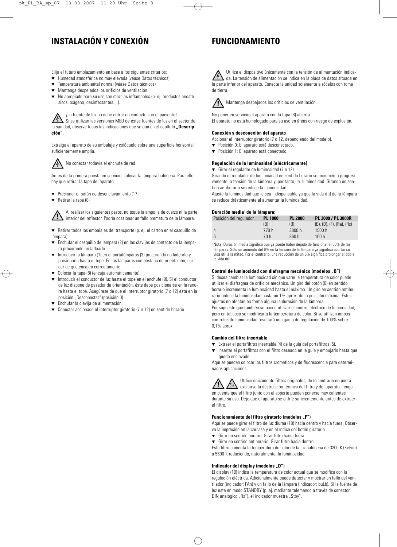# **INSTALACIÓN Y CONEXIÓN**

# **FUNCIONAMIENTO**

Elija el futuro emplazamiento en base a los siguientes criterios:

- ▼ Humedad atmosférica no muy elevada (véase Datos técnicos)
- ▼ Temperatura ambiental normal (véase Datos técnicos)
- Mantenga despejados los orificios de ventilación.
- ▼ No apropiado para su uso con mezclas inflamables (p. ej. productos anestésicos, oxígeno, desinfectantes....).

¡La fuente de luz no debe entrar en contacto con el paciente!

Si se utilizan las versiones MED de estas fuentes de luz en el sector de la sanidad, observe todas las indicaciones que se dan en el capítulo "**Descripción".**

Extraiga el aparato de su embalaje y colóquelo sobre una superficie horizontal suficientemente amplia.



No conectar todavía el enchufe de red.

Antes de la primera puesta en servicio, colocar la lámpara halógena. Para ello hay que retirar la tapa del aparato.

- ▼ Presionar el botón de desenclavamiento (17)
- ▼ Retirar la tapa (8)

Al realizar los siguientes pasos, no toque la ampolla de cuarzo ni la parte interior del reflector. Podría ocasionar un fallo prematuro de la lámpara.

▼ Retirar todos los embalajes del transporte (p. ej. el cartón en el casquillo de lámnara).

- ▼ Enchufar el casquillo de lámpara (2) en las clavijas de contacto de la lámpara procurando no ladearlo.
- Introducir la lámpara (1) en el portalámparas (3) procurando no ladearla y presionarla hasta el tope. En las lámparas con pestaña de orientación, cuidar de que encajen correctamente.
- Colocar la tapa (8) (encaja automáticamente).
- Introducir el conductor de luz hasta el tope en el enchufe (9). Si el conductor de luz dispone de pasador de orientación, éste debe posicionarse en la ranura hasta el tope. Asegúrese de que el interruptor giratorio (7 o 12) está en la posición "Desconectar" (posición 0).
- Enchufar la clavija de alimentación.
- Conectar accionado el interruptor giratorio (7 o 12) en sentido horario.

Utilice el dispositivo únicamente con la tensión de alimentación indicada. La tensión de alimentación se indica en la placa de datos situada en la parte inferior del aparato. Conecte la unidad solamente a zócalos con toma de tierra.



Mantenga despejados los orificios de ventilación.

No poner en servicio el aparato con la tapa (8) abierta. El aparato no está homologado para su uso en áreas con riesgo de explosión.

### **Conexión y desconexión del aparato**

Accionar el interruptor giratorio (7 o 12, dependiendo del modelo).

- ▼ Posición 0: El aparato está desconectado.
- ▼ Posición 1: El aparato está conectado.

### **Regulación de la luminosidad (eléctricamente)**

▼ Girar el regulador de luminosidad (7 o 12).

Girando el regulador de luminosidad en sentido horario se incrementa progresivamente la tensión de la lámpara y, por tanto, la luminosidad. Girando en sentido antihorario se reduce la luminosidad.

Ajuste la luminosidad que le sea indispensable ya que la vida útil de la lámpara se reduce drásticamente al aumentar la luminosidad.

### **Duración media**<sup>1</sup> **de la lámpara:**

| Posición del regulador | <b>PL 1000</b> | <b>PL 2000</b> | PL 3000 / PL 3000R                      |
|------------------------|----------------|----------------|-----------------------------------------|
|                        | (B)            | (B)            | $(B)$ , $(D)$ , $(F)$ , $(Ra)$ , $(Rs)$ |
| 4                      | 770 h          | 3000 h         | 1500h                                   |
| 6                      | 70 h           | 360h           | 160h                                    |

<sup>1</sup> Nota: Duración media significa que ya puede haber dejado de funcionar el 50% de las lámparas. Sólo un aumento del 6% en la tensión de la lámpara ya significa acortar su vida útil a la mitad. Por el contrario, una reducción de un 6% significa prolongar el doble la vida útil.

### **Control de luminosidad con diafragma mecánico (modelos "B")**

Si desea cambiar la luminosidad sin que varíe la temperatura de color puede utilizar el diafragma de orificios mecánico. Un giro del botón (6) en sentido horario incrementa la luminosidad hasta el máximo. Un giro en sentido antihorario reduce la luminosidad hasta un 1% aprox. de la posición máxima. Estos ajustes no afectan en forma alguna la duración de la lámpara. Por supuesto que también se puede utilizar el control eléctrico de luminosidad, pero en tal caso se modificaría la temperatura de color. Si se utilizan ambos controles de luminosidad resultará una gama de regulación de 100% sobre 0,1% aprox.

### **Cambio del filtro insertable**

- ▼ Extraer el portafiltros insertable (4) de la guía del portafiltros (5).
- ▼ Insertar el portafiltros con el filtro deseado en la guía y empujarlo hasta que quede enclavado.

Aquí se pueden colocar los filtros cromáticos y de fluorescencia para determinadas aplicaciones.

Utilice únicamente filtros originales, de lo contrario no podrá excluirse la destrucción térmica del filtro y del aparato. Tenga en cuenta que el filtro junto con el soporte pueden ponerse muy calientes durante su uso. Deje que el aparato se enfríe suficientemente antes de extraer el filtro.

### **Funcionamiento del filtro giratorio (modelos "F")**

Aquí se puede girar el filtro de luz diurna (18) hacia dentro y hacia fuera. Observe la impresión en la carcasa y en el índice del botón giratorio.

- ▼ Girar en sentido horario: Girar filtro hacia fuera
- ▼ Girar en sentido antihorario: Girar filtro hacia dentro

Este filtro aumenta la temperatura de color de la luz halógena de 3200 K (Kelvin) a 5600 K reduciendo, naturalmente, la luminosidad.

### Indicador del display (modelos "D")

El display (19) indica la temperatura de color actual que se modifica con la regulación eléctrica. Adicionalmente puede detectar y mostrar un fallo del ventilador (indicador: FAn) y un fallo de la lámpara (indicador: buLb). Si la fuente de luz está en modo STANDBY (p. ej. mediante telemando a través de conector DIN analógico "Rs"), el indicador muestra "Stby".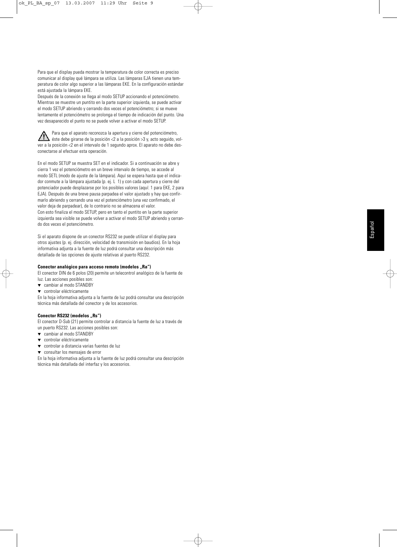Para que el display pueda mostrar la temperatura de color correcta es preciso comunicar al display qué lámpara se utiliza. Las lámparas EJA tienen una temperatura de color algo superior a las lámparas EKE. En la configuración estándar está ajustada la lámpara EKE.

Después de la conexión se llega al modo SETUP accionando el potenciómetro. Mientras se muestre un puntito en la parte superior izquierda, se puede activar el modo SETUP abriendo y cerrando dos veces el potenciómetro; si se mueve lentamente el potenciómetro se prolonga el tiempo de indicación del punto. Una vez desaparecido el punto no se puede volver a activar el modo SETUP.

Para que el aparato reconozca la apertura y cierre del potenciómetro, éste debe girarse de la posición <2 a la posición >3 y, acto seguido, volver a la posición <2 en el intervalo de 1 segundo aprox. El aparato no debe desconectarse al efectuar esta operación.

En el modo SETUP se muestra SET en el indicador. Si a continuación se abre y cierra 1 vez el potenciómetro en un breve intervalo de tiempo, se accede al modo SETL (modo de ajuste de la lámpara). Aquí se espera hasta que el indicador conmute a la lámpara ajustada (p. ej. L 1) y con cada apertura y cierre del potenciador puede desplazarse por los posibles valores (aquí: 1 para EKE, 2 para EJA). Después de una breve pausa parpadea el valor ajustado y hay que confirmarlo abriendo y cerrando una vez el potenciómetro (una vez confirmado, el valor deja de parpadear), de lo contrario no se almacena el valor. Con esto finaliza el modo SETUP, pero en tanto el puntito en la parte superior izquierda sea visible se puede volver a activar el modo SETUP abriendo y cerrando dos veces el potenciómetro.

Si el aparato dispone de un conector RS232 se puede utilizar el display para otros ajustes (p. ej. dirección, velocidad de transmisión en baudios). En la hoja informativa adjunta a la fuente de luz podrá consultar una descripción más detallada de las opciones de ajuste relativas al puerto RS232.

### **Conector analógico para acceso remoto (modelos "Ra")**

El conector DIN de 6 polos (20) permite un telecontrol analógico de la fuente de luz. Las acciones posibles son:

- ▼ cambiar al modo STANDBY
- ▼ controlar eléctricamente

En la hoja informativa adjunta a la fuente de luz podrá consultar una descripción técnica más detallada del conector y de los accesorios.

### **Conector RS232 (modelos "Rs")**

El conector D-Sub (21) permite controlar a distancia la fuente de luz a través de un puerto RS232. Las acciones posibles son:

- ▼ cambiar al modo STANDBY ▼ controlar eléctricamente
- ▼ controlar a distancia varias fuentes de luz
- ▼ consultar los mensajes de error

En la hoja informativa adjunta a la fuente de luz podrá consultar una descripción técnica más detallada del interfaz y los accesorios.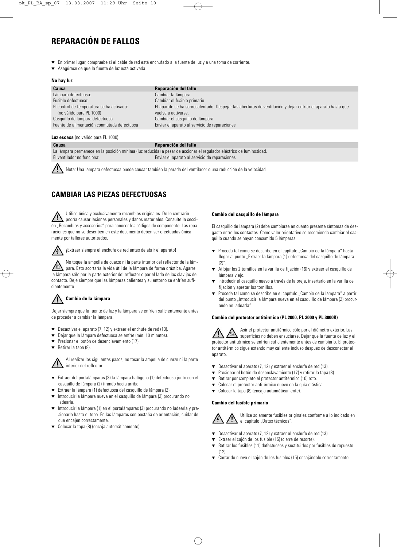# **REPARACIÓN DE FALLOS**

- ▼ En primer lugar, compruebe si el cable de red está enchufado a la fuente de luz y a una toma de corriente.
- ▼ Asegúrese de que la fuente de luz está activada.

### **No hay luz**

| Causa                                                                 | Reparación del fallo                                                                                                               |
|-----------------------------------------------------------------------|------------------------------------------------------------------------------------------------------------------------------------|
| Lámpara defectuosa:                                                   | Cambiar la lámpara                                                                                                                 |
| Fusible defectuoso:                                                   | Cambiar el fusible primario                                                                                                        |
| El control de temperatura se ha activado:<br>(no válido para PL 1000) | El aparato se ha sobrecalentado. Despejar las aberturas de ventilación y dejar enfriar el aparato hasta que<br>vuelva a activarse. |
| Casquillo de lámpara defectuoso                                       | Cambiar el casquillo de lámpara                                                                                                    |
| Fuente de alimentación conmutada defectuosa                           | Enviar el aparato al servicio de reparaciones                                                                                      |
|                                                                       |                                                                                                                                    |

### **Luz escasa** (no válido para PL 1000)

### **Causa Reparación del fallo**

| ------                     | <b>119 paraoion aoi iano</b>                                                                                         |
|----------------------------|----------------------------------------------------------------------------------------------------------------------|
|                            | La lámpara permanece en la posición mínima (luz reducida) a pesar de accionar el regulador eléctrico de luminosidad. |
| El ventilador no funciona: | Enviar el aparato al servicio de reparaciones                                                                        |

Nota: Una lámpara defectuosa puede causar también la parada del ventilador o una reducción de la velocidad.

### **CAMBIAR LAS PIEZAS DEFECTUOSAS**

Utilice única y exclusivamente recambios originales. De lo contrario podría causar lesiones personales y daños materiales. Consulte la sección "Recambios y accesorios" para conocer los códigos de componente. Las reparaciones que no se describen en este documento deben ser efectuadas únicamente por talleres autorizados.



¡Extraer siempre el enchufe de red antes de abrir el aparato!

No toque la ampolla de cuarzo ni la parte interior del reflector de la lámpara. Esto acortaría la vida útil de la lámpara de forma drástica. Agarre la lámpara sólo por la parte exterior del reflector o por el lado de las clavijas de contacto. Deje siempre que las lámparas calientes y su entorno se enfríen suficientemente.

## **Cambio de la lámpara**

Dejar siempre que la fuente de luz y la lámpara se enfríen suficientemente antes de proceder a cambiar la lámpara.

- ▼ Desactivar el aparato (7, 12) y extraer el enchufe de red (13).
- Dejar que la lámpara defectuosa se enfríe (mín. 10 minutos).
- Presionar el botón de desenclavamiento (17).
- ▼ Retirar la tapa (8).

Al realizar los siguientes pasos, no tocar la ampolla de cuarzo ni la parte interior del reflector.

- ▼ Extraer del portalámparas (3) la lámpara halógena (1) defectuosa junto con el casquillo de lámpara (2) tirando hacia arriba.
- Extraer la lámpara (1) defectuosa del casquillo de lámpara (2).
- Introducir la lámpara nueva en el casquillo de lámpara (2) procurando no ladearla.
- ▼ Introducir la lámpara (1) en el portalámparas (3) procurando no ladearla y presionarla hasta el tope. En las lámparas con pestaña de orientación, cuidar de que encajen correctamente.
- Colocar la tapa (8) (encaja automáticamente).

### **Cambio del casquillo de lámpara**

El casquillo de lámpara (2) debe cambiarse en cuanto presente síntomas de desgaste entre los contactos. Como valor orientativo se recomienda cambiar el casquillo cuando se hayan consumido 5 lámparas.

- ▼ Proceda tal como se describe en el capítulo "Cambio de la lámpara" hasta llegar al punto "Extraer la lámpara (1) defectuosa del casquillo de lámpara  $(2)$ "
- ▼ Aflojar los 2 tornillos en la varilla de fijación (16) y extraer el casquillo de lámpara viejo.
- Introducir el casquillo nuevo a través de la oreja, insertarlo en la varilla de fijación y apretar los tornillos.
- Proceda tal como se describe en el capítulo "Cambio de la lámpara" a partir del punto "Introducir la lámpara nueva en el casquillo de lámpara (2) procurando no ladearla".

### **Cambio del protector antitérmico (PL 2000, PL 3000 y PL 3000R)**

Asir el protector antitérmico sólo por el diámetro exterior. Las superficies no deben ensuciarse. Dejar que la fuente de luz y el protector antitérmico se enfríen suficientemente antes de cambiarlo. El protector antitérmico sigue estando muy caliente incluso después de desconectar el aparato.

- ▼ Desactivar el aparato (7, 12) y extraer el enchufe de red (13).
- Presionar el botón de desenclavamiento (17) y retirar la tapa (8).
- ▼ Retirar por completo el protector antitérmico (10) roto.
- ▼ Colocar el protector antitérmico nuevo en la guía elástica.
- ▼ Colocar la tapa (8) (encaja automáticamente).

### **Cambio del fusible primario**



Utilice solamente fusibles originales conforme a lo indicado en el capítulo "Datos técnicos".

- ▼ Desactivar el aparato (7, 12) y extraer el enchufe de red (13).
- ▼ Extraer el cajón de los fusible (15) (cierre de resorte).
- ▼ Retirar los fusibles (11) defectuosos y sustituirlos por fusibles de repuesto  $(12)$
- ▼ Cerrar de nuevo el cajón de los fusibles (15) encajándolo correctamente.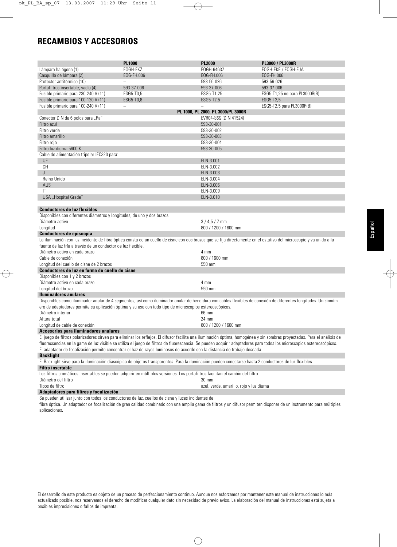# **RECAMBIOS Y ACCESORIOS**

|                                                                                                                                                                       | <b>PL1000</b>     | <b>PL2000</b>                            | PL3000 / PL3000R                                                                                                                                                          |
|-----------------------------------------------------------------------------------------------------------------------------------------------------------------------|-------------------|------------------------------------------|---------------------------------------------------------------------------------------------------------------------------------------------------------------------------|
| Lámpara halógena (1)                                                                                                                                                  | EOGH-EKZ          | EOGH-64637                               | EOGH-EKE / EOGH-EJA                                                                                                                                                       |
| Casquillo de lámpara (2)                                                                                                                                              | EOG-FH.006        | EOG-FH.006                               | EOG-FH.006                                                                                                                                                                |
| Protector antitérmico (10)                                                                                                                                            |                   | 593-56-026                               | 593-56-026                                                                                                                                                                |
| Portafiltros insertable, vacío (4)                                                                                                                                    | 593-37-006        | 593-37-006                               | 593-37-006                                                                                                                                                                |
| Fusible primario para 230-240 V (11)                                                                                                                                  | ESG5-T0.5         | ESG5-T1,25                               | ESG5-T1,25 no para PL3000R(B)                                                                                                                                             |
|                                                                                                                                                                       |                   |                                          |                                                                                                                                                                           |
| Fusible primario para 100-120 V (11)                                                                                                                                  | ESG5-T0,8         | ESG5-T2,5                                | ESG5-T2,5                                                                                                                                                                 |
| Fusible primario para 100-240 V (11)                                                                                                                                  | $\qquad \qquad -$ |                                          | ESG5-T2,5 para PL3000R(B)                                                                                                                                                 |
|                                                                                                                                                                       |                   | PL 1000, PL 2000, PL 3000/PL 3000R       |                                                                                                                                                                           |
| Conector DIN de 6 polos para "Ra"                                                                                                                                     |                   | EVR04-S6S (DIN 41524)                    |                                                                                                                                                                           |
| Filtro azul                                                                                                                                                           |                   | 593-30-001                               |                                                                                                                                                                           |
| Filtro verde                                                                                                                                                          |                   | 593-30-002                               |                                                                                                                                                                           |
| Filtro amarillo                                                                                                                                                       |                   | 593-30-003                               |                                                                                                                                                                           |
| Filtro rojo                                                                                                                                                           |                   | 593-30-004                               |                                                                                                                                                                           |
| Filtro luz diurna 5600 K                                                                                                                                              |                   | 593-30-005                               |                                                                                                                                                                           |
| Cable de alimentación tripolar IEC320 para:                                                                                                                           |                   |                                          |                                                                                                                                                                           |
| <b>UE</b>                                                                                                                                                             |                   | ELN-3.001                                |                                                                                                                                                                           |
| <b>CH</b>                                                                                                                                                             |                   | ELN-3.002                                |                                                                                                                                                                           |
| J                                                                                                                                                                     |                   | ELN-3.003                                |                                                                                                                                                                           |
| Reino Unido                                                                                                                                                           |                   | ELN-3.004                                |                                                                                                                                                                           |
| <b>AUS</b>                                                                                                                                                            |                   | ELN-3.006                                |                                                                                                                                                                           |
| IT                                                                                                                                                                    |                   | ELN-3.009                                |                                                                                                                                                                           |
| USA "Hospital Grade"                                                                                                                                                  |                   | ELN-3.010                                |                                                                                                                                                                           |
|                                                                                                                                                                       |                   |                                          |                                                                                                                                                                           |
| <b>Conductores de luz flexibles</b>                                                                                                                                   |                   |                                          |                                                                                                                                                                           |
| Disponibles con diferentes diámetros y longitudes, de uno y dos brazos                                                                                                |                   |                                          |                                                                                                                                                                           |
| Diámetro activo                                                                                                                                                       |                   | $3/4.5/7$ mm                             |                                                                                                                                                                           |
| Longitud                                                                                                                                                              |                   | 800 / 1200 / 1600 mm                     |                                                                                                                                                                           |
| Conductores de episcopía                                                                                                                                              |                   |                                          |                                                                                                                                                                           |
| La iluminación con luz incidente de fibra óptica consta de un cuello de cisne con dos brazos que se fija directamente en el estativo del microscopio y va unido a la  |                   |                                          |                                                                                                                                                                           |
| fuente de luz fría a través de un conductor de luz flexible.                                                                                                          |                   |                                          |                                                                                                                                                                           |
| Diámetro activo en cada brazo                                                                                                                                         |                   | 4 mm                                     |                                                                                                                                                                           |
| Cable de conexión                                                                                                                                                     |                   | 800 / 1600 mm                            |                                                                                                                                                                           |
| Longitud del cuello de cisne de 2 brazos                                                                                                                              |                   | 550 mm                                   |                                                                                                                                                                           |
| Conductores de luz en forma de cuello de cisne                                                                                                                        |                   |                                          |                                                                                                                                                                           |
| Disponibles con 1 y 2 brazos                                                                                                                                          |                   |                                          |                                                                                                                                                                           |
| Diámetro activo en cada brazo                                                                                                                                         |                   | 4 mm                                     |                                                                                                                                                                           |
| Longitud del brazo                                                                                                                                                    |                   | 550 mm                                   |                                                                                                                                                                           |
| <b>Iluminadores anulares</b>                                                                                                                                          |                   |                                          |                                                                                                                                                                           |
| Disponibles como iluminador anular de 4 segmentos, así como iluminador anular de hendidura con cables flexibles de conexión de diferentes longitudes. Un sinnúm-      |                   |                                          |                                                                                                                                                                           |
| ero de adaptadores permite su aplicación óptima y su uso con todo tipo de microscopios estereoscópicos.                                                               |                   |                                          |                                                                                                                                                                           |
| Diámetro interior                                                                                                                                                     |                   | 66 mm                                    |                                                                                                                                                                           |
| Altura total                                                                                                                                                          |                   | 24 mm                                    |                                                                                                                                                                           |
|                                                                                                                                                                       |                   |                                          |                                                                                                                                                                           |
| Longitud de cable de conexión                                                                                                                                         |                   | 800 / 1200 / 1600 mm                     |                                                                                                                                                                           |
| Accesorios para iluminadores anulares                                                                                                                                 |                   |                                          |                                                                                                                                                                           |
|                                                                                                                                                                       |                   |                                          | El juego de filtros polarizadores sirven para eliminar los reflejos. El difusor facilita una iluminación óptima, homogénea y sin sombras proyectadas. Para el análisis de |
| fluorescencias en la gama de luz visible se utiliza el juego de filtros de fluorescencia. Se pueden adquirir adaptadores para todos los microscopios estereoscópicos. |                   |                                          |                                                                                                                                                                           |
| El adaptador de focalización permite concentrar el haz de rayos luminosos de acuerdo con la distancia de trabajo deseada.                                             |                   |                                          |                                                                                                                                                                           |
| <b>Backlight</b>                                                                                                                                                      |                   |                                          |                                                                                                                                                                           |
| El Backlight sirve para la iluminación diascópica de objetos transparentes. Para la iluminación pueden conectarse hasta 2 conductores de luz flexibles.               |                   |                                          |                                                                                                                                                                           |
| <b>Filtro insertable</b>                                                                                                                                              |                   |                                          |                                                                                                                                                                           |
| Los filtros cromáticos insertables se pueden adquirir en múltiples versiones. Los portafiltros facilitan el cambio del filtro.                                        |                   |                                          |                                                                                                                                                                           |
| Diámetro del filtro                                                                                                                                                   |                   | 30 mm                                    |                                                                                                                                                                           |
| Tipos de filtro                                                                                                                                                       |                   | azul, verde, amarillo, rojo y luz diurna |                                                                                                                                                                           |

### **Adaptadores para filtros y focalización**

Se pueden utilizar junto con todos los conductores de luz, cuellos de cisne y luces incidentes de

fibra óptica. Un adaptador de focalización de gran calidad combinado con una amplia gama de filtros y un difusor permiten disponer de un instrumento para múltiples aplicaciones.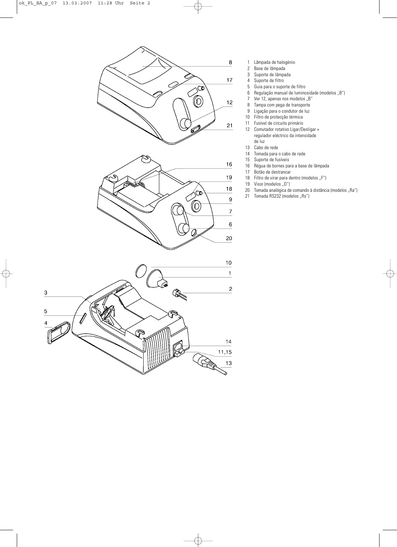

- 1 Lâmpada de halogénio
- 2 Base de lâmpada<br>3 Suporte de lâmpa
- 3 Suporte de lâmpada<br>4 Suporte de filtro
- 4 Suporte de filtro<br>5 Guia para o supo
- 5 Guia para o suporte de filtro<br>6 Regulação manual de lumino
- Regulação manual de luminosidade (modelos "B")
- 7 Ver 12, apenas nos modelos "B"<br>8 Tampa com pega de transporte
- Tampa com pega de transporte
- 9 Ligação para o condutor de luz<br>10 Filtro de protecção térmica
- 10 Filtro de protecção térmica<br>11 Fusível de circuito primário
- 11 Fusível de circuito primário<br>12 Comutador rotativo Ligar/D
- 12 Comutador rotativo Ligar/Desligar + regulador eléctrico da intensidade de luz
- 13 Cabo de rede
- 14 Tomada para o cabo de rede<br>15 Suporte de fusíveis
- Suporte de fusíveis
- 16 Régua de bornes para a base de lâmpada
- 17 Botão de destrancar<br>18 Filtro de virar para de
- Filtro de virar para dentro (modelos "F")
- 19 Visor (modelos "D")
- 20 Tomada analógica de comando à distância (modelos "Ra")
- 21 Tomada RS232 (modelos "Rs")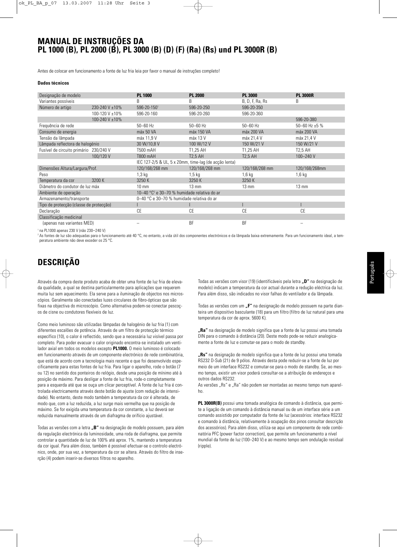## **MANUAL DE INSTRUÇÕES DA PL 1000 (B), PL 2000 (B), PL 3000 (B) (D) (F) (Ra) (Rs) und PL 3000R (B)**

Antes de colocar em funcionamento a fonte de luz fria leia por favor o manual de instruções completo!

### **Dados técnicos**

| Designação de modelo                    |                | <b>PL 1000</b>                                                    | <b>PL 2000</b>  | <b>PL 3000</b>  | <b>PL 3000R</b>    |
|-----------------------------------------|----------------|-------------------------------------------------------------------|-----------------|-----------------|--------------------|
| Variantes possíveis                     |                | B                                                                 | B               | B, D, F, Ra, Rs | B                  |
| Número de artigo                        | 230-240 V ±10% | 596-20-1501                                                       | 596-20-250      | 596-20-350      |                    |
|                                         | 100-120 V ±10% | 596-20-160                                                        | 596-20-260      | 596-20-360      |                    |
|                                         | 100-240 V ±10% |                                                                   |                 |                 | 596-20-380         |
| Frequência de rede                      |                | $50 - 60$ Hz                                                      | $50 - 60$ Hz    | $50 - 60$ Hz    | 50-60 Hz $\pm$ 5 % |
| Consumo de energia                      |                | máx 50 VA                                                         | máx 150 VA      | máx 200 VA      | máx 200 VA         |
| Tensão da lâmpada                       |                | máx 11.9 V                                                        | máx 13 V        | máx 21.4 V      | máx 21,4 V         |
| Lâmpada reflectora de halogénio         |                | 30 W/10,8 V                                                       | 100 W/12 V      | 150 W/21 V      | 150 W/21 V         |
| Fusível de circuito primário 230/240 V  |                | T500 mAH                                                          | T1.25 AH        | T1,25 AH        | T2,5 AH            |
|                                         | 100/120 V      | <b>T800 mAH</b>                                                   | <b>T2.5 AH</b>  | <b>T2.5 AH</b>  | 100-240 V          |
|                                         |                | IEC 127-2/5 & UL, 5 x 20mm, time-lag (de acção lenta)             |                 |                 |                    |
| Dimensões Altura/Largura/Prof.          |                | 120/168/268 mm                                                    | 120/168/268 mm  | 120/168/268 mm  | 120/168/268mm      |
| Peso                                    |                | $1,3$ kg                                                          | $1,5$ kg        | $1,6$ kg        | $1,6$ kg           |
| Temperatura da cor                      | 3200 K         | 3250K                                                             | 3250 K          | 3250 K          |                    |
| Diâmetro do condutor de luz máx         |                | $10 \text{ mm}$                                                   | $13 \text{ mm}$ | $13 \text{ mm}$ | $13 \text{ mm}$    |
| Ambiente de operação                    |                | 10-40 $^{\circ}$ C <sup>2</sup> e 30-70 % humidade relativa do ar |                 |                 |                    |
| Armazenamento/transporte                |                | 0-40 °C e 30-70 % humidade relativa do ar                         |                 |                 |                    |
| Tipo de protecção (classe de protecção) |                |                                                                   |                 |                 |                    |
| Declaração                              |                | CE                                                                | CE              | CE              | CE                 |
| Classificação medicinal                 |                |                                                                   |                 |                 |                    |
| (apenas nas variantes MED)              |                |                                                                   | <b>BF</b>       | <b>BF</b>       |                    |
|                                         |                |                                                                   |                 |                 |                    |

<sup>1</sup> na PL1000 apenas 230 V (não 230–240 V)

<sup>2</sup> As fontes de luz são adequadas para o funcionamento até 40 °C, no entanto, a vida útil dos componentes electrónicos e da lâmpada baixa extremamente. Para um funcionamento ideal, a tem peratura ambiente não deve exceder os 25 °C.

# **DESCRIÇÃO**

Através da compra deste produto acaba de obter uma fonte de luz fria de elevada qualidade, a qual se destina particularmente para aplicações que requerem muita luz sem aquecimento. Ela serve para a iluminação de objectos nos microscópios. Geralmente são conectadas luzes circulares de fibro-ópticas que são fixas na objectiva do microscópio. Como alternativa podem-se conectar pescoços de cisne ou condutores flexíveis de luz.

Como meio luminoso são utilizadas lâmpadas de halogénio de luz fria (1) com diferentes escalões de potência. Através de um filtro de protecção térmico específico (10), o calor é reflectido, sendo que a necessária luz visível passa por completo. Para poder evacuar o calor originado encontra-se instalado um ventilador axial em todos os modelos excepto **PL1000.** O meio luminoso é colocado em funcionamento através de um componente electrónico de rede combinatória, que está de acordo com a tecnologia mais recente e que foi desenvolvido especificamente para estas fontes de luz fria. Para ligar o aparelho, rode o botão (7 ou 12) no sentido dos ponteiros do relógio, desde uma posição de mínimo até à posição de máximo. Para desligar a fonte de luz fria, rode-o completamente para a esquerda até que se ouça um clicar perceptível. A fonte de luz fria é controlada electricamente através deste botão de ajuste (com redução de intensidade). No entanto, deste modo também a temperatura da cor é alterada, de modo que, com a luz reduzida, a luz surge mais vermelha que na posição de máximo. Se for exigida uma temperatura da cor constante, a luz deverá ser reduzida manualmente através de um diafragma de orifício ajustável.

Todas as versões com a letra **..B**" na designação de modelo possuem, para além da regulação electrónica da luminosidade, uma roda de diafragma, que permite controlar a quantidade de luz de 100% até aprox. 1%, mantendo a temperatura da cor igual. Para além disso, também é possível efectuar-se o controlo electrónico, onde, por sua vez, a temperatura da cor se altera. Através do filtro de inserção (4) podem inserir-se diversos filtros no aparelho.

Todas as versões com visor (19) (identificáveis pela letra **"D"** na designação de modelo) indicam a temperatura da cor actual durante a redução eléctrica da luz. Para além disso, são indicados no visor falhas do ventilador e da lâmpada.

Todas as versões com um "F" na designação de modelo possuem na parte dianteira um dispositivo basculante (18) para um filtro (filtro de luz natural para uma temperatura da cor de aprox. 5600 K).

**"Ra"** na designação de modelo significa que a fonte de luz possui uma tomada DIN para o comando à distância (20). Deste modo pode-se reduzir analogicamente a fonte de luz e comutar-se para o modo de standby.

**"Rs"** na designação de modelo significa que a fonte de luz possui uma tomada RS232 D-Sub (21) de 9 pólos. Através desta pode reduzir-se a fonte de luz por meio de um interface RS232 e comutar-se para o modo de standby. Se, ao mesmo tempo, existir um visor poderá consultar-se a atribuição de endereços e outros dados RS232.

As versões "Rs" e "Ra" não podem ser montadas ao mesmo tempo num aparelho.

**PL 3000R(B)** possui uma tomada analógica de comando à distância, que permite a ligação de um comando à distância manual ou de um interface série a um comando assistido por computador da fonte de luz (acessórios: interface RS232 e comando à distância, relativamente à ocupação dos pinos consultar descrição dos acessórios). Para além disso, utiliza-se aqui um componente de rede combinatória PFC (power factor correction), que permite um funcionamento a nível mundial da fonte de luz (100–240 V) e ao mesmo tempo sem ondulação residual (ripple).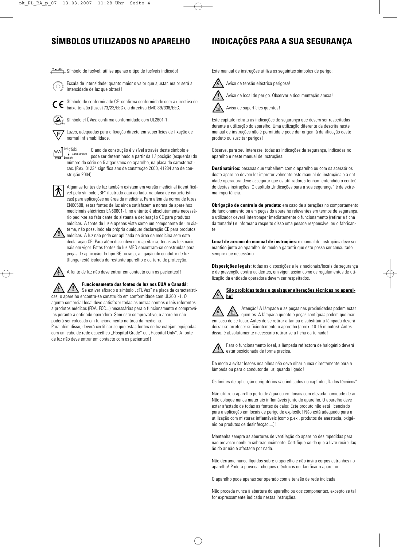# **SÍMBOLOS UTILIZADOS NO APARELHO INDICAÇÕES PARA A SUA SEGURANÇA**

**T**xxAH Símbolo de fusível: utilize apenas o tipo de fusíveis indicado!



Escala de intensidade: quanto maior o valor que ajustar, maior será a intensidade de luz que obterá!

Símbolo de conformidade CE: confirma conformidade com a directiva de CE baixa tensão (luzes) 73/23/EEC e a directiva EMC 89/336/EEC.

normal inflamabilidade.

Símbolo cTÜVus: confirma conformidade com UL2601-1.

F

Luzes, adequadas para a fixação directa em superfícies de fixação de

SN: 41234 O ano de construção é visível através deste símbolo e pode ser determinado a partir da 1.ª posição (esquerda) do<br>
aviatrica de ser determinado a partir da 1.ª posição (esquerda) do Baujahr número de série de 5 algarismos do aparelho, na placa de características. (P.ex. 01234 significa ano de construção 2000, 41234 ano de construção 2004).



Algumas fontes de luz também existem em versão medicinal (identificável pelo símbolo "BF" ilustrado aqui ao lado, na placa de características) para aplicações na área da medicina. Para além da norma de luzes EN60598, estas fontes de luz ainda satisfazem a norma de aparelhos medicinais eléctricos EN60601-1, no entanto é absolutamente necessário pedir-se ao fabricante do sistema a declaração CE para produtos médicos. A fonte de luz é apenas vista como um componente de um sis-



tema, não possuindo ela própria qualquer declaração CE para produtos médicos. A luz não pode ser aplicada na área da medicina sem esta declaração CE. Para além disso devem respeitar-se todas as leis nacionais em vigor. Estas fontes de luz MED encontram-se construídas para peças de aplicação do tipo BF, ou seja, a ligação do condutor de luz (flange) está isolada do restante aparelho e da terra de protecção.



A fonte de luz não deve entrar em contacto com os pacientes!!

**Funcionamento das fontes de luz nos EUA e Canadá:**

Se estiver afixado o símbolo "cTUVus" na placa de características, o aparelho encontra-se construído em conformidade com UL2601-1. O agente comercial local deve satisfazer todas as outras normas e leis referentes a produtos médicos (FDA, FCC...) necessárias para o funcionamento e comproválas perante a entidade operadora. Sem este comprovativo, o aparelho não poderá ser colocado em funcionamento na área da medicina.

Para além disso, deverá certificar-se que estas fontes de luz estejam equipadas com um cabo de rede específico "Hospital Grade" ou "Hospital Only". A fonte de luz não deve entrar em contacto com os pacientes!!

Este manual de instruções utiliza os seguintes símbolos de perigo:

Aviso de tensão eléctrica perigosa!





Aviso de local de perigo. Observar a documentação anexa!

Este capítulo retrata as indicações de segurança que devem ser respeitadas durante a utilização do aparelho. Uma utilização diferente da descrita neste manual de instruções não é permitida e pode dar origem à danificação deste produto ou suscitar perigos!

Observe, para seu interesse, todas as indicações de segurança, indicadas no aparelho e neste manual de instruções.

**Destinatários:** pessoas que trabalhem com o aparelho ou com os acessórios deste aparelho devem ler impreterivelmente este manual de instruções e a entidade operadora deve assegurar que os utilizadores tenham entendido o conteúdo destas instruções. O capítulo "Indicações para a sua segurança" é de extrema importância.

**Obrigação de controlo de produto:** em caso de alterações no comportamento de funcionamento ou em peças do aparelho relevantes em termos de segurança, o utilizador deverá interromper imediatamente o funcionamento (retirar a ficha da tomada!) e informar a respeito disso uma pessoa responsável ou o fabricante.

**Local de arrumo do manual de instruções:** o manual de instruções deve ser mantido junto ao aparelho, de modo a garantir que este possa ser consultado sempre que necessário.

**Disposições legais:** todas as disposições e leis nacionais/locais de segurança e de prevenção contra acidentes, em vigor, assim como os regulamentos de utilização da entidade operadora devem ser respeitados.

### **São proibidas todas e quaisquer alterações técnicas no aparelho!**

Atenção! A lâmpada e as peças nas proximidades podem estar quentes. A lâmpada quente e peças contíguas podem queimar em caso de se tocar. Antes de se retirar a tampa e substituir a lâmpada deverá deixar-se arrefecer suficientemente o aparelho (aprox. 10-15 minutos). Antes disso, é absolutamente necessário retirar-se a ficha da tomada!



Para o funcionamento ideal, a lâmpada reflectora de halogénio deverá estar posicionada de forma precisa.

De modo a evitar lesões nos olhos não deve olhar nunca directamente para a lâmpada ou para o condutor de luz, quando ligado!

Os limites de aplicação obrigatórios são indicados no capítulo "Dados técnicos".

Não utilize o aparelho perto de água ou em locais com elevada humidade de ar. Não coloque nunca materiais inflamáveis junto do aparelho. O aparelho deve estar afastado de todas as fontes de calor. Este produto não está licenciado para a aplicação em locais de perigo de explosão! Não está adequado para a utilização com misturas inflamáveis (como p.ex., produtos de anestesia, oxigénio ou produtos de desinfecção....)!

Mantenha sempre as aberturas de ventilação do aparelho desimpedidas para não provocar nenhum sobreaquecimento. Certifique-se de que a livre recirculação do ar não é afectada por nada.

Não derrame nunca líquidos sobre o aparelho e não insira corpos estranhos no aparelho! Poderá provocar choques eléctricos ou danificar o aparelho.

O aparelho pode apenas ser operado com a tensão de rede indicada.

Não proceda nunca à abertura do aparelho ou dos componentes, excepto se tal for expressamente indicado nestas instruções.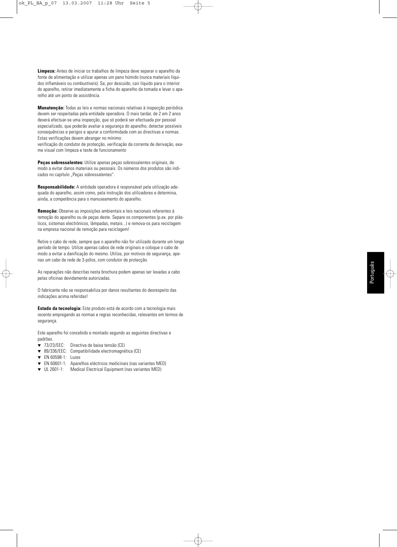**Limpeza:** Antes de iniciar os trabalhos de limpeza deve separar o aparelho da fonte de alimentação e utilizar apenas um pano húmido (nunca materiais líquidos inflamáveis ou combustíveis). Se, por descuido, cair líquido para o interior do aparelho, retirar imediatamente a ficha do aparelho da tomada e levar o aparelho até um ponto de assistência.

**Manutenção:** Todas as leis e normas nacionais relativas à inspecção periódica devem ser respeitadas pela entidade operadora. O mais tardar, de 2 em 2 anos deverá efectuar-se uma inspecção, que só poderá ser efectuada por pessoal especializado, que poderão avaliar a segurança do aparelho, detectar possíveis consequências e perigos e apurar a conformidade com as directivas e normas. Estas verificações devem abranger no mínimo:

verificação do condutor de protecção, verificação da corrente de derivação, exame visual com limpeza e teste de funcionamento

**Peças sobressalentes:** Utilize apenas peças sobressalentes originais, de modo a evitar danos materiais ou pessoais. Os números dos produtos são indicados no capítulo "Peças sobressalentes".

**Responsabilidade:** A entidade operadora é responsável pela utilização adequada do aparelho, assim como, pela instrução dos utilizadores e determina, ainda, a competência para o manuseamento do aparelho.

**Remoção:** Observe as imposições ambientais e leis nacionais referentes à remoção do aparelho ou de peças deste. Separe os componentes (p.ex. por plásticos, sistemas electrónicos, lâmpadas, metais...) e remova-os para reciclagem na empresa nacional de remoção para reciclagem!

Retire o cabo de rede, sempre que o aparelho não for utilizado durante um longo período de tempo. Utilize apenas cabos de rede originais e coloque o cabo de modo a evitar a danificação do mesmo. Utilize, por motivos de segurança, apenas um cabo de rede de 3-pólos, com condutor de protecção.

As reparações não descritas nesta brochura podem apenas ser levadas a cabo pelas oficinas devidamente autorizadas.

O fabricante não se responsabiliza por danos resultantes do desrespeito das indicações acima referidas!

**Estado da tecnologia:** Este produto está de acordo com a tecnologia mais recente empregando as normas e regras reconhecidas, relevantes em termos de segurança.

Este aparelho foi concebido e montado segundo as seguintes directivas e padrões.

- ▼ 73/23/EEC: Directiva de baixa tensão (CE)
- ▼ 89/336/EEC: Compatibilidade electromagnética (CE)
- ▼ EN 60598-1: Luzes
- ▼ EN 60601-1: Aparelhos eléctricos medicinais (nas variantes MED)
- ▼ UL 2601-1: Medical Electrical Equipment (nas variantes MED)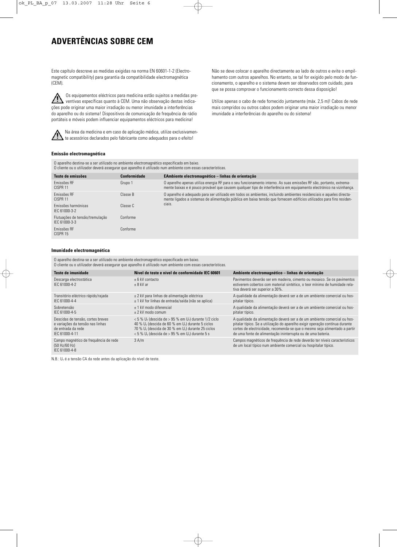# **ADVERTÊNCIAS SOBRE CEM**

Este capítulo descreve as medidas exigidas na norma EN 60601-1-2 (Electromagnetic compatibility) para garantia da compatibilidade electromagnética (CEM).

Os equipamentos eléctricos para medicina estão sujeitos a medidas pre- $\sqrt{N}$ ventivas específicas quanto à CEM. Uma não observação destas indicações pode originar uma maior irradiação ou menor imunidade a interferências do aparelho ou do sistema! Dispositivos de comunicação de frequência de rádio portáteis e móveis podem influenciar equipamentos eléctricos para medicina!



Na área da medicina e em caso de aplicação médica, utilize exclusivamen- $\blacktriangle$  te acessórios declarados pelo fabricante como adequados para o efeito!

Não se deve colocar o aparelho directamente ao lado de outros e evite o empilhamento com outros aparelhos. No entanto, se tal for exigido pelo modo de funcionamento, o aparelho e o sistema devem ser observados com cuidado, para que se possa comprovar o funcionamento correcto dessa disposição!

Utilize apenas o cabo de rede fornecido juntamente (máx. 2,5 m)! Cabos de rede mais compridos ou outros cabos podem originar uma maior irradiação ou menor imunidade a interferências do aparelho ou do sistema!

### **Emissão electromagnética**

O aparelho destina-se a ser utilizado no ambiente electromagnético especificado em baixo. O cliente ou o utilizador deverá assegurar que aparelho é utilizado num ambiente com essas características.

| Teste de emissões                                | Conformidade | EAmbiente electromagnético – linhas de orientação                                                                                                                                                                                           |
|--------------------------------------------------|--------------|---------------------------------------------------------------------------------------------------------------------------------------------------------------------------------------------------------------------------------------------|
| Emissões RF<br>CISPR <sub>11</sub>               | Grupo 1      | O aparelho apenas utiliza energia RF para o seu funcionamento interno. As suas emissões RF são, portanto, extrema-<br>mente baixas e é pouco provável que causem qualquer tipo de interferência em equipamento electrónico na vizinhança.   |
| Emissões RF<br>CISPR 11                          | Classe B     | O aparelho é adequado para ser utilizado em todos os ambientes, incluindo ambientes residenciais e aqueles directa-<br>mente ligados a sistemas de alimentação pública em baixa tensão que fornecem edifícios utilizados para fins residen- |
| Emissões harmónicas<br>IEC 61000-3-2             | Classe C     | ciais.                                                                                                                                                                                                                                      |
| Flutuações de tensão/tremulação<br>IFC 61000-3-3 | Conforme     |                                                                                                                                                                                                                                             |
| Emissões RF<br>CISPR 15                          | Conforme     |                                                                                                                                                                                                                                             |

### **Imunidade electromagnética**

O aparelho destina-se a ser utilizado no ambiente electromagnético especificado em baixo. O cliente ou o utilizador deverá assegurar que aparelho é utilizado num ambiente com essas características.

| Teste de imunidade                                                                                            | Nível de teste e nível de conformidade IEC 60601                                                                                                                                                                                                                                        | Ambiente electromagnético - linhas de orientação                                                                                                                                                                                                                                                      |
|---------------------------------------------------------------------------------------------------------------|-----------------------------------------------------------------------------------------------------------------------------------------------------------------------------------------------------------------------------------------------------------------------------------------|-------------------------------------------------------------------------------------------------------------------------------------------------------------------------------------------------------------------------------------------------------------------------------------------------------|
| Descarga electrostática<br>IFC 61000-4-2                                                                      | $+6$ kV contacto<br>$+8$ kV ar                                                                                                                                                                                                                                                          | Pavimentos deverão ser em madeira, cimento ou mosaico. Se os pavimentos<br>estiverem cobertos com material sintético, o teor mínimo de humidade rela-<br>tiva deverá ser superior a 30%.                                                                                                              |
| Transitório eléctrico rápido/rajada<br>IFC 61000-4-4                                                          | ± 2 kV para linhas de alimentação eléctrica<br>$\pm$ 1 kV for linhas de entrada/saída (não se aplica)                                                                                                                                                                                   | A qualidade da alimentação deverá ser a de um ambiente comercial ou hos-<br>pitalar típico.                                                                                                                                                                                                           |
| Sobretensão<br>IFC 61000-4-5                                                                                  | + 1 kV modo diferencial<br>$+2$ kV modo comum                                                                                                                                                                                                                                           | A qualidade da alimentação deverá ser a de um ambiente comercial ou hos-<br>pitalar típico.                                                                                                                                                                                                           |
| Descidas de tensão, cortes breves<br>e variações da tensão nas linhas<br>de entrada da rede<br>IFC 61000-4-11 | $<$ 5 % U <sub>T</sub> (descida de > 95 % em U <sub>T</sub> ) durante 1/2 ciclo<br>40 % $U\tau$ (descida de 60 % em $U\tau$ ) durante 5 ciclos<br>70 % $U_T$ (descida de 30 % em $U_T$ ) durante 25 ciclos<br>$<$ 5 % U <sub>T</sub> (descida de > 95 % em U <sub>T</sub> ) durante 5 s | A qualidade da alimentação deverá ser a de um ambiente comercial ou hos-<br>pitalar típico. Se a utilização do aparelho exigir operação contínua durante<br>cortes de electricidade, recomenda-se que o mesmo seja alimentado a partir<br>de uma fonte de alimentação ininterrupta ou de uma bateria. |
| Campo magnético de freguência de rede<br>(50 Hz/60 Hz)<br>IFC 61000-4-8                                       | 3 A/m                                                                                                                                                                                                                                                                                   | Campos magnéticos de freguência de rede deverão ter níveis característicos<br>de um local típico num ambiente comercial ou hospitalar típico.                                                                                                                                                         |

N.B.:  $U_T$  é a tensão CA da rede antes da aplicação do nível de teste.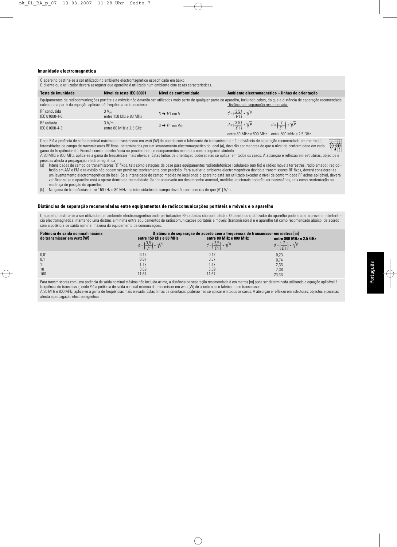#### **Imunidade electromagnética**

O aparelho destina-se a ser utilizado no ambiente electromagnético especificado em baixo. O cliente ou o utilizador deverá assegurar que aparelho é utilizado num ambiente com essas características.

| Teste de imunidade                                                   | Nível de teste IEC 60601                    | Nível de conformidade     |                                                                        | Ambiente electromagnético - linhas de orientação                                                                                                                                       |
|----------------------------------------------------------------------|---------------------------------------------|---------------------------|------------------------------------------------------------------------|----------------------------------------------------------------------------------------------------------------------------------------------------------------------------------------|
| calculada a partir da equação aplicável à frequência do transmissor: |                                             |                           | Distância de separação recomendada:                                    | Equipamentos de radiocomunicações portáteis e móveis não deverão ser utilizados mais perto de qualquer parte do aparelho, incluindo cabos, do que a distância de separação recomendada |
| RF conduzida<br>IEC 61000-4-6                                        | $3V_{\text{eff}}$<br>entre 150 kHz e 80 MHz | $3 \rightarrow V1$ em V   | $d = \left(\frac{3.5}{1/1}\right) * \sqrt{P}$                          |                                                                                                                                                                                        |
| RF radiada<br>IEC 61000-4-3                                          | 3 V/m<br>entre 80 MHz e 2.5 GHz             | $3 \rightarrow E1$ em V/m | $d = \left(\frac{3.5}{51}\right) * \sqrt{P}$<br>entre 80 MHz e 800 MHz | $d = \left(\frac{7}{51}\right) * \sqrt{P}$<br>entre 800 MHz e 2.5 GHz                                                                                                                  |

Onde P é a potência de saída nominal máxima do transmissor em watt (W) de acordo com o fabricante do transmissor e d é a distância de separação recomendada em metros (b).  $((\cdot,))$ Intensidades de campo de transmissores RF fixos, determinados por um levantamento electromagnético do local (a), deverão ser menores do que o nível de conformidade em cada gama de frequências (b). Poderá ocorrer interferência na proximidade de equipamentos marcados com o seguinte símbolo: A 80 MHz e 800 MHz, aplica-se a gama de frequências mais elevada. Estas linhas de orientação poderão não se aplicar em todos os casos. A absorção e reflexão em estruturas, objectos e

pessoas afecta a propagação electromagnética.<br>(a) Intensidades de campo de transmissores B Intensidades de campo de transmissores RF fixos, tais como estações de base para equipamentos radiotelefónicos (celulares/sem fio) e rádios móveis terrestres, rádio amador, radiodifusão em AM e FM e televisão não podem ser previstas teoricamente com precisão. Para avaliar o ambiente electromagnético devido a transmissores RF fixos, deverá considerar-se um levantamento electromagnético do local. Se a intensidade de campo medida no local onde o aparelho está ser utilizado exceder o nível de conformidade RF acima aplicável, deverá verificar-se se o aparelho está a operar dentro da normalidade. Se for observado um desempenho anormal, medidas adicionais poderão ser necessárias, tais como reorientação ou mudança de posição do aparelho.

(b) Na gama de frequências entre 150 kHz e 80 MHz, as intensidades de campo deverão ser menores do que [V1] V/m.

### **Distâncias de separação recomendadas entre equipamentos de radiocomunicações portáteis e móveis e o aparelho**

O aparelho destina-se a ser utilizado num ambiente electromagnético onde perturbações RF radiadas são controladas. O cliente ou o utilizador do aparelho pode ajudar a prevenir interferência electromagnética, mantendo uma distância mínima entre equipamentos de radiocomunicações portáteis e móveis (transmissores) e o aparelho tal como recomendado abaixo, de acordo com a potência de saída nominal máxima do equipamento de comunicações.

| Potência de saída nominal máxima<br>do transmissor em watt [W] | Distância de separação de acordo com a freguência do transmissor em metros [m]<br>entre 150 kHz e 80 MHz<br>entre 80 MHz e 800 MHz<br>entre 800 MHz e 2.5 GHz |                                              |                                            |
|----------------------------------------------------------------|---------------------------------------------------------------------------------------------------------------------------------------------------------------|----------------------------------------------|--------------------------------------------|
|                                                                | $d = \left(\frac{3.5}{1/1}\right) * \sqrt{P}$                                                                                                                 | $d = \left(\frac{3.5}{51}\right) * \sqrt{P}$ | $d = \left(\frac{7}{61}\right) * \sqrt{P}$ |
| 0,01                                                           | 0.12                                                                                                                                                          | 0.12                                         | 0.23                                       |
| 0,1                                                            | 0,37                                                                                                                                                          | 0,37                                         | 0.74                                       |
|                                                                | 1.17                                                                                                                                                          | 1.17                                         | 2,33                                       |
| 10                                                             | 3,69                                                                                                                                                          | 3,69                                         | 7,38                                       |
| 100                                                            | 11.67                                                                                                                                                         | 11,67                                        | 23.33                                      |

Para transmissores com uma potência de saída nominal máxima não incluída acima, a distância de separação recomendada d em metros [m] pode ser determinada utilizando a equação aplicável à frequência do transmissor, onde P é a potência de saída nominal máxima do transmissor em watt [W] de acordo com o fabricante do transmissor.

A 80 MHz e 800 MHz, aplica-se a gama de frequências mais elevada. Estas linhas de orientação poderão não se aplicar em todos os casos. A absorção e reflexão em estruturas, objectos e pessoas afecta a propagação electromagnética.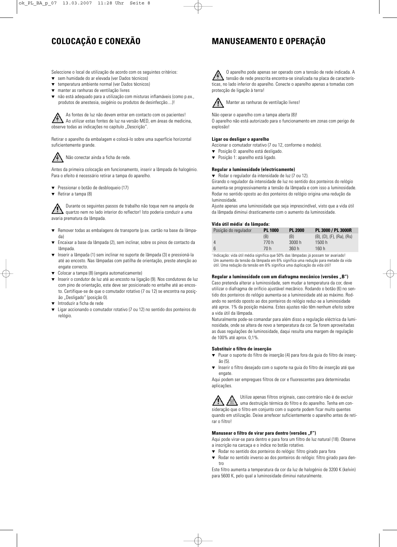# **COLOCAÇÃO E CONEXÃO**

# **MANUSEAMENTO E OPERAÇÃO**

Seleccione o local de utilização de acordo com os seguintes critérios:

- sem humidade do ar elevada (ver Dados técnicos)
- ▼ temperatura ambiente normal (ver Dados técnicos)
- manter as ranhuras de ventilação livres
- não está adequado para a utilização com misturas inflamáveis (como p.ex., produtos de anestesia, oxigénio ou produtos de desinfecção....)!

As fontes de luz não devem entrar em contacto com os pacientes! Ao utilizar estas fontes de luz na versão MED, em áreas de medicina, observe todas as indicações no capítulo "Descrição".

Retirar o aparelho da embalagem e colocá-lo sobre uma superfície horizontal suficientemente grande.

# Não conectar ainda a ficha de rede.

Antes da primeira colocação em funcionamento, inserir a lâmpada de halogénio. Para o efeito é necessário retirar a tampa do aparelho.

- ▼ Pressionar o botão de desbloqueio (17)
- ▼ Retirar a tampa (8)

Durante os seguintes passos de trabalho não toque nem na ampola de quartzo nem no lado interior do reflector! Isto poderia conduzir a uma avaria prematura da lâmpada.

- ▼ Remover todas as embalagens de transporte (p.ex. cartão na base da lâmpada)
- Encaixar a base da lâmpada (2), sem inclinar, sobre os pinos de contacto da lâmpada
- Inserir a lâmpada (1) sem inclinar no suporte de lâmpada (3) e pressioná-la até ao encosto. Nas lâmpadas com patilha de orientação, preste atenção ao engate correcto.
- Colocar a tampa (8) (engata automaticamente)
- ▼ Inserir o condutor de luz até ao encosto na ligação (9). Nos condutores de luz com pino de orientação, este deve ser posicionado no entalhe até ao encosto. Certifique-se de que o comutador rotativo (7 ou 12) se encontra na posição "Desligado" (posição 0).
- Introduzir a ficha de rede
- Ligar accionando o comutador rotativo (7 ou 12) no sentido dos ponteiros do relógio.

O aparelho pode apenas ser operado com a tensão de rede indicada. A tensão de rede prescrita encontra-se sinalizada na placa de características, no lado inferior do aparelho. Conecte o aparelho apenas a tomadas com protecção de ligação à terra!



Manter as ranhuras de ventilação livres!

Não operar o aparelho com a tampa aberta (8)! O aparelho não está autorizado para o funcionamento em zonas com perigo de explosão!

### **Ligar ou desligar o aparelho**

Accionar o comutador rotativo (7 ou 12, conforme o modelo).

- ▼ Posição 0: aparelho está desligado.
- ▼ Posição 1: aparelho está ligado.

### **Regular a luminosidade (electricamente)**

▼ Rodar o regulador da intensidade de luz (7 ou 12).

Girando o regulador da intensidade de luz no sentido dos ponteiros do relógio aumenta-se progressivamente a tensão da lâmpada e com isso a luminosidade. Rodar no sentido oposto ao dos ponteiros do relógio origina uma redução da luminosidade.

Ajuste apenas uma luminosidade que seja imprescindível, visto que a vida útil da lâmpada diminui drasticamente com o aumento da luminosidade.

### **Vida útil média**<sup>1</sup> **da lâmpada:**

| .                    |                |                |                                         |
|----------------------|----------------|----------------|-----------------------------------------|
| Posição do regulador | <b>PL 1000</b> | <b>PL 2000</b> | PL 3000 / PL 3000R                      |
|                      | (B)            | (B)            | $(B)$ , $(D)$ , $(F)$ , $(Ra)$ , $(Rs)$ |
| 4                    | 770 h          | 3000 h         | 1500h                                   |
| -6                   | 70 h           | 360h           | 160h                                    |
|                      |                |                |                                         |

<sup>1</sup> Indicação: vida útil média significa que 50% das lâmpadas já possam ter avariado! Um aumento da tensão da lâmpada em 6% significa uma redução para metade da vida útil. Uma redução da tensão em 6% significa uma duplicação da vida útil!

### Regular a luminosidade com um diafragma mecânico (versões "B")

Caso pretenda alterar a luminosidade, sem mudar a temperatura da cor, deve utilizar o diafragma de orifício ajustável mecânico. Rodando o botão (6) no sentido dos ponteiros do relógio aumenta-se a luminosidade até ao máximo. Rodando no sentido oposto ao dos ponteiros do relógio reduz-se a luminosidade até aprox. 1% da posição máxima. Estes ajustes não têm nenhum efeito sobre a vida útil da lâmpada.

Naturalmente pode-se comandar para além disso a regulação eléctrica da luminosidade, onde se altera de novo a temperatura da cor. Se forem aproveitadas as duas regulações de luminosidade, daqui resulta uma margem de regulação de 100% até aprox. 0,1%.

### **Substituir o filtro de inserção**

- ▼ Puxar o suporte do filtro de inserção (4) para fora da guia do filtro de inserção (5).
- ▼ Inserir o filtro desejado com o suporte na guia do filtro de inserção até que engate.

Aqui podem ser empregues filtros de cor e fluorescentes para determinadas aplicações.

Utilize apenas filtros originais, caso contrário não é de excluir uma destruição térmica do filtro e do aparelho. Tenha em consideração que o filtro em conjunto com o suporte podem ficar muito quentes quando em utilização. Deixe arrefecer suficientemente o aparelho antes de retirar o filtro!

### **Manusear o filtro de virar para dentro (versões "F")**

Aqui pode virar-se para dentro e para fora um filtro de luz natural (18). Observe a inscrição na carcaça e o índice no botão rotativo.

- ▼ Rodar no sentido dos ponteiros do relógio: filtro girado para fora
- ▼ Rodar no sentido inverso ao dos ponteiros do relógio: filtro girado para dentro

Este filtro aumenta a temperatura da cor da luz de halogénio de 3200 K (kelvin) para 5600 K, pelo qual a luminosidade diminui naturalmente.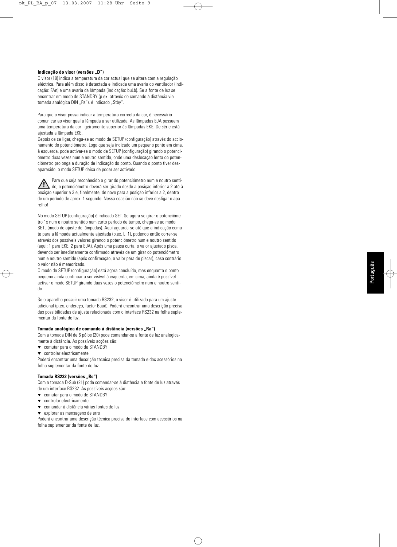### Indicação do visor (versões "D")

O visor (19) indica a temperatura da cor actual que se altera com a regulação eléctrica. Para além disso é detectada e indicada uma avaria do ventilador (indicação: FAn) e uma avaria da lâmpada (indicação: buLb). Se a fonte de luz se encontrar em modo de STANDBY (p.ex. através do comando à distância via tomada analógica DIN "Rs"), é indicado "Stby".

Para que o visor possa indicar a temperatura correcta da cor, é necessário comunicar ao visor qual a lâmpada a ser utilizada. As lâmpadas EJA possuem uma temperatura da cor ligeiramente superior às lâmpadas EKE. De série está ajustada a lâmpada EKE.

Depois de se ligar, chega-se ao modo de SETUP (configuração) através do accionamento do potenciómetro. Logo que seja indicado um pequeno ponto em cima, à esquerda, pode activar-se o modo de SETUP (configuração) girando o potenciómetro duas vezes num e noutro sentido, onde uma deslocação lenta do potenciómetro prolonga a duração de indicação do ponto. Quando o ponto tiver desaparecido, o modo SETUP deixa de poder ser activado.

Para que seja reconhecido o girar do potenciómetro num e noutro senti- $\blacktriangle$  do, o potenciómetro deverá ser girado desde a posição inferior a 2 até à posição superior a 3 e, finalmente, de novo para a posição inferior a 2, dentro de um período de aprox. 1 segundo. Nessa ocasião não se deve desligar o aparelho!

No modo SETUP (configuração) é indicado SET. Se agora se girar o potenciómetro 1x num e noutro sentido num curto período de tempo, chega-se ao modo SETL (modo de ajuste de lâmpadas). Aqui aguarda-se até que a indicação comute para a lâmpada actualmente ajustada (p.ex. L 1), podendo então correr-se através dos possíveis valores girando o potenciómetro num e noutro sentido (aqui: 1 para EKE, 2 para EJA). Após uma pausa curta, o valor ajustado pisca, devendo ser imediatamente confirmado através de um girar do potenciómetro num e noutro sentido (após confirmação, o valor pára de piscar), caso contrário o valor não é memorizado.

O modo de SETUP (configuração) está agora concluído, mas enquanto o ponto pequeno ainda continuar a ser visível à esquerda, em cima, ainda é possível activar o modo SETUP girando duas vezes o potenciómetro num e noutro sentido.

Se o aparelho possuir uma tomada RS232, o visor é utilizado para um ajuste adicional (p.ex. endereço, factor Baud). Poderá encontrar uma descrição precisa das possibilidades de ajuste relacionada com o interface RS232 na folha suplementar da fonte de luz.

### Tomada analógica de comando à distância (versões "Ra")

Com a tomada DIN de 6 pólos (20) pode comandar-se a fonte de luz analogicamente à distância. As possíveis acções são:

- ▼ comutar para o modo de STANDBY
- ▼ controlar electricamente

Poderá encontrar uma descrição técnica precisa da tomada e dos acessórios na folha suplementar da fonte de luz.

### **Tomada RS232 (versões "Rs")**

Com a tomada D-Sub (21) pode comandar-se à distância a fonte de luz através de um interface RS232. As possíveis acções são:

- ▼ comutar para o modo de STANDBY
- ▼ controlar electricamente
- ▼ comandar à distância várias fontes de luz
- ▼ explorar as mensagens de erro

Poderá encontrar uma descrição técnica precisa do interface com acessórios na folha suplementar da fonte de luz.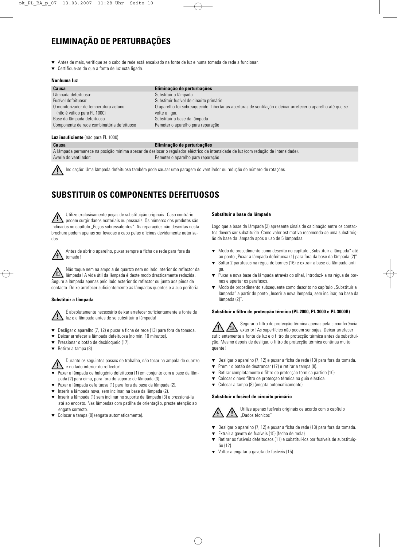# **ELIMINAÇÃO DE PERTURBAÇÕES**

- ▼ Antes de mais, verifique se o cabo de rede está encaixado na fonte de luz e numa tomada de rede a funcionar.
- Certifique-se de que a fonte de luz está ligada.

### **Nenhuma luz**

| Causa                                      | Eliminação de perturbações                                                                                 |
|--------------------------------------------|------------------------------------------------------------------------------------------------------------|
| Lâmpada defeituosa:                        | Substituir a lâmpada                                                                                       |
| Fusível defeituoso:                        | Substituir fusível de circuito primário                                                                    |
| O monitorizador de temperatura actuou:     | O aparelho foi sobreaguecido. Libertar as aberturas de ventilação e deixar arrefecer o aparelho até que se |
| (não é válido para PL 1000)                | volte a ligar.                                                                                             |
| Base da lâmpada defeituosa                 | Substituir a base da lâmpada                                                                               |
| Componente de rede combinatória defeituoso | Remeter o aparelho para reparação                                                                          |

### **Luz insuficiente** (não para PL 1000)

### **Causa Eliminação de perturbações**

|                       | A lâmpada permanece na posição mínima apesar de deslocar o regulador eléctrico da intensidade de luz (com redução de intensidade). |
|-----------------------|------------------------------------------------------------------------------------------------------------------------------------|
| Avaria do ventilador: | Remeter o aparelho para reparação                                                                                                  |

Indicação: Uma lâmpada defeituosa também pode causar uma paragem do ventilador ou redução do número de rotações.

# **SUBSTITUIR OS COMPONENTES DEFEITUOSOS**

Utilize exclusivamente peças de substituição originais! Caso contrário podem surgir danos materiais ou pessoais. Os números dos produtos são indicados no capítulo "Peças sobressalentes". As reparações não descritas nesta brochura podem apenas ser levadas a cabo pelas oficinas devidamente autorizadas.



Antes de abrir o aparelho, puxar sempre a ficha de rede para fora da tomada!

Não toque nem na ampola de quartzo nem no lado interior do reflector da lâmpada! A vida útil da lâmpada é deste modo drasticamente reduzida. Segure a lâmpada apenas pelo lado exterior do reflector ou junto aos pinos de contacto. Deixe arrefecer suficientemente as lâmpadas quentes e a sua periferia.

### **Substituir a lâmpada**

É absolutamente necessário deixar arrefecer suficientemente a fonte de luz e a lâmpada antes de se substituir a lâmpada!

- ▼ Desligar o aparelho (7, 12) e puxar a ficha de rede (13) para fora da tomada.
- ▼ Deixar arrefecer a lâmpada defeituosa (no mín. 10 minutos).
- ▼ Pressionar o botão de desbloqueio (17).
- ▼ Retirar a tampa (8).

Durante os seguintes passos de trabalho, não tocar na ampola de quartzo e no lado interior do reflector!

- Puxar a lâmpada de halogénio defeituosa (1) em conjunto com a base da lâmpada (2) para cima, para fora do suporte de lâmpada (3).
- ▼ Puxar a lâmpada defeituosa (1) para fora da base da lâmpada (2).
- ▼ Inserir a lâmpada nova, sem inclinar, na base da lâmpada (2).
- ▼ Inserir a lâmpada (1) sem inclinar no suporte de lâmpada (3) e pressioná-la até ao encosto. Nas lâmpadas com patilha de orientação, preste atenção ao engate correcto.
- ▼ Colocar a tampa (8) (engata automaticamente).

### **Substituir a base da lâmpada**

Logo que a base da lâmpada (2) apresente sinais de calcinação entre os contactos deverá ser substituído. Como valor estimativo recomenda-se uma substituição da base da lâmpada após o uso de 5 lâmpadas.

- ▼ Modo de procedimento como descrito no capítulo "Substituir a lâmpada" até ao ponto "Puxar a lâmpada defeituosa (1) para fora da base da lâmpada (2)".
- Soltar 2 parafusos na régua de bornes (16) e extrair a base da lâmpada antiga.
- Puxar a nova base da lâmpada através do olhal, introduzi-la na régua de bornes e apertar os parafusos.
- Modo de procedimento subsequente como descrito no capítulo "Substituir a lâmpada" a partir do ponto "Inserir a nova lâmpada, sem inclinar, na base da lâmpada (2)".

### **Substituir o filtro de protecção térmico (PL 2000, PL 3000 e PL 3000R)**

Segurar o filtro de protecção térmica apenas pela circunferência exterior! As superfícies não podem ser sujas. Deixar arrefecer suficientemente a fonte de luz e o filtro da protecção térmica antes da substituição. Mesmo depois de desligar, o filtro de protecção térmica continua muito quente!

- ▼ Desligar o aparelho (7, 12) e puxar a ficha de rede (13) para fora da tomada.
- ▼ Premir o botão de destrancar (17) e retirar a tampa (8).
- Retirar completamente o filtro de protecção térmica partido (10).
- Colocar o novo filtro de protecção térmica na guia elástica.
- ▼ Colocar a tampa (8) (engata automaticamente).

### **Substituir o fusível de circuito primário**



Utilize apenas fusíveis originais de acordo com o capítulo "Dados técnicos"

- ▼ Desligar o aparelho (7, 12) e puxar a ficha de rede (13) para fora da tomada.
- Extrair a gaveta de fusíveis (15) (fecho de mola).
- ▼ Retirar os fusíveis defeituosos (11) e substitui-los por fusíveis de substituição (12).
- ▼ Voltar a engatar a gaveta de fusíveis (15).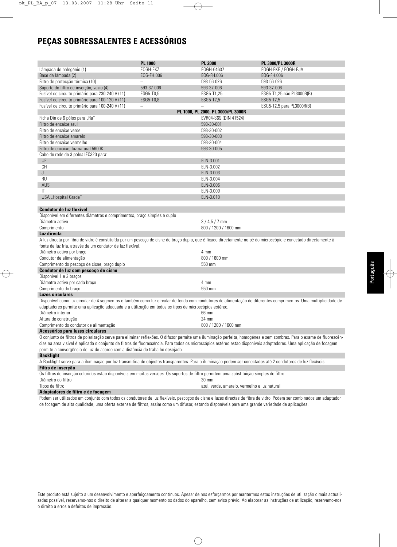# **PEÇAS SOBRESSALENTES E ACESSÓRIOS**

|                                                                                                                                                                     | <b>PL 1000</b>    | <b>PL 2000</b>                               | PL 3000/PL 3000R          |
|---------------------------------------------------------------------------------------------------------------------------------------------------------------------|-------------------|----------------------------------------------|---------------------------|
| Lâmpada de halogénio (1)                                                                                                                                            | EOGH-EKZ          | EOGH-64637                                   | EOGH-EKE / EOGH-EJA       |
| Base da lâmpada (2)                                                                                                                                                 | EOG-FH.006        | EOG-FH.006                                   | EOG-FH.006                |
| Filtro de protecção térmica (10)                                                                                                                                    | $\equiv$          | 593-56-026                                   | 593-56-026                |
| Suporte do filtro de inserção, vazio (4)                                                                                                                            | 593-37-006        | 593-37-006                                   | 593-37-006                |
| Fusível de circuito primário para 230-240 V (11)                                                                                                                    | ESG5-T0,5         | ESG5-T1,25                                   | ESG5-T1,25 não PL3000R(B) |
| Fusível de circuito primário para 100-120 V (11)                                                                                                                    | ESG5-T0,8         | ESG5-T2,5                                    | ESG5-T2,5                 |
| Fusível de circuito primário para 100-240 V (11)                                                                                                                    | $\qquad \qquad -$ | $\overline{\phantom{0}}$                     | ESG5-T2,5 para PL3000R(B) |
|                                                                                                                                                                     |                   | PL 1000, PL 2000, PL 3000/PL 3000R           |                           |
| Ficha Din de 6 pólos para "Ra"                                                                                                                                      |                   | EVR04-S6S (DIN 41524)                        |                           |
| Filtro de encaixe azul                                                                                                                                              |                   | 593-30-001                                   |                           |
| Filtro de encaixe verde                                                                                                                                             |                   | 593-30-002                                   |                           |
|                                                                                                                                                                     |                   |                                              |                           |
| Filtro de encaixe amarelo<br>Filtro de encaixe vermelho                                                                                                             |                   | 593-30-003<br>593-30-004                     |                           |
|                                                                                                                                                                     |                   |                                              |                           |
| Filtro de encaixe, luz natural 5600K                                                                                                                                |                   | 593-30-005                                   |                           |
| Cabo de rede de 3 pólos IEC320 para:                                                                                                                                |                   |                                              |                           |
| <b>UE</b>                                                                                                                                                           |                   | ELN-3.001                                    |                           |
| <b>CH</b>                                                                                                                                                           |                   | ELN-3.002                                    |                           |
| J                                                                                                                                                                   |                   | ELN-3.003                                    |                           |
| <b>RU</b>                                                                                                                                                           |                   | ELN-3.004                                    |                           |
| AUS                                                                                                                                                                 |                   | ELN-3.006                                    |                           |
| IT                                                                                                                                                                  |                   | ELN-3.009                                    |                           |
| USA "Hospital Grade"                                                                                                                                                |                   | ELN-3.010                                    |                           |
|                                                                                                                                                                     |                   |                                              |                           |
| <b>Condutor de luz flexível</b>                                                                                                                                     |                   |                                              |                           |
| Disponível em diferentes diâmetros e comprimentos, braço simples e duplo                                                                                            |                   |                                              |                           |
| Diâmetro activo                                                                                                                                                     |                   | $3/4,5/7$ mm                                 |                           |
| Comprimento                                                                                                                                                         |                   | 800 / 1200 / 1600 mm                         |                           |
| Luz directa                                                                                                                                                         |                   |                                              |                           |
| A luz directa por fibra de vidro é constituída por um pescoço de cisne de braço duplo, que é fixado directamente no pé do microscópio e conectado directamente à    |                   |                                              |                           |
| fonte de luz fria, através de um condutor de luz flexível.                                                                                                          |                   |                                              |                           |
| Diâmetro activo por braço                                                                                                                                           |                   | 4 mm                                         |                           |
| Condutor de alimentação                                                                                                                                             |                   | 800 / 1600 mm                                |                           |
| Comprimento do pescoço de cisne, braço duplo                                                                                                                        |                   | 550 mm                                       |                           |
| Condutor de luz com pescoço de cisne                                                                                                                                |                   |                                              |                           |
| Disponível 1 e 2 braços                                                                                                                                             |                   |                                              |                           |
| Diâmetro activo por cada braço                                                                                                                                      |                   | 4 mm                                         |                           |
| Comprimento do braço                                                                                                                                                |                   | 550 mm                                       |                           |
| <b>Luzes circulares</b>                                                                                                                                             |                   |                                              |                           |
| Disponível como luz circular de 4 segmentos e também como luz circular de fenda com condutores de alimentação de diferentes comprimentos. Uma multiplicidade de     |                   |                                              |                           |
|                                                                                                                                                                     |                   |                                              |                           |
| adaptadores permite uma aplicação adequada e a utilização em todos os tipos de microscópios estéreo.<br>Diâmetro interior                                           |                   |                                              |                           |
|                                                                                                                                                                     |                   | 66 mm                                        |                           |
| Altura de construção                                                                                                                                                |                   | 24 mm                                        |                           |
| Comprimento do condutor de alimentação                                                                                                                              |                   | 800 / 1200 / 1600 mm                         |                           |
| Acessórios para luzes circulares                                                                                                                                    |                   |                                              |                           |
| O conjunto de filtros de polarização serve para eliminar reflexões. O difusor permite uma iluminação perfeita, homogénea e sem sombras. Para o exame de fluorescên- |                   |                                              |                           |
| cias na área visível é aplicado o conjunto de filtros de fluorescência. Para todos os microscópios estéreo estão disponíveis adaptadores. Uma aplicação de focagem  |                   |                                              |                           |
| permite a convergência de luz de acordo com a distância de trabalho desejada.                                                                                       |                   |                                              |                           |
| <b>Backlight</b>                                                                                                                                                    |                   |                                              |                           |
| A Backlight serve para a iluminação por luz transmitida de objectos transparentes. Para a iluminação podem ser conectados até 2 condutores de luz flexíveis.        |                   |                                              |                           |
| Filtro de inserção                                                                                                                                                  |                   |                                              |                           |
| Os filtros de inserção coloridos estão disponíveis em muitas versões. Os suportes de filtro permitem uma substituição simples do filtro.                            |                   |                                              |                           |
| Diâmetro do filtro                                                                                                                                                  |                   | 30 mm                                        |                           |
| Tipos de filtro                                                                                                                                                     |                   | azul, verde, amarelo, vermelho e luz natural |                           |

### **Adaptadores de filtro e de focagem**

Podem ser utilizados em conjunto com todos os condutores de luz flexíveis, pescoços de cisne e luzes directas de fibra de vidro. Podem ser combinados um adaptador de focagem de alta qualidade, uma oferta extensa de filtros, assim como um difusor, estando disponíveis para uma grande variedade de aplicações.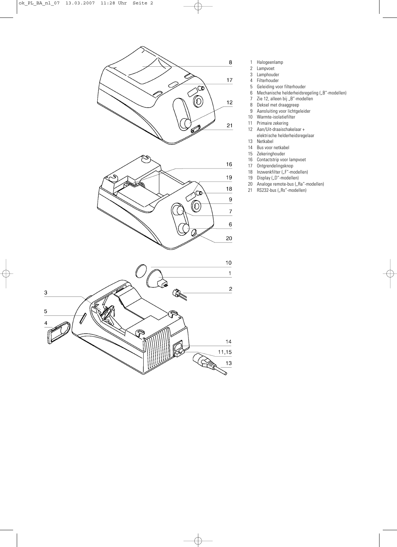

- 1 Halogeenlamp<br>2 Lampvoet
	- **Lampvoet**
	- 3 Lamphouder
	- 4 Filterhouder
- 5 Geleiding voor filterhouder<br>6 Mechanische helderheidsre
- Mechanische helderheidsregeling ("B"-modellen)
- 7 Zie 12, alleen bij "B"-modellen<br>8 Deksel met draaggreep
- Deksel met draaggreep
- 9 Aansluiting voor lichtgeleider
- 10 Warmte-isolatiefilter<br>11 Primaire zekering
- 
- 11 Primaire zekering<br>12 Aan/Uit-draaischa 12 Aan/Uit-draaischakelaar +
- elektrische helderheidsregelaar
- 13 Netkabel<br>14 Bus voor i
- 14 Bus voor netkabel<br>15 Zekeringhouder
- 15 Zekeringhouder<br>16 Contactstrip voo
- Contactstrip voor lampvoet
- 17 Ontgrendelingsknop
- 18 Inzwenkfilter ("F"-modellen)<br>19 Display ("D"-modellen)
- 19 Display ("D"-modellen)<br>20 Analoge remote-bus ("R
- 20 Analoge remote-bus ("Ra"-modellen)<br>21 RS232-bus ("Rs"-modellen)
- RS232-bus ("Rs"-modellen)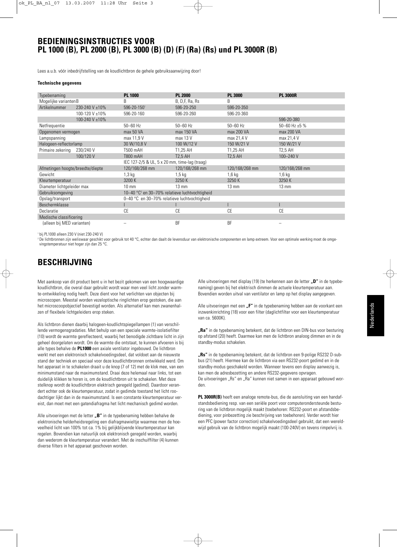## **BEDIENINGSINSTRUCTIES VOOR PL 1000 (B), PL 2000 (B), PL 3000 (B) (D) (F) (Ra) (Rs) und PL 3000R (B)**

Lees a.u.b. vóór inbedrijfstelling van de koudlichtbron de gehele gebruiksaanwijzing door!

### **Technische gegevens**

| Typebenaming                     |                | <b>PL 1000</b>                                             | <b>PL 2000</b>  | <b>PL 3000</b>  | <b>PL 3000R</b>      |
|----------------------------------|----------------|------------------------------------------------------------|-----------------|-----------------|----------------------|
| Mogelijke varianten B            |                | B                                                          | B, D,F, Ra, Rs  | B               |                      |
| Artikelnummer                    | 230-240 V ±10% | 596-20-1501                                                | 596-20-250      | 596-20-350      |                      |
|                                  | 100-120 V ±10% | 596-20-160                                                 | 596-20-260      | 596-20-360      |                      |
|                                  | 100-240 V ±10% |                                                            |                 |                 | 596-20-380           |
| Netfrequentie                    |                | $50 - 60$ Hz                                               | $50 - 60$ Hz    | $50 - 60$ Hz    | 50-60 Hz $\pm$ 5 %   |
| Opgenomen vermogen               |                | max 50 VA                                                  | max 150 VA      | max 200 VA      | max 200 VA           |
| Lampspanning                     |                | max 11,9 V                                                 | max 13 V        | max 21,4 V      | max 21,4 V           |
| Halogeen-reflectorlamp           |                | 30 W/10,8 V                                                | 100 W/12 V      | 150 W/21 V      | 150 W/21 V           |
| Primaire zekering                | 230/240 V      | T500 mAH                                                   | T1,25 AH        | T1,25 AH        | T <sub>2</sub> ,5 AH |
|                                  | 100/120 V      | T800 mAH                                                   | <b>T2.5 AH</b>  | <b>T2.5 AH</b>  | 100-240 V            |
|                                  |                | IEC 127-2/5 & UL, 5 x 20 mm, time-lag (traag)              |                 |                 |                      |
| Afmetingen hoogte/breedte/diepte |                | 120/168/268 mm                                             | 120/168/268 mm  | 120/168/268 mm  | 120/168/268 mm       |
| Gewicht                          |                | $1,3$ kg                                                   | $1,5$ kg        | $1,6$ kg        | $1,6$ kg             |
| Kleurtemperatuur                 |                | 3200 K                                                     | 3250K           | 3250 K          | 3250 K               |
| Diameter lichtgeleider max       |                | $10 \text{ mm}$                                            | $13 \text{ mm}$ | $13 \text{ mm}$ | $13 \text{ mm}$      |
| Gebruiksomgeving                 |                | 10-40 °C <sup>2</sup> en 30-70% relatieve luchtvochtigheid |                 |                 |                      |
| Opslag/transport                 |                | 0-40 °C en 30-70% relatieve luchtvochtigheid               |                 |                 |                      |
| Beschermklasse                   |                |                                                            |                 |                 |                      |
| Declaratie                       |                | CE                                                         | СE              | CE              | <b>CE</b>            |
| Medische classificering          |                |                                                            |                 |                 |                      |
| (alleen bij MED varianten)       |                |                                                            | BF              | <b>BF</b>       |                      |
|                                  |                |                                                            |                 |                 |                      |

<sup>1</sup> bij PL1000 alleen 230 V (niet 230-240 V)

<sup>2</sup> De lichtbronnen zijn weliswaar geschikt voor gebruik tot 40 °C, echter dan daalt de levensduur van elektronische componenten en lamp extreem. Voor een optimale werking moet de omgevingstemperatuur niet hoger zijn dan 25 °C.

# **BESCHRIJVING**

Met aankoop van dit product bent u in het bezit gekomen van een hoogwaardige koudlichtbron, die overal daar gebruikt wordt waar men veel licht zonder warmte-ontwikkeling nodig heeft. Deze dient voor het verlichten van objecten bij microscopen. Meestal worden vezeloptische ringlichten erop gestoken, die aan het microscoopobjectief bevestigd worden. Als alternatief kan men zwanenhalzen of flexibele lichtgeleiders erop steken.

Als lichtbron dienen daarbij halogeen-koudlichtspiegellampen (1) van verschillende vermogensgradaties. Met behulp van een speciale warmte-isolatiefilter (10) wordt de warmte gereflecteerd, waarbij het benodigde zichtbare licht in zijn geheel doorgelaten wordt. Om de warmte die ontstaat, te kunnen afvoeren is bij alle types behalve de **PL1000** een axiale ventilator ingebouwd. De lichtbron werkt met een elektronisch schakelvoedingsdeel, dat voldoet aan de nieuwste stand der techniek en speciaal voor deze koudlichtbronnen ontwikkeld werd. Om het apparaat in te schakelen draait u de knop (7 of 12) met de klok mee, van een minimumstand naar de maximumstand. Draai deze helemaal naar links, tot een duidelijk klikken te horen is, om de koudlichtbron uit te schakelen. Met deze stelknop wordt de koudlichtbron elektrisch geregeld (gedimd). Daardoor verandert echter ook de kleurtemperatuur, zodat in gedimde toestand het licht roodachtiger lijkt dan in de maximumstand. Is een constante kleurtemperatuur vereist, dan moet met een gatendiafragma het licht mechanisch gedimd worden.

Alle uitvoeringen met de letter "B" in de typebenaming hebben behalve de elektronische helderheidsregeling een diafragmawieltje waarmee men de hoeveelheid licht van 100% tot ca. 1% bij gelijkblijvende kleurtemperatuur kan regelen. Bovendien kan natuurlijk ook elektronisch geregeld worden, waarbij dan wederom de kleurtemperatuur verandert. Met de inschuiffilter (4) kunnen diverse filters in het apparaat geschoven worden.

Alle uitvoeringen met display (19) (te herkennen aan de letter **"D**" in de typebenaming) geven bij het elektrisch dimmen de actuele kleurtemperatuur aan. Bovendien worden uitval van ventilator en lamp op het display aangegeven.

Alle uitvoeringen met een "F" in de typebenaming hebben aan de voorkant een inzwenkinrichting (18) voor een filter (daglichtfilter voor een kleurtemperatuur van ca. 5600K).

**"Ra"** in de typebenaming betekent, dat de lichtbron een DIN-bus voor besturing op afstand (20) heeft. Daarmee kan men de lichtbron analoog dimmen en in de standby-modus schakelen.

**"Rs"** in de typebenaming betekent, dat de lichtbron een 9-polige RS232 D-subbus (21) heeft. Hiermee kan de lichtbron via een RS232-poort gedimd en in de standby-modus geschakeld worden. Wanneer tevens een display aanwezig is, kan men de adresbezetting en andere RS232-gegevens opvragen. De uitvoeringen "Rs" en "Ra" kunnen niet samen in een apparaat gebouwd worden.

**PL 3000R(B)** heeft een analoge remote-bus, die de aansluiting van een handafstandsbediening resp. van een seriële poort voor computerondersteunde besturing van de lichtbron mogelijk maakt (toebehoren: RS232-poort en afstandsbediening, voor pinbezetting zie beschrijving van toebehoren). Verder wordt hier een PFC (power factor correction) schakelvoedingsdeel gebruikt, dat een wereldwijd gebruik van de lichtbron mogelijk maakt (100-240V) en tevens rimpelvrij is.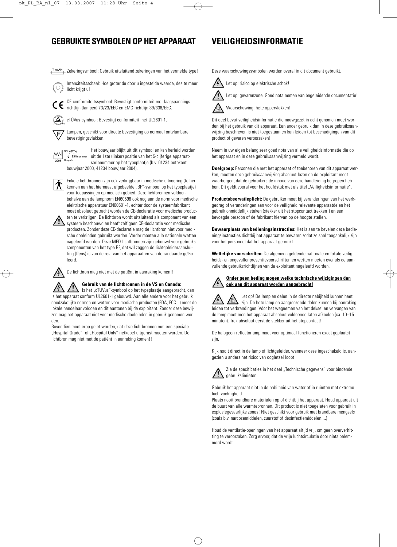# **GEBRUIKTE SYMBOLEN OP HET APPARAAT VEILIGHEIDSINFORMATIE**

Zekeringsymbool: Gebruik uitsluitend zekeringen van het vermelde type!

Intensiteitsschaal: Hoe groter de door u ingestelde waarde, des te meer licht krijgt u!



richtlijn (lampen) 73/23/EEC en EMC-richtlijn 89/336/EEC.

cTÜVus-symbool: Bevestigt conformiteit met UL2601-1.

Lampen, geschikt voor directe bevestiging op normaal ontvlambare F bevestigingsvlakken.



Het bouwjaar blijkt uit dit symbool en kan herleid worden Zahlnummer uit de 1ste (linker) positie van het 5-cijferige apparaatserienummer op het typeplaatje (b.v. 01234 betekent bouwjaar 2000, 41234 bouwjaar 2004).

Enkele lichtbronnen zijn ook verkrijgbaar in medische uitvoering (te herkennen aan het hiernaast afgebeelde "BF"-symbool op het typeplaatie) voor toepassingen op medisch gebied. Deze lichtbronnen voldoen behalve aan de lampnorm EN60598 ook nog aan de norm voor medische elektrische apparatuur EN60601-1, echter door de systeemfabrikant moet absoluut getracht worden de CE-declaratie voor medische produc-

ten te verkrijgen. De lichtbron wordt uitsluitend als component van een  $\Delta$  systeem beschouwd en heeft zelf geen CE-declaratie voor medische producten. Zonder deze CE-declaratie mag de lichtbron niet voor medische doeleinden gebruikt worden. Verder moeten alle nationale wetten nageleefd worden. Deze MED-lichtbronnen zijn gebouwd voor gebruikscomponenten van het type BF, dat wil zeggen de lichtgeleideraansluiting (flens) is van de rest van het apparaat en van de randaarde geïsoleerd.



De lichtbron mag niet met de patiënt in aanraking komen!!

**Gebruik van de lichtbronnen in de VS en Canada:**

Is het "cTUVus"-symbool op het typeplaatje aangebracht, dan is het apparaat conform UL2601-1 gebouwd. Aan alle andere voor het gebruik noodzakelijke normen en wetten voor medische producten (FDA, FCC...) moet de lokale handelaar voldoen en dit aantonen bij de exploitant. Zonder deze bewijzen mag het apparaat niet voor medische doeleinden in gebruik genomen worden.

Bovendien moet erop gelet worden, dat deze lichtbronnen met een speciale "Hospital Grade"- of "Hospital Only"-netkabel uitgerust moeten worden. De lichtbron mag niet met de patiënt in aanraking komen!!

Deze waarschuwingssymbolen worden overal in dit document gebruikt.

Let op: risico op elektrische schok!



Let op: gevarenzone. Goed nota nemen van begeleidende documentatie!



Waarschuwing: hete oppervlakken!

Dit deel bevat veiligheidsinformatie die nauwgezet in acht genomen moet worden bij het gebruik van dit apparaat. Een ander gebruik dan in deze gebruiksaanwijzing beschreven is niet toegestaan en kan leiden tot beschadigingen van dit product of gevaren veroorzaken!

Neem in uw eigen belang zeer goed nota van alle veiligheidsinformatie die op het apparaat en in deze gebruiksaanwijzing vermeld wordt.

**Doelgroep:** Personen die met het apparaat of toebehoren van dit apparaat werken, moeten deze gebruiksaanwijzing absoluut lezen en de exploitant moet waarborgen, dat de gebruikers de inhoud van deze handleiding begrepen hebben. Dit geldt vooral voor het hoofdstuk met als titel "Veiligheidsinformatie".

**Productobservatieplicht:** De gebruiker moet bij veranderingen van het werkgedrag of veranderingen aan voor de veiligheid relevante apparaatdelen het gebruik onmiddellijk staken (stekker uit het stopcontact trekken!) en een bevoegde persoon of de fabrikant hiervan op de hoogte stellen.

**Bewaarplaats van bedieningsinstructies:** Het is aan te bevelen deze bedieningsinstructies dichtbij het apparaat te bewaren zodat ze snel toegankelijk zijn voor het personeel dat het apparaat gebruikt.

**Wettelijke voorschriften:** De algemeen geldende nationale en lokale veiligheids- en ongevallenpreventievoorschriften en wetten moeten evenals de aanvullende gebruiksrichtlijnen van de exploitant nageleefd worden.

### **Onder geen beding mogen welke technische wijzigingen dan ook aan dit apparaat worden aangebracht!**

Let op! De lamp en delen in de directe nabijheid kunnen heet zijn. De hete lamp en aangrenzende delen kunnen bij aanraking leiden tot verbrandingen. Vóór het wegnemen van het deksel en vervangen van de lamp moet men het apparaat absoluut voldoende laten afkoelen (ca. 10–15 minuten). Trek absoluut eerst de stekker uit het stopcontact!

De halogeen-reflectorlamp moet voor optimaal functioneren exact geplaatst zijn.

Kijk nooit direct in de lamp of lichtgeleider, wanneer deze ingeschakeld is, aangezien u anders het risico van oogletsel loopt!



Zie de specificaties in het deel "Technische gegevens" voor bindende

Gebruik het apparaat niet in de nabijheid van water of in ruimten met extreme luchtvochtigheid.

Plaats nooit brandbare materialen op of dichtbij het apparaat. Houd apparaat uit de buurt van alle warmtebronnen. Dit product is niet toegelaten voor gebruik in explosiegevaarlijke zones! Niet geschikt voor gebruik met brandbare mengsels (zoals b.v. narcosemiddelen, zuurstof of desinfectiemiddelen....)!

Houd de ventilatie-openingen van het apparaat altijd vrij, om geen oververhitting te veroorzaken. Zorg ervoor, dat de vrije luchtcirculatie door niets belemmerd wordt.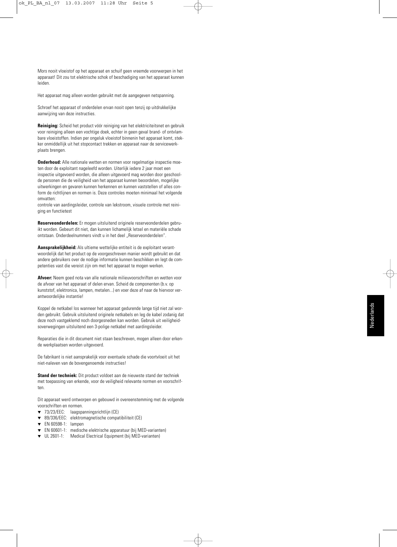Mors nooit vloeistof op het apparaat en schuif geen vreemde voorwerpen in het apparaat! Dit zou tot elektrische schok of beschadiging van het apparaat kunnen leiden.

Het apparaat mag alleen worden gebruikt met de aangegeven netspanning.

Schroef het apparaat of onderdelen ervan nooit open tenzij op uitdrukkelijke aanwijzing van deze instructies.

**Reiniging:** Scheid het product vóór reiniging van het elektriciteitsnet en gebruik voor reiniging alleen een vochtige doek, echter in geen geval brand- of ontvlambare vloeistoffen. Indien per ongeluk vloeistof binnenin het apparaat komt, stekker onmiddellijk uit het stopcontact trekken en apparaat naar de servicewerkplaats brengen.

**Onderhoud:** Alle nationale wetten en normen voor regelmatige inspectie moeten door de exploitant nageleefd worden. Uiterlijk iedere 2 jaar moet een inspectie uitgevoerd worden, die alleen uitgevoerd mag worden door geschoolde personen die de veiligheid van het apparaat kunnen beoordelen, mogelijke uitwerkingen en gevaren kunnen herkennen en kunnen vaststellen of alles conform de richtlijnen en normen is. Deze controles moeten minimaal het volgende omvatten:

controle van aardingsleider, controle van lekstroom, visuele controle met reiniging en functietest

**Reserveonderdelen:** Er mogen uitsluitend originele reserveonderdelen gebruikt worden. Gebeurt dit niet, dan kunnen lichamelijk letsel en materiële schade ontstaan. Onderdeelnummers vindt u in het deel "Reserveonderdelen".

**Aansprakelijkheid:** Als ultieme wettelijke entiteit is de exploitant verantwoordelijk dat het product op de voorgeschreven manier wordt gebruikt en dat andere gebruikers over de nodige informatie kunnen beschikken en legt de competenties vast die vereist zijn om met het apparaat te mogen werken.

**Afvoer:** Neem goed nota van alle nationale milieuvoorschriften en wetten voor de afvoer van het apparaat of delen ervan. Scheid de componenten (b.v. op kunststof, elektronica, lampen, metalen...) en voer deze af naar de hiervoor verantwoordelijke instantie!

Koppel de netkabel los wanneer het apparaat gedurende lange tijd niet zal worden gebruikt. Gebruik uitsluitend originele netkabels en leg de kabel zodanig dat deze noch vastgeklemd noch doorgesneden kan worden. Gebruik uit veiligheidsoverwegingen uitsluitend een 3-polige netkabel met aardingsleider.

Reparaties die in dit document niet staan beschreven, mogen alleen door erkende werkplaatsen worden uitgevoerd.

De fabrikant is niet aansprakelijk voor eventuele schade die voortvloeit uit het niet-naleven van de bovengenoemde instructies!

**Stand der techniek:** Dit product voldoet aan de nieuwste stand der techniek met toepassing van erkende, voor de veiligheid relevante normen en voorschriften.

Dit apparaat werd ontworpen en gebouwd in overeenstemming met de volgende voorschriften en normen.

- ▼ 73/23/EEC: laagspanningsrichtlijn (CE)
- 89/336/EEC: elektromagnetische compatibiliteit (CE)
- EN 60598-1: lampen
- EN 60601-1: medische elektrische apparatuur (bij MED-varianten)
- ▼ UL 2601-1: Medical Electrical Equipment (bij MED-varianten)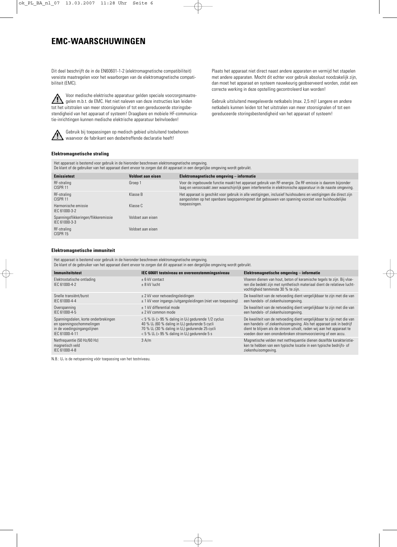# **EMC-WAARSCHUWINGEN**

Dit deel beschrijft de in de EN60601-1-2 (elektromagnetische compatibiliteit) vereiste maatregelen voor het waarborgen van de elektromagnetische compatibiliteit (EMC).

Voor medische elektrische apparatuur gelden speciale voorzorgsmaatre- $\bigwedge$ gelen m.b.t. de EMC. Het niet naleven van deze instructies kan leiden tot het uitstralen van meer stoorsignalen of tot een gereduceerde storingsbestendigheid van het apparaat of systeem! Draagbare en mobiele HF-communicatie-inrichtingen kunnen medische elektrische apparatuur beïnvloeden!



Gebruik bij toepassingen op medisch gebied uitsluitend toebehoren waarvoor de fabrikant een desbetreffende declaratie heeft!

Plaats het apparaat niet direct naast andere apparaten en vermijd het stapelen met andere apparaten. Mocht dit echter voor gebruik absoluut noodzakelijk zijn, dan moet het apparaat en systeem nauwkeurig geobserveerd worden, zodat een correcte werking in deze opstelling gecontroleerd kan worden!

Gebruik uitsluitend meegeleverde netkabels (max. 2,5 m)! Langere en andere netkabels kunnen leiden tot het uitstralen van meer stoorsignalen of tot een gereduceerde storingsbestendigheid van het apparaat of systeem!

### **Elektromagnetische straling**

Het apparaat is bestemd voor gebruik in de hieronder beschreven elektromagnetische omgeving. De klant of de gebruiker van het apparaat dient ervoor te zorgen dat dit apparaat in een dergelijke omgeving wordt gebruikt.

| <b>Emissietest</b>                                    | Voldoet aan eisen | Elektromagnetische omgeving – informatie                                                                                                                                                                                 |
|-------------------------------------------------------|-------------------|--------------------------------------------------------------------------------------------------------------------------------------------------------------------------------------------------------------------------|
| RF-straling<br>CISPR 11                               | Groep 1           | Voor de ingebouwde functie maakt het apparaat gebruik van RF-energie. De RF-emissie is daarom bijzonder<br>laag en veroorzaakt zeer waarschijnlijk geen interferentie in elektronische apparatuur in de naaste omgeving. |
| RF-straling<br>CISPR 11                               | Klasse B          | Het apparaat is geschikt voor gebruik in alle vestigingen, inclusief huishoudens en vestigingen die direct zijn<br>aangesloten op het openbare laagspanningsnet dat gebouwen van spanning voorziet voor huishoudelijke   |
| Harmonische emissie<br>IEC 61000-3-2                  | Klasse C          | toepassingen.                                                                                                                                                                                                            |
| Spanningsflikkeringen/flikkeremissie<br>IEC 61000-3-3 | Voldoet aan eisen |                                                                                                                                                                                                                          |
| RF-straling<br>CISPR 15                               | Voldoet aan eisen |                                                                                                                                                                                                                          |

### **Elektromagnetische immuniteit**

Het apparaat is bestemd voor gebruik in de hieronder beschreven elektromagnetische omgeving.

De klant of de gebruiker van het apparaat dient ervoor te zorgen dat dit apparaat in een dergelijke omgeving wordt gebruikt.

| <b>Immuniteitstest</b>                                          | IEC 60601 testniveau en overeenstemmingsniveau                                    | Elektromagnetische omgeving – informatie                                                                                                                                                 |
|-----------------------------------------------------------------|-----------------------------------------------------------------------------------|------------------------------------------------------------------------------------------------------------------------------------------------------------------------------------------|
| Elektrostatische ontlading<br>IFC 61000-4-2                     | $+6$ kV contact<br>$+8$ kV lucht                                                  | Vloeren dienen van hout, beton of keramische tegels te zijn. Bij vloe-<br>ren die bedekt zijn met synthetisch materiaal dient de relatieve lucht-<br>vochtigheid tenminste 30 % te zijn. |
| Snelle transiënt/burst                                          | $\pm$ 2 kV voor netvoedingsleidingen                                              | De kwaliteit van de netvoeding dient vergelijkbaar te zijn met die van                                                                                                                   |
| IFC 61000-4-4                                                   | ± 1 kV voor ingangs-/uitgangsleidingen (niet van toepassing)                      | een handels- of ziekenhuisomgeving.                                                                                                                                                      |
| Overspanning                                                    | + 1 kV differential mode                                                          | De kwaliteit van de netvoeding dient vergelijkbaar te zijn met die van                                                                                                                   |
| IFC 61000-4-5                                                   | $+2$ kV common mode                                                               | een handels- of ziekenhuisomgeving.                                                                                                                                                      |
| Spanningsdalen, korte onderbrekingen                            | $<$ 5 % U <sub>T</sub> ( $>$ 95 % daling in U <sub>T</sub> ) gedurende 1/2 cyclus | De kwaliteit van de netvoeding dient vergelijkbaar te zijn met die van                                                                                                                   |
| en spanningsschommelingen                                       | 40 % $U_T$ (60 % daling in $U_T$ ) gedurende 5 cycli                              | een handels- of ziekenhuisomgeving. Als het apparaat ook in bedrijf                                                                                                                      |
| in de voedingsingangslijnen                                     | 70 % $U_T$ (30 % daling in $U_T$ ) gedurende 25 cycli                             | dient te blijven als de stroom uitvalt, raden wij aan het apparaat te                                                                                                                    |
| IFC 61000-4-11                                                  | $<$ 5 % U <sub>T</sub> ( $>$ 95 % daling in U <sub>T</sub> ) gedurende 5 s        | voeden door een ononderbroken stroomvoorziening of een accu.                                                                                                                             |
| Netfrequentie (50 Hz/60 Hz)<br>magnetisch veld<br>IEC 61000-4-8 | 3 A/m                                                                             | Magnetische velden met netfrequentie dienen dezelfde karakteristie-<br>ken te hebben van een typische locatie in een typische bedrijfs- of<br>ziekenhuisomgeving.                        |

N.B.:  $U_T$  is de netspanning vóór toepassing van het testniveau.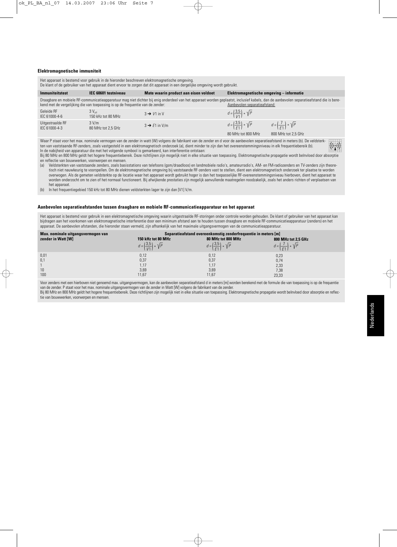### **Elektromagnetische immuniteit**

Het apparaat is bestemd voor gebruik in de hieronder beschreven elektromagnetische omgeving. De klant of de gebruiker van het apparaat dient ervoor te zorgen dat dit apparaat in een dergelijke omgeving wordt gebruikt. **IEC 60601 testniveau Immuniteitstest Mate waarin product aan eisen voldoet Elektromagnetische omgeving – informatie** Draagbare en mobiele RF-communicatieapparatuur mag niet dichter bij enig onderdeel van het apparaat worden geplaatst, inclusief kabels, dan de aanbevolen separatieafstand die is bere-<br>kend met de vergelijking die van toepa kend met de vergelijking die van toepassing is op de frequentie van de zender:  $d = \left(\frac{3.5}{V1}\right) * \sqrt{P}$  $3 V<sub>eff</sub>$ Geleide RF  $3 \rightarrow V1$  in V 150 kHz tot 80 MHz IEC 61000-4-6  $d = \left(\frac{3.5}{E1}\right) * \sqrt{P}$  $d = \left(\frac{7}{E1}\right) * \sqrt{P}$ Uitgestraalde RF 3 V/m  $3 \rightarrow F1$  in V/m IEC 61000-4-3 80 MHz tot 2,5 GHz 80 MHz tot 800 MHz 800 MHz tot 2,5 GHz Waar P staat voor het max. nominale vermogen van de zender in watt (W) volgens de fabrikant van de zender en d voor de aanbevolen separatieafstand in meters (b). De veldsterk- $((\cdot))$ ten van vaststaande RF-zenders, zoals vastgesteld in een elektromagnetisch onderzoek (a), dient minder te zijn dan het overeenstemmingsniveau in elk frequentiebereik (b). In de nabijheid van apparatuur die met het volgende symbool is gemarkeerd, kan interferentie ontstaan:

Bij 80 MHz en 800 MHz geldt het hogere frequentiebereik. Deze richtlijnen zijn mogelijk niet in elke situatie van toepassing. Elektromagnetische propagatie wordt beïnvloed door absorptie en reflectie van bouwwerken, voorwerpen en mensen.

(a) Veldsterkten van vaststaande zenders, zoals basisstations van telefoons (gsm/draadloos) en landmobiele radio's, amateurradio's, AM- en FM-radiozenders en TV-zenders zijn theoretisch niet nauwkeurig te voorspellen. Om de elektromagnetische omgeving bij vaststaande RF-zenders vast te stellen, dient een elektromagnetisch onderzoek ter plaatse te worden overwogen. Als de gemeten veldsterkte op de locatie waar het apparaat wordt gebruikt hoger is dan het toepasselijke RF-overeenstemmingsniveau hierboven, dient het apparaat te worden onderzocht om te zien of het normaal functioneert. Bij afwijkende prestaties zijn mogelijk aanvullende maatregelen noodzakelijk, zoals het anders richten of verplaatsen van het apparaat.

(b) In het frequentiegebied 150 kHz tot 80 MHz dienen veldsterkten lager te zijn dan [V1] V/m.

### **Aanbevolen separatieafstanden tussen draagbare en mobiele RF-communicatieapparatuur en het apparaat**

Het apparaat is bestemd voor gebruik in een elektromagnetische omgeving waarin uitgestraalde RF-storingen onder controle worden gehouden. De klant of gebruiker van het apparaat kan bijdragen aan het voorkomen van elektromagnetische interferentie door een minimum afstand aan te houden tussen draagbare en mobiele RF-communicatieapparatuur (zenders) en het apparaat. De aanbevolen afstanden, die hieronder staan vermeld, zijn afhankelijk van het maximale uitgangsvermogen van de communicatieapparatuur.

| Max. nominale uitgangsvermogen van<br>zender in Watt [W] | 150 kHz tot 80 MHz<br>$d = \left(\frac{3.5}{1/1}\right) * \sqrt{P}$ | Separatieafstand overeenkomstig zenderfrequentie in meters [m]<br>80 MHz tot 800 MHz<br>$d = \left(\frac{3.5}{51}\right) * \sqrt{P}$ | 800 MHz tot 2,5 GHz<br>$d = \left(\frac{7}{51}\right) * \sqrt{P}$ |
|----------------------------------------------------------|---------------------------------------------------------------------|--------------------------------------------------------------------------------------------------------------------------------------|-------------------------------------------------------------------|
| 0,01<br>0,1<br>10<br>100                                 | 0,12<br>0,37<br>1.17<br>3,69<br>11,67                               | 0,12<br>0,37<br>1.17<br>3,69<br>11,67                                                                                                | 0,23<br>0,74<br>2,33<br>7,38<br>23,33                             |

Voor zenders met een hierboven niet genoemd max. uitgangsvermogen, kan de aanbevolen separatieafstand d in meters [m] worden berekend met de formule die van toepassing is op de frequentie van de zender. P staat voor het max. nominale uitgangsvermogen van de zender in Watt [W] volgens de fabrikant van de zender.

Bij 80 MHz en 800 MHz geldt het hogere frequentiebereik. Deze richtlijnen zijn mogelijk niet in elke situatie van toepassing. Elektromagnetische propagatie wordt beïnvloed door absorptie en reflectie van bouwwerken, voorwerpen en mensen.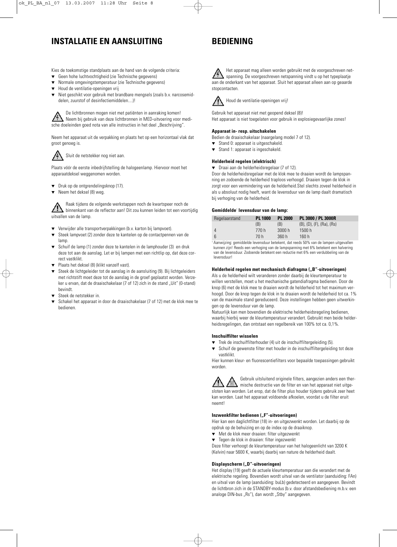# **INSTALLATIE EN AANSLUITING**

# **BEDIENING**

Kies de toekomstige standplaats aan de hand van de volgende criteria:

- ▼ Geen hohe luchtvochtigheid (zie Technische gegevens)
- Normale omgevingstemperatuur (zie Technische gegevens)
- Houd de ventilatie-openingen vrij
- ▼ Niet geschikt voor gebruik met brandbare mengsels (zoals b.v. narcosemiddelen, zuurstof of desinfectiemiddelen....)!

De lichtbronnen mogen niet met patiënten in aanraking komen! Neem bij gebruik van deze lichtbronnen in MED-uitvoering voor medische doeleinden goed nota van alle instructies in het deel "Beschrijving".

Neem het apparaat uit de verpakking en plaats het op een horizontaal vlak dat groot genoeg is.



Sluit de netstekker nog niet aan.

Plaats vóór de eerste inbedrijfstelling de halogeenlamp. Hiervoor moet het apparaatdeksel weggenomen worden.

- ▼ Druk op de ontgrendelingsknop (17).
- Neem het deksel (8) weg.

Raak tijdens de volgende werkstappen noch de kwartspeer noch de binnenkant van de reflector aan! Dit zou kunnen leiden tot een voortijdig uitvallen van de lamp.

- Verwijder alle transportverpakkingen (b.v. karton bij lampvoet).
- ▼ Steek lampvoet (2) zonder deze te kantelen op de contactpennen van de lamp.
- Schuif de lamp (1) zonder deze te kantelen in de lamphouder (3) en druk deze tot aan de aanslag. Let er bij lampen met een richtlip op, dat deze correct vastklikt.
- ▼ Plaats het deksel (8) (klikt vanzelf vast).
- ▼ Steek de lichtgeleider tot de aanslag in de aansluiting (9). Bij lichtgeleiders met richtstift moet deze tot de aanslag in de groef geplaatst worden. Verzeker u ervan, dat de draaischakelaar (7 of 12) zich in de stand "Uit" (0-stand) bevindt.
- Steek de netstekker in.
- Schakel het apparaat in door de draaischakelaar (7 of 12) met de klok mee te bedienen.

Het apparaat mag alleen worden gebruikt met de voorgeschreven netspanning. De voorgeschreven netspanning vindt u op het typeplaatje aan de onderkant van het apparaat. Sluit het apparaat alleen aan op geaarde stopcontacten.



Houd de ventilatie-openingen vrij!

Gebruik het apparaat niet met geopend deksel (8)! Het apparaat is niet toegelaten voor gebruik in explosiegevaarlijke zones!

### **Apparaat in- resp. uitschakelen**

Bedien de draaischakelaar (naargelang model 7 of 12).

- Stand 0: apparaat is uitgeschakeld.
- ▼ Stand 1: apparaat is ingeschakeld.

### **Helderheid regelen (elektrisch)**

▼ Draai aan de helderheidsregelaar (7 of 12).

Door de helderheidsregelaar met de klok mee te draaien wordt de lampspanning en zodoende de helderheid traploos verhoogd. Draaien tegen de klok in zorgt voor een vermindering van de helderheid.Stel slechts zoveel helderheid in als u absoluut nodig heeft, want de levensduur van de lamp daalt dramatisch bij verhoging van de helderheid.

### **Gemiddelde**<sup>1</sup> **levensduur van de lamp:**

| Regelaarstand | <b>PL 1000</b> | <b>PL 2000</b> | PL 3000 / PL 3000R                      |
|---------------|----------------|----------------|-----------------------------------------|
|               | (B)            | (B)            | $(B)$ , $(D)$ , $(F)$ , $(Ra)$ , $(Rs)$ |
|               | 770 h          | 3000h          | 1500h                                   |
| 6             | 70 h           | 360 h          | 160 h                                   |

<sup>1</sup> Aanwiizing: gemiddelde levensduur betekent, dat reeds 50% van de lampen uitgevallen kunnen zijn! Reeds een verhoging van de lampspanning met 6% betekent een halvering van de levensduur. Zodoende betekent een reductie met 6% een verdubbeling van de levensduur!

### **Helderheid regelen met mechanisch diafragma ("B"-uitvoeringen)**

Als u de helderheid wilt veranderen zonder daarbij de kleurtemperatuur te willen verstellen, moet u het mechanische gatendiafragma bedienen. Door de knop (6) met de klok mee te draaien wordt de helderheid tot het maximum verhoogd. Door de knop tegen de klok in te draaien wordt de helderheid tot ca. 1% van de maximale stand gereduceerd. Deze instellingen hebben geen uitwerkingen op de levensduur van de lamp.

Natuurlijk kan men bovendien de elektrische helderheidsregeling bedienen, waarbij hierbij weer de kleurtemperatuur verandert. Gebruikt men beide helderheidsregelingen, dan ontstaat een regelbereik van 100% tot ca. 0,1%.

### **Inschuiffilter wisselen**

- ▼ Trek de inschuiffilterhouder (4) uit de inschuiffiltergeleiding (5).
- Schuif de gewenste filter met houder in de inschuiffiltergeleiding tot deze vastklikt.

Hier kunnen kleur- en fluorescentiefilters voor bepaalde toepassingen gebruikt worden.

Gebruik uitsluitend originele filters, aangezien anders een thermische destructie van de filter en van het apparaat niet uitgesloten kan worden. Let erop, dat de filter plus houder tijdens gebruik zeer heet kan worden. Laat het apparaat voldoende afkoelen, voordat u de filter eruit neemt!

### **Inzwenkfilter bedienen ("F"-uitvoeringen)**

Hier kan een daglichtfilter (18) in- en uitgezwenkt worden. Let daarbij op de opdruk op de behuizing en op de index op de draaiknop.

- ▼ Met de klok meer draaien: filter uitgezwenkt
- ▼ Tegen de klok in draaien: filter ingezwenkt

Deze filter verhoogt de kleurtemperatuur van het halogeenlicht van 3200 K (Kelvin) naar 5600 K, waarbij daarbij van nature de helderheid daalt.

### **Displayscherm ("D"-uitvoeringen)**

Het display (19) geeft de actuele kleurtemperatuur aan die verandert met de elektrische regeling. Bovendien wordt uitval van de ventilator (aanduiding: FAn) en uitval van de lamp (aanduiding: buLb) gedetecteerd en aangegeven. Bevindt de lichtbron zich in de STANDBY-modus (b.v. door afstandsbediening m.b.v. een analoge DIN-bus "Rs"), dan wordt "Stby" aangegeven.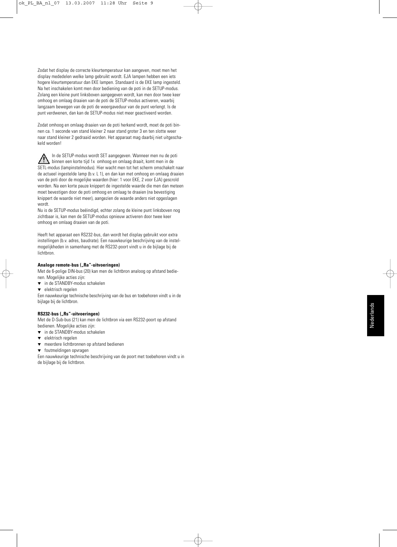Zodat het display de correcte kleurtemperatuur kan aangeven, moet men het display mededelen welke lamp gebruikt wordt. EJA lampen hebben een iets hogere kleurtemperatuur dan EKE lampen. Standaard is de EKE lamp ingesteld. Na het inschakelen komt men door bediening van de poti in de SETUP-modus. Zolang een kleine punt linksboven aangegeven wordt, kan men door twee keer omhoog en omlaag draaien van de poti de SETUP-modus activeren, waarbij langzaam bewegen van de poti de weergaveduur van de punt verlengt. Is de punt verdwenen, dan kan de SETUP-modus niet meer geactiveerd worden.

Zodat omhoog en omlaag draaien van de poti herkend wordt, moet de poti binnen ca. 1 seconde van stand kleiner 2 naar stand groter 3 en ten slotte weer naar stand kleiner 2 gedraaid worden. Het apparaat mag daarbij niet uitgeschakeld worden!

In de SETUP-modus wordt SET aangegeven. Wanneer men nu de poti  $\sqrt{ }$ binnen een korte tijd 1x omhoog en omlaag draait, komt men in de SETL-modus (lampinstelmodus). Hier wacht men tot het scherm omschakelt naar de actueel ingestelde lamp (b.v. L 1), en dan kan met omhoog en omlaag draaien van de poti door de mogelijke waarden (hier: 1 voor EKE, 2 voor EJA) gescrold worden. Na een korte pauze knippert de ingestelde waarde die men dan meteen moet bevestigen door de poti omhoog en omlaag te draaien (na bevestiging knippert de waarde niet meer), aangezien de waarde anders niet opgeslagen wordt.

Nu is de SETUP-modus beëindigd, echter zolang de kleine punt linksboven nog zichtbaar is, kan men de SETUP-modus opnieuw activeren door twee keer omhoog en omlaag draaien van de poti.

Heeft het apparaat een RS232-bus, dan wordt het display gebruikt voor extra instellingen (b.v. adres, baudrate). Een nauwkeurige beschrijving van de instelmogelijkheden in samenhang met de RS232-poort vindt u in de bijlage bij de lichtbron.

### Analoge remote-bus ("Ra"-uitvoeringen)

Met de 6-polige DIN-bus (20) kan men de lichtbron analoog op afstand bedienen. Mogelijke acties zijn:

- ▼ in de STANDBY-modus schakelen
- ▼ elektrisch regelen

Een nauwkeurige technische beschrijving van de bus en toebehoren vindt u in de bijlage bij de lichtbron.

### RS232-bus ("Rs"-uitvoeringen)

Met de D-Sub-bus (21) kan men de lichtbron via een RS232-poort op afstand bedienen. Mogelijke acties zijn:

- ▼ in de STANDBY-modus schakelen
- elektrisch regelen
- ▼ meerdere lichtbronnen op afstand bedienen
- ▼ foutmeldingen opvragen

Een nauwkeurige technische beschrijving van de poort met toebehoren vindt u in de bijlage bij de lichtbron.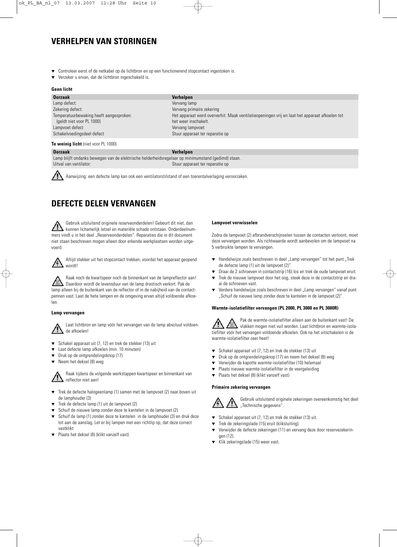# **VERHELPEN VAN STORINGEN**

- Controleer eerst of de netkabel op de lichtbron en op een functionerend stopcontact ingestoken is.
- Verzeker u ervan, dat de lichtbron ingeschakeld is.

### **Geen licht**

| <b>Oorzaak</b>                          | <b>Verhelpen</b>                                                                              |
|-----------------------------------------|-----------------------------------------------------------------------------------------------|
| Lamp defect:                            | Vervang lamp                                                                                  |
| Zekering defect:                        | Vervang primaire zekering                                                                     |
| Temperatuurbewaking heeft aangesproken: | Het apparaat werd oververhit. Maak ventilatieopeningen vrij en laat het apparaat afkoelen tot |
| (geldt niet voor PL 1000)               | het weer inschakelt.                                                                          |
| Lampvoet defect                         | Vervang lampvoet                                                                              |
| Schakelvoedingsdeel defect              | Stuur apparaat ter reparatie op                                                               |

### **Te weinig licht** (niet voor PL 1000)

**Oorzaak Verhelpen**

Lamp blijft ondanks bewegen van de elektrische helderheidsregelaar op minimumstand (gedimd) staan. Uitval van ventilator: Stuur apparaat ter reparatie op

Aanwijzing: een defecte lamp kan ook een ventilatorstilstand of een toerentalverlaging veroorzaken.

# **DEFECTE DELEN VERVANGEN**

Gebruik uitsluitend originele reserveonderdelen! Gebeurt dit niet, dan kunnen lichamelijk letsel en materiële schade ontstaan. Onderdeelnummers vindt u in het deel "Reserveonderdelen". Reparaties die in dit document niet staan beschreven mogen alleen door erkende werkplaatsen worden uitgevoerd.



Altijd stekker uit het stopcontact trekken, voordat het apparaat geopend wordt!

Raak noch de kwartspeer noch de binnenkant van de lampreflector aan! Daardoor wordt de levensduur van de lamp drastisch verkort. Pak de lamp alleen bij de buitenkant van de reflector of in de nabijheid van de contactpennen vast. Laat de hete lampen en de omgeving ervan altijd voldoende afkoelen.

### **Lamp vervangen**

Laat lichtbron en lamp vóór het vervangen van de lamp absoluut voldoende afkoelen!

- Schakel apparaat uit (7, 12) en trek de stekker (13) uit
- Laat defecte lamp afkoelen (min. 10 minuten)
- Druk op de ontgrendelingsknop (17)
- ▼ Neem het deksel (8) weg

Raak tijdens de volgende werkstappen kwartspeer en binnenkant van reflector niet aan!

- ▼ Trek de defecte halogeenlamp (1) samen met de lampvoet (2) naar boven uit de lamphouder (3)
- Trek de defecte lamp (1) uit de lampvoet (2)
- Schuif de nieuwe lamp zonder deze te kantelen in de lampvoet (2)
- Schuif de lamp (1) zonder deze te kantelen in de lamphouder (3) en druk deze tot aan de aanslag. Let er bij lampen met een richtlip op, dat deze correct vastklikt
- ▼ Plaats het deksel (8) (klikt vanzelf vast)

### **Lampvoet verwisselen**

Zodra de lampvoet (2) afbrandverschijnselen tussen de contacten vertoont, moet deze vervangen worden. Als richtwaarde wordt aanbevolen om de lampvoet na 5 verbruikte lampen te vervangen.

- ▼ Handelwijze zoals beschreven in deel "Lamp vervangen" tot het punt "Trek de defecte lamp (1) uit de lampvoet (2)".
- Draai de 2 schroeven in contactstrip (16) los en trek de oude lampvoet eruit.
- Trek de nieuwe lampvoet door het oog, steek deze in de contactstrip en draai de schroeven vast.
- ▼ Verdere handelwijze zoals beschreven in deel "Lamp vervangen" vanaf punt "Schuif de nieuwe lamp zonder deze te kantelen in de lampvoet (2)".

### **Warmte-isolatiefilter vervangen (PL 2000, PL 3000 en PL 3000R)**

Pak de warmte-isolatiefilter alleen aan de buitenkant vast! De vlakken mogen niet vuil worden. Laat lichtbron en warmte-isolatiefilter vóór het vervangen voldoende afkoelen. Ook na het uitschakelen is de warmte-isolatiefilter zeer heet!

- ▼ Schakel apparaat uit (7, 12) en trek de stekker (13) uit
- Druk op de ontgrendelingsknop (17) en neem het deksel (8) weg
- Verwijder de kapotte warmte-isolatiefilter (10) helemaal
- ▼ Plaats nieuwe warmte-isolatiefilter in de veergeleiding
- ▼ Plaats het deksel (8) (klikt vanzelf vast)

### **Primaire zekering vervangen**



Gebruik uitsluitend originele zekeringen overeenkomstig het deel "Technische gegevens".

- ▼ Schakel apparaat uit (7, 12) en trek de stekker (13) uit.
- ▼ Trek de zekeringslade (15) eruit (kliksluiting).
- ▼ Verwijder de defecte zekeringen (11) en vervang deze door reservezekeringen (12).
- ▼ Klik zekeringslade (15) weer vast.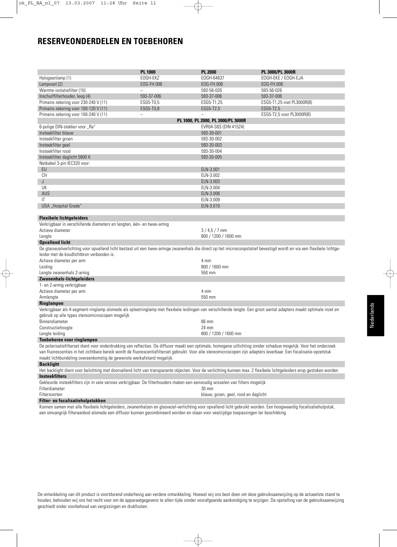# **RESERVEONDERDELEN EN TOEBEHOREN**

|                                                                                                                                                                                                                                              | <b>PL 1000</b> | <b>PL 2000</b>                       | PL 3000/PL 3000R           |  |  |
|----------------------------------------------------------------------------------------------------------------------------------------------------------------------------------------------------------------------------------------------|----------------|--------------------------------------|----------------------------|--|--|
| Halogeenlamp (1)                                                                                                                                                                                                                             | EOGH-EKZ       | EOGH-64637                           | EOGH-EKE / EOGH-EJA        |  |  |
| Lampvoet (2)                                                                                                                                                                                                                                 | EOG-FH.006     | EOG-FH.006                           | EOG-FH.006                 |  |  |
| Warmte-isolatiefilter (10)                                                                                                                                                                                                                   | $\equiv$       | 593-56-026                           | 593-56-026                 |  |  |
| Inschuiffilterhouder, leeg (4)                                                                                                                                                                                                               | 593-37-006     | 593-37-006                           | 593-37-006                 |  |  |
| Primaire zekering voor 230-240 V (11)                                                                                                                                                                                                        | ESG5-T0,5      | ESG5-T1,25                           | ESG5-T1,25 niet PL3000R(B) |  |  |
| Primaire zekering voor 100-120 V (11)                                                                                                                                                                                                        | ESG5-T0,8      | ESG5-T2,5                            | ESG5-T2,5                  |  |  |
| Primaire zekering voor 100-240 V (11)                                                                                                                                                                                                        |                |                                      | ESG5-T2,5 voor PL3000R(B)  |  |  |
|                                                                                                                                                                                                                                              |                | PL 1000, PL 2000, PL 3000/PL 3000R   |                            |  |  |
| 6-polige DIN-stekker voor "Ra"                                                                                                                                                                                                               |                | EVR04-S6S (DIN 41524)                |                            |  |  |
| Insteekfilter blauw                                                                                                                                                                                                                          |                | 593-30-001                           |                            |  |  |
| Insteekfilter groen                                                                                                                                                                                                                          |                | 593-30-002                           |                            |  |  |
| Insteekfilter geel                                                                                                                                                                                                                           |                | 593-30-003                           |                            |  |  |
| Insteekfilter rood                                                                                                                                                                                                                           |                | 593-30-004                           |                            |  |  |
| Insteekfilter daglicht 5600 K                                                                                                                                                                                                                |                | 593-30-005                           |                            |  |  |
| Netkabel 3-pin IEC320 voor:                                                                                                                                                                                                                  |                |                                      |                            |  |  |
| EU                                                                                                                                                                                                                                           |                | ELN-3.001                            |                            |  |  |
| CН                                                                                                                                                                                                                                           |                | ELN-3.002                            |                            |  |  |
| J                                                                                                                                                                                                                                            |                | ELN-3.003                            |                            |  |  |
| UK                                                                                                                                                                                                                                           |                | ELN-3.004                            |                            |  |  |
| AUS                                                                                                                                                                                                                                          |                | ELN-3.006                            |                            |  |  |
| IT                                                                                                                                                                                                                                           |                | ELN-3.009                            |                            |  |  |
| USA "Hospital Grade"                                                                                                                                                                                                                         |                | ELN-3.010                            |                            |  |  |
|                                                                                                                                                                                                                                              |                |                                      |                            |  |  |
| <b>Flexibele lichtgeleiders</b>                                                                                                                                                                                                              |                |                                      |                            |  |  |
| Verkrijgbaar in verschillende diameters en lengten, één- en twee-armig                                                                                                                                                                       |                |                                      |                            |  |  |
| Actieve diameter                                                                                                                                                                                                                             |                | $3/4.5/7$ mm                         |                            |  |  |
| Lengte                                                                                                                                                                                                                                       |                | 800 / 1200 / 1600 mm                 |                            |  |  |
| <b>Opvallend licht</b>                                                                                                                                                                                                                       |                |                                      |                            |  |  |
| De glasvezelverlichting voor opvallend licht bestaat uit een twee-armige zwanenhals die direct op het microscoopstatief bevestigd wordt en via een flexibele lichtge-                                                                        |                |                                      |                            |  |  |
| leider met de koudlichtbron verbonden is.                                                                                                                                                                                                    |                |                                      |                            |  |  |
| Actieve diameter per arm                                                                                                                                                                                                                     |                | 4 mm                                 |                            |  |  |
|                                                                                                                                                                                                                                              |                |                                      |                            |  |  |
|                                                                                                                                                                                                                                              | Leiding        |                                      | 800 / 1600 mm              |  |  |
| Lengte zwanenhals 2-armig<br>Zwanenhals-lichtgeleiders                                                                                                                                                                                       |                | 550 mm                               |                            |  |  |
|                                                                                                                                                                                                                                              |                |                                      |                            |  |  |
| 1- en 2-armig verkrijgbaar                                                                                                                                                                                                                   |                |                                      |                            |  |  |
| Actieve diameter per arm                                                                                                                                                                                                                     |                | 4 mm                                 |                            |  |  |
| Armlengte                                                                                                                                                                                                                                    |                | 550 mm                               |                            |  |  |
| Ringlampen                                                                                                                                                                                                                                   |                |                                      |                            |  |  |
| Verkrijgbaar als 4-segment-ringlamp alsmede als spleetringlamp met flexibele leidingen van verschillende lengte. Een groot aantal adapters maakt optimale inzet en<br>gebruik op alle types stereomicroscopen mogelijk.                      |                |                                      |                            |  |  |
| Binnendiameter                                                                                                                                                                                                                               |                | 66 mm                                |                            |  |  |
| Constructiehoogte                                                                                                                                                                                                                            |                | 24 mm                                |                            |  |  |
| Lengte leiding                                                                                                                                                                                                                               |                | 800 / 1200 / 1600 mm                 |                            |  |  |
| Toebehoren voor ringlampen                                                                                                                                                                                                                   |                |                                      |                            |  |  |
| De polarisatiefilterset dient voor onderdrukking van reflecties. De diffusor maakt een optimale, homogene uitlichting zonder schaduw mogelijk. Voor het onderzoek                                                                            |                |                                      |                            |  |  |
| van fluorescenties in het zichtbare bereik wordt de fluorescentiefilterset gebruikt. Voor alle stereomicroscopen zijn adapters leverbaar. Een focalisatie-opzetstuk<br>maakt lichtbundeling overeenkomstig de gewenste werkafstand mogelijk. |                |                                      |                            |  |  |
| <b>Backlight</b>                                                                                                                                                                                                                             |                |                                      |                            |  |  |
| Het backlight dient voor belichting met doorvallend licht van transparante objecten. Voor de verlichting kunnen max. 2 flexibele lichtgeleiders erop gestoken worden.                                                                        |                |                                      |                            |  |  |
| Insteekfilters                                                                                                                                                                                                                               |                |                                      |                            |  |  |
| Gekleurde insteekfilters zijn in vele versies verkrijgbaar. De filterhouders maken een eenvoudig wisselen van filters mogelijk.                                                                                                              |                |                                      |                            |  |  |
| Filterdiameter                                                                                                                                                                                                                               |                | 30 mm                                |                            |  |  |
| Filtersoorten                                                                                                                                                                                                                                |                | blauw, groen, geel, rood en daglicht |                            |  |  |
|                                                                                                                                                                                                                                              |                |                                      |                            |  |  |

**Filter- en focalisatiehulpstukken**

Kunnen samen met alle flexibele lichtgeleiders, zwanenhalzen en glasvezel-verlichting voor opvallend licht gebruikt worden. Een hoogwaardig focalisatiehulpstuk, een omvangrijk filteraanbod alsmede een diffusor kunnen gecombineerd worden en staan voor veelzijdige toepassingen ter beschikking.

De ontwikkeling van dit product is voortdurend onderhevig aan verdere ontwikkeling. Hoewel wij ons best doen om deze gebruiksaanwijzing op de actueelste stand te houden, behouden wij ons het recht voor om de apparaatgegevens te allen tijde zonder voorafgaande aankondiging te wijzigen. De opstelling van de gebruiksaanwijzing geschiedt onder voorbehoud van vergissingen en drukfouten.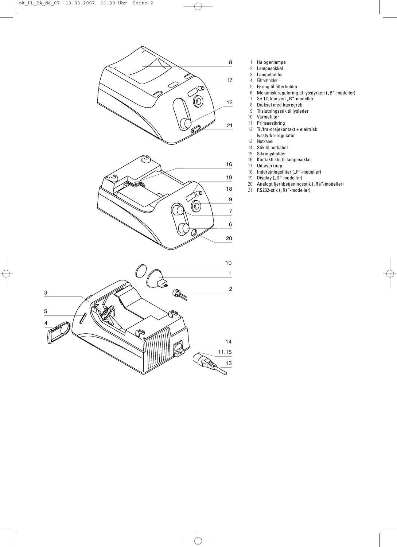

- 1 Halogenlampe
	- 2 Lampesokkel<br>3 Lampeholder
	- Lampeholder
	- 4 Filterholder<br>5 Føring til fil
	- 5 Føring til filterholder
	- 6 Mekanisk regulering af lysstyrken ("B"-modeller)
	- 7 Se 12, kun ved "B"-modeller
	- 8 Dæksel med bæregreb<br>9 Tilslutningsstik til lysled
- Tilslutningsstik til lysleder
- 10 Varmefilter<br>11 Primærsikri
- 11 Primærsikring<br>12 Til/fra-dreieko
- 12 Til/fra-drejekontakt + elektrisk
- lysstyrke-regulator
- 13 Netkabel
- 14 Stik til netkabel<br>15 Sikringsholder
- 
- 15 Sikringsholder<br>16 Kontaktliste til 16 Kontaktliste til lampesokkel
- 17 Udløserknap
- 18 Inddrejningsfilter ("F"-modeller)<br>19 Display ("D"-modeller)
- 19 Display ("D"-modeller)
- 20 Analogt fjernbetjeningsstik ("Ra"-modeller)
- 21 RS232-stik ("Rs"-modeller)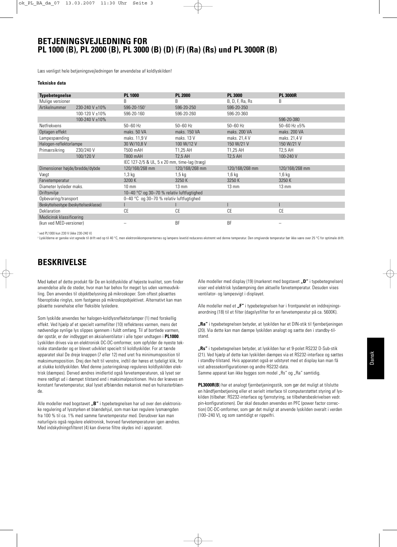### **BETJENINGSVEJLEDNING FOR PL 1000 (B), PL 2000 (B), PL 3000 (B) (D) (F) (Ra) (Rs) und PL 3000R (B)**

Læs venligst hele betjeningsvejledningen før anvendelse af koldlyskilden!

#### **Tekniske data**

| <b>Typebetegnelse</b>                 |                | <b>PL 1000</b>                                                   | <b>PL 2000</b>  | <b>PL 3000</b>  | <b>PL 3000R</b>   |  |
|---------------------------------------|----------------|------------------------------------------------------------------|-----------------|-----------------|-------------------|--|
| Mulige versioner                      |                | B                                                                | B               | B, D, F, Ra, Rs | B                 |  |
| Artikelnummer                         | 230-240 V ±10% | 596-20-1501                                                      | 596-20-250      | 596-20-350      |                   |  |
|                                       | 100-120 V ±10% | 596-20-160                                                       | 596-20-260      | 596-20-360      |                   |  |
|                                       | 100-240 V ±10% |                                                                  |                 |                 | 596-20-380        |  |
| Netfrekvens                           |                | $50 - 60$ Hz                                                     | $50 - 60$ Hz    | $50 - 60$ Hz    | 50-60 Hz $\pm$ 5% |  |
| Optagen effekt                        |                | maks. 50 VA                                                      | maks. 150 VA    | maks. 200 VA    | maks. 200 VA      |  |
| Lampespænding                         |                | maks. 11.9 V                                                     | maks. 13 V      | maks. 21.4 V    | maks. 21.4 V      |  |
| Halogen-reflektorlampe                |                | 30 W/10,8 V                                                      | 100 W/12 V      | 150 W/21 V      | 150 W/21 V        |  |
| Primærsikring                         | 230/240 V      | T500 mAH                                                         | T1.25 AH        | T1,25 AH        | T2,5 AH           |  |
|                                       | 100/120 V      | T800 mAH                                                         | <b>T2.5 AH</b>  | <b>T2.5 AH</b>  | 100-240 V         |  |
|                                       |                | IEC 127-2/5 & UL, 5 x 20 mm, time-lag (træg)                     |                 |                 |                   |  |
| Dimensioner højde/bredde/dybde        |                | 120/168/268 mm                                                   | 120/168/268 mm  | 120/168/268 mm  | 120/168/268 mm    |  |
| Vægt                                  |                | $1,3$ kg                                                         | $1,5$ kg        | $1,6$ kg        | $1,6$ kg          |  |
| Farvetemperatur                       |                | 3200 K                                                           | 3250 K          | 3250K           | 3250 K            |  |
| Diameter lysleder maks.               |                | $10 \text{ mm}$                                                  | $13 \text{ mm}$ | $13 \text{ mm}$ | $13 \text{ mm}$   |  |
| Driftsmiljø                           |                | 10-40 $^{\circ}$ C <sup>2</sup> og 30-70 % relativ luftfugtighed |                 |                 |                   |  |
| Opbevaring/transport                  |                | 0-40 °C og 30-70 % relativ luftfugtighed                         |                 |                 |                   |  |
| Beskyttelsestype (beskyttelsesklasse) |                |                                                                  |                 |                 |                   |  |
| Deklaration                           |                | CE                                                               | СE              | СE              | <b>CE</b>         |  |
| Medicinsk klassificering              |                |                                                                  |                 |                 |                   |  |
| (kun ved MED-versioner)               |                |                                                                  | BF              | <b>BF</b>       |                   |  |

<sup>1</sup> ved PL1000 kun 230 V (ikke 230-240 V)

<sup>2</sup> Lyskilderne er ganske vist egnede til drift ved op til 40 °C, men elektronikkomponenternes og lampens levetid reduceres ekstremt ved denne temperatur. Den omgivende temperatur bør ikke være over 25 °C for optimale drift.

### **BESKRIVELSE**

Med købet af dette produkt får De en koldlyskilde af højeste kvalitet, som finder anvendelse alle de steder, hvor man har behov for meget lys uden varmeudvikling. Den anvendes til objektbelysning på mikroskoper. Som oftest påsættes fiberoptiske ringlys, som fastgøres på mikroskopobjektivet. Alternativt kan man påsætte svanehalse eller fleksible lysledere.

Som lyskilde anvendes her halogen-koldlysreflektorlamper (1) med forskellig effekt. Ved hjælp af et specielt varmefilter (10) reflekteres varmen, mens det nødvendige synlige lys slippes igennem i fuldt omfang. Til af bortlede varmen, der opstår, er der indbygget en aksialventilator i alle typer undtagen i **PL1000**. Lyskilden drives via en elektronisk DC-DC-omformer, som opfylder de nyeste tekniske standarder og er blevet udviklet specielt til koldlyskilder. For at tænde apparatet skal De dreje knappen (7 eller 12) med uret fra minimumsposition til maksimumsposition. Drej den helt til venstre, indtil der høres et tydeligt klik, for at slukke koldlyskilden. Med denne justeringsknap reguleres koldlyskilden elektrisk (dæmpes). Derved ændres imidlertid også farvetemperaturen, så lyset ser mere rødligt ud i dæmpet tilstand end i maksimalpositionen. Hvis der kræves en konstant farvetemperatur, skal lyset afblændes mekanisk med en hulrasterblænde.

Alle modeller med bogstavet "B" i typebetegnelsen har ud over den elektroniske regulering af lysstyrken et blændehjul, som man kan regulere lysmængden fra 100 % til ca. 1% med samme farvetemperatur med. Derudover kan man naturligvis også regulere elektronisk, hvorved farvetemperaturen igen ændres. Med indskydningsfilteret (4) kan diverse filtre skydes ind i apparatet.

Alle modeller med display (19) (markeret med bogstavet **D**<sup>"</sup> i typebetegnelsen) viser ved elektrisk lysdæmpning den aktuelle farvetemperatur. Desuden vises ventilator- og lampesvigt i displayet.

Alle modeller med et .F<sup>"</sup> i typebetegnelsen har i frontpanelet en inddrejningsanordning (18) til et filter (dagslysfilter for en farvetemperatur på ca. 5600K).

**"Ra"** i typebetegnelsen betyder, at lyskilden har et DIN-stik til fjernbetjeningen (20). Via dette kan man dæmpe lyskilden analogt og sætte den i standby-tilstand.

**"Rs"** i typebetegnelsen betyder, at lyskilden har et 9-polet RS232 D-Sub-stik (21). Ved hjælp af dette kan lyskilden dæmpes via et RS232-interface og sættes i standby-tilstand. Hvis apparatet også er udstyret med et display kan man få vist adressekonfigurationen og andre RS232-data. Samme apparat kan ikke bygges som model "Rs" og "Ra" samtidig.

**PL3000R(B**) har et analogt fjernbetjeningsstik, som gør det muligt at tilslutte en håndfjernbetjening eller et serielt interface til computerstøttet styring af lyskilden (tilbehør: RS232-interface og fjernstyring, se tilbehørsbeskrivelsen vedr. pin-konfigurationen). Der skal desuden anvendes en PFC (power factor correction) DC-DC-omformer, som gør det muligt at anvende lyskilden overalt i verden (100–240 V), og som samtidigt er rippelfri.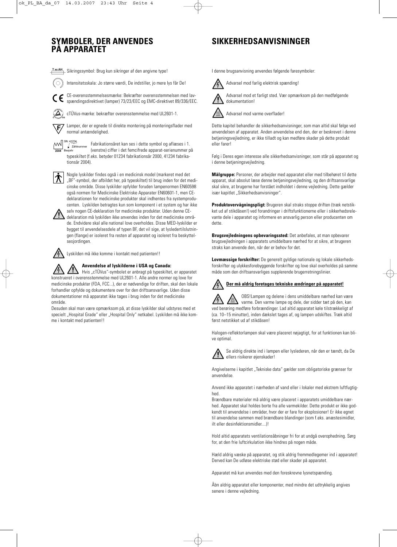# **SYMBOLER, DER ANVENDES PÅ APPARATET SIKKERHEDSANVISNINGER**

**TxxAH** Sikringssymbol: Brug kun sikringer af den angivne type!

Intensitetsskala: Jo større værdi, De indstiller, jo mere lys får De!

CE-overensstemmelsesmærke: Bekræfter overensstemmelsen med lavspændingsdirektivet (lamper) 73/23/EEC og EMC-direktivet 89/336/EEC.

 $\left(\Delta\right)$ cTÜVus-mærke: bekræfter overensstemmelse med UL2601-1.

Lamper, der er egnede til direkte montering på monteringsflader med ᆍ normal antændelighed.

 $\mathbb{M}$ SN: 41234,  $\overline{2004}$ 

Fabrikationsåret kan ses i dette symbol og aflæses i 1.  $\sqrt{\frac{2}{2}}$ ählnummer (venstre) ciffer i det femcifrede apparat-serienummer på typeskiltet (f.eks. betyder 01234 fabrikationsår 2000, 41234 fabrikationsår 2004).



Nogle lyskilder findes også i en medicinsk model (markeret med det "BF"-symbol, der afbildet her, på typeskiltet) til brug inden for det medicinske område. Disse lyskilder opfylder foruden lampenormen EN60598 også normen for Medicinske Elektriske Apparater EN60601-1, men CEdeklarationen for medicinske produkter skal indhentes fra systemproducenten. Lyskilden betragtes kun som komponent i et system og har ikke

selv nogen CE-deklaration for medicinske produkter. Uden denne CEdeklaration må lyskilden ikke anvendes inden for det medicinske område. Endvidere skal alle national love overholdes. Disse MED-lyskilder er bygget til anvendelsesdele af typen BF, det vil sige, at lysledertilslutningen (flange) er isoleret fra resten af apparatet og isoleret fra beskyttelsesjordingen.

Lyskilden må ikke komme i kontakt med patienten!!

### **Anvendelse af lyskilderne i USA og Canada:**

 $\sum$  Hvis "cTÜVus"-symbolet er anbragt på typeskiltet, er apparatet konstrueret i overensstemmelse med UL2601-1. Alle andre normer og love for medicinske produkter (FDA, FCC...), der er nødvendige for driften, skal den lokale forhandler opfylde og dokumentere over for den driftsansvarlige. Uden disse dokumentationer må apparatet ikke tages i brug inden for det medicinske område.

Desuden skal man være opmærksom på, at disse lyskilder skal udstyres med et specielt "Hospital Grade" eller "Hospital Only" netkabel. Lyskilden må ikke komme i kontakt med patienten!!

I denne brugsanvisning anvendes følgende faresymboler: Advarsel mod farlig elektrisk spænding!



Advarsel mod et farligt sted. Vær opmærksom på den medfølgende dokumentation!



Advarsel mod varme overflader!

Dette kapitel behandler de sikkerhedsanvisninger, som man altid skal følge ved anvendelsen af apparatet. Anden anvendelse end den, der er beskrevet i denne betjeningsvejledning, er ikke tilladt og kan medføre skader på dette produkt eller farer!

Følg i Deres egen interesse alle sikkerhedsanvisninger, som står på apparatet og i denne betjeningsvejledning.

**Målgruppe:** Personer, der arbejder med apparatet eller med tilbehøret til dette apparat, skal absolut læse denne betjeningsvejledning, og den driftsansvarlige skal sikre, at brugerne har forstået indholdet i denne vejledning. Dette gælder især kapitlet "Sikkerhedsanvisninger".

**Produktovervågningspligt:** Brugeren skal straks stoppe driften (træk netstikket ud af stikdåsen!) ved forandringer i driftsfunktionerne eller i sikkerhedsrelevante dele i apparatet og informere en ansvarlig person eller producenten om dette.

**Brugsvejledningens opbevaringssted:** Det anbefales, at man opbevarer brugsvejledningen i apparatets umiddelbare nærhed for at sikre, at brugeren straks kan anvende den, når der er behov for det.

**Lovmæssige forskrifter:** De generelt gyldige nationale og lokale sikkerhedsforskrifter og ulykkesforebyggende forskrifter og love skal overholdes på samme måde som den driftsansvarliges supplerende brugerretningslinier.

## **Der må aldrig foretages tekniske ændringer på apparatet!**

OBS!Lampen og delene i dens umiddelbare nærhed kan være varme. Den varme lampe og dele, der sidder tæt på den, kan ved berøring medføre forbrændinger. Lad altid apparatet køle tilstrækkeligt af (ca. 10–15 minutter), inden dækslet tages af, og lampen udskiftes. Træk altid først netstikket ud af stikdåsen!

Halogen-reflektorlampen skal være placeret nøjagtigt, for at funktionen kan blive optimal.



Se aldrig direkte ind i lampen eller lyslederen, når den er tændt, da De ellers risikerer øjenskader!

Angivelserne i kapitlet "Tekniske data" gælder som obligatoriske grænser for anvendelse.

Anvend ikke apparatet i nærheden af vand eller i lokaler med ekstrem luftfugtighed.

Brændbare materialer må aldrig være placeret i apparatets umiddelbare nærhed. Apparatet skal holdes borte fra alle varmekilder. Dette produkt er ikke godkendt til anvendelse i områder, hvor der er fare for eksplosioner! Er ikke egnet til anvendelse sammen med brændbare blandinger (som f.eks. anæstesimidler, ilt eller desinfektionsmidler....)!

Hold altid apparatets ventilationsåbninger fri for at undgå overophedning. Sørg for, at den frie luftcirkulation ikke hindres på nogen måde.

Hæld aldrig væske på apparatet, og stik aldrig fremmedlegemer ind i apparatet! Derved kan De udløse elektriske stød eller skader på apparatet.

Apparatet må kun anvendes med den foreskrevne lysnetspænding.

Åbn aldrig apparatet eller komponenter, med mindre det udtrykkelig angives senere i denne vejledning.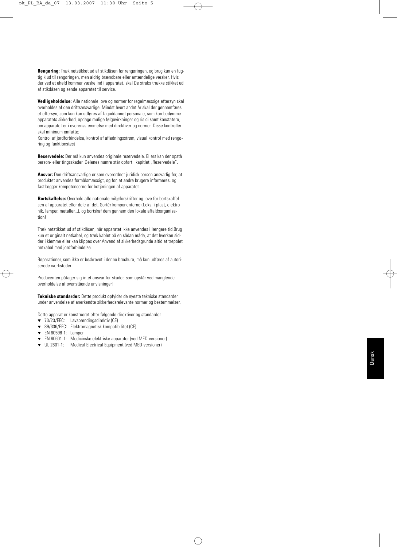**Rengøring:** Træk netstikket ud af stikdåsen før rengøringen, og brug kun en fugtig klud til rengøringen, men aldrig brændbare eller antændelige væsker. Hvis der ved et uheld kommer væske ind i apparatet, skal De straks trække stikket ud af stikdåsen og sende apparatet til service.

**Vedligeholdelse:** Alle nationale love og normer for regelmæssige eftersyn skal overholdes af den driftsansvarlige. Mindst hvert andet år skal der gennemføres et eftersyn, som kun kan udføres af faguddannet personale, som kan bedømme apparatets sikkerhed, opdage mulige følgevirkninger og risici samt konstatere, om apparatet er i overensstemmelse med direktiver og normer. Disse kontroller skal minimum omfatte:

Kontrol af jordforbindelse, kontrol af afledningsstrøm, visuel kontrol med rengøring og funktionstest

**Reservedele:** Der må kun anvendes originale reservedele. Ellers kan der opstå person- eller tingsskader. Delenes numre står opført i kapitlet "Reservedele".

**Ansvar:** Den driftsansvarlige er som overordnet juridisk person ansvarlig for, at produktet anvendes formålsmæssigt, og for, at andre brugere informeres, og fastlægger kompetencerne for betjeningen af apparatet.

**Bortskaffelse:** Overhold alle nationale miljøforskrifter og love for bortskaffelsen af apparatet eller dele af det. Sortér komponenterne (f.eks. i plast, elektronik, lamper, metaller...), og bortskaf dem gennem den lokale affaldsorganisation!

Træk netstikket ud af stikdåsen, når apparatet ikke anvendes i længere tid.Brug kun et originalt netkabel, og træk kablet på en sådan måde, at det hverken sidder i klemme eller kan klippes over.Anvend af sikkerhedsgrunde altid et trepolet netkabel med jordforbindelse.

Reparationer, som ikke er beskrevet i denne brochure, må kun udføres af autoriserede værksteder.

Producenten påtager sig intet ansvar for skader, som opstår ved manglende overholdelse af ovenstående anvisninger!

**Tekniske standarder:** Dette produkt opfylder de nyeste tekniske standarder under anvendelse af anerkendte sikkerhedsrelevante normer og bestemmelser.

- Dette apparat er konstrueret efter følgende direktiver og standarder.
- ▼ 73/23/EEC: Lavspændingsdirektiv (CE)
- ▼ 89/336/EEC: Elektromagnetisk kompatibilitet (CE)
- ▼ EN 60598-1: Lamper
- ▼ EN 60601-1: Medicinske elektriske apparater (ved MED-versioner)
- ▼ UL 2601-1: Medical Electrical Equipment (ved MED-versioner)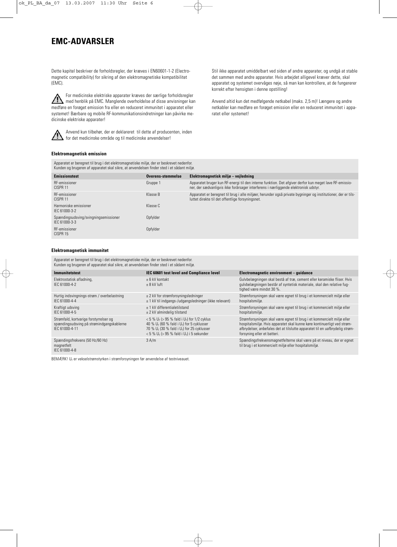### **EMC-ADVARSLER**

Dette kapitel beskriver de forholdsregler, der kræves i EN60601-1-2 (Electromagnetic compatibility) for sikring af den elektromagnetiske kompatibilitet (EMC).

For medicinske elektriske apparater kræves der særlige forholdsregler  $\triangle$ med henblik på EMC. Manglende overholdelse af disse anvisninger kan medføre en forøget emission fra eller en reduceret immunitet i apparatet eller systemet! Bærbare og mobile RF-kommunikationsindretninger kan påvirke medicinske elektriske apparater!



Anvend kun tilbehør, der er deklareret til dette af producenten, inden for det medicinske område og til medicinske anvendelser!

Stil ikke apparatet umiddelbart ved siden af andre apparater, og undgå at stable det sammen med andre apparater. Hvis arbejdet alligevel kræver dette, skal apparatet og systemet overvåges nøje, så man kan kontrollere, at de fungererer korrekt efter hensigten i denne opstilling!

Anvend altid kun det medfølgende netkabel (maks. 2,5 m)! Længere og andre netkabler kan medføre en forøget emission eller en reduceret immunitet i apparatet eller systemet!

#### **Elektromagnetisk emission**

Apparatet er beregnet til brug i det elektromagnetiske miljø, der er beskrevet nedenfor. Kunden og brugeren af apparatet skal sikre, at anvendelsen finder sted i et sådant miljø.

| nunden og brugeren af apparatet skar sikre, at anvendelsen milder stea i et sadant miljø. |                   |                                                                                                                                                                                               |  |  |  |
|-------------------------------------------------------------------------------------------|-------------------|-----------------------------------------------------------------------------------------------------------------------------------------------------------------------------------------------|--|--|--|
| <b>Emissionstest</b>                                                                      | Overens-stemmelse | Elektromagnetisk miljø – vejledning                                                                                                                                                           |  |  |  |
| RF-emissioner<br>CISPR 11                                                                 | Gruppe 1          | Apparatet bruger kun RF-energi til den interne funktion. Det afgiver derfor kun meget lave RF-emissio-<br>ner, der sædvanligvis ikke forårsager interferens i nærliggende elektronisk udstyr. |  |  |  |
| RF-emissioner<br>CISPR 11                                                                 | Klasse B          | Apparatet er beregnet til brug i alle miljøer, herunder også private bygninger og institutioner, der er tils-<br>luttet direkte til det offentlige forsyningsnet.                             |  |  |  |
| Harmoniske emissioner<br>IEC 61000-3-2                                                    | Klasse C          |                                                                                                                                                                                               |  |  |  |
| Spændingsudsving/svingningsemissioner<br>IEC 61000-3-3                                    | Opfylder          |                                                                                                                                                                                               |  |  |  |
| RF-emissioner<br>CISPR 15                                                                 | Opfylder          |                                                                                                                                                                                               |  |  |  |
|                                                                                           |                   |                                                                                                                                                                                               |  |  |  |

#### **Elektromagnetisk immunitet**

Apparatet er beregnet til brug i det elektromagnetiske miljø, der er beskrevet nedenfor. Kunden og brugeren af apparatet skal sikre, at anvendelsen finder sted i et sådant miljø.

| <b>Immunitetstest</b>                                                                                 | IEC 60601 test level and Compliance level                                                                                                                                                                                   | Electromagnetic environment - guidance                                                                                                                                                                                                                          |
|-------------------------------------------------------------------------------------------------------|-----------------------------------------------------------------------------------------------------------------------------------------------------------------------------------------------------------------------------|-----------------------------------------------------------------------------------------------------------------------------------------------------------------------------------------------------------------------------------------------------------------|
| Elektrostatisk afladning,<br>IFC 61000-4-2                                                            | + 6 kV kontakt<br>$+8$ kV luft                                                                                                                                                                                              | Gulvbelægningen skal bestå af træ, cement eller keramiske fliser. Hvis<br>gulvbelægningen består af syntetisk materiale, skal den relative fug-<br>tighed være mindst 30 %.                                                                                     |
| Hurtig indsvingnings-strøm / overbelastning<br>IFC 61000-4-4                                          | $\pm$ 2 kV for strømforsyningsledninger<br>$\pm$ 1 kV til indgangs-/udgangsledninger (ikke relevant)                                                                                                                        | Strømforsyningen skal være egnet til brug i et kommercielt miljø eller<br>hospitalsmiljø.                                                                                                                                                                       |
| Kraftigt udsving<br>IFC 61000-4-5                                                                     | + 1 kV differentialetilstand<br>$\pm$ 2 kV almindelig tilstand                                                                                                                                                              | Strømforsyningen skal være egnet til brug i et kommercielt miljø eller<br>hospitalsmiljø.                                                                                                                                                                       |
| Strømfald, kortvarige forstyrrelser og<br>spændingsudsving på strømindgangskablerne<br>IFC 61000-4-11 | $< 5 \% U_{\rm T}$ (> 95 % fald i U <sub>T</sub> ) for 1/2 cyklus<br>40 % $U_T$ (60 % fald i $U_T$ ) for 5 cyklusser<br>70 % $U_T$ (30 % fald i $U_T$ ) for 25 cyklusser<br>< 5 % $U_T$ (> 95 % fald i $U_T$ ) i 5 sekunder | Strømforsyningen skal være egnet til brug i et kommercielt miljø eller<br>hospitalsmiljø. Hvis apparatet skal kunne køre kontinuerligt ved strøm-<br>afbrydelser, anbefales det at tilslutte apparatet til en uafbrydelig strøm-<br>forsyning eller et batteri. |
| Spændingsfrekvens (50 Hz/60 Hz)<br>magnetfelt<br>IFC 61000-4-8                                        | 3 A/m                                                                                                                                                                                                                       | Spændingsfrekvensmagnetfelterne skal være på et niveau, der er egnet<br>til brug i et kommercielt miljø eller hospitalsmiljø.                                                                                                                                   |

BEMÆRK! U<sub>T</sub> er vekselstrømstyrken i strømforsyningen før anvendelse af testniveauet.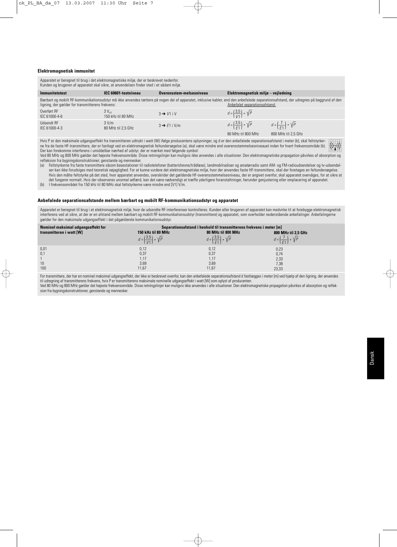#### **Elektromagnetisk immunitet**

Apparatet er beregnet til brug i det elektromagnetiske miljø, der er beskrevet nedenfor. Kunden og brugeren af apparatet skal sikre, at anvendelsen finder sted i et sådant miljø.

| Immunitetstest                                   | IEC 60601-testniveau                    | Overensstem-melsesniveau | Elektromagnetisk miljø – vejledning                                |                                                                                                                                                                                        |
|--------------------------------------------------|-----------------------------------------|--------------------------|--------------------------------------------------------------------|----------------------------------------------------------------------------------------------------------------------------------------------------------------------------------------|
| ligning, der gælder for transmitterens frekvens: |                                         |                          | Anbefalet separationsafstand:                                      | Bærbart og mobilt RF-kommunikationsudstyr må ikke anvendes tættere på nogen del af apparatet, inklusive kabler, end den anbefalede separationsafstand, der udregnes på baggrund af den |
| Overført RF<br>IEC 61000-4-6                     | $3V_{\text{eff}}$<br>150 kHz til 80 MHz | $3 \rightarrow V1$ iV    | $d = \left(\frac{3.5}{1/1}\right) * \sqrt{P}$                      |                                                                                                                                                                                        |
| Udsendt RF<br>IEC 61000-4-3                      | 3 V/m<br>80 MHz til 2.5 GHz             | $3 \rightarrow E1$ i V/m | $d = \left(\frac{3.5}{51}\right) * \sqrt{P}$<br>80 MHz til 800 MHz | $d = \left(\frac{7}{51}\right) * \sqrt{P}$<br>800 MHz til 2.5 GHz                                                                                                                      |

Hvis P er den maksimale udgangseffekt fra transmitteren udtrykt i watt (W) ifølge producentens oplysninger, og d er den anbefalede separationsafstand i meter (b), skal feltstyrker- $((\cdots))$ ne fra de faste HF-transmittere, der er fastlagt ved en elektromagnetisk feltundersøgelse (a), skal være mindre end overensstemmelsesniveauet inden for hvert frekvensområde (b). Der kan forekomme interferens i umiddelbar nærhed af udstyr, der er mærket med følgende symbol:

Ved 80 MHz og 800 MHz gælder det højeste frekvensområde. Disse retningslinjer kan muligvis ikke anvendes i alle situationer. Den elektromagnetiske propagation påvirkes af absorption og refleksion fra bygningskonstruktioner, genstande og mennesker.

(a) Feltstyrkerne fra faste transmittere såsom basestationer til radiotelefoner (batteridrevne/trådløse), landmobilradioer og amatørradio samt AM- og FM-radioudsendelser og tv-udsendelser kan ikke forudsiges med teoretisk nøjagtighed. For at kunne vurdere det elektromagnetiske miljø, hvor der anvendes faste HF-transmittere, skal der foretages en feltundersøgelse. Hvis den målte feltstyrke på det sted, hvor apparatet anvendes, overskrider det gældende HF-overensstemmelsesniveau, der er angivet ovenfor, skal apparatet overvåges, for at sikre at det fungerer normalt. Hvis der observeres unormal adfærd, kan det være nødvendigt at træffe yderligere foranstaltninger, herunder genjustering eller omplacering af apparatet. (b) I frekvensområdet fra 150 kHz til 80 MHz skal feltstyrkerne være mindre end [V1] V/m.

#### **Anbefalede separationsafstande mellem bærbart og mobilt RF-kommunikationsudstyr og apparatet**

Apparatet er beregnet til brug i et elektromagnetisk miljø, hvor de udsendte RF-interferenser kontrolleres. Kunden eller brugeren af apparatet kan medvirke til at forebygge elektromagnetisk interferens ved at sikre, at der er en afstand mellem bærbart og mobilt RF-kommunikationsudstyr (transmittere) og apparatet, som overholder nedenstående anbefalinger. Anbefalingerne gælder for den maksimale udgangseffekt i det pågældende kommunikationsudstyr.

| Nominel maksimal udgangseffekt for |                                               | Separations afstand i henhold til transmitterens frekvens i meter [m] |                                            |  |  |
|------------------------------------|-----------------------------------------------|-----------------------------------------------------------------------|--------------------------------------------|--|--|
| transmitteren i watt [W]           | 150 kHz til 80 MHz                            | 80 MHz til 800 MHz                                                    | 800 MHz til 2,5 GHz                        |  |  |
|                                    | $d = \left(\frac{3.5}{1/1}\right) * \sqrt{P}$ | $d = \left(\frac{3.5}{51}\right) * \sqrt{P}$                          | $d = \left(\frac{7}{51}\right) * \sqrt{P}$ |  |  |
| 0,01                               | 0,12                                          | 0,12                                                                  | 0,23                                       |  |  |
| 0,1                                | 0,37                                          | 0,37                                                                  | 0,74                                       |  |  |
|                                    | 1.17                                          | 1.17                                                                  | 2,33                                       |  |  |
| 10                                 | 3,69                                          | 3,69                                                                  | 7,38                                       |  |  |
| 100                                | 11,67                                         | 11,67                                                                 | 23,33                                      |  |  |

For transmittere, der har en nominel maksimal udgangseffekt, der ikke er beskrevet ovenfor, kan den anbefalede separationsafstand d fastlægges i meter [m] ved hjælp af den ligning, der anvendes til udregning af transmitterens frekvens, hvis P er transmitterens maksimale nominelle udgangseffekt i watt [W] som oplyst af producenten. Ved 80 MHz og 800 MHz gælder det højeste frekvensområde. Disse retningslinjer kan muligvis ikke anvendes i alle situationer. Den elektromagnetiske propagation påvirkes af absorption og refleksion fra bygningskonstruktioner, genstande og mennesker.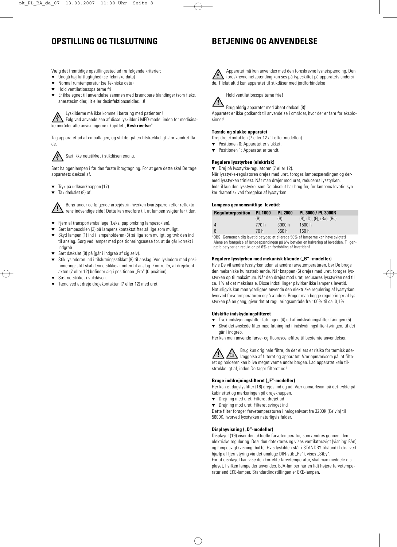### **OPSTILLING OG TILSLUTNING**

### **BETJENING OG ANVENDELSE**

Vælg det fremtidige opstillingssted ud fra følgende kriterier:

- Undgå høj luftfugtighed (se Tekniske data)
- Normal rumtemperatur (se Tekniske data)
- Hold ventilationsspalterne fri
- Er ikke egnet til anvendelse sammen med brændbare blandinger (som f.eks. anæstesimidler, ilt eller desinfektionsmidler....)!

Lyskilderne må ikke komme i berøring med patienten!

Følg ved anvendelsen af disse lyskilder i MED-model inden for medicinske områder alle anvisningerne i kapitlet "**Beskrivelse**".

Tag apparatet ud af emballagen, og stil det på en tilstrækkeligt stor vandret flade.



Sæt ikke netstikket i stikdåsen endnu.

Sæt halogenlampen i før den første ibrugtagning. For at gøre dette skal De tage apparatets dæksel af.

- ▼ Tryk på udløserknappen (17).
- Tak dækslet (8) af.

Berør under de følgende arbejdstrin hverken kvartspæren eller reflektorens indvendige side! Dette kan medføre til, at lampen svigter før tiden.

- ▼ Fjern al transportemballage (f.eks. pap omkring lampesoklen).
- Sæt lampesoklen (2) på lampens kontaktstifter så lige som muligt.
- ▼ Skyd lampen (1) ind i lampeholderen (3) så lige som muligt, og tryk den ind til anslag. Sørg ved lamper med positioneringsnæse for, at de går korrekt i indgreb.
- Sæt dækslet (8) på (går i indgreb af sig selv).
- Stik lyslederen ind i tilslutningsstikket (9) til anslag. Ved lysledere med positioneringsstift skal denne stikkes i noten til anslag. Kontrollér, at drejekontakten (7 eller 12) befinder sig i positionen "Fra" (0-position).
- Sæt netstikket i stikdåsen.
- Tænd ved at dreje drejekontakten (7 eller 12) med uret.





Hold ventilationsspalterne frie!

Brug aldrig apparatet med åbent dæksel (8)!

Apparatet er ikke godkendt til anvendelse i områder, hvor der er fare for eksplosioner!

#### **Tænde og slukke apparatet**

Drej drejekontakten (7 eller 12 alt efter modellen).

- ▼ Positionen 0: Apparatet er slukket.
- ▼ Positionen 1: Apparatet er tændt.

#### **Regulere lysstyrken (elektrisk)**

▼ Drej på lysstyrke-regulatoren (7 eller 12).

Når lysstyrke-regulatoren drejes med uret, forøges lampespændingen og dermed lysstyrken trinløst. Når man drejer mod uret, reduceres lysstyrken. Indstil kun den lysstyrke, som De absolut har brug for, for lampens levetid synker dramatisk ved forøgelse af lysstyrken.

#### **Lampens gennemsnitlige**<sup>1</sup> **levetid:**

| <b>Regulatorposition PL 1000</b> |       | <b>PL 2000</b> | PL 3000 / PL 3000R                      |
|----------------------------------|-------|----------------|-----------------------------------------|
|                                  | (B)   | (B)            | $(B)$ , $(D)$ , $(F)$ , $(Ra)$ , $(Rs)$ |
| 4                                | 770 h | 3000h          | 1500 h                                  |
| 6                                | 70 h  | 360 h          | 160 h                                   |

<sup>1</sup> OBS! Gennemsnitlig levetid betyder, at allerede 50% af lamperne kan have svigtet! Alene en forøgelse af lampespændingen på 6% betyder en halvering af levetiden. Til gengæld betyder en reduktion på 6% en fordobling af levetiden!

#### Regulere lysstyrken med mekanisk blænde ("B" -modeller)

Hvis De vil ændre lysstyrken uden at ændre farvetemperaturen, bør De bruge den mekaniske hulrasterblænde. Når knappen (6) drejes med uret, forøges lysstyrken op til maksimum. Når den drejes mod uret, reduceres lysstyrken ned til ca. 1% af det maksimale. Disse indstillinger påvirker ikke lampens levetid. Naturligvis kan man yderligere anvende den elektriske regulering af lysstyrken, hvorved farvetemperaturen også ændres. Bruger man begge reguleringer af lysstyrken på en gang, giver det et reguleringsområde fra 100% til ca. 0,1%.

#### **Udskifte indskydningsfilteret**

- ▼ Træk indskydningsfilter-fatningen (4) ud af indskydningsfilter-føringen (5).
- ▼ Skyd det ønskede filter med fatning ind i indskydningsfilter-føringen, til det går i indgreb.

Her kan man anvende farve- og fluorescensfiltre til bestemte anvendelser.

Brug kun originale filtre, da der ellers er risiko for termisk ødelæggelse af filteret og apparatet. Vær opmærksom på, at filteret og holderen kan blive meget varme under brugen. Lad apparatet køle tilstrækkeligt af, inden De tager filteret ud!

#### **Bruge inddrejningsfilteret ("F"-modeller)**

Her kan et dagslysfilter (18) drejes ind og ud. Vær opmærksom på det trykte på kabinettet og markeringen på drejeknappen.

- ▼ Drejning med uret: Filteret drejet ud
- ▼ Drejning mod uret: Filteret svinget ind

Dette filter forøger farvetemperaturen i halogenlyset fra 3200K (Kelvin) til 5600K, hvorved lysstyrken naturligvis falder.

#### **Displayvisning ("D"-modeller)**

Displayet (19) viser den aktuelle farvetemperatur, som ændres gennem den elektriske regulering. Desuden detekteres og vises ventilatorsvigt (visning: FAn) og lampesvigt (visning: buLb). Hvis lyskilden står i STANDBY-tilstand (f.eks. ved hjælp af fjernstyring via det analoge DIN-stik "Rs"), vises "Stby". For at displayet kan vise den korrekte farvetemperatur, skal man meddele dis-

playet, hvilken lampe der anvendes. EJA-lamper har en lidt højere farvetemperatur end EKE-lamper. Standardindstillingen er EKE-lampen.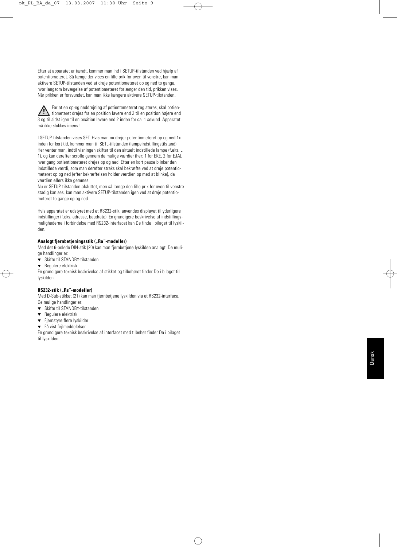Efter at apparatet er tændt, kommer man ind i SETUP-tilstanden ved hjælp af potentiometeret. Så længe der vises en lille prik for oven til venstre, kan man aktivere SETUP-tilstanden ved at dreje potentiometeret op og ned to gange, hvor langsom bevægelse af potentiometeret forlænger den tid, prikken vises. Når prikken er forsvundet, kan man ikke længere aktivere SETUP-tilstanden.

For at en op-og neddrejning af potientometeret registeres, skal potien- $\sqrt{N}$ tiometeret drejes fra en position lavere end 2 til en position højere end 3 og til sidst igen til en position lavere end 2 inden for ca. 1 sekund. Apparatet må ikke slukkes imens!

I SETUP-tilstanden vises SET. Hvis man nu drejer potentiometeret op og ned 1x inden for kort tid, kommer man til SETL-tilstanden (lampeindstillingstilstand). Her venter man, indtil visningen skifter til den aktuelt indstillede lampe (f.eks. L 1), og kan derefter scrolle gennem de mulige værdier (her: 1 for EKE, 2 for EJA), hver gang potientiometeret drejes op og ned. Efter en kort pause blinker den indstillede værdi, som man derefter straks skal bekræfte ved at dreje potentiometeret op og ned (efter bekræftelsen holder værdien op med at blinke), da værdien ellers ikke gemmes.

Nu er SETUP-tilstanden afsluttet, men så længe den lille prik for oven til venstre stadig kan ses, kan man aktivere SETUP-tilstanden igen ved at dreje potentiometeret to gange op og ned.

Hvis apparatet er udstyret med et RS232-stik, anvendes displayet til yderligere indstillinger (f.eks. adresse, baudrate). En grundigere beskrivelse af indstillingsmulighederne i forbindelse med RS232-interfacet kan De finde i bilaget til lyskilden.

#### Analogt fiernbetieningsstik ("Ra"-modeller)

Med det 6-polede DIN-stik (20) kan man fjernbetjene lyskilden analogt. De mulige handlinger er:

- ▼ Skifte til STANDBY-tilstanden
- ▼ Regulere elektrisk

En grundigere teknisk beskrivelse af stikket og tilbehøret finder De i bilaget til lyskilden.

#### RS232-stik ("Rs"-modeller)

Med D-Sub-stikket (21) kan man fjernbetjene lyskilden via et RS232-interface. De mulige handlinger er:

- ▼ Skifte til STANDBY-tilstanden
- Regulere elektrisk
- ▼ Fjernstyre flere lyskilder
- ▼ Få vist fejlmeddelelser

En grundigere teknisk beskrivelse af interfacet med tilbehør finder De i bilaget til lyskilden.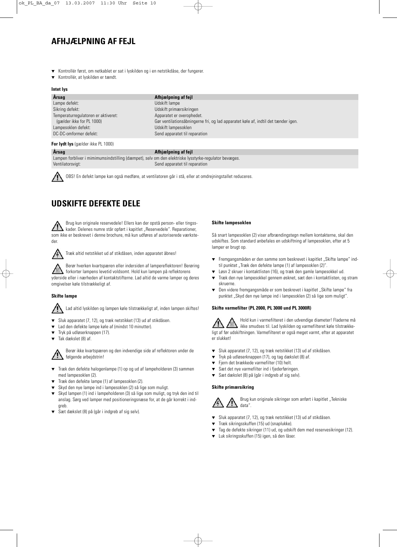### **AFHJÆLPNING AF FEJL**

- Kontrollér først, om netkablet er sat i lyskilden og i en netstikdåse, der fungerer.
- Kontrollér, at lyskilden er tændt.

#### **Intet lys**

| Årsag                               | Afhjælpning af fejl                                                               |
|-------------------------------------|-----------------------------------------------------------------------------------|
| Lampe defekt:                       | Udskift lampe                                                                     |
| Sikring defekt:                     | Udskift primærsikringen                                                           |
| Temperaturregulatoren er aktiveret: | Apparatet er overophedet.                                                         |
| (gælder ikke for PL 1000)           | Gør ventilationsåbningerne fri, og lad apparatet køle af, indtil det tænder igen. |
| Lampesoklen defekt:                 | Udskift lampesoklen                                                               |
| DC-DC-omformer defekt:              | Send apparatet til reparation                                                     |
| For lydt lys (gælder ikke PL 1000)  |                                                                                   |

#### **Årsag Afhjælpning af fejl**

Lampen forbliver i mimimumsindstilling (dæmpet), selv om den elektriske lysstyrke-regulator bevæges. Ventilatorsvigt: Send apparatet til reparation

OBS! En defekt lampe kan også medføre, at ventilatoren går i stå, eller at omdrejningstallet reduceres.

### **UDSKIFTE DEFEKTE DELE**

Brug kun originale reservedele! Ellers kan der opstå person- eller tingsskader. Delenes numre står opført i kapitlet "Reservedele". Reparationer, som ikke er beskrevet i denne brochure, må kun udføres af autoriserede værksteder.



Træk altid netstikket ud af stikdåsen, inden apparatet åbnes!

Berør hverken kvartspæren eller indersiden af lampereflektoren! Berøring forkorter lampens levetid voldsomt. Hold kun lampen på reflektorens yderside eller i nærheden af kontaktstifterne. Lad altid de varme lamper og deres omgivelser køle tilstrækkeligt af.

#### **Skifte lampe**

Lad altid lyskilden og lampen køle tilstrækkeligt af, inden lampen skiftes!

- ▼ Sluk apparatet (7, 12), og træk netstikket (13) ud af stikdåsen.
- Lad den defekte lampe køle af (mindst 10 minutter).
- ▼ Tryk på udløserknappen (17).
- Tak dækslet (8) af.

Berør ikke kvartspæren og den indvendige side af reflektoren under de følgende arbejdstrin!

- Træk den defekte halogenlampe (1) op og ud af lampeholderen (3) sammen med lampesoklen (2).
- ▼ Træk den defekte lampe (1) af lampesoklen (2).
- Skyd den nye lampe ind i lampesoklen (2) så lige som muligt.
- ▼ Skyd lampen (1) ind i lampeholderen (3) så lige som muligt, og tryk den ind til anslag. Sørg ved lamper med positioneringsnæse for, at de går korrekt i indgreb.
- ▼ Sæt dækslet (8) på (går i indgreb af sig selv).

#### **Skifte lampesoklen**

Så snart lampesoklen (2) viser afbrændingstegn mellem kontakterne, skal den udskiftes. Som standard anbefales en udskiftning af lampesoklen, efter at 5 lamper er brugt op.

- ▼ Fremgangsmåden er den samme som beskrevet i kapitlet "Skifte lampe" indtil punktet "Træk den defekte lampe (1) af lampesoklen (2)".
- Løsn 2 skruer i kontaktlisten (16), og træk den gamle lampesokkel ud.
- Træk den nye lampesokkel gennem øsknet, sæt den i kontaktlisten, og stram skruerne.
- ▼ Den videre fremgangsmåde er som beskrevet i kapitlet "Skifte lampe" fra punktet "Skyd den nye lampe ind i lampesoklen (2) så lige som muligt".

#### **Skifte varmefilter (PL 2000, PL 3000 und PL 3000R)**

Hold kun i varmefilteret i den udvendige diameter! Fladerne må ikke smudses til. Lad lyskilden og varmefilteret køle tilstrækkeligt af før udskiftningen. Varmefilteret er også meget varmt, efter at apparatet er slukket!

- ▼ Sluk apparatet (7, 12), og træk netstikket (13) ud af stikdåsen.
- ▼ Tryk på udløserknappen (17), og tag dækslet (8) af.
- ▼ Fjern det brækkede varmefilter (10) helt.
- ▼ Sæt det nye varmefilter ind i fjederføringen.
- ▼ Sæt dækslet (8) på (går i indgreb af sig selv).

#### **Skifte primærsikring**



- ▼ Sluk apparatet (7, 12), og træk netstikket (13) ud af stikdåsen.
- ▼ Træk sikringsskuffen (15) ud (snaplukke).
- ▼ Tag de defekte sikringer (11) ud, og udskift dem med reservesikringer (12).
- ▼ Luk sikringsskuffen (15) igen, så den låser.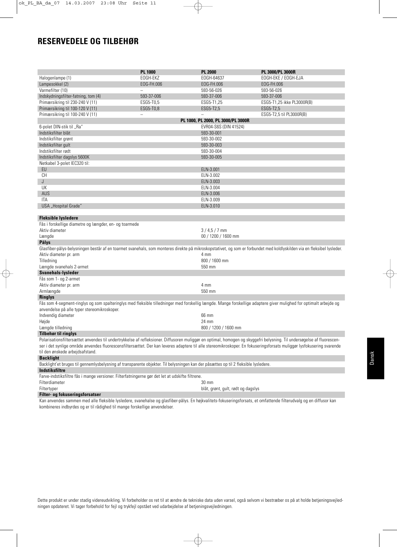### **RESERVEDELE OG TILBEHØR**

|                                                                                                                                                                         | <b>PL 1000</b>           | <b>PL 2000</b>                     | PL 3000/PL 3000R           |
|-------------------------------------------------------------------------------------------------------------------------------------------------------------------------|--------------------------|------------------------------------|----------------------------|
| Halogenlampe (1)                                                                                                                                                        | EOGH-EKZ                 | EOGH-64637                         | EOGH-EKE / EOGH-EJA        |
| Lampesokkel (2)                                                                                                                                                         | EOG-FH.006               | EOG-FH.006                         | EOG-FH.006                 |
| Varmefilter (10)                                                                                                                                                        | $\overline{\phantom{0}}$ | 593-56-026                         | 593-56-026                 |
| Indskydningsfilter-fatning, tom (4)                                                                                                                                     | 593-37-006               | 593-37-006                         | 593-37-006                 |
| Primærsikring til 230-240 V (11)                                                                                                                                        | ESG5-T0,5                | ESG5-T1,25                         | ESG5-T1,25 ikke PL3000R(B) |
| Primærsikring til 100-120 V (11)                                                                                                                                        | ESG5-T0,8                | ESG5-T2,5                          | ESG5-T2,5                  |
| Primærsikring til 100-240 V (11)                                                                                                                                        |                          | ÷.                                 | ESG5-T2,5 til PL3000R(B)   |
|                                                                                                                                                                         |                          | PL 1000, PL 2000, PL 3000/PL 3000R |                            |
| 6-polet DIN-stik til "Ra"                                                                                                                                               |                          | EVR04-S6S (DIN 41524)              |                            |
| Indstiksfilter blåt                                                                                                                                                     |                          | 593-30-001                         |                            |
| Indstiksfilter grønt                                                                                                                                                    |                          | 593-30-002                         |                            |
| Indstiksfilter gult                                                                                                                                                     |                          | 593-30-003                         |                            |
| Indstiksfilter rødt                                                                                                                                                     |                          | 593-30-004                         |                            |
| Indstiksfilter dagslys 5600K                                                                                                                                            |                          | 593-30-005                         |                            |
| Netkabel 3-polet IEC320 til:                                                                                                                                            |                          |                                    |                            |
| EU                                                                                                                                                                      |                          | ELN-3.001                          |                            |
| CH                                                                                                                                                                      |                          | ELN-3.002                          |                            |
| J                                                                                                                                                                       |                          | ELN-3.003                          |                            |
| UK                                                                                                                                                                      |                          | ELN-3.004                          |                            |
| AUS                                                                                                                                                                     |                          | ELN-3.006                          |                            |
| <b>ITA</b>                                                                                                                                                              |                          | ELN-3.009                          |                            |
| USA "Hospital Grade"                                                                                                                                                    |                          | ELN-3.010                          |                            |
|                                                                                                                                                                         |                          |                                    |                            |
| <b>Fleksible lysledere</b>                                                                                                                                              |                          |                                    |                            |
| Fås i forskellige diametre og længder, en- og toarmede                                                                                                                  |                          |                                    |                            |
| Aktiv diameter                                                                                                                                                          |                          | $3/4,5/7$ mm                       |                            |
| Længde                                                                                                                                                                  |                          | 00 / 1200 / 1600 mm                |                            |
| Pålys                                                                                                                                                                   |                          |                                    |                            |
| Glasfiber-pålys-belysningen består af en toarmet svanehals, som monteres direkte på mikroskopstativet, og som er forbundet med koldlyskilden via en fleksibel lysleder. |                          |                                    |                            |
| Aktiv diameter pr. arm                                                                                                                                                  |                          | 4 mm                               |                            |
| Tilledning                                                                                                                                                              |                          | 800 / 1600 mm                      |                            |
| Længde svanehals 2-armet                                                                                                                                                |                          | 550 mm                             |                            |
| <b>Svanehals-lysleder</b>                                                                                                                                               |                          |                                    |                            |
| Fås som 1- og 2-armet                                                                                                                                                   |                          |                                    |                            |
| Aktiv diameter pr. arm                                                                                                                                                  |                          | 4 mm                               |                            |
| Armlængde                                                                                                                                                               |                          | 550 mm                             |                            |
| <b>Ringlys</b>                                                                                                                                                          |                          |                                    |                            |
| Fås som 4-segment-ringlys og som spalteringlys med fleksible tilledninger med forskellig længde. Mange forskellige adaptere giver mulighed for optimalt arbejde og      |                          |                                    |                            |
| anvendelse på alle typer stereomikroskoper.                                                                                                                             |                          |                                    |                            |
| Indvendig diameter                                                                                                                                                      |                          | 66 mm                              |                            |
| Højde                                                                                                                                                                   |                          | 24 mm                              |                            |
| Længde tilledning                                                                                                                                                       |                          | 800 / 1200 / 1600 mm               |                            |
| <b>Tilbehør til ringlys</b>                                                                                                                                             |                          |                                    |                            |
| Polarisationsfiltersættet anvendes til undertrykkelse af refleksioner. Diffusoren muliggør en optimal, homogen og skyggefri belysning. Til undersøgelse af fluorescen-  |                          |                                    |                            |
| ser i det synlige område anvendes fluorescensfiltersættet. Der kan leveres adaptere til alle stereomikroskoper. En fokuseringsforsats muliggør lysfokusering svarende   |                          |                                    |                            |
| til den ønskede arbejdsafstand.                                                                                                                                         |                          |                                    |                            |
| <b>Backlight</b>                                                                                                                                                        |                          |                                    |                            |
| Backlight'et bruges til gennemlysbelysning af transparente objekter. Til belysningen kan der påsættes op til 2 fleksible lysledere.                                     |                          |                                    |                            |
| <b>Indstiksfiltre</b>                                                                                                                                                   |                          |                                    |                            |
| Farve-indstiksfiltre fås i mange versioner. Filterfatningerne gør det let at udskifte filtrene.                                                                         |                          |                                    |                            |
| Filterdiameter                                                                                                                                                          |                          | 30 mm                              |                            |
| Filtertyper                                                                                                                                                             |                          | blåt, grønt, gult, rødt og dagslys |                            |
| Filter- og fokuseringsforsatser                                                                                                                                         |                          |                                    |                            |
|                                                                                                                                                                         |                          |                                    |                            |

Kan anvendes sammen med alle fleksible lysledere, svanehalse og glasfiber-pålys. En højkvalitets-fokuseringsforsats, et omfattende filterudvalg og en diffusor kan kombineres indbyrdes og er til rådighed til mange forskellige anvendelser.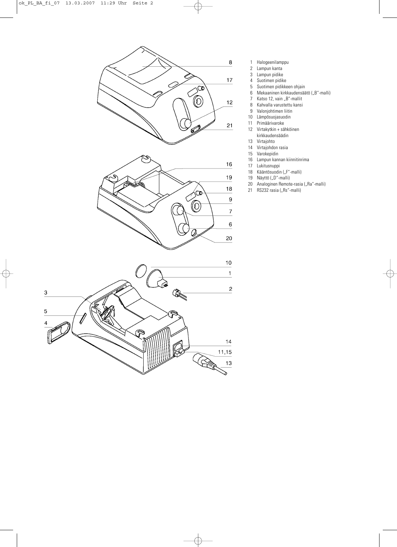

- 1 Halogeenilamppu<br>2 Lampun kanta
- Lampun kanta
- 3 Lampun pidike<br>4 Suotimen pidike
- 4 Suotimen pidike
- 5 Suotimen pidikkeen ohjain
- 6 Mekaaninen kirkkaudensäätö ("B"-malli)
- 7 Katso 12, vain "B"-mallit<br>8 Kahvalla varustettu kansi
- 8 Kahvalla varustettu kansi<br>9 Valoniohtimen liitin
- Valonjohtimen liitin
- 10 Lämpösuojasuodin<br>11 Primäärivaroke
- 11 Primäärivaroke<br>12 Virtakytkin + sä
- 12 Virtakytkin + sähköinen
- kirkkaudensäädin
- 13 Virtajohto<br>14 Virtajohdo
- 14 Virtajohdon rasia<br>15 Varokepidin
- 15 Varokepidin<br>16 Lampun kanı
- Lampun kannan kiinnitinrima
- 17 Lukitusnuppi
- 18 Kääntösuodin ("F"-malli)
- 19 Näyttö ("D"-malli)
- 20 Analoginen Remote-rasia ("Ra"-malli) 21 RS232 rasia ("Rs"-malli)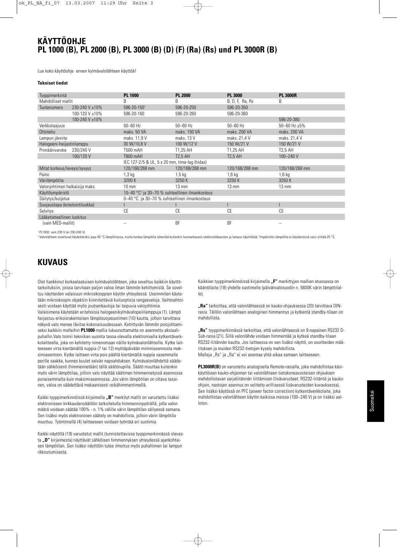### **KÄYTTÖOHJE PL 1000 (B), PL 2000 (B), PL 3000 (B) (D) (F) (Ra) (Rs) und PL 3000R (B)**

Lue koko käyttöohje ennen kylmävalolähteen käyttöä!

#### **Tekniset tiedot**

| Tyyppimerkintä                 |                | <b>PL 1000</b>                                                       | <b>PL 2000</b>  | <b>PL 3000</b>  | <b>PL 3000R</b>   |  |
|--------------------------------|----------------|----------------------------------------------------------------------|-----------------|-----------------|-------------------|--|
| Mahdolliset mallit             |                | B                                                                    | B               | B, D, F, Ra, Rs | B                 |  |
| Tuotenumero                    | 230-240 V ±10% | 596-20-1501                                                          | 596-20-250      | 596-20-350      |                   |  |
|                                | 100-120 V ±10% | 596-20-160                                                           | 596-20-260      | 596-20-360      |                   |  |
|                                | 100-240 V ±10% |                                                                      |                 |                 | 596-20-380        |  |
| Verkkotaajuus                  |                | $50 - 60$ Hz                                                         | $50 - 60$ Hz    | $50 - 60$ Hz    | 50-60 Hz $\pm$ 5% |  |
| Ottoteho                       |                | maks. 50 VA                                                          | maks. 150 VA    | maks. 200 VA    | maks. 200 VA      |  |
| Lampun jännite                 |                | maks. 11,9 V                                                         | maks. 13 V      | maks. 21,4 V    | maks. 21,4 V      |  |
| Halogeeni-heijastinlamppu      |                | 30 W/10,8 V                                                          | 100 W/12 V      | 150 W/21 V      | 150 W/21 V        |  |
| Primäärivaroke                 | 230/240 V      | T500 mAH                                                             | T1.25 AH        | T1,25 AH        | T2,5 AH           |  |
|                                | 100/120 V      | T800 mAH                                                             | <b>T2.5 AH</b>  | <b>T2.5 AH</b>  | 100-240 V         |  |
|                                |                | IEC 127-2/5 & UL, 5 x 20 mm, time-lag (hidas)                        |                 |                 |                   |  |
| Mitat korkeus/leveys/syvyys    |                | 120/168/268 mm                                                       | 120/168/268 mm  | 120/168/268 mm  | 120/168/268 mm    |  |
| Paino                          |                | $1,3$ kg                                                             | $1,5$ kg        | $1,6$ kg        | $1,6$ kg          |  |
| Värilämpötila                  |                | 3200 K                                                               | 3250 K          | 3250K           | 3250 K            |  |
| Valonjohtimen halkaisija maks. |                | $10 \text{ mm}$                                                      | $13 \text{ mm}$ | $13 \text{ mm}$ | $13 \text{ mm}$   |  |
| Käyttöympäristö                |                | 10-40 $^{\circ}$ C <sup>2</sup> ja 30-70 % suhteellinen ilmankosteus |                 |                 |                   |  |
| Säilytys/kuljetus              |                | 0-40 °C ja 30-70 % suhteellinen ilmankosteus                         |                 |                 |                   |  |
| Suojaustapa (kotelointiluokka) |                |                                                                      |                 |                 |                   |  |
| Selvitys                       |                | СE                                                                   | СE              | <b>CE</b>       | СE                |  |
| Lääketieteellinen luokitus     |                |                                                                      |                 |                 |                   |  |
| (vain MED-mallit)              |                |                                                                      | <b>BF</b>       | BF              | -                 |  |
|                                |                |                                                                      |                 |                 |                   |  |

<sup>1</sup> PL1000: vain 230 V (ei 230-240 V)

<sup>2</sup> Valonlähteet soveltuvat käytettäviksi jopa 40 °C lämpötilassa, mutta korkea lämpötila lyhentää kuitenkin huomattavasti elektroniikkaosien ja lampun käyttöikää. Ympäristön lämpötila ei käytännössä saisi ylittää 25 °C.

### **KUVAUS**

Olet hankkinut korkealaatuisen kylmävalolähteen, joka soveltuu kaikkiin käyttötarkoituksiin, joissa tarvitaan paljon valoa ilman lämmön kehittymistä. Se soveltuu näytteiden valaisuun mikroskooppien käytön yhteydessä. Useimmiten käytetään mikroskoopin objektiin kiinnitettäviä kuituoptisia rengasvaloja. Vaihtoehtoisesti voidaan käyttää myös joutsenkauloja tai taipuvia valojohtimia. Valaisimena käytetään eritehoisia halogeenikylmävalopeililamppuja (1). Lämpö heijastuu erikoisrakenteisen lämpösuojasuotimen (10) kautta, jolloin tarvittava näkyvä valo menee lävitse kokonaisuudessaan. Kehittyvän lämmön poisjohtamiseksi kaikkiin malleihin **PL1000**-mallia lukuunottamatta on asennettu aksiaalipuhallin.Valo toimii tekniikan uusinta tasoa olevalla elektronisella kytkentäverkkolaitteella, joka on kehitetty nimenomaan näille kylmävalonlähteille. Kytke laitteeseen virta kiertämällä nuppia (7 tai 12) myötäpäivään minimiasennosta maksimiasentoon. Kytke laitteen virta pois päältä kiertämällä nuppia vasemmalle perille saakka, kunnes kuulet selvän napsahduksen. Kylmävalonlähdettä säädetään sähköisesti (himmennetään) tällä säätönupilla. Säätö muuttaa kuitenkin myös värin lämpötilaa, jolloin valo näyttää säätimen himmennetyssä asennossa punaisemmalta kuin maksimiasennossa. Jos värin lämpötilan on oltava tasainen, valoa on säädettävä mekaanisesti reikähimmentimellä.

Kaikki tyyppimerkinnöissä kirjaimella "B" merkityt mallit on varustettu lisäksi elektroniseen kirkkaudensäätöön tarkoitetulla himmenninpyörällä, jolla valon määrä voidaan säätää 100% - n. 1% välille värin lämpötilan säilyessä samana. Sen lisäksi myös elektroninen säätely on mahdollista, jolloin värin lämpötila muuttuu. Työntimellä (4) laitteeseen voidaan työntää eri suotimia.

Kaikki näytöllä (19) varustetut mallit (tunnistettavissa tyyppimerkinnässä olevasta **"D**" kirjaimesta) näyttävät sähköisen himmennyksen yhteydessä ajankohtaisen lämpötilan. Sen lisäksi näyttöön tulee ilmoitus myös puhaltimen tai lampun rikkoutumisesta.

Kaikkien tyyppimerkinnöissä kirjaimella **"F"** merkittyjen mallien etuosassa on kääntölaite (18) yhdelle suotimelle (päivänvalosuodin n. 5600K värin lämpötilalle).

**"Ra"** tarkoittaa, että valonlähteessä on kauko-ohjauksessa (20) tarvittava DINrasia. Tällöin valonlähteen analoginen himmennys ja kytkentä standby-tilaan on mahdollista.

**"Rs"** tyyppimerkinnässä tarkoittaa, että valonlähteessä on 9-napainen RS232 D-Sub-rasia (21). Sillä valonlähde voidaan himmentää ja kytkeä standby-tilaan RS232-liitännän kautta. Jos laitteessa on sen lisäksi näyttö, on osoitteiden määrityksen ja muiden RS232-tietojen kysely mahdollista. Malleja "Rs" ja "Ra" ei voi asentaa yhtä aikaa samaan laitteeseen.

**PL3000R(B)** on varustettu analogisella Remote-rasialla, joka mahdollistaa käsikäyttöisen kauko-ohjaimen tai valonlähteen tietokoneavusteisen ohjauksen mahdollistavan sarjaliitännän liittämisen (lisävarusteet: RS232-liitäntä ja kaukoohjain, nastojen asennus on selitetty erillisessä lisävarusteiden kuvauksessa). Sen lisäksi käytössä on PFC (power factor correction) kytkentäverkkolaite, joka mahdollistaa valonlähteen käytön kaikissa maissa (100–240 V) ja on lisäksi aalloton.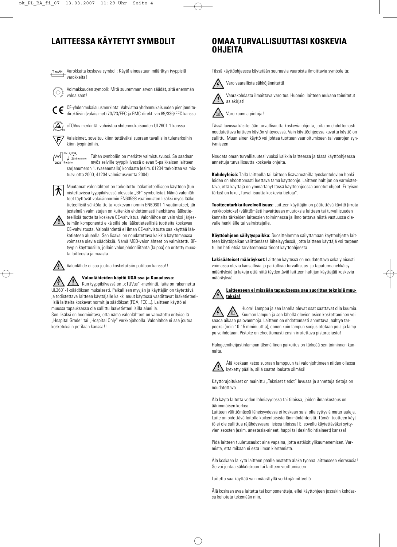T xx AH Varokkeita koskeva symboli: Käytä ainoastaan määrätyn tyyppisiä varokkeita!



Voimakkuuden symboli: Mitä suuremman arvon säädät, sitä enemmän valoa saat!

CE-yhdenmukaisuusmerkintä: Vahvistaa yhdenmukaisuuden pienjännitedirektiivin (valaisimet) 73/23/EEC ja EMC-direktiivin 89/336/EEC kanssa.

cTÜVus merkintä: vahvistaa yhdenmukaisuuden UL2601-1 kanssa.

Valaisimet, soveltuu kiinnitettäväksi suoraan tavallisiin tulenarkoihin .F kiinnityspintoihin.

SN: 41234 Tähän symboliin on merkitty valmistusvuosi. Se saadaan Zählnummer<br>Baujahr myös selville tyyppikilvessä olevan 5-paikkaisen laitteen sarjanumeron 1. (vasemmalla) kohdasta (esim. 01234 tarkoittaa valmistusvuotta 2000, 41234 valmistusvuotta 2004).



Muutamat valonlähteet on tarkoitettu lääketieteelliseen käyttöön (tunnistettavissa tyyppikilvessä olevasta "BF" symbolista). Nämä valonlähteet täyttävät valaisinnormin EN60598 vaatimusten lisäksi myös lääketieteellisiä sähkölaitteita koskevan normin EN60601-1 vaatimukset; järjestelmän valmistajan on kuitenkin ehdottomasti hankittava lääketie-

teellisiä tuotteita koskeva CE-vahvistus. Valonlähde on vain yksi järjesttalmän komponentti eikä sillä ole lääketieteellisiä tuotteita koskevaa CE-vahvistusta. Valonlähdettä ei ilman CE-vahvistusta saa käyttää lääketieteen alueella. Sen lisäksi on noudatettava kaikkia käyttömaassa voimassa olevia säädöksiä. Nämä MED-valonlähteet on valmistettu BFtyypin käyttöosille, jolloin valonjohdonliitäntä (laippa) on eritetty muusta laitteesta ja maasta.

Valonlähde ei saa joutua kosketuksiin potilaan kanssa!!

### **Valonlähteiden käyttö USA:ssa ja Kanadassa:**

Kun tyyppikilvessä on "cTUVus" -merkintä, laite on rakennettu UL2601-1-säädöksen mukaisesti. Paikallisen myyjän ja käyttäjän on täytettävä ja todistettava laitteen käyttäjälle kaikki muut käytössä vaadittavat lääketieteellisiä laitteita koskevat normit ja säädökset (FDA, FCC...). Laitteen käyttö ei muussa tapauksessa ole sallittu lääketieteellisillä alueilla.

Sen lisäksi on huomioitava, että nämä valonlähteet on varustettu erityisellä "Hospital Grade" tai "Hospital Only" verkkojohdolla. Valonlähde ei saa joutua kosketuksiin potilaan kanssa!!

### **LAITTEESSA KÄYTETYT SYMBOLIT OMAA TURVALLISUUTTASI KOSKEVIA OHJEITA**

Tässä käyttöohjeessa käytetään seuraavia vaaroista ilmoittavia symboleita:



Vaarakohdasta ilmoittava varoitus. Huomioi laitteen mukana toimitetut asiakirjat!

Varo kuumia pintoja!

Tässä luvussa käsitellään turvallisuutta koskevia ohjeita, joita on ehdottomasti noudatettava laitteen käytön yhteydessä. Vain käyttöohjeessa kuvattu käyttö on sallittu. Muunlainen käyttö voi johtaa tuotteen vaurioitumiseen tai vaarojen syntymiseen!

Noudata oman turvallisuutesi vuoksi kaikkia laitteessa ja tässä käyttöohjeessa annettuja turvallisuutta koskevia ohjeita.

**Kohdeyleisö:** Tällä laitteella tai laitteen lisävarusteilla työskentelevien henkilöiden on ehdottomasti luettava tämä käyttöohje. Laitteen haltijan on varmistettava, että käyttäjä on ymmärtänyt tässä käyttöohjeessa annetut ohjeet. Erityisen tärkeä on luku "Turvallisuutta koskevia tietoja".

**Tuotteentarkkailuvelvollisuus:** Laitteen käyttäjän on päätettävä käyttö (irrota verkkopistoke!) välittömästi havaittuaan muutoksia laitteen tai turvallisuuden kannalta tärkeiden laiteosien toiminnassa ja ilmoitettava niistä vastuussa olevalle henkilälle tai valmistajalle.

**Käyttöohjeen säilytyspaikka:** Suosittelemme säilyttämään käyttöohjetta laitteen käyttöpaikan välittömässä läheisyydessä, jotta laitteen käyttäjä voi tarpeen tullen heti etsiä tarvitsemansa tiedot käyttöohjeesta.

**Lakisääteiset määräykset:** Laitteen käytössä on noudatettava sekä yleisesti voimassa olevia kansallisia ja paikallisia turvallisuus- ja tapaturmanehkäisymääräyksiä ja lakeja että niitä täydentäviä laitteen haltijan käyttäjää koskevia määräyksiä.

#### **Laitteeseen ei missään tapauksessa saa suorittaa teknisiä muutoksia!**

Huom! Lamppu ja sen lähellä olevat osat saattavat olla kuumia. Kuuman lampun ja sen lähellä olevien osien koskettaminen voi saada aikaan palovammoja. Laitteen on ehdottomasti annettava jäähtyä tarpeeksi (noin 10-15 mminuuttia), ennen kuin lampun suojus otetaan pois ja lamppu vaihdetaan. Pistoke on ehdottomasti ensin irrotettava pistorasiasta!

Halogeeniheijastinlampun täsmällinen paikoitus on tärkeää sen toiminnan kannalta.



Älä koskaan katso suoraan lamppuun tai valonjohtimeen niiden ollessa kytketty päälle, sillä saatat loukata silmäsi!

Käyttörajoitukset on mainittu "Tekniset tiedot" luvussa ja annettuja tietoja on noudatettava.

Älä käytä laitetta veden läheisyydessä tai tiloissa, joiden ilmankosteus on äärimmäisen korkea.

Laitteen välittömässä läheisyydessä ei koskaan saisi olla syttyviä materiaaleja. Laite on pidettävä loitolla kaikenlaisista lämmönlähteistä. Tämän tuotteen käyttö ei ole sallittua räjähdysvaarallisissa tiloissa! Ei sovellu käytettäväksi syttyvien seosten (esim. anestesia-aineet, happi tai desinfiointiaineet) kanssa!

Pidä laitteen tuuletusaukot aina vapaina, jotta estäisit ylikuumenemisen. Varmista, että mikään ei estä ilman kiertämistä.

Älä koskaan läikytä laitteen päälle nestettä äläkä työnnä laitteeseen vierasosia! Se voi johtaa sähköiskuun tai laitteen vioittumiseen.

Laitetta saa käyttää vain määrätyllä verkkojännitteellä.

Älä koskaan avaa laitetta tai komponentteja, ellei käyttohjeen jossakin kohdassa kehoteta tekemään niin.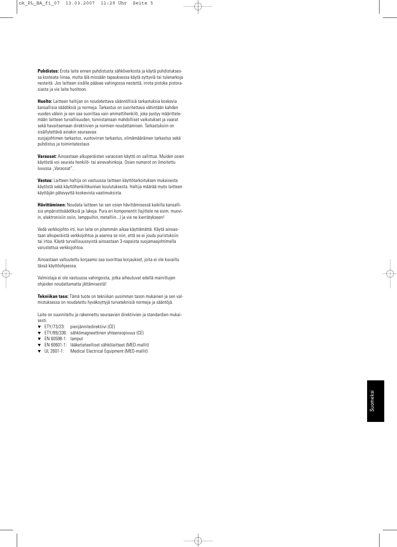**Puhdistus:** Erota laite ennen puhdistusta sähköverkosta ja käytä puhdistuksessa kosteata liinaa, mutta älä missään tapauksessa käytä syttyviä tai tulenarkoja nesteitä. Jos laitteen sisälle pääsee vahingossa nestettä, irrota pistoke pistorasiasta ja vie laite huoltoon.

**Huolto:** Laitteen haltijan on noudatettava säännöllisiä tarkastuksia koskevia kansallisia säädöksiä ja normeja. Tarkastus on suoritettava vähintään kahden vuoden välein ja sen saa suorittaa vain ammattihenkilö, joka pystyy määrittelemään laitteen turvallisuuden, tunnistamaan mahdolliset vaikutukset ja vaarat sekä havaitsemaan direktiivien ja normien noudattamisen. Tarkastuksiin on sisällytettävä ainakin seuraavaa:

suojajohtimen tarkastus, vuotovirran tarkastus, silmämääräinen tarkastus sekä puhdistus ja toimintatestaus

**Varaosat:** Ainoastaan alkuperäisten varaosien käyttö on sallittua. Muiden osien käytöstä voi seurata henkilö- tai ainevahinkoja. Osien numerot on ilmoitettu luvussa "Varaosat".

**Vastuu:** Laitteen haltija on vastuussa laitteen käyttötarkoituksen mukaisesta käytöstä sekä käyttöhenkilökunnan koulutuksesta. Haltija määrää myös laitteen käyttäjän pätevyyttä koskevista vaatimuksista.

**Hävittäminen:** Noudata laitteen tai sen osien hävittämisessä kaikilla kansallisia ympäristösäädöksiä ja lakeja. Pura eri komponentit (lajittele ne esim. muoviin, elektronisiin osiin, lamppuihin, metalliin...) ja vie ne kierrätykseen!

Vedä verkkojohto irti, kun laite on pitemmän aikaa käyttämättä. Käytä ainoastaan alkuperäistä verkkojohtoa ja asenna se niin, että se ei joudu puristuksiin tai irtoa. Käytä turvallisuussyistä ainoastaan 3-napaista suojamaajohtimella varustettua verkkojohtoa.

Ainoastaan valtuutettu korjaamo saa suorittaa korjaukset, joita ei ole kuvailtu tässä käyttöohjeessa.

Valmistaja ei ole vastuussa vahingoista, jotka aiheutuvat edellä mainittujen ohjeiden noudattamatta jättämisestä!

**Tekniikan taso:** Tämä tuote on tekniikan uusimman tason mukainen ja sen valmistuksessa on noudatettu hyväksyttyjä turvateknisiä normeja ja sääntöjä.

Laite on suunniteltu ja rakennettu seuraavien direktiivien ja standardien mukaisesti.

- ▼ ETY/73/23: pienjännitedirektiivi (CE)
- ▼ ETY/89/336: sähkömagneettinen yhteensopivuus (CE)
- ▼ EN 60598-1: lamput
- EN 60601-1: lääketieteelliset sähkölaitteet (MED-mallit)
- ▼ UL 2601-1: Medical Electrical Equipment (MED-mallit)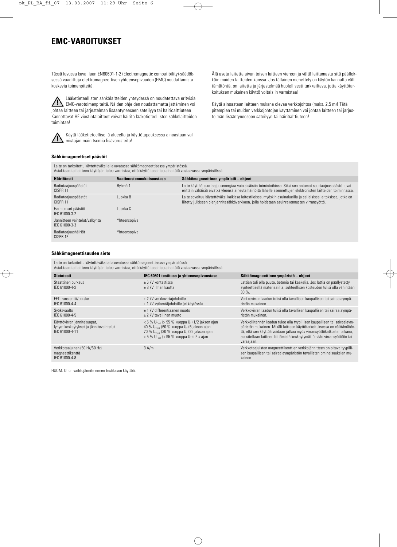### **EMC-VAROITUKSET**

Tässä luvussa kuvaillaan EN60601-1-2 (Electromagnetic compatibility)-säädöksessä vaadittuja elektromagneettisen yhteensopivuuden (EMC) noudattamista koskevia toimenpiteitä.

Lääketieteellisten sähkölaitteiden yhteydessä on noudatettava erityisiä <u>/î</u> EMC-varotoimenpiteitä. Näiden ohjeiden noudattamatta jättäminen voi johtaa laitteen tai järjestelmän lisääntyneeseen säteilyyn tai häiriöalttiuteen! Kannettavat HF-viestintälaitteet voivat häiritä lääketieteellisten sähkölaitteiden toimintaa!



Käytä lääketieteellisellä alueella ja käyttötapauksessa ainoastaan valmistajan mainitsemia lisävarusteita!

Älä aseta laitetta aivan toisen laitteen viereen ja vältä laittamasta sitä päällekkäin muiden laitteiden kanssa. Jos tällainen menettely on käytön kannalta välttämätöntä, on laitetta ja järjestelmää huolellisesti tarkkailtava, jotta käyttötarkoituksen mukainen käyttö voitaisiin varmistaa!

Käytä ainoastaan laitteen mukana olevaa verkkojohtoa (maks. 2,5 m)! Tätä pitempien tai muiden verkkojohtojen käyttäminen voi johtaa laitteen tai järjestelmän lisääntyneeseen säteilyyn tai häiriöalttiuteen!

#### **Sähkömagneettiset päästöt**

|                                                | Laite on tarkoitettu käytettäväksi allakuvatussa sähkömagneettisessa ympäristössä.<br>Asiakkaan tai laitteen käyttäjän tulee varmistaa, että käyttö tapahtuu aina tätä vastaavassa ympäristössä. |                                                                                                                                                                                                                              |
|------------------------------------------------|--------------------------------------------------------------------------------------------------------------------------------------------------------------------------------------------------|------------------------------------------------------------------------------------------------------------------------------------------------------------------------------------------------------------------------------|
| <b>Hairiotesti</b>                             | Vaatimustenmukaisuustaso                                                                                                                                                                         | Sähkömagneettinen ympäristö – ohjeet                                                                                                                                                                                         |
| Radiotaajuuspäästöt<br>CISPR <sub>11</sub>     | Ryhmä 1                                                                                                                                                                                          | Laite käyttää suurtaajuusenergiaa vain sisäisiin toimintoihinsa. Siksi sen antamat suurtaajuuspäästöt ovat<br>erittäin vähäisiä eivätkä yleensä aiheuta häiriöitä lähelle asennettujen elektronisten laitteiden toiminnassa. |
| Radiotaajuuspäästöt<br>CISPR <sub>11</sub>     | Luokka B                                                                                                                                                                                         | Laite soveltuu käytettäväksi kaikissa laitostiloissa, myöskin asuinalueilla ja sellaisissa laitoksissa, jotka on<br>liitetty julkiseen pienjännitesähköverkkoon, jolla hoidetaan asuinrakennusten virransyöttö.              |
| Harmoniset päästöt<br>IFC 61000-3-2            | Luokka C                                                                                                                                                                                         |                                                                                                                                                                                                                              |
| Jännitteen vaihtelut/välkyntä<br>IEC 61000-3-3 | Yhteensopiva                                                                                                                                                                                     |                                                                                                                                                                                                                              |
| Radiotaajuushäiriöt<br>CISPR 15                | Yhteensopiva                                                                                                                                                                                     |                                                                                                                                                                                                                              |

#### **Sähkömagneettisuuden sieto**

Laite on tarkoitettu käytettäväksi allakuvatussa sähkömagneettisessa ympäristössä. Asiakkaan tai laitteen käyttäjän tulee varmistaa, että käyttö tapahtuu aina tätä vastaavassa ympäristössä.

| <b>Sietotesti</b>                                                                        | IEC 60601 testitaso ja yhteensopivuustaso                                                                                                                                                                                                                               | Sähkömagneettinen ympäristö - ohjeet                                                                                                                                                                                                                                                                                   |
|------------------------------------------------------------------------------------------|-------------------------------------------------------------------------------------------------------------------------------------------------------------------------------------------------------------------------------------------------------------------------|------------------------------------------------------------------------------------------------------------------------------------------------------------------------------------------------------------------------------------------------------------------------------------------------------------------------|
| Staattinen purkaus<br>IFC 61000-4-2                                                      | + 6 kV kontaktissa<br>+ 8 kV ilman kautta                                                                                                                                                                                                                               | Lattian tuli olla puuta, betonia tai kaakelia. Jos lattia on päällystetty<br>synteettisellä materiaalilla, suhteellisen kosteuden tulisi olla vähintään<br>$30\%$ .                                                                                                                                                    |
| EFT-transientti/purske<br>IEC 61000-4-4                                                  | $\pm$ 2 kV verkkovirtajohdoille<br>± 1 kV kytkentäjohdoille (ei käytössä)                                                                                                                                                                                               | Verkkovirran laadun tulisi olla tavallisen kaupallisen tai sairaalaympä-<br>ristön mukainen.                                                                                                                                                                                                                           |
| Syöksyaalto<br>IEC 61000-4-5                                                             | +1 kV differentiaanen muoto<br>+ 2 kV tavallinen muoto                                                                                                                                                                                                                  | Verkkovirran laadun tulisi olla tavallisen kaupallisen tai sairaalaympä-<br>ristön mukainen.                                                                                                                                                                                                                           |
| Käyttövirran jännitekuopat,<br>lyhyet keskeytykset ja jännitevaihtelut<br>IEC 61000-4-11 | $< 5 \% U_{\text{Test}} > 95 \%$ kuoppa U <sub>T</sub> ) 1/2 jakson ajan<br>40 % $U_{T\text{res}}$ (60 % kuoppa $U_T$ ) 5 jakson ajan<br>70 % $U_{Tresi}$ (30 % kuoppa $U_T$ ) 25 jakson ajan<br>$< 5 \%$ U <sub>Trees</sub> (> 95 % kuoppa U <sub>T</sub> ) i 5 s ajan | Verkkoliitännän laadun tulee olla tyypillisen kaupallisen tai sairaalaym-<br>päristön mukainen. Mikäli laitteen käyttötarkoituksessa on välttämätön-<br>tä, että sen käyttöä voidaan jatkaa myös virransyöttökatkosten aikana,<br>suositellaan laitteen liittämistä keskeytymättömään virransyöttöön tai<br>varaajaan. |
| Verkkotaajuinen (50 Hz/60 Hz)<br>magneettikenttä<br>IEC 61000-4-8                        | 3 A/m                                                                                                                                                                                                                                                                   | Verkkotaajuisten magneettikenttien verkkojännitteen on oltava tyypilli-<br>sen kaupallisen tai sairaalaympäristön tavallisten ominaisuuksien mu-<br>kainen.                                                                                                                                                            |

HUOM:  $U_T$  on vaihtojännite ennen testitason käyttöä.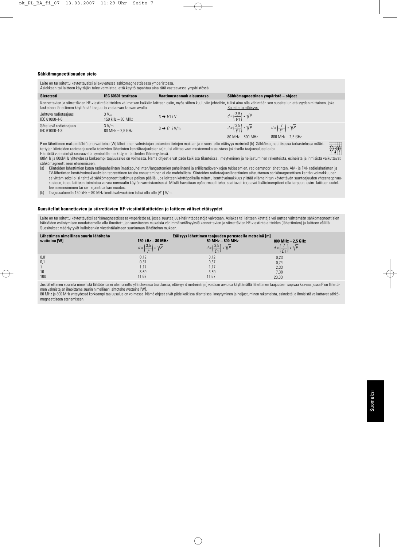#### **Sähkömagneettisuuden sieto**

| Laite on tarkoitettu käytettäväksi allakuvatussa sähkömagneettisessa ympäristössä.<br>Asiakkaan tai laitteen käyttäjän tulee varmistaa, että käyttö tapahtuu aina tätä vastaavassa ympäristössä.                                                                                                                                                                                                                                               |                                           |                           |                                               |                                            |  |  |
|------------------------------------------------------------------------------------------------------------------------------------------------------------------------------------------------------------------------------------------------------------------------------------------------------------------------------------------------------------------------------------------------------------------------------------------------|-------------------------------------------|---------------------------|-----------------------------------------------|--------------------------------------------|--|--|
| <b>Sietotesti</b>                                                                                                                                                                                                                                                                                                                                                                                                                              | IEC 60601 testitaso                       | Vaatimustenmuk aisuustaso | Sähkömagneettinen ympäristö – ohjeet          |                                            |  |  |
| Kannettavien ja siirrettävien HF-viestintälaitteiden välimatkan kaikkiin laitteen osiin, myös siihen kuuluviin johtoihin, tulisi aina olla vähintään sen suositellun etäisyyden mittainen, joka<br>lasketaan lähettimen käyttämää taajuutta vastaavan kaavan avulla:<br>Suositeltu etäisvys:                                                                                                                                                   |                                           |                           |                                               |                                            |  |  |
| Johtuva radiotaajuus<br>IEC 61000-4-6                                                                                                                                                                                                                                                                                                                                                                                                          | $3V_{\text{eff}}$<br>$150$ kHz $-$ 80 MHz | $3 \rightarrow V1$ iV     | $d = \left(\frac{3.5}{1/1}\right) * \sqrt{P}$ |                                            |  |  |
| Säteilevä radiotaajuus<br>IFC 61000-4-3                                                                                                                                                                                                                                                                                                                                                                                                        | 3 V/m<br>$80$ MHz $- 2.5$ GHz             | $3 \rightarrow E1$ i V/m  | $d = \left(\frac{3.5}{5.1}\right) * \sqrt{P}$ | $d = \left(\frac{7}{51}\right) * \sqrt{P}$ |  |  |
|                                                                                                                                                                                                                                                                                                                                                                                                                                                |                                           |                           | 80 MHz - 800 MHz                              | 800 MHz - 2.5 GHz                          |  |  |
| P on lähettimen maksimilähtöteho watteina (W) lähettimen valmistajan antamien tietojen mukaan ja d suositeltu etäisyys metreinä (b). Sähkömagneettisessa tarkastelussa määri-<br>$((\cdot))$<br>tettyjen kiinteiden radiotaajuudella toimivien lähetinten kenttätaajuuksien (a) tulisi alittaa vaatimustenmukaisuustaso jokaisella taajuusalueella (b).<br>Häiriöitä voi esiintyä seuraavalla symbolilla merkittyjen laitteiden läheisyydessä: |                                           |                           |                                               |                                            |  |  |

80MHz ja 800MHz yhteydessä korkeampi taajuusalue on voimassa. Nämä ohjeet eivät päde kaikissa tilanteissa. Imeytyminen ja heijastuminen rakenteista, esineistä ja ihmisistä vaikuttavat sähkömagneettiseen etenemiseen.<br>(a) Kiinteiden lähettimien kuten i

(a) Kiinteiden lähettimien kuten radiopuhelinten (matkapuhelinten/langattomien puhelinten) ja erillisradioverkkojen tukiasemien, radioamatöörilähetinten, AM- ja FM- radiolähetinten ja TV-lähetinten kenttävoimakkuuksien teoreettinen tarkka ennustaminen ei ole mahdollista. Kiinteiden radiotaajuuslähettimien aiheuttaman sähkömagneettisen kentän voimakkuuden selvittämiseksi olisi tehtävä sähkömagneettitutkimus paikan päällä. Jos laitteen käyttöpaikalla mitattu kenttävoimakkuus ylittää yllämainitun käytettävän suurtaajuuden yhteensopivuusasteen, tulee laitteen toimintaa valvoa normaalin käytön varmistamiseksi. Mikäli havaitaan epänormaali teho, saattavat korjaavat lisätoimenpiteet olla tarpeen, esim. laitteen uudelleenasennoiminen tai sen sijaintipaikan muutos.

(b) Taajuusalueella 150 kHz – 80 MHz kenttävahvuuksien tulisi olla alle [V1] V/m.

#### **Suositellut kannettavien ja siirrettävien HF-viestintälaitteiden ja laitteen väliset etäisyydet**

Laite on tarkoitettu käytettäväksi sähkömagneettisessa ympäristössä, jossa suurtaajuus-häirintäpäästöjä valvotaan. Asiakas tai laitteen käyttäjä voi auttaa välttämään sähkömagneettisien häiriöiden esiintymisen noudattamalla alla ilmoitettujen suositusten mukaisia vähimmäisetäisyyksiä kannettavien ja siirrettävien HF-viestintälaitteiden (lähettimien) ja laitteen välillä. Suositukset määräytyvät kulloisenkin viestintälaitteen suurimman lähtötehon mukaan.

| Lähettimen nimellinen suurin lähtöteho<br>watteina [W] | 150 kHz - 80 MHz                              | Etäisyys lähettimen taajuuden perusteella metreinä [m]<br>80 MHz - 800 MHz | 800 MHz $-$ 2,5 GHz                          |
|--------------------------------------------------------|-----------------------------------------------|----------------------------------------------------------------------------|----------------------------------------------|
|                                                        | $d = \left(\frac{3.5}{1/1}\right) * \sqrt{P}$ | $d = \left(\frac{3.5}{5.1}\right) * \sqrt{P}$                              | $d = \lfloor \frac{1}{2} \rfloor * \sqrt{p}$ |
| 0,01                                                   | 0,12                                          | 0,12                                                                       | 0,23                                         |
| 0,1                                                    | 0,37                                          | 0,37                                                                       | 0,74                                         |
|                                                        | 1.17                                          | 1.17                                                                       | 2,33                                         |
| 10                                                     | 3,69                                          | 3,69                                                                       | 7,38                                         |
| 100                                                    | 11,67                                         | 11,67                                                                      | 23,33                                        |

Jos lähettimen suurinta nimellistä lähtötehoa ei ole mainittu yllä olevassa taulukossa, etäisyys d metreinä [m] voidaan arvioida käyttämällä lähettimen taajuuteen sopivaa kaavaa, jossa P on lähettimen valmistajan ilmoittama suurin nimellinen lähtöteho watteina [W].

80 MHz ja 800 MHz yhteydessä korkeampi taajuusalue on voimassa. Nämä ohjeet eivät päde kaikissa tilanteissa. Imeytyminen ja heijastuminen rakenteista, esineistä ja ihmisistä vaikuttavat sähkömagneettiseen etenemiseen.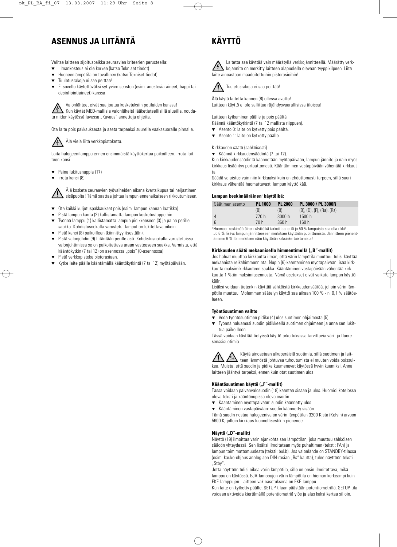### **ASENNUS JA LIITÄNTÄ**

Valitse laitteen sijoituspaikka seuraavien kriteerien perusteella:

- lilmankosteus ei ole korkea (katso Tekniset tiedot)
- Huoneenlämpötila on tavallinen (katso Tekniset tiedot)
- ▼ Tuuletusrakoja ei saa peittää!
- ▼ Ei sovellu käytettäväksi syttyvien seosten (esim. anestesia-aineet, happi tai desinfiointiaineet) kanssa!

Valonlähteet eivät saa joutua kosketuksiin potilaiden kanssa! Kun käytät MED-mallisia valonläheitä lääketieteellisillä alueilla, noudata niiden käytössä luvussa "Kuvaus" annettuja ohjeita.

Ota laite pois pakkauksesta ja aseta tarpeeksi suurelle vaakasuoralle pinnalle.



Laita halogeenilamppu ennen ensimmäistä käyttökertaa paikoilleen. Irrota laitteen kansi.

- Paina lukitusnuppia (17)
- Irrota kansi (8)

Älä kosketa seuraavien työvaiheiden aikana kvartsikupua tai heijastimen sisäpuolta! Tämä saattaa johtaa lampun ennenaikaiseen rikkoutumiseen.

- Ota kaikki kuljetuspakkaukset pois (esim. lampun kannan laatikko).
- ▼ Pistä lampun kanta (2) kallistamatta lampun kosketustappeihin.
- Työnnä lamppu (1) kallistamatta lampun pidikkeeseen (3) ja paina perille saakka. Kohdistusnokalla varustetut lamput on lukitettava oikein.
- Pistä kansi (8) paikoilleen (kiinnittyy itsestään).
- ▼ Pistä valonjohdin (9) liitäntään perille asti. Kohdistusnokalla varustetuissa valonjohtimissa se on paikoitettava uraan vasteeseen saakka. Varmista, että kääntökytkin (7 tai 12) on asennossa "pois" (0-asennossa).
- Pistä verkkopistoke pistorasiaan.
- Kytke laite päälle kääntämällä kääntökytkintä (7 tai 12) myötäpäivään.

## **KÄYTTÖ**





Älä käytä laitetta kannen (8) ollessa avattu! Laitteen käyttö ei ole sallittua räjähdysvaarallisissa tiloissa!

Laitteen kytkeminen päälle ja pois päältä

- Käännä kääntökytkintä (7 tai 12 mallista riippuen).
- ▼ Asento 0: laite on kytketty pois päältä. ▼ Asento 1: laite on kytketty päälle.

Kirkkauden säätö (sähköisesti)

▼ Käännä kirkkaudensäädintä (7 tai 12).

Kun kirkkaudensäädintä käännetään myötäpäivään, lampun jännite ja näin myös kirkkaus lisääntyy portaattomasti. Kääntäminen vastapäivään vähentää kirkkautta.

Säädä valaistus vain niin kirkkaaksi kuin on ehdottomasti tarpeen, sillä suuri kirkkaus vähentää huomattavasti lampun käyttöikää.

#### **Lampun keskimääräinen**<sup>1</sup> **käyttöikä:**

| Säätimen asento | <b>PL 1000</b> | <b>PL 2000</b> | PL 3000 / PL 3000R                      |
|-----------------|----------------|----------------|-----------------------------------------|
|                 | (B)            | (B)            | $(B)$ , $(D)$ , $(F)$ , $(Ra)$ , $(Rs)$ |
| $\overline{4}$  | 770 h          | 3000h          | 1500 h                                  |
| 6               | 70 h           | 360 h          | 160h                                    |

<sup>1</sup> Huomaa: keskimääräinen käyttöikä tarkoittaa, että jo 50 % lampuista saa olla rikki! Jo 6 % lisäys lampun jännitteeseen merkitsee käyttöiän puolittumista. Jännitteen pienentäminen 6 %:lla merkitsee näin käyttöiän kaksinkertaistumista!

#### Kirkkauden säätö mekaanisella himmentimellä ("B"-mallit)

Jos haluat muuttaa kirkkautta ilman, että värin lämpötila muuttuu, tulisi käyttää mekaanista reikähimmennintä. Nupin (6) kääntäminen myötäpäivään lisää kirkkautta maksimikirkkauteen saakka. Kääntäminen vastapäivään vähentää kirkkautta 1 %:iin maksimiasennosta. Nämä asetukset eivät vaikuta lampun käyttöikään.

Lisäksi voidaan tietenkin käyttää sähköistä kirkkaudensäätöä, jolloin värin lämpötila muuttuu. Molemman säätelyn käyttö saa aikaan 100 % - n. 0,1 % säätöalueen.

#### **Työntösuotimen vaihto**

- Vedä työntösuotimen pidike (4) ulos suotimen ohjaimesta (5).
- ▼ Työnnä haluamasi suodin pidikkeellä suotimen ohjaimeen ja anna sen lukittua paikoilleen.

Tässä voidaan käyttää tietyissä käyttötarkoituksissa tarvittavia väri- ja fluoresenssisuotimia.

Käytä ainoastaan alkuperäisiä suotimia, sillä suotimen ja laitteen lämmöstä johtuvaa tuhoutumista ei muuten voida poissulkea. Muista, että suodin ja pidike kuumenevat käytössä hyvin kuumiksi. Anna laitteen jäähtyä tarpeksi, ennen kuin otat suotimen ulos!

#### **Kääntösuotimen käyttö ("F"-mallit)**

Tässä voidaan päivänvalosuodin (18) kääntää sisään ja ulos. Huomioi kotelossa oleva teksti ja kääntönupissa oleva osoitin.

- ▼ Kääntäminen myötäpäivään: suodin käännetty ulos
- ▼ Kääntäminen vastapäivään: suodin käännetty sisään

Tämä suodin nostaa halogeenivalon värin lämpötilan 3200 K:sta (Kelvin) arvoon 5600 K, jolloin kirkkaus luonnollisestikin pienenee.

#### **Näyttö ("D"-mallit)**

Näyttö (19) ilmoittaa värin ajankohtaisen lämpötilan, joka muuttuu sähköisen säädön yhteydessä. Sen lisäksi ilmoitetaan myös puhaltimen (teksti: FAn) ja lampun toimimattomuudesta (teksti: buLb). Jos valonlähde on STANDBY-tilassa (esim. kauko-ohjaus analogisen DIN-rasian "Rs" kautta), tulee näyttöön teksti "Stby".

Jotta näyttöön tulisi oikea värin lämpötila, sille on ensin ilmoitettava, mikä lamppu on käytössä. EJA-lamppujen värin lämpötila on hieman korkeampi kuin EKE-lamppujen. Laitteen vakioasetuksena on EKE-lamppu.

Kun laite on kytketty päälle, SETUP-tilaan päästään potentiometrillä. SETUP-tila voidaan aktivoida kiertämällä potentiometriä ylös ja alas kaksi kertaa silloin,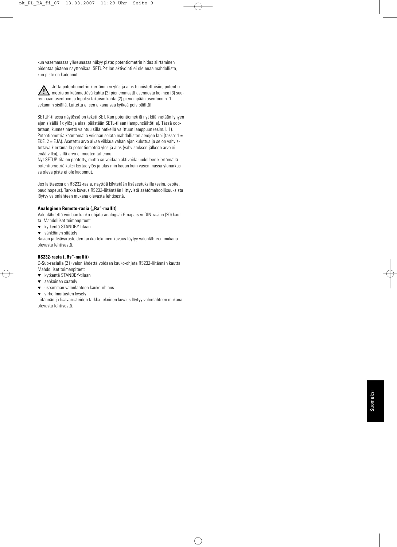kun vasemmassa yläreunassa näkyy piste; potentiometrin hidas siirtäminen pidentää pisteen näyttöaikaa. SETUP-tilan aktivointi ei ole enää mahdollista, kun piste on kadonnut.



SETUP-tilassa näytössä on teksti SET. Kun potentiometriä nyt käännetään lyhyen ajan sisällä 1x ylös ja alas, päästään SETL-tilaan (lampunsäätötila). Tässä odotetaan, kunnes näyttö vaihtuu sillä hetkellä valittuun lamppuun (esim. L 1). Potentiometriä kääntämällä voidaan selata mahdollisten arvojen läpi (tässä: 1 = EKE, 2 = EJA). Asetettu arvo alkaa vilkkua vähän ajan kuluttua ja se on vahvistettava kiertämällä potentiometriä ylös ja alas (vahvistuksen jälkeen arvo ei enää vilku), sillä arvo ei muuten tallennu.

Nyt SETUP-tila on päätetty, mutta se voidaan aktivoida uudelleen kiertämällä potentiometriä kaksi kertaa ylös ja alas niin kauan kuin vasemmassa ylänurkassa oleva piste ei ole kadonnut.

Jos laitteessa on RS232-rasia, näyttöä käytetään lisäasetuksille (esim. osoite, baudinopeus). Tarkka kuvaus RS232-liitäntään liittyvistä säätömahdollisuuksista löytyy valonlähteen mukana olevasta lehtisestä.

#### **Analoginen Remote-rasia ("Ra"-mallit)**

Valonlähdettä voidaan kauko-ohjata analogisti 6-napaisen DIN-rasian (20) kaut-

- ta. Mahdolliset toimenpiteet:
- ▼ kytkentä STANDBY-tilaan
- ▼ sähköinen säätely

Rasian ja lisävarusteiden tarkka tekninen kuvaus löytyy valonlähteen mukana olevasta lehtisestä.

#### **RS232-rasia ("Rs"-mallit)**

D-Sub-rasialla (21) valonlähdettä voidaan kauko-ohjata RS232-liitännän kautta. Mahdolliset toimenpiteet:

- ▼ kytkentä STANDBY-tilaan
- ▼ sähköinen säätely
- ▼ useamman valonlähteen kauko-ohjaus
- ▼ virheilmoitusten kysely

Liitännän ja lisävarusteiden tarkka tekninen kuvaus löytyy valonlähteen mukana olevasta lehtisestä.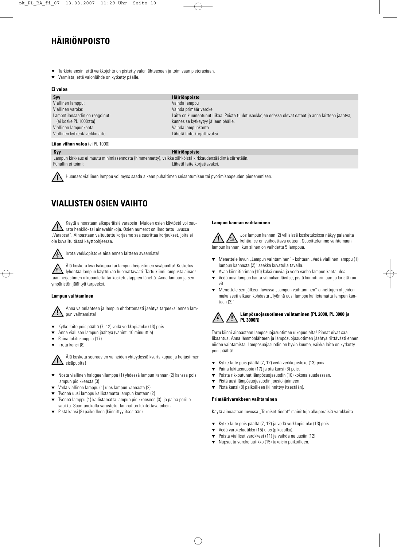### **HÄIRIÖNPOISTO**

- Tarkista ensin, että verkkojohto on pistetty valonlähteeseen ja toimivaan pistorasiaan.
- Varmista, että valonlähde on kytketty päälle.

#### **Ei valoa**

| Syy                            | <b>Häiriönpoisto</b>                                                                                |
|--------------------------------|-----------------------------------------------------------------------------------------------------|
| Viallinen lamppu:              | Vaihda lamppu                                                                                       |
| Viallinen varoke:              | Vaihda primäärivaroke                                                                               |
| Lämpötilansäädin on reagoinut: | Laite on kuumentunut liikaa. Poista tuuletusaukkojen edessä olevat esteet ja anna laitteen jäähtyä, |
| (ei koske PL 1000:tta)         | kunnes se kytkeytyy jälleen päälle.                                                                 |
| Viallinen lampunkanta          | Vaihda lampunkanta                                                                                  |
| Viallinen kytkentäverkkolaite  | Lähetä laite korjattavaksi                                                                          |
|                                |                                                                                                     |

#### **Liian vähan valoa** (ei PL 1000)

#### **Syy Häiriönpoisto**

Lampun kirkkaus ei muutu minimiasennosta (himmennetty), vaikka sähköistä kirkkaudensäädintä siirretään. Puhallin ei toimi: Lähetä laite korjattavaksi.

Huomaa: viallinen lamppu voi myös saada aikaan puhaltimen seisahtumisen tai pyörimisnopeuden pienenemisen.

### **VIALLISTEN OSIEN VAIHTO**

Käytä ainoastaan alkuperäisiä varaosia! Muiden osien käytöstä voi seurata henkilö- tai ainevahinkoja. Osien numerot on ilmoitettu luvussa "Varaosat". Ainoastaan valtuutettu korjaamo saa suorittaa korjaukset, joita ei ole kuvailtu tässä käyttöohjeessa.



Irrota verkkopistoke aina ennen laitteen avaamista!

Älä kosketa kvartsikupua tai lampun heijastimen sisäpuolta! Kosketus lyhentää lampun käyttöikää huomattavasti. Tartu kiinni lampusta ainaostaan heijastimen ulkopuolelta tai kosketustappien läheltä. Anna lampun ja sen ympäristön jäähtyä tarpeeksi.

#### **Lampun vaihtaminen**

Anna valonlähteen ja lampun ehdottomasti jäähtyä tarpeeksi ennen lampun vaihtamista!

- Kytke laite pois päältä (7, 12) vedä verkkopistoke (13) pois
- Anna viallisen lampun jäähtyä (vähint. 10 minuuttia)
- Paina lukitusnuppia (17)
- ▼ Irrota kansi (8)

Älä kosketa seuraavien vaiheiden yhteydessä kvartsikupua ja heijastimen sisäpuolta!

- ▼ Nosta viallinen halogeenilamppu (1) yhdessä lampun kannan (2) kanssa pois lampun pidikkeestä (3)
- Vedä viallinen lamppu (1) ulos lampun kannasta (2)
- Työnnä uusi lamppu kallistamatta lampun kantaan (2)
- Työnnä lamppu (1) kallistamatta lampun pidikkeeseen (3) ja paina perille saakka. Suuntanokalla varustetut lamput on lukitettava oikein
- Pistä kansi (8) paikoilleen (kiinnittyy itsestään)

#### **Lampun kannan vaihtaminen**

Jos lampun kannan (2) välisissä kosketuksissa näkyy palaneita kohtia, se on vaihdettava uuteen. Suosittelemme vaihtamaan lampun kannan, kun siihen on vaihdettu 5 lamppua.

- ▼ Menettele luvun "Lampun vaihtaminen" kohtaan "Vedä viallinen lamppu (1) lampun kannasta (2)" saakka kuvatulla tavalla.
- Avaa kiinnitinriman (16) kaksi ruuvia ja vedä vanha lampun kanta ulos.
- ▼ Vedä uusi lampun kanta silmukan lävitse, pistä kiinnitinrimaan ja kiristä ruuvit.
- ▼ Menettele sen jälkeen luvussa "Lampun vaihtaminen" annettujen ohjeiden mukaisesti alkaen kohdasta "Tvönnä uusi lamppu kallistamatta lampun kantaan (2)".

### **Lämpösuojasuotimen vaihtaminen (PL 2000, PL 3000 ja PL 3000R)**

Tartu kiinni ainoastaan lämpösuojasuotimen ulkopuolelta! Pinnat eivät saa likaantua. Anna lämmönlähteen ja lämpösuojasuotimen jäähtyä riittävästi ennen niiden vaihtamista. Lämpösuojasuodin on hyvin kuuma, vaikka laite on kytketty pois päältä!

- ▼ Kytke laite pois päältä (7, 12) vedä verkkopistoke (13) pois.
- ▼ Paina lukitusnuppia (17) ja ota kansi (8) pois.
- ▼ Poista rikkoutunut lämpösuojasuodin (10) kokonaisuudessaan.
- Pistä uusi lämpösuojasuodin jousiohjaimeen.
- ▼ Pistä kansi (8) paikoilleen (kiinnittyy itsestään).

#### **Primäärivarokkeen vaihtaminen**

Käytä ainoastaan luvussa "Tekniset tiedot" mainittuja alkuperäisiä varokkeita

- ▼ Kytke laite pois päältä (7, 12) ja vedä verkkopistoke (13) pois.
- ▼ Vedä varokelaatikko (15) ulos (pikasulku).
- Poista vialliset varokkeet (11) ja vaihda ne uusiin (12).
- ▼ Napsauta varokelaatikko (15) takaisin paikoilleen.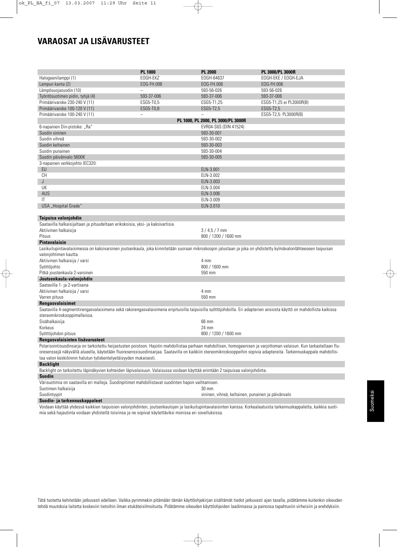### **VARAOSAT JA LISÄVARUSTEET**

|                                                                                                                                                                      | <b>PL 1000</b> | <b>PL 2000</b>                                     | PL 3000/PL 3000R                      |  |  |
|----------------------------------------------------------------------------------------------------------------------------------------------------------------------|----------------|----------------------------------------------------|---------------------------------------|--|--|
| Halogeenilamppi (1)                                                                                                                                                  | EOGH-EKZ       | EOGH-64637                                         | EOGH-EKE / EOGH-EJA                   |  |  |
| Lampun kanta (2)                                                                                                                                                     | EOG-FH.006     | EOG-FH.006                                         | EOG-FH.006                            |  |  |
| Lämpösuojasuodin (10)                                                                                                                                                |                | 593-56-026                                         | 593-56-026                            |  |  |
| Työntösuotimen pidin, tyhjä (4)                                                                                                                                      | 593-37-006     | 593-37-006                                         | 593-37-006                            |  |  |
| Primäärivaroke 230-240 V (11)                                                                                                                                        |                | ESG5-T1,25                                         |                                       |  |  |
|                                                                                                                                                                      | ESG5-T0,5      |                                                    | ESG5-T1,25 ei PL3000R(B)<br>ESG5-T2,5 |  |  |
| Primäärivaroke 100-120 V (11)                                                                                                                                        | ESG5-T0,8      | ESG5-T2,5                                          |                                       |  |  |
| Primäärivaroke 100-240 V (11)                                                                                                                                        |                |                                                    | ESG5-T2,5: PL3000R(B)                 |  |  |
|                                                                                                                                                                      |                | PL 1000, PL 2000, PL 3000/PL 3000R                 |                                       |  |  |
| 6-napainen Din-pistoke: "Ra"                                                                                                                                         |                | EVR04-S6S (DIN 41524)                              |                                       |  |  |
| Suodin sininen                                                                                                                                                       |                | 593-30-001                                         |                                       |  |  |
| Suodin vihreä                                                                                                                                                        |                | 593-30-002                                         |                                       |  |  |
| Suodin keltainen                                                                                                                                                     |                | 593-30-003                                         |                                       |  |  |
| Suodin punainen                                                                                                                                                      |                | 593-30-004                                         |                                       |  |  |
| Suodin päivänvalo 5600K                                                                                                                                              |                | 593-30-005                                         |                                       |  |  |
| 3-napainen verkkojohto IEC320:                                                                                                                                       |                |                                                    |                                       |  |  |
| EU                                                                                                                                                                   |                | ELN-3.001                                          |                                       |  |  |
| CH                                                                                                                                                                   |                | ELN-3.002                                          |                                       |  |  |
| J                                                                                                                                                                    |                | ELN-3.003                                          |                                       |  |  |
| UK                                                                                                                                                                   |                | ELN-3.004                                          |                                       |  |  |
| AUS                                                                                                                                                                  |                | ELN-3.006                                          |                                       |  |  |
| IT                                                                                                                                                                   |                | ELN-3.009                                          |                                       |  |  |
| USA "Hospital Grade"                                                                                                                                                 |                | ELN-3.010                                          |                                       |  |  |
|                                                                                                                                                                      |                |                                                    |                                       |  |  |
| Taipuisa valonjohdin                                                                                                                                                 |                |                                                    |                                       |  |  |
| Saatavilla halkaisijaltaan ja pituudeltaan erikokoisia, yksi- ja kaksivartisia                                                                                       |                |                                                    |                                       |  |  |
| Aktiivinen halkaisija                                                                                                                                                |                | $3/4,5/7$ mm                                       |                                       |  |  |
| Pituus                                                                                                                                                               |                | 800 / 1200 / 1600 mm                               |                                       |  |  |
| <b>Pintavalaisin</b>                                                                                                                                                 |                |                                                    |                                       |  |  |
| Lasikuitupintavalaisimessa on kaksivarsinen joutsenkaula, joka kiinnitetään suoraan mikroskoopin jalustaan ja joka on yhdistetty kylmävalonlähteeseen taipuisan      |                |                                                    |                                       |  |  |
| valonjohtimen kautta.                                                                                                                                                |                |                                                    |                                       |  |  |
| Aktiivinen halkaisija / varsi                                                                                                                                        |                | 4 mm                                               |                                       |  |  |
|                                                                                                                                                                      |                | 800 / 1600 mm                                      |                                       |  |  |
| Syöttöjohto                                                                                                                                                          |                |                                                    |                                       |  |  |
| Pitkä joustenkaula 2-varsinen                                                                                                                                        |                | 550 mm                                             |                                       |  |  |
| Joutsenkaula-valonjohdin                                                                                                                                             |                |                                                    |                                       |  |  |
| Saatavilla 1- ja 2-vartisena                                                                                                                                         |                |                                                    |                                       |  |  |
| Aktiivinen halkaisija / varsi                                                                                                                                        |                | 4 mm                                               |                                       |  |  |
| Varren pituus                                                                                                                                                        |                | 550 mm                                             |                                       |  |  |
| Rengasvalaisimet                                                                                                                                                     |                |                                                    |                                       |  |  |
| Saatavilla 4-segmenttirengasvalaisimena sekä rakorengasvalaisimena eripituisilla taipuisilla syöttöjohdoilla. Eri adapterien ansiosta käyttö on mahdollista kaikissa |                |                                                    |                                       |  |  |
| stereomikroskooppimalleissa.                                                                                                                                         |                |                                                    |                                       |  |  |
| Sisähalkaisija                                                                                                                                                       |                | 66 mm                                              |                                       |  |  |
| Korkeus                                                                                                                                                              |                | 24 mm                                              |                                       |  |  |
| Syöttöjohdon pituus                                                                                                                                                  |                | 800 / 1200 / 1600 mm                               |                                       |  |  |
| Rengasvalaisinten lisävarusteet                                                                                                                                      |                |                                                    |                                       |  |  |
| Polarisointisuodinsarja on tarkoitettu heijastusten poistoon. Hajotin mahdollistaa parhaan mahdollisen, homogeenisen ja varjottoman valaisun. Kun tarkastellaan flu- |                |                                                    |                                       |  |  |
| oresenssejä näkyvällä alueella, käytetään fluoresenssisuodinsarjaa. Saatavilla on kaikkiin stereomikroskooppeihin sopivia adaptereita. Tarkennuskappale mahdollis-   |                |                                                    |                                       |  |  |
| taa valon keskiöinnin halutun työskentelyetäisyyden mukaisesti.                                                                                                      |                |                                                    |                                       |  |  |
| <b>Backlight</b>                                                                                                                                                     |                |                                                    |                                       |  |  |
| Backlight on tarkoitettu läpinäkyvien kohteiden läpivalaisuun. Valaisussa voidaan käyttää enintään 2 taipuisaa valonjohdinta.                                        |                |                                                    |                                       |  |  |
| Suodin                                                                                                                                                               |                |                                                    |                                       |  |  |
| Värisuotimia on saatavilla eri malleja. Suodinpitimet mahdollistavat suodinten hapon vaihtamisen.                                                                    |                |                                                    |                                       |  |  |
| Suotimen halkaisija                                                                                                                                                  |                | 30 mm                                              |                                       |  |  |
| Suodintyypit                                                                                                                                                         |                | sininen, vihreä, keltainen, punainen ja päivänvalo |                                       |  |  |
| Suodin- ja tarkennuskappaleet                                                                                                                                        |                |                                                    |                                       |  |  |

Voidaan käyttää yhdessä kaikkien taipuisien valonjohdinten, joutsenkaulojen ja lasikuitupintavalaisinten kanssa. Korkealaatuista tarkennuskappaletta, kaikkia suotimia sekä hajautinta voidaan yhdistellä toisiinsa ja ne sopivat käytettäviksi monissa eri sovelluksissa.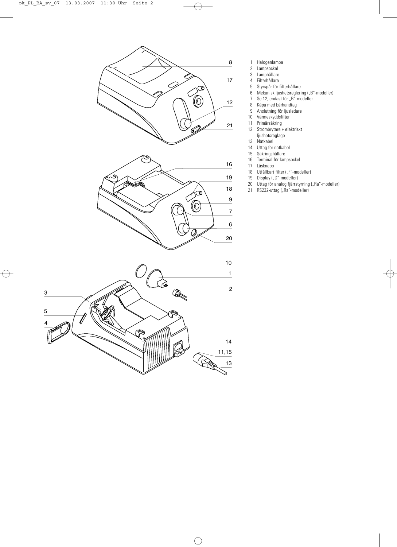

- 1 Halogenlampa<br>2 Lampsockel
- Lampsockel
- 3 Lamphållare
- 4 Filterhållare
- 5 Styrspår för filterhållare
- 6 Mekanisk ljushetsreglering ("B"-modeller)
	- 7 Se 12, endast för "B"-modeller
- 8 Kåpa med bärhandtag
- 9 Anslutning för ljusledare
- 10 Värmeskyddsfilter<br>11 Primärsäkring
- 11 Primärsäkring<br>12 Strömbrytare
- 12 Strömbrytare + elektriskt
- ljushetsreglage
- 13 Nätkabel
- 14 Uttag för nätkabel<br>15 Säkringshållare
- 15 Säkringshållare<br>16 Terminal för lam
- Terminal för lampsockel
- 17 Låsknapp
- 18 Utfällbart filter ("F"-modeller)<br>19 Display ("D"-modeller)
- 19 Display ("D"-modeller)
- 20 Uttag för analog fjärrstyrning ("Ra"-modeller)
- 21 RS232-uttag ("Rs"-modeller)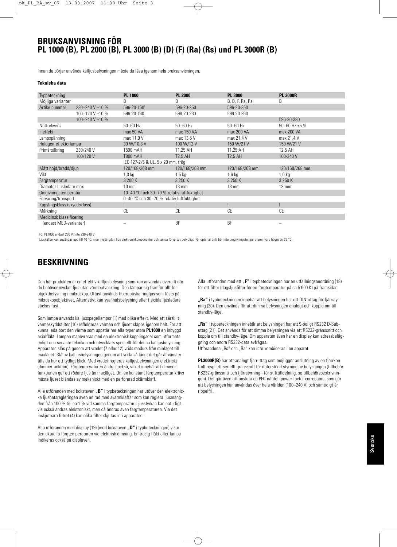### **BRUKSANVISNING FÖR PL 1000 (B), PL 2000 (B), PL 3000 (B) (D) (F) (Ra) (Rs) und PL 3000R (B)**

Innan du börjar använda kalljusbelysningen måste du läsa igenom hela bruksanvisningen.

#### **Tekniska data**

| Typbeteckning                |                 | <b>PL 1000</b>                                                    | <b>PL 2000</b>    | <b>PL 3000</b>  | <b>PL 3000R</b>    |
|------------------------------|-----------------|-------------------------------------------------------------------|-------------------|-----------------|--------------------|
| Möjliga varianter            |                 | B                                                                 | B                 | B, D, F, Ra, Rs | B                  |
| Artikelnummer                | 230-240 V ±10 % | 596-20-1501                                                       | 596-20-250        | 596-20-350      |                    |
|                              | 100-120 V ±10 % | 596-20-160                                                        | 596-20-260        | 596-20-360      |                    |
|                              | 100-240 V ±10 % |                                                                   |                   |                 | 596-20-380         |
| Nätfrekvens                  |                 | $50 - 60$ Hz                                                      | $50 - 60$ Hz      | $50 - 60$ Hz    | 50-60 Hz $\pm$ 5 % |
| Ineffekt                     |                 | max 50 VA                                                         | max 150 VA        | max 200 VA      | max 200 VA         |
| Lampspänning                 |                 | max 11,9 V                                                        | max 13,5 V        | max 21,4 V      | max 21,4 V         |
| Halogenreflektorlampa        |                 | 30 W/10,8 V                                                       | 100 W/12 V        | 150 W/21 V      | 150 W/21 V         |
| Primärsäkring                | 230/240 V       | T500 mAH                                                          | T1.25 AH          | T1.25 AH        | <b>T2.5 AH</b>     |
|                              | 100/120 V       | <b>T800 mAH</b>                                                   | <b>T2.5 AH</b>    | <b>T2.5 AH</b>  | 100-240 V          |
|                              |                 | IEC 127-2/5 & UL, 5 x 20 mm, trög                                 |                   |                 |                    |
| Mått höjd/bredd/djup         |                 | 120/168/268 mm                                                    | 120/168/268 mm    | 120/168/268 mm  | 120/168/268 mm     |
| Vikt                         |                 | $1,3$ kg                                                          | 1.5 <sub>kq</sub> | 1,6 kg          | $1,6$ kg           |
| Färgtemperatur               |                 | 3 200 K                                                           | 3 250 K           | 3 250 K         | 3 250 K            |
| Diameter ljusledare max      |                 | $10 \text{ mm}$                                                   | $13 \text{ mm}$   | $13 \text{ mm}$ | $13 \text{ mm}$    |
| Omgivningstemperatur         |                 | 10–40 $^{\circ}$ C <sup>2</sup> och 30–70 % relativ luftfuktighet |                   |                 |                    |
| Förvaring/transport          |                 | 0-40 °C och 30-70 % relativ luftfuktighet                         |                   |                 |                    |
| Kapslingsklass (skyddsklass) |                 |                                                                   |                   |                 |                    |
| Märkning                     |                 | CE                                                                | СE                | <b>CE</b>       | <b>CE</b>          |
| Medicinsk klassificering     |                 |                                                                   |                   |                 |                    |
| (endast MED-varianter)       |                 |                                                                   | <b>BF</b>         | <b>BF</b>       |                    |

<sup>1</sup> För PL1000 endast 230 V (inte 230-240 V)

<sup>2</sup> Ljuskällan kan användas upp till 40 °C, men livslängden hos elektronikkomponenter och lampa förkortas betydligt. För optimal drift bör inte omgivningstemperaturen vara högre än 25 °C.

### **BESKRIVNING**

Den här produkten är en effektiv kalljusbelysning som kan användas överallt där du behöver mycket ljus utan värmeutveckling. Den lämpar sig framför allt för objektbelysning i mikroskop. Oftast används fiberoptiska ringljus som fästs på mikroskopobjektivet. Alternativt kan svanhalsbelysning eller flexibla ljusledare stickas fast.

Som lampa används kalljusspegellampor (1) med olika effekt. Med ett särskilt värmeskyddsfilter (10) reflekteras värmen och ljuset släpps igenom helt. För att kunna leda bort den värme som uppstår har alla typer utom **PL1000** en inbyggd axialfläkt. Lampan manövreras med en elektronisk kopplingsdel som utformats enligt den senaste tekniken och utvecklats speciellt för denna kalljusbelysning. Apparaten slås på genom att vredet (7 eller 12) vrids medurs från minläget till maxläget. Slå av kalljusbelysningen genom att vrida så långt det går åt vänster tills du hör ett tydligt klick. Med vredet regleras kalljusbelysningen elektriskt (dimmerfunktion). Färgtemperaturen ändras också, vilket innebär att dimmerfunktionen ger ett rödare ljus än maxläget. Om en konstant färgtemperatur krävs måste ljuset bländas av mekaniskt med en perforerad skärmklaff.

Alla utföranden med bokstaven "B" i typbeteckningen har utöver den elektroniska ljushetsregleringen även en rad med skärmklaffar som kan reglera ljusmängden från 100 % till ca 1 % vid samma färgtemperatur. Ljusstyrkan kan naturligtvis också ändras elektroniskt, men då ändras även färgtemperaturen. Via det inskjutbara filtret (4) kan olika filter skjutas in i apparaten.

Alla utföranden med display (19) (med bokstaven **"D"** i typbeteckningen) visar den aktuella färgtemperaturen vid elektrisk dimning. En trasig fläkt eller lampa indikeras också på displayen.

Alla utföranden med ett "F" i typbeteckningen har en utfällningsanordning (18) för ett filter (dagsljusfilter för en färgtemperatur på ca 5 600 K) på framsidan.

**"Ra"** i typbeteckningen innebär att belysningen har ett DIN-uttag för fjärrstyrning (20). Den används för att dimma belysningen analogt och koppla om till standby-läge.

**"Rs"** i typbeteckningen innebär att belysningen har ett 9-poligt RS232 D-Subuttag (21). Det används för att dimma belysningen via ett RS232-gränssnitt och koppla om till standby-läge. Om apparaten även har en display kan adressbeläggning och andra RS232-data avfrågas.

Utförandena "Rs" och "Ra" kan inte kombineras i en apparat.

**PL3000R(B)** har ett analogt fjärruttag som möjliggör anslutning av en fjärrkontroll resp. ett seriellt gränssnitt för datorstödd styrning av belysningen (tillbehör: RS232-gränssnitt och fjärrstyrning - för stifttilldelning, se tillbehörsbeskrivningen). Det går även att ansluta en PFC-nätdel (power factor correction), som gör att belysningen kan användas över hela världen (100–240 V) och samtidigt är rippelfri.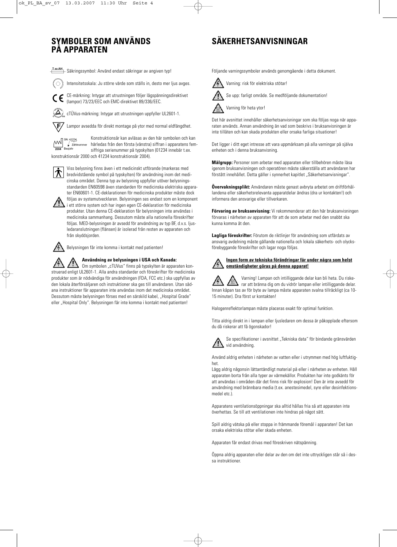### **SYMBOLER SOM ANVÄNDS PÅ APPARATEN**

### **SÄKERHETSANVISNINGAR**

**T xx AH** Säkringssymbol: Använd endast säkringar av angiven typ!

Intensitetsskala: Ju större värde som ställs in, desto mer ljus avges.

CE-märkning: Intygar att utrustningen följer lågspänningsdirektivet (lampor) 73/23/EEC och EMC-direktivet 89/336/EEC.

cTÜVus-märkning: Intygar att utrustningen uppfyller UL2601-1.

Lampor avsedda för direkt montage på ytor med normal eldfängdhet.

SN: 41234

.F

Konstruktionsår kan avläsas av den här symbolen och kan **Härledas från den första (vänstra) siffran i apparatens fem-**<br>Baujahr siffriga ostionummer på tuppledten (01224 innehör t.ev siffriga serienummer på typskylten (01234 innebär t.ex. konstruktionsår 2000 och 41234 konstruktionsår 2004).



Viss belysning finns även i ett medicinskt utförande (markeras med bredvidstående symbol på typskylten) för användning inom det medicinska området. Denna typ av belysning uppfyller utöver belysningsstandarden EN60598 även standarden för medicinska elektriska apparater EN60601-1. CE-deklarationen för medicinska produkter måste dock följas av systemutvecklaren. Belysningen ses endast som en komponent

i ett större system och har ingen egen CE-deklaration för medicinska produkter. Utan denna CE-deklaration får belysningen inte användas i medicinska sammanhang. Dessutom måste alla nationella föreskrifter följas. MED-belysningen är avsedd för användning av typ BF, d.v.s. ljusledaranslutningen (flänsen) är isolerad från resten av apparaten och från skyddsjorden.

Belysningen får inte komma i kontakt med patienten!

#### **Användning av belysningen i USA och Kanada:**

 $\mathbf{y}$ Om symbolen "cTUVus" finns på typskylten är apparaten konstruerad enligt UL2601-1. Alla andra standarder och föreskrifter för medicinska produkter som är nödvändiga för användningen (FDA, FCC etc.) ska uppfyllas av den lokala återförsäljaren och instruktioner ska ges till användaren. Utan sådana instruktioner får apparaten inte användas inom det medicinska området. Dessutom måste belysningen förses med en särskild kabel. Hospital Grade" eller "Hospital Only". Belysningen får inte komma i kontakt med patienten!

Följande varningssymboler används genomgående i detta dokument.



Se upp: farligt område. Se medföljande dokumentation!



Det här avsnittet innehåller säkerhetsanvisningar som ska följas noga när apparaten används. Annan användning än vad som beskrivs i bruksanvisningen är

inte tillåten och kan skada produkten eller orsaka farliga situationer!

Det ligger i ditt eget intresse att vara uppmärksam på alla varningar på själva enheten och i denna bruksanvisning.

**Målgrupp:** Personer som arbetar med apparaten eller tillbehören måste läsa igenom bruksanvisningen och operatören måste säkerställa att användaren har förstått innehållet. Detta gäller i synnerhet kapitlet "Säkerhetsanvisningar".

**Övervakningsplikt:** Användaren måste genast avbryta arbetet om driftförhållandena eller säkerhetsrelevanta apparatdelar ändras (dra ur kontakten!) och informera den ansvarige eller tillverkaren.

**Förvaring av bruksanvisning:** Vi rekommenderar att den här bruksanvisningen förvaras i närheten av apparaten för att de som arbetar med den snabbt ska kunna komma åt den.

**Lagliga föreskrifter:** Förutom de riktlinjer för användning som utfärdats av ansvarig avdelning måste gällande nationella och lokala säkerhets- och olycksförebyggande föreskrifter och lagar noga följas.

#### **Ingen form av tekniska förändringar får under några som helst omständigheter göras på denna apparat!**

Varning! Lampan och intilliggande delar kan bli heta. Du riskerar att bränna dig om du vidrör lampan eller intilliggande delar. Innan kåpan tas av för byte av lampa måste apparaten svalna tillräckligt (ca 10- 15 minuter). Dra först ur kontakten!

Halogenreflektorlampan måste placeras exakt för optimal funktion.

Titta aldrig direkt in i lampan eller ljusledaren om dessa är påkopplade eftersom du då riskerar att få ögonskador!



Använd aldrig enheten i närheten av vatten eller i utrymmen med hög luftfuktighet.

Lägg aldrig någonsin lättantändligt material på eller i närheten av enheten. Håll apparaten borta från alla typer av värmekällor. Produkten har inte godkänts för att användas i områden där det finns risk för explosion! Den är inte avsedd för användning med brännbara media (t.ex. anestesimedel, syre eller desinfektionsmedel etc.).

Apparatens ventilationsöppningar ska alltid hållas fria så att apparaten inte överhettas. Se till att ventilationen inte hindras på något sätt.

Spill aldrig vätska på eller stoppa in främmande föremål i apparaten! Det kan orsaka elektriska stötar eller skada enheten.

Apparaten får endast drivas med föreskriven nätspänning.

Öppna aldrig apparaten eller delar av den om det inte uttryckligen står så i dessa instruktioner.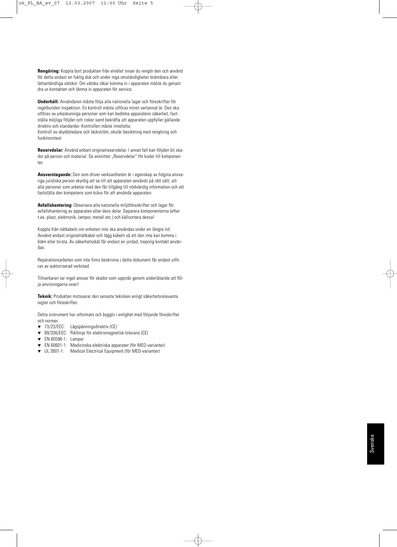**Rengöring:** Koppla bort produkten från elnätet innan du rengör den och använd för detta endast en fuktig duk och under inga omständigheter brännbara eller lättantändliga vätskor. Om vätska råkar komma in i apparaten måste du genast dra ur kontakten och lämna in apparaten för service.

**Underhåll:** Användaren måste följa alla nationella lagar och föreskrifter för regelbunden inspektion. En kontroll måste utföras minst vartannat år. Den ska utföras av yrkeskunniga personer som kan bedöma apparatens säkerhet, fastställa möjliga följder och risker samt bekräfta att apparaten uppfyller gällande direktiv och standarder. Kontrollen måste innefatta: Kontroll av skyddsledare och läckström, okulär besiktning med rengöring och funktionstest

**Reservdelar:** Använd enbart originalreservdelar. I annat fall kan följden bli skador på person och material. Se avsnittet "Reservdelar" för koder till komponenter.

**Ansvarstagande:** Den som driver verksamheten är i egenskap av högsta ansvariga juridiska person skyldig att se till att apparaten används på rätt sätt, att alla personer som arbetar med den får tillgång till nödvändig information och att fastställa den kompetens som krävs för att använda apparaten.

**Avfallshantering:** Observera alla nationella miljöföreskrifter och lagar för avfallshantering av apparaten eller dess delar. Separera komponenterna (efter t.ex. plast, elektronik, lampor, metall etc.) och källsortera dessa!

Koppla från nätkabeln om enheten inte ska användas under en längre tid. Använd endast originalnätkabel och lägg kabeln så att den inte kan komma i kläm eller brista. Av säkerhetsskäl får endast en jordad, trepolig kontakt användas.

Reparationsarbeten som inte finns beskrivna i detta dokument får endast utföras av auktoriserad verkstad.

Tillverkaren tar inget ansvar för skador som uppstår genom underlåtande att följa anvisningarna ovan!

**Teknik:** Produkten motsvarar den senaste tekniken enligt säkerhetsrelevanta regler och föreskrifter.

Detta instrument har utformats och byggts i enlighet med följande föreskrifter och normer.

- ▼ 73/23/EEC: Lågspänningsdirektiv (CE)
- ▼ 89/336/EEC: Riktlinje för elektromagnetisk tolerans (CE)
- ▼ EN 60598-1: Lampor
- EN 60601-1: Medicinska elektriska apparater (för MED-varianter)
- ▼ UL 2601-1: Medical Electrical Equipment (för MED-varianter)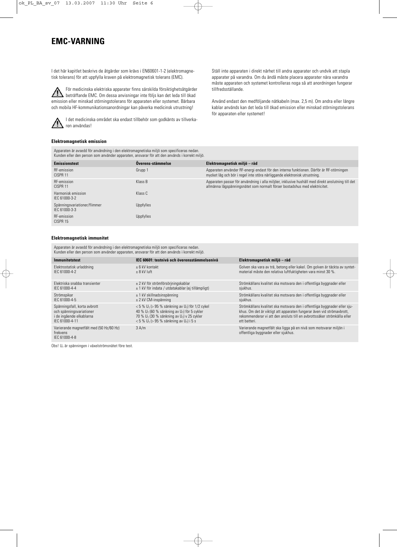### **EMC-VARNING**

I det här kapitlet beskrivs de åtgärder som krävs i EN60601-1-2 (elektromagnetisk tolerans) för att uppfylla kraven på elektromagnetisk tolerans (EMC).

För medicinska elektriska apparater finns särskilda försiktighetsåtgärder beträffande EMC. Om dessa anvisningar inte följs kan det leda till ökad emission eller minskad störningstolerans för apparaten eller systemet. Bärbara och mobila HF-kommunikationsanordningar kan påverka medicinsk utrustning!



#### **Elektromagnetisk emission**

Apparaten är avsedd för användning i den elektromagnetiska miljö som specificeras nedan. Kunden eller den person som använder apparaten, ansvarar för att den används i korrekt miljö. Ställ inte apparaten i direkt närhet till andra apparater och undvik att stapla apparater på varandra. Om du ändå måste placera apparater nära varandra måste apparaten och systemet kontrolleras noga så att anordningen fungerar tillfredsställande.

Använd endast den medföljande nätkabeln (max. 2,5 m). Om andra eller längre kablar används kan det leda till ökad emission eller minskad störningstolerans för apparaten eller systemet!

| <b>Emissionstest</b>                          | Overens-stämmelse | Elektromagnetisk miljö – råd                                                                                                                                                   |
|-----------------------------------------------|-------------------|--------------------------------------------------------------------------------------------------------------------------------------------------------------------------------|
| RF-emission<br>CISPR <sub>11</sub>            | Grupp 1           | Apparaten använder RF-energi endast för den interna funktionen. Därför är RF-störningen<br>mycket låg och bör i regel inte störa närliggande elektronisk utrustning.           |
| RF-emission<br>CISPR <sub>11</sub>            | Klass B           | Apparaten passar för användning i alla miljöer, inklusive hushåll med direkt anslutning till det<br>allmänna lågspänningsnätet som normalt förser bostadshus med elektricitet. |
| Harmonisk emission<br>IFC 61000-3-2           | $K \,$ lass $C$   |                                                                                                                                                                                |
| Spänningsvariationer/flimmer<br>IEC 61000-3-3 | <b>Uppfylles</b>  |                                                                                                                                                                                |
| RF-emission<br>CISPR 15                       | Uppfylles         |                                                                                                                                                                                |

#### **Elektromagnetisk immunitet**

Apparaten är avsedd för användning i den elektromagnetiska miljö som specificeras nedan. Kunden eller den person som använder apparaten, ansvarar för att den används i korrekt miljö.

| <b>Immunitetstest</b>                                                | IEC 60601: testnivå och överensstämmelsenivå                                 | Elektromagnetisk miljö – råd                                                                             |
|----------------------------------------------------------------------|------------------------------------------------------------------------------|----------------------------------------------------------------------------------------------------------|
| Elektrostatisk urladdning                                            | + 6 kV kontakt                                                               | Golven ska vara av trä, betong eller kakel. Om golven är täckta av syntet-                               |
| IFC 61000-4-2                                                        | $+8$ kV luft                                                                 | material måste den relativa luftfuktigheten vara minst 30 %.                                             |
| Elektriska snabba transienter                                        | $\pm$ 2 kV för strömförsörjningskablar                                       | Strömkällans kvalitet ska motsvara den i offentliga byggnader eller                                      |
| IFC 61000-4-4                                                        | ± 1 kV för indata / utdatakablar (ej tillämpligt)                            | sjukhus.                                                                                                 |
| Strömspikar                                                          | $\pm$ 1 kV skillnadsinspänning                                               | Strömkällans kvalitet ska motsvara den i offentliga byggnader eller                                      |
| IFC 61000-4-5                                                        | $\pm$ 2 kV CM-inspänning                                                     | sjukhus.                                                                                                 |
| Spänningsfall, korta avbrott                                         | $<$ 5 % U <sub>T</sub> ( $>$ 95 % sänkning av U <sub>T</sub> ) för 1/2 cykel | Strömkällans kvalitet ska motsvara den i offentliga byggnader eller sju-                                 |
| och spänningsvariationer                                             | 40 % $U_i$ (60 % sänkning av $U_i$ ) för 5 cykler                            | khus. Om det är viktigt att apparaten fungerar även vid strömavbrott,                                    |
| i de ingående elkablarna                                             | 70 % $U_T$ (30 % sänkning av $U_T$ ) v 25 cykler                             | rekommenderar vi att den ansluts till en avbrottssäker strömkälla eller                                  |
| IFC 61000-4-11                                                       | $< 5 \% U_{\tau}$ (> 95 % sänkning av U <sub>T</sub> ) i 5 s                 | ett batteri.                                                                                             |
| Varierande magnetfält med (50 Hz/60 Hz)<br>frekvens<br>IEC 61000-4-8 | 3 A/m                                                                        | Varierande magnetfält ska ligga på en nivå som motsvarar miljön i<br>offentliga byggnader eller sjukhus. |

Obs!  $U_T$  är spänningen i växelströmsnätet före test.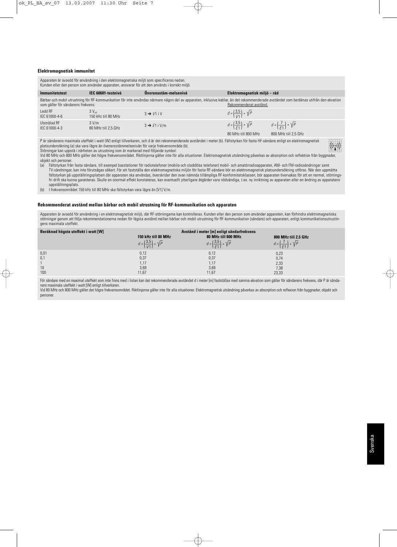#### **Elektromagnetisk immunitet**

Apparaten är avsedd för användning i den elektromagnetiska miljö som specificeras nedan. Kunden eller den person som använder apparaten, ansvarar för att den används i korrekt miljö.

| <b>Immunitetstest</b>              | IEC 60601-testnivå                       | Överensstäm-melsenivå                                                                                                                                                                  | Elektromagnetisk miljö – råd                                        |                                                                    |
|------------------------------------|------------------------------------------|----------------------------------------------------------------------------------------------------------------------------------------------------------------------------------------|---------------------------------------------------------------------|--------------------------------------------------------------------|
| som gäller för sändarens frekvens: |                                          | Bärbar och mobil utrustning för RF-kommunikation får inte användas närmare någon del av apparaten, inklusive kablar, än det rekommenderade avståndet som beräknas utifrån den ekvation | Rekommenderat avstånd:                                              |                                                                    |
| Ledd RF<br>IEC 61000-4-6           | $3V_{\text{eff}}$<br>150 kHz till 80 MHz | $3 \rightarrow V1$ iV                                                                                                                                                                  | $d = \left(\frac{3.5}{1/1}\right) * \sqrt{P}$                       |                                                                    |
| Utstrålad RF<br>IEC 61000-4-3      | 3 V/m<br>80 MHz till 2.5 GHz             | $3 \rightarrow E1$ i V/m                                                                                                                                                               | $d = \left(\frac{3.5}{51}\right) * \sqrt{P}$<br>80 MHz till 800 MHz | $d = \left(\frac{7}{51}\right) * \sqrt{P}$<br>800 MHz till 2,5 GHz |

P är sändarens maximala uteffekt i watt (W) enligt tillverkaren, och d är det rekommenderade avståndet i meter (b). Fältstyrkan för fasta HF-sändare enligt en elektromagnetisk platsundersökning (a) ska vara lägre än överensstämmelsenivån för varje frekvensområde (b). Störningar kan uppstå i närheten av utrustning som är markerad med följande symbol:

Vid 80 MHz och 800 MHz gäller det högre frekvensområdet. Riktlinjerna gäller inte för alla situationer. Elektromagnetisk utsändning påverkas av absorption och reflektion från byggnader, objekt och personer.<br>(a) Fältstyrkan frå

Fältstyrkan från fasta sändare, till exempel basstationer för radiotelefoner (mobila och sladdlösa telefoner) mobil- och amatörradioapparater, AM- och FM-radiosändningar samt TV-sändningar, kan inte förutsägas säkert. För att fastställa den elektromagnetiska miljön för fasta RF-sändare bör en elektromagnetisk platsundersökning utföras. När den uppmätta fältstyrkan på uppställningsplatsen där apparaten ska användas, överskrider den ovan nämnda tillämpliga RF-konformitetsklassen, bör apparaten övervakas för att en normal, störningsfri drift ska kunna garanteras. Skulle en onormal effekt konstateras, kan eventuellt ytterligare åtgärder vara nödvändiga, t.ex. ny inriktning av apparaten eller en ändring av apparatens uppställningsplats.

(b) I frekvensområdet 150 kHz till 80 MHz ska fältstyrkan vara lägre än [V1] V/m.

#### **Rekommenderat avstånd mellan bärbar och mobil utrustning för RF-kommunikation och apparaten**

Apparaten är avsedd för användning i en elektromagnetisk miljö, där RF-störningarna kan kontrolleras. Kunden eller den person som använder apparaten, kan förhindra elektromagnetiska störningar genom att följa rekommendationerna nedan för lägsta avstånd mellan bärbar och mobil utrustning för RF-kommunikation (sändare) och apparaten, enligt kommunikationsutrustingens maximala uteffekt.

| Beräknad högsta uteffekt i watt [W] | Avstånd i meter [m] enligt sändarfrekvens     |                                              |                                             |
|-------------------------------------|-----------------------------------------------|----------------------------------------------|---------------------------------------------|
|                                     | 150 kHz till 80 MHz                           | 80 MHz till 800 MHz                          | 800 MHz till 2,5 GHz                        |
|                                     | $d = \left(\frac{3.5}{1/1}\right) * \sqrt{P}$ | $d = \left(\frac{3.5}{51}\right) * \sqrt{P}$ | $d = \left  \frac{I}{I} \right  * \sqrt{P}$ |
| 0,01                                | 0,12                                          | 0,12                                         | 0,23                                        |
| 0,1                                 | 0,37                                          | 0,37                                         | 0,74                                        |
|                                     | 1.17                                          | 1.17                                         | 2,33                                        |
| 10                                  | 3,69                                          | 3,69                                         | 7,38                                        |
| 100                                 | 11,67                                         | 11,67                                        | 23,33                                       |

För sändare med en maximal uteffekt som inte finns med i listan kan det rekommenderade avståndet d i meter [m] fastställas med samma ekvation som gäller för sändarens frekvens, där P är sändarens maximala uteffekt i watt [W] enligt tillverkaren.

Vid 80 MHz och 800 MHz gäller det högre frekvensområdet. Riktlinjerna gäller inte för alla situationer. Elektromagnetisk utsändning påverkas av absorption och reflexion från byggnader, objekt och personer.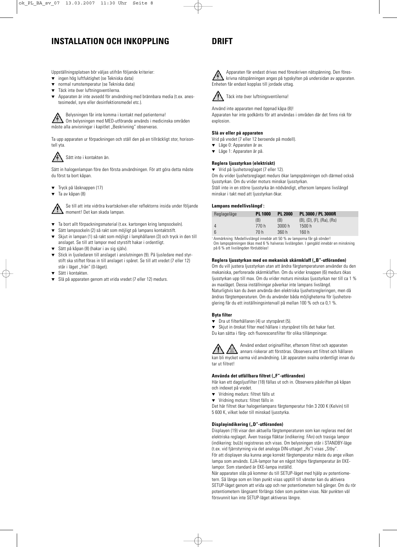### **INSTALLATION OCH INKOPPLING**

Uppställningsplatsen bör väljas utifrån följande kriterier:

- ingen hög luftfuktighet (se Tekniska data)
- normal rumstemperatur (se Tekniska data)
- Täck inte över luftningsventilerna.
- Apparaten är inte avsedd för användning med brännbara media (t.ex. anestesimedel, syre eller desinfektionsmedel etc.).

Belysningen får inte komma i kontakt med patienterna!

Om belysningen med MED-utförande används i medicinska områden måste alla anvisningar i kapitlet "Beskrivning" observeras.

Ta upp apparaten ur förpackningen och ställ den på en tillräckligt stor, horisontell yta.

### Sätt inte i kontakten än.

Sätt in halogenlampan före den första användningen. För att göra detta måste du först ta bort kåpan.

- ▼ Tryck på låsknappen (17)
- ▼ Ta av kåpan (8)

Se till att inte vidröra kvartskolven eller reflektorns insida under följande moment! Det kan skada lampan.

- ▼ Ta bort allt förpackningsmaterial (t.ex. kartongen kring lampsockeln).
- Sätt lampsockeln (2) så rakt som möjligt på lampans kontaktstift.
- ▼ Skjut in lampan (1) så rakt som möjligt i lamphållaren (3) och tryck in den till anslaget. Se till att lampor med styrstift hakar i ordentligt.
- Sätt på kåpan (8) (hakar i av sig själv).
- Stick in ljusledaren till anslaget i anslutningen (9). På ljusledare med styrstift ska stiftet föras in till anslaget i spåret. Se till att vredet (7 eller 12) står i läget "från" (0-läget).
- Sätt i kontakten.
- ▼ Slå på apparaten genom att vrida vredet (7 eller 12) medurs.

### **DRIFT**

Apparaten får endast drivas med föreskriven nätspänning. Den föreskrivna nätspänningen anges på typskylten på undersidan av apparaten. Enheten får endast kopplas till jordade uttag.



Täck inte över luftningsventilerna!

Använd inte apparaten med öppnad kåpa (8)! Apparaten har inte godkänts för att användas i områden där det finns risk för explosion.

#### **Slå av eller på apparaten**

Vrid på vredet (7 eller 12 beroende på modell).

- ▼ Läge 0: Apparaten är av.
- ▼ Läge 1: Apparaten är på.

#### **Reglera ljusstyrkan (elektriskt)**

▼ Vrid på ljushetsreglaget (7 eller 12).

Om du vrider ljushetsreglaget medurs ökar lampspänningen och därmed också ljusstyrkan. Om du vrider moturs minskar ljusstyrkan.

Ställ inte in en större ljusstyrka än nödvändigt, eftersom lampans livslängd minskar i takt med att ljusstyrkan ökar.

#### Lampans medellivslängd<sup>®</sup>:

| Reglageläge | <b>PL 1000</b> | <b>PL 2000</b> | PL 3000 / PL 3000R                      |
|-------------|----------------|----------------|-----------------------------------------|
|             | (B)            | (B)            | $(B)$ , $(D)$ , $(F)$ , $(Ra)$ , $(Rs)$ |
| 4           | 770 h          | 3000h          | 1500 h                                  |
| 6           | 70 h           | 360 h          | 160h                                    |

<sup>1</sup> Anmärkning: Medellivslängd innebär att 50 % av lamporna får gå sönder! Om lampspänningen ökas med 6 % halveras livslängden. I gengäld innebär en minskning på 6 % att livslängden fördubblas!

#### Reglera ljusstyrkan med en mekanisk skärmklaff ("B"-utföranden)

Om du vill justera ljusstyrkan utan att ändra färgtemperaturen använder du den mekaniska, perforerade skärmklaffen. Om du vrider knappen (6) medurs ökas ljusstyrkan upp till max. Om du vrider moturs minskas ljusstyrkan ner till ca 1 % av maxläget. Dessa inställningar påverkar inte lampans livslängd. Naturligtvis kan du även använda den elektriska ljushetsregleringen, men då ändras färgtemperaturen. Om du använder båda möjligheterna för ljushetsreglering får du ett inställningsintervall på mellan 100 % och ca 0,1 %.

#### **Byta filter**

- ▼ Dra ut filterhållaren (4) ur styrspåret (5).
- ▼ Skjut in önskat filter med hållare i styrspåret tills det hakar fast.
- Du kan sätta i färg- och fluorescensfilter för olika tillämpningar.

Använd endast originalfilter, eftersom filtret och apparaten annars riskerar att förstöras. Observera att filtret och hållaren kan bli mycket varma vid användning. Låt apparaten svalna ordentligt innan du tar ut filtret!

#### Använda det utfällbara filtret ("F"-utföranden)

Här kan ett dagsljusfilter (18) fällas ut och in. Observera påskriften på kåpan och indexet på vredet.

- ▼ Vridning medurs: filtret fälls ut
- ▼ Vridning moturs: filtret fälls in

Det här filtret ökar halogenlampans färgtemperatur från 3 200 K (Kelvin) till 5 600 K, vilket leder till minskad ljusstyrka.

#### **Displayindikering ("D"-utföranden)**

Displayen (19) visar den aktuella färgtemperaturen som kan regleras med det elektriska reglaget. Även trasiga fläktar (indikering: FAn) och trasiga lampor (indikering: buLb) registreras och visas. Om belysningen står i STANDBY-läge (t.ex. vid fjärrstyrning via det analoga DIN-uttaget "Rs") visas "Stby". För att displayen ska kunna ange korrekt färgtemperatur måste du ange vilken lampa som används. EJA-lampor har en något högre färgtemperatur än EKElampor. Som standard är EKE-lampa inställd.

När apparaten slås på kommer du till SETUP-läget med hjälp av potentiometern. Så länge som en liten punkt visas upptill till vänster kan du aktivera SETUP-läget genom att vrida upp och ner potentiometern två gånger. Om du rör potentiometern långsamt förlängs tiden som punkten visas. När punkten väl försvunnit kan inte SETUP-läget aktiveras längre.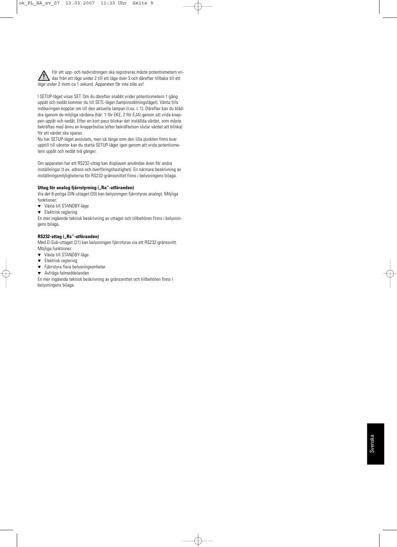För att upp- och nedvridningen ska registreras måste potentiometern vridas från ett läge under 2 till ett läge över 3 och därefter tillbaka till ett läge under 2 inom ca 1 sekund. Apparaten får inte slås av!

I SETUP-läget visas SET. Om du därefter snabbt vrider potentiometern 1 gång uppåt och nedåt kommer du till SETL-läget (lampinställningsläget). Vänta tills indikeringen kopplar om till den aktuella lampan (t.ex. L 1). Därefter kan du bläddra igenom de möjliga värdena (här: 1 för EKE, 2 för EJA) genom att vrida knappen uppåt och nedåt. Efter en kort paus blinkar det inställda värdet, som måste bekräftas med ännu en knapprörelse (efter bekräftelsen slutar värdet att blinka) för att värdet ska sparas.

Nu har SETUP-läget avslutats, men så länge som den lilla punkten finns kvar upptill till vänster kan du starta SETUP-läget igen genom att vrida potentiometern uppåt och nedåt två gånger.

Om apparaten har ett RS232-uttag kan displayen användas även för andra inställningar (t.ex. adress och överföringshastighet). En närmare beskrivning av inställningsmöjligheterna för RS232-gränssnittet finns i belysningens bilaga.

#### **Uttag för analog fjärrstyrning ("Ra"-utföranden)**

Via det 6-poliga DIN-uttaget (20) kan belysningen fjärrstyras analogt. Möjliga funktioner:

- ▼ Växla till STANDBY-läge
- ▼ Elektrisk reglering

En mer ingående teknisk beskrivning av uttaget och tillbehören finns i belysningens bilaga.

#### **RS232-uttag ("Rs"-utföranden)**

Med D-Sub-uttaget (21) kan belysningen fjärrstyras via ett RS232-gränssnitt. Möjliga funktioner:

- ▼ Växla till STANDBY-läge
- ▼ Elektrisk reglering
- ▼ Fjärrstyra flera belysningsenheter
- ▼ Avfråga felmeddelanden

En mer ingående teknisk beskrivning av gränssnittet och tillbehören finns i belysningens bilaga.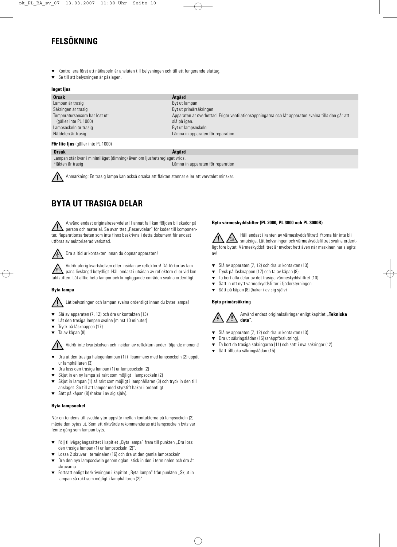### **FELSÖKNING**

- Kontrollera först att nätkabeln är ansluten till belysningen och till ett fungerande eluttag.
- Se till att belysningen är påslagen.

#### **Inget ljus**

| <b>Orsak</b>                   | <b>Ataärd</b>                                                                                      |
|--------------------------------|----------------------------------------------------------------------------------------------------|
| Lampan är trasig               | Byt ut lampan                                                                                      |
| Säkringen är trasig            | Byt ut primärsäkringen                                                                             |
| Temperatursensorn har löst ut: | Apparaten är överhettad. Frigör ventilationsöppningarna och låt apparaten svalna tills den går att |
| (gäller inte PL 1000)          | slå på igen.                                                                                       |
| Lampsockeln är trasig          | Byt ut lampsockeln                                                                                 |
| Nätdelen är trasig             | Lämna in apparaten för reparation                                                                  |
|                                |                                                                                                    |

#### **För lite ljus** (gäller inte PL 1000)

**Orsak Åtgärd**

Lampan står kvar i minimiläget (dimning) även om ljushetsreglaget vrids. Fläkten är trasig Lämna in apparaten för reparation



Anmärkning: En trasig lampa kan också orsaka att fläkten stannar eller att varvtalet minskar.

### **BYTA UT TRASIGA DELAR**

Använd endast originalreservdelar! I annat fall kan följden bli skador på person och material. Se avsnittet "Reservdelar" för koder till komponenter. Reparationsarbeten som inte finns beskrivna i detta dokument får endast utföras av auktoriserad verkstad.



Dra alltid ur kontakten innan du öppnar apparaten!

Vidrör aldrig kvartskolven eller insidan av reflektorn! Då förkortas lampans livslängd betydligt. Håll endast i utsidan av reflektorn eller vid kontaktstiften. Låt alltid heta lampor och kringliggande områden svalna ordentligt.

#### **Byta lampa**

Låt belysningen och lampan svalna ordentligt innan du byter lampa!

- Slå av apparaten (7, 12) och dra ur kontakten (13)
- ▼ Låt den trasiga lampan svalna (minst 10 minuter)
- Tryck på låsknappen (17)
- ▼ Ta av kåpan (8)

Vidrör inte kvartskolven och insidan av reflektorn under följande moment!

- ▼ Dra ut den trasiga halogenlampan (1) tillsammans med lampsockeln (2) uppåt ur lamphållaren (3)
- Dra loss den trasiga lampan (1) ur lampsockeln (2)
- Skjut in en ny lampa så rakt som möjligt i lampsockeln (2)
- ▼ Skjut in lampan (1) så rakt som möjligt i lamphållaren (3) och tryck in den till anslaget. Se till att lampor med styrstift hakar i ordentligt.
- ▼ Sätt på kåpan (8) (hakar i av sig själv).

#### **Byta lampsockel**

När en tendens till svedda ytor uppstår mellan kontakterna på lampsockeln (2) måste den bytas ut. Som ett riktvärde rekommenderas att lampsockeln byts var femte gång som lampan byts.

- ▼ Följ tillvägagångssättet i kapitlet "Byta lampa" fram till punkten "Dra loss den trasiga lampan (1) ur lampsockeln (2)".
- Lossa 2 skruvar i terminalen (16) och dra ut den gamla lampsockeln.
- ▼ Dra den nya lampsockeln genom öglan, stick in den i terminalen och dra åt skruvarna.
- Fortsätt enligt beskrivningen i kapitlet "Byta lampa" från punkten "Skjut in lampan så rakt som möjligt i lamphållaren (2)".

#### **Byta värmeskyddsfilter (PL 2000, PL 3000 och PL 3000R)**

Håll endast i kanten av värmeskyddsfiltret! Ytorna får inte bli smutsiga. Låt belysningen och värmeskyddsfiltret svalna ordentligt före bytet. Värmeskyddsfiltret är mycket hett även när maskinen har slagits av!

- ▼ Slå av apparaten (7, 12) och dra ur kontakten (13)
- Tryck på låsknappen (17) och ta av kåpan (8)
- ▼ Ta bort alla delar av det trasiga värmeskyddsfiltret (10)
- Sätt in ett nytt värmeskyddsfilter i fjäderstyrningen
- ▼ Sätt på kåpan (8) (hakar i av sig själv)

#### **Byta primärsäkring**



- ▼ Slå av apparaten (7, 12) och dra ur kontakten (13).
- ▼ Dra ut säkringslådan (15) (snäppförslutning).
- ▼ Ta bort de trasiga säkringarna (11) och sätt i nya säkringar (12).
- ▼ Sätt tillbaka säkringslådan (15).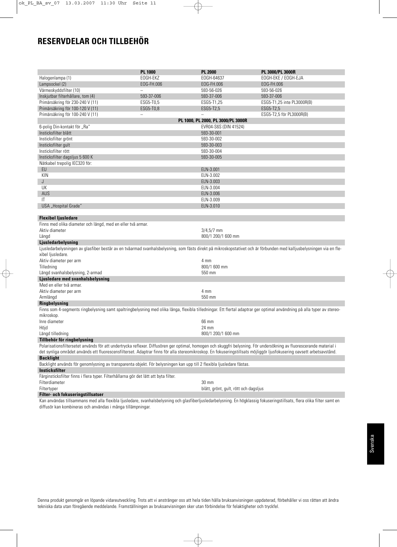### **RESERVDELAR OCH TILLBEHÖR**

|                                                                                                                                                                                       | <b>PL 1000</b> | <b>PL 2000</b>                        | PL 3000/PL 3000R           |  |
|---------------------------------------------------------------------------------------------------------------------------------------------------------------------------------------|----------------|---------------------------------------|----------------------------|--|
|                                                                                                                                                                                       | EOGH-EKZ       |                                       |                            |  |
| Halogenlampa (1)                                                                                                                                                                      |                | EOGH-64637<br>EOG-FH.006              | EOGH-EKE / EOGH-EJA        |  |
| Lampsockel (2)                                                                                                                                                                        | EOG-FH.006     |                                       | EOG-FH.006                 |  |
| Värmeskyddsfilter (10)                                                                                                                                                                |                | 593-56-026                            | 593-56-026                 |  |
| Inskjutbar filterhållare, tom (4)                                                                                                                                                     | 593-37-006     | 593-37-006                            | 593-37-006                 |  |
| Primärsäkring för 230-240 V (11)                                                                                                                                                      | ESG5-T0,5      | ESG5-T1,25                            | ESG5-T1,25 inte PL3000R(B) |  |
| Primärsäkring för 100-120 V (11)                                                                                                                                                      | ESG5-T0,8      | ESG5-T2,5                             | ESG5-T2,5                  |  |
| Primärsäkring för 100-240 V (11)                                                                                                                                                      | $\equiv$       | $\overline{\phantom{0}}$              | ESG5-T2,5 för PL3000R(B)   |  |
|                                                                                                                                                                                       |                | PL 1000, PL 2000, PL 3000/PL 3000R    |                            |  |
| 6-polig Din-kontakt för "Ra"                                                                                                                                                          |                | EVR04-S6S (DIN 41524)                 |                            |  |
| Insticksfilter blått                                                                                                                                                                  |                | 593-30-001                            |                            |  |
| Insticksfilter grönt                                                                                                                                                                  |                | 593-30-002                            |                            |  |
| Insticksfilter gult                                                                                                                                                                   |                | 593-30-003                            |                            |  |
| Insticksfilter rött                                                                                                                                                                   |                | 593-30-004                            |                            |  |
| Insticksfilter dagsljus 5 600 K                                                                                                                                                       |                | 593-30-005                            |                            |  |
| Nätkabel trepolig IEC320 för:                                                                                                                                                         |                |                                       |                            |  |
| EU                                                                                                                                                                                    |                | ELN-3.001                             |                            |  |
| KIN                                                                                                                                                                                   |                | ELN-3.002                             |                            |  |
| J                                                                                                                                                                                     |                | ELN-3.003                             |                            |  |
| UK                                                                                                                                                                                    |                | ELN-3.004                             |                            |  |
| AUS                                                                                                                                                                                   |                | ELN-3.006                             |                            |  |
| IT                                                                                                                                                                                    |                | ELN-3.009                             |                            |  |
| USA "Hospital Grade"                                                                                                                                                                  |                | ELN-3.010                             |                            |  |
|                                                                                                                                                                                       |                |                                       |                            |  |
| <b>Flexibel ljusledare</b>                                                                                                                                                            |                |                                       |                            |  |
| Finns med olika diameter och längd, med en eller två armar.                                                                                                                           |                |                                       |                            |  |
| Aktiv diameter                                                                                                                                                                        |                | $3/4,5/7$ mm                          |                            |  |
| Längd                                                                                                                                                                                 |                | 800/1 200/1 600 mm                    |                            |  |
| Ljusledarbelysning                                                                                                                                                                    |                |                                       |                            |  |
| Ljusledarbelysningen av glasfiber består av en tvåarmad svanhalsbelysning, som fästs direkt på mikroskopstativet och är förbunden med kalljusbelysningen via en fle-                  |                |                                       |                            |  |
| xibel ljusledare.                                                                                                                                                                     |                |                                       |                            |  |
| Aktiv diameter per arm                                                                                                                                                                |                | 4 mm                                  |                            |  |
| Tilledning                                                                                                                                                                            |                | 800/1 600 mm                          |                            |  |
| Längd svanhalsbelysning, 2-armad                                                                                                                                                      |                | 550 mm                                |                            |  |
| Ljusledare med svanhalsbelysning                                                                                                                                                      |                |                                       |                            |  |
| Med en eller två armar.                                                                                                                                                               |                |                                       |                            |  |
| Aktiv diameter per arm                                                                                                                                                                |                | 4 mm                                  |                            |  |
| Armlängd                                                                                                                                                                              |                | 550 mm                                |                            |  |
| <b>Ringbelysning</b>                                                                                                                                                                  |                |                                       |                            |  |
|                                                                                                                                                                                       |                |                                       |                            |  |
| Finns som 4-segments ringbelysning samt spaltringbelysning med olika långa, flexibla tilledningar. Ett flertal adaptrar ger optimal användning på alla typer av stereo-<br>mikroskop. |                |                                       |                            |  |
| Inre diameter                                                                                                                                                                         |                |                                       |                            |  |
|                                                                                                                                                                                       |                | 66 mm                                 |                            |  |
| Höjd                                                                                                                                                                                  |                | 24 mm                                 |                            |  |
| Längd tilledning                                                                                                                                                                      |                | 800/1 200/1 600 mm                    |                            |  |
| Tillbehör för ringbelysning                                                                                                                                                           |                |                                       |                            |  |
| Polarisationsfiltersetet används för att undertrycka reflexer. Diffusören ger optimal, homogen och skuggfri belysning. För undersökning av fluorescerande material i                  |                |                                       |                            |  |
| det synliga området används ett fluorescensfilterset. Adaptrar finns för alla stereomikroskop. En fokuseringstillsats möjliggör ljusfokusering oavsett arbetsavstånd.                 |                |                                       |                            |  |
| <b>Backlight</b>                                                                                                                                                                      |                |                                       |                            |  |
| Backlight används för genomlysning av transparenta objekt. För belysningen kan upp till 2 flexibla ljusledare fästas.                                                                 |                |                                       |                            |  |
| Insticksfilter                                                                                                                                                                        |                |                                       |                            |  |
| Färginsticksfilter finns i flera typer. Filterhållarna gör det lätt att byta filter.                                                                                                  |                |                                       |                            |  |
| Filterdiameter                                                                                                                                                                        |                | 30 mm                                 |                            |  |
| Filtertyper                                                                                                                                                                           |                | blått, grönt, gult, rött och dagsljus |                            |  |
| Filter- och fokuseringstillsatser                                                                                                                                                     |                |                                       |                            |  |

Kan användas tillsammans med alla flexibla ljusledare, svanhalsbelysning och glasfiberljusledarbelysning. En högklassig fokuseringstillsats, flera olika filter samt en diffusör kan kombineras och användas i många tillämpningar.